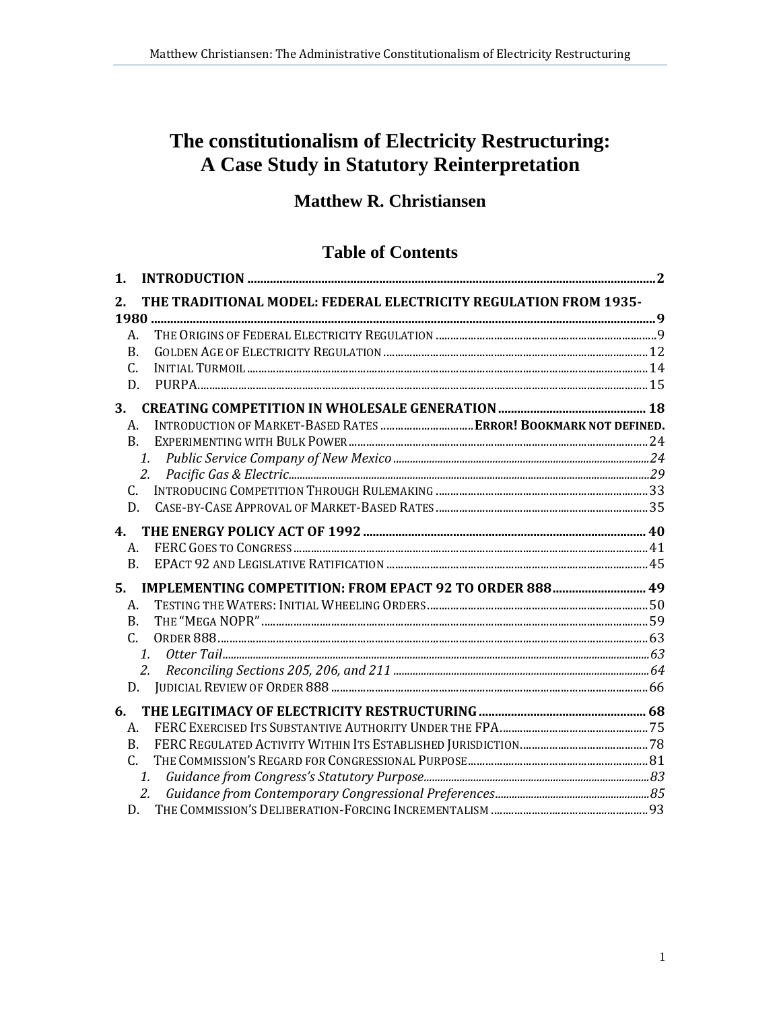# The constitutionalism of Electricity Restructuring: A Case Study in Statutory Reinterpretation

## **Matthew R. Christiansen**

## **Table of Contents**

| 1.        |                                                                  |  |  |
|-----------|------------------------------------------------------------------|--|--|
| 2.        | THE TRADITIONAL MODEL: FEDERAL ELECTRICITY REGULATION FROM 1935- |  |  |
| 1980      |                                                                  |  |  |
| A.        |                                                                  |  |  |
| B.        |                                                                  |  |  |
| C.        |                                                                  |  |  |
| D.        |                                                                  |  |  |
| 3.        |                                                                  |  |  |
| A.        | INTRODUCTION OF MARKET-BASED RATES  ERROR! BOOKMARK NOT DEFINED. |  |  |
| <b>B.</b> |                                                                  |  |  |
|           | 1.                                                               |  |  |
|           |                                                                  |  |  |
| C.        |                                                                  |  |  |
| D.        |                                                                  |  |  |
| 4.        |                                                                  |  |  |
| A.        |                                                                  |  |  |
| B.        |                                                                  |  |  |
| 5.        | IMPLEMENTING COMPETITION: FROM EPACT 92 TO ORDER 888 49          |  |  |
| A.        |                                                                  |  |  |
| <b>B.</b> |                                                                  |  |  |
| C.        |                                                                  |  |  |
|           | $\mathbf{1}$ .                                                   |  |  |
|           | 2.                                                               |  |  |
| D.        |                                                                  |  |  |
| 6.        |                                                                  |  |  |
| A.        |                                                                  |  |  |
| B.        |                                                                  |  |  |
| C.        |                                                                  |  |  |
|           | 1.                                                               |  |  |
|           | 2.                                                               |  |  |
|           | D.                                                               |  |  |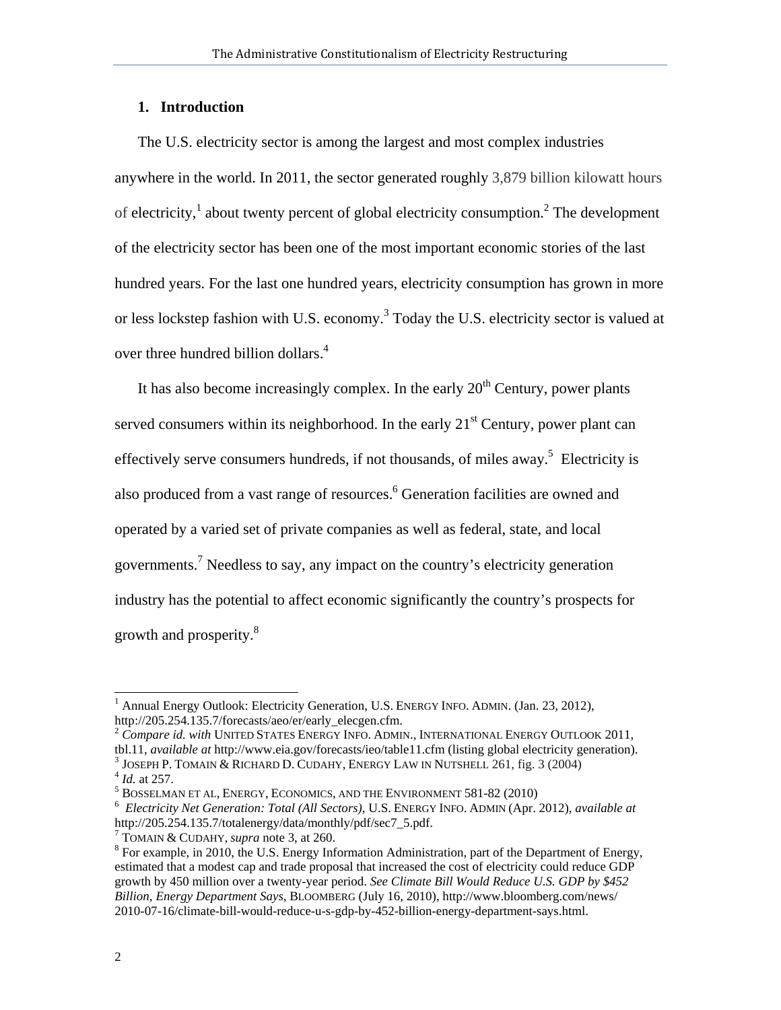## **1. Introduction**

The U.S. electricity sector is among the largest and most complex industries anywhere in the world. In 2011, the sector generated roughly 3,879 billion kilowatt hours of electricity,<sup>1</sup> about twenty percent of global electricity consumption.<sup>2</sup> The development of the electricity sector has been one of the most important economic stories of the last hundred years. For the last one hundred years, electricity consumption has grown in more or less lockstep fashion with U.S. economy.<sup>3</sup> Today the U.S. electricity sector is valued at over three hundred billion dollars.<sup>4</sup>

It has also become increasingly complex. In the early  $20<sup>th</sup>$  Century, power plants served consumers within its neighborhood. In the early  $21<sup>st</sup>$  Century, power plant can effectively serve consumers hundreds, if not thousands, of miles away.<sup>5</sup> Electricity is also produced from a vast range of resources.<sup>6</sup> Generation facilities are owned and operated by a varied set of private companies as well as federal, state, and local governments.<sup>7</sup> Needless to say, any impact on the country's electricity generation industry has the potential to affect economic significantly the country's prospects for growth and prosperity.<sup>8</sup>

 1 Annual Energy Outlook: Electricity Generation, U.S. ENERGY INFO. ADMIN. (Jan. 23, 2012), http://205.254.135.7/forecasts/aeo/er/early\_elecgen.cfm.

<sup>2</sup> *Compare id. with* UNITED STATES ENERGY INFO. ADMIN., INTERNATIONAL ENERGY OUTLOOK 2011,

tbl.11, *available at* http://www.eia.gov/forecasts/ieo/table11.cfm (listing global electricity generation). <sup>3</sup>

<sup>&</sup>lt;sup>3</sup> JOSEPH P. TOMAIN & RICHARD D. CUDAHY, ENERGY LAW IN NUTSHELL 261, fig. 3 (2004)  $^{4}$  *Id.* at 257.

 $^5$  BOSSELMAN ET AL, ENERGY, ECONOMICS, AND THE ENVIRONMENT  $581-82$  (2010)

*Electricity Net Generation: Total (All Sectors)*, U.S. ENERGY INFO. ADMIN (Apr. 2012), *available at*  http://205.254.135.7/totalenergy/data/monthly/pdf/sec7\_5.pdf.

 $^7$  TOMAIN & CUDAHY, *supra* note 3, at 260.

 ${}^{8}$  For example, in 2010, the U.S. Energy Information Administration, part of the Department of Energy, estimated that a modest cap and trade proposal that increased the cost of electricity could reduce GDP growth by 450 million over a twenty-year period. *See Climate Bill Would Reduce U.S. GDP by \$452 Billion, Energy Department Says*, BLOOMBERG (July 16, 2010), http://www.bloomberg.com/news/ 2010-07-16/climate-bill-would-reduce-u-s-gdp-by-452-billion-energy-department-says.html.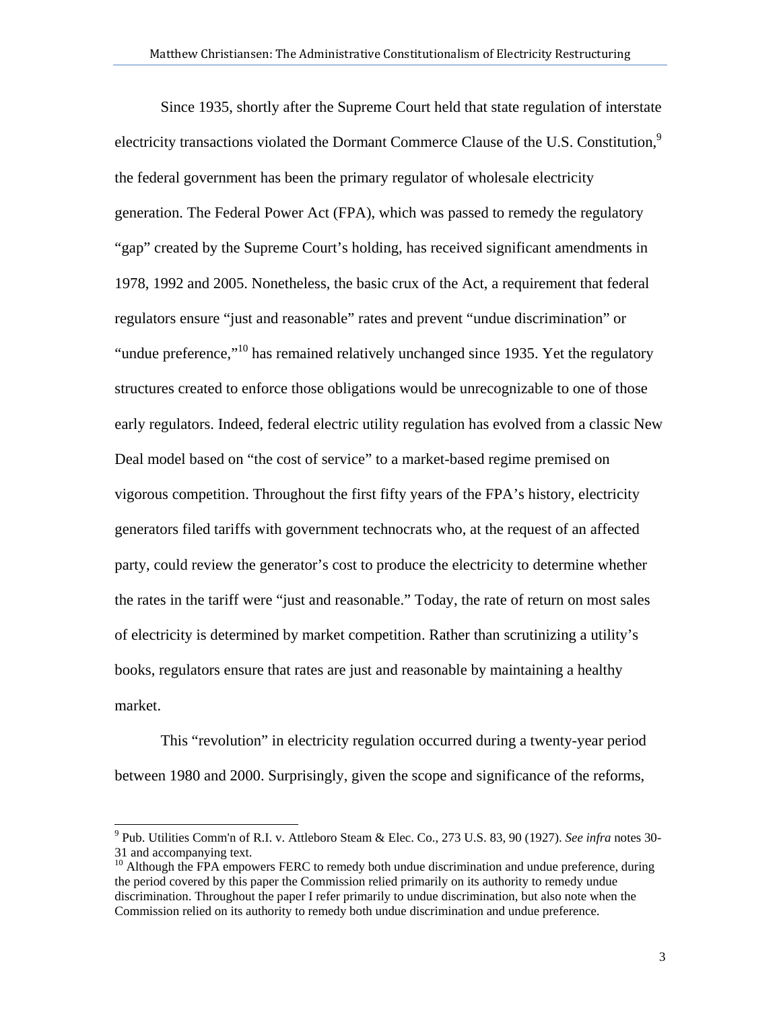Since 1935, shortly after the Supreme Court held that state regulation of interstate electricity transactions violated the Dormant Commerce Clause of the U.S. Constitution, $9$ the federal government has been the primary regulator of wholesale electricity generation. The Federal Power Act (FPA), which was passed to remedy the regulatory "gap" created by the Supreme Court's holding, has received significant amendments in 1978, 1992 and 2005. Nonetheless, the basic crux of the Act, a requirement that federal regulators ensure "just and reasonable" rates and prevent "undue discrimination" or "undue preference,"<sup>10</sup> has remained relatively unchanged since 1935. Yet the regulatory structures created to enforce those obligations would be unrecognizable to one of those early regulators. Indeed, federal electric utility regulation has evolved from a classic New Deal model based on "the cost of service" to a market-based regime premised on vigorous competition. Throughout the first fifty years of the FPA's history, electricity generators filed tariffs with government technocrats who, at the request of an affected party, could review the generator's cost to produce the electricity to determine whether the rates in the tariff were "just and reasonable." Today, the rate of return on most sales of electricity is determined by market competition. Rather than scrutinizing a utility's books, regulators ensure that rates are just and reasonable by maintaining a healthy market.

This "revolution" in electricity regulation occurred during a twenty-year period between 1980 and 2000. Surprisingly, given the scope and significance of the reforms,

 9 Pub. Utilities Comm'n of R.I. v. Attleboro Steam & Elec. Co., 273 U.S. 83, 90 (1927). *See infra* notes 30- 31 and accompanying text.

<sup>&</sup>lt;sup>10</sup> Although the FPA empowers FERC to remedy both undue discrimination and undue preference, during the period covered by this paper the Commission relied primarily on its authority to remedy undue discrimination. Throughout the paper I refer primarily to undue discrimination, but also note when the Commission relied on its authority to remedy both undue discrimination and undue preference.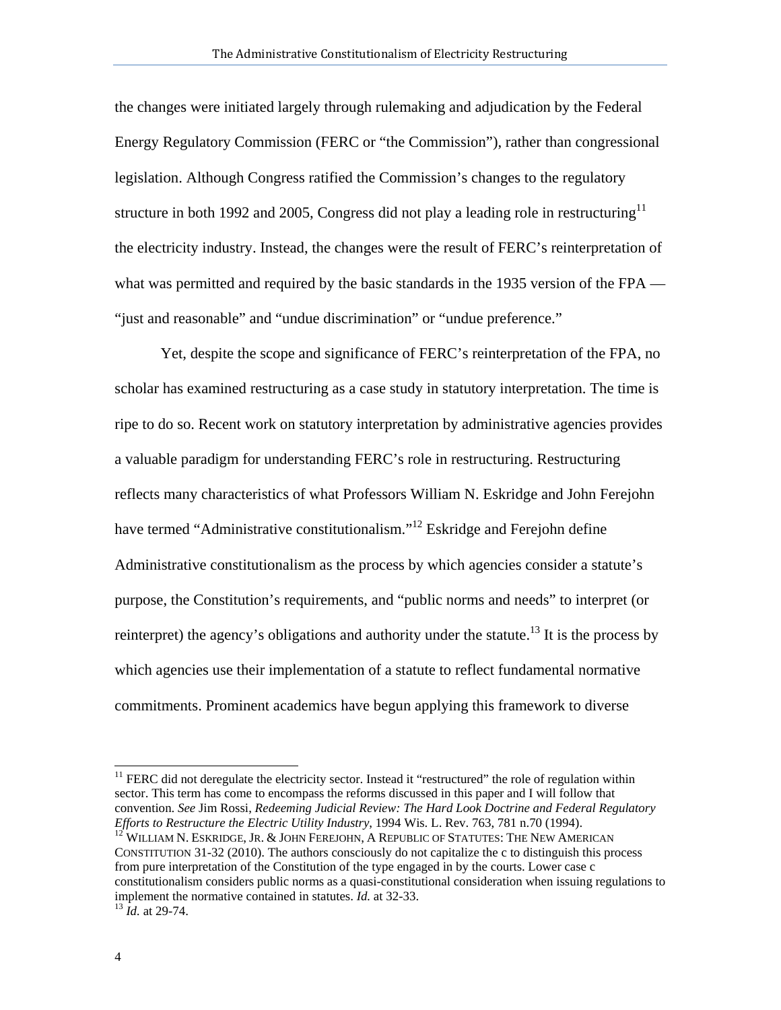the changes were initiated largely through rulemaking and adjudication by the Federal Energy Regulatory Commission (FERC or "the Commission"), rather than congressional legislation. Although Congress ratified the Commission's changes to the regulatory structure in both 1992 and 2005, Congress did not play a leading role in restructuring<sup>11</sup> the electricity industry. Instead, the changes were the result of FERC's reinterpretation of what was permitted and required by the basic standards in the 1935 version of the FPA — "just and reasonable" and "undue discrimination" or "undue preference."

Yet, despite the scope and significance of FERC's reinterpretation of the FPA, no scholar has examined restructuring as a case study in statutory interpretation. The time is ripe to do so. Recent work on statutory interpretation by administrative agencies provides a valuable paradigm for understanding FERC's role in restructuring. Restructuring reflects many characteristics of what Professors William N. Eskridge and John Ferejohn have termed "Administrative constitutionalism."<sup>12</sup> Eskridge and Ferejohn define Administrative constitutionalism as the process by which agencies consider a statute's purpose, the Constitution's requirements, and "public norms and needs" to interpret (or reinterpret) the agency's obligations and authority under the statute.<sup>13</sup> It is the process by which agencies use their implementation of a statute to reflect fundamental normative commitments. Prominent academics have begun applying this framework to diverse

<sup>&</sup>lt;sup>11</sup> FERC did not deregulate the electricity sector. Instead it "restructured" the role of regulation within sector. This term has come to encompass the reforms discussed in this paper and I will follow that convention. *See* Jim Rossi, *Redeeming Judicial Review: The Hard Look Doctrine and Federal Regulatory Efforts to Restructure the Electric Utility Industry*, 1994 Wis. L. Rev. 763, 781 n.70 (1994).<br><sup>12</sup> WILLIAM N. ESKRIDGE, JR. & JOHN FEREJOHN, A REPUBLIC OF STATUTES: THE NEW AMERICAN

CONSTITUTION 31-32 (2010). The authors consciously do not capitalize the c to distinguish this process from pure interpretation of the Constitution of the type engaged in by the courts. Lower case c constitutionalism considers public norms as a quasi-constitutional consideration when issuing regulations to implement the normative contained in statutes. *Id.* at 32-33. 13 *Id.* at 29-74.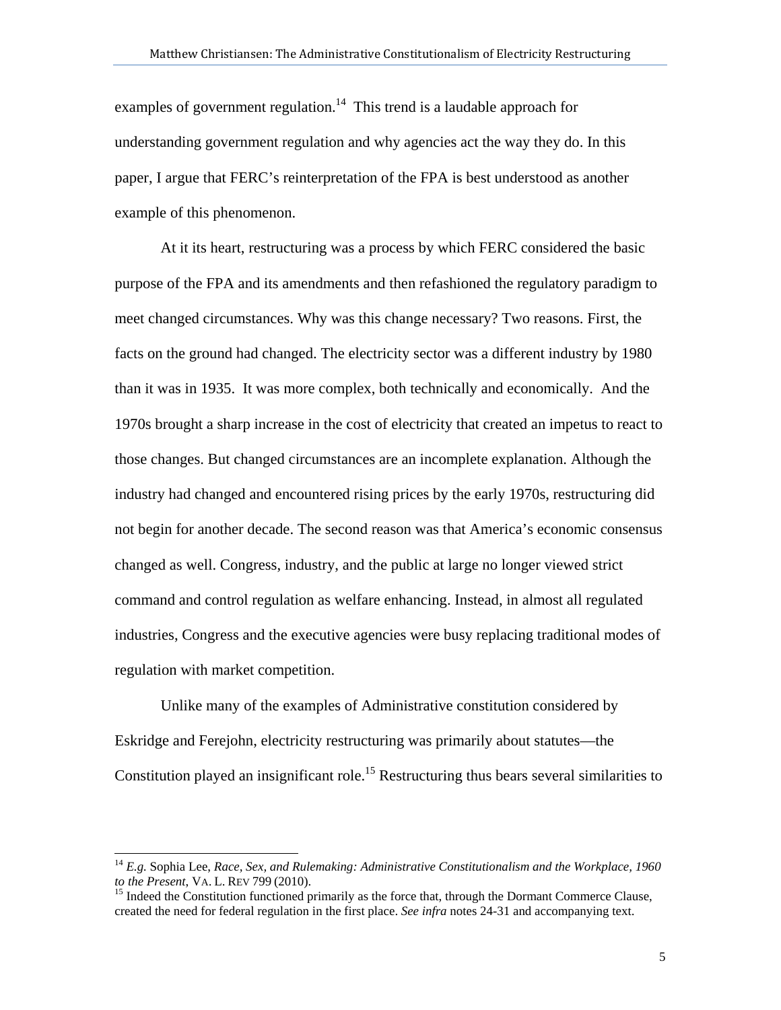examples of government regulation.<sup>14</sup> This trend is a laudable approach for understanding government regulation and why agencies act the way they do. In this paper, I argue that FERC's reinterpretation of the FPA is best understood as another example of this phenomenon.

At it its heart, restructuring was a process by which FERC considered the basic purpose of the FPA and its amendments and then refashioned the regulatory paradigm to meet changed circumstances. Why was this change necessary? Two reasons. First, the facts on the ground had changed. The electricity sector was a different industry by 1980 than it was in 1935. It was more complex, both technically and economically. And the 1970s brought a sharp increase in the cost of electricity that created an impetus to react to those changes. But changed circumstances are an incomplete explanation. Although the industry had changed and encountered rising prices by the early 1970s, restructuring did not begin for another decade. The second reason was that America's economic consensus changed as well. Congress, industry, and the public at large no longer viewed strict command and control regulation as welfare enhancing. Instead, in almost all regulated industries, Congress and the executive agencies were busy replacing traditional modes of regulation with market competition.

Unlike many of the examples of Administrative constitution considered by Eskridge and Ferejohn, electricity restructuring was primarily about statutes—the Constitution played an insignificant role.<sup>15</sup> Restructuring thus bears several similarities to

<sup>&</sup>lt;sup>14</sup> *E.g.* Sophia Lee, *Race, Sex, and Rulemaking: Administrative Constitutionalism and the Workplace, 1960 to the Present, VA. L. REV 799 (2010).* 

<sup>&</sup>lt;sup>15</sup> Indeed the Constitution functioned primarily as the force that, through the Dormant Commerce Clause, created the need for federal regulation in the first place. *See infra* notes 24-31 and accompanying text.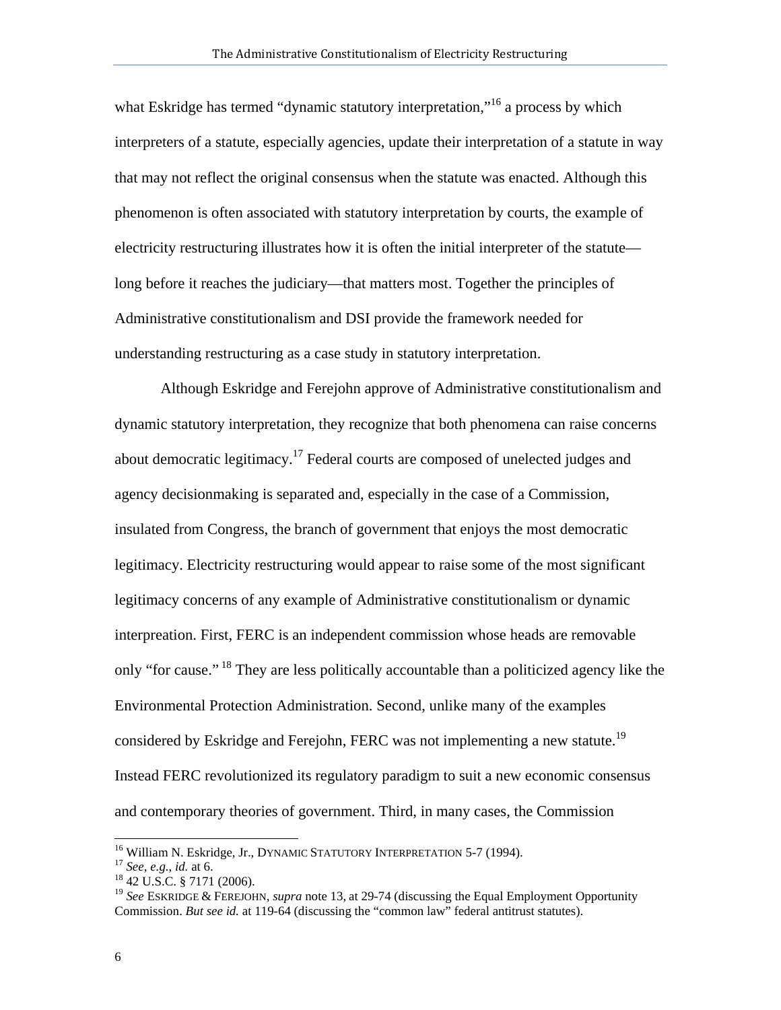what Eskridge has termed "dynamic statutory interpretation,"<sup>16</sup> a process by which interpreters of a statute, especially agencies, update their interpretation of a statute in way that may not reflect the original consensus when the statute was enacted. Although this phenomenon is often associated with statutory interpretation by courts, the example of electricity restructuring illustrates how it is often the initial interpreter of the statute long before it reaches the judiciary—that matters most. Together the principles of Administrative constitutionalism and DSI provide the framework needed for understanding restructuring as a case study in statutory interpretation.

Although Eskridge and Ferejohn approve of Administrative constitutionalism and dynamic statutory interpretation, they recognize that both phenomena can raise concerns about democratic legitimacy.<sup>17</sup> Federal courts are composed of unelected judges and agency decisionmaking is separated and, especially in the case of a Commission, insulated from Congress, the branch of government that enjoys the most democratic legitimacy. Electricity restructuring would appear to raise some of the most significant legitimacy concerns of any example of Administrative constitutionalism or dynamic interpreation. First, FERC is an independent commission whose heads are removable only "for cause." <sup>18</sup> They are less politically accountable than a politicized agency like the Environmental Protection Administration. Second, unlike many of the examples considered by Eskridge and Ferejohn, FERC was not implementing a new statute.<sup>19</sup> Instead FERC revolutionized its regulatory paradigm to suit a new economic consensus and contemporary theories of government. Third, in many cases, the Commission

<sup>&</sup>lt;sup>16</sup> William N. Eskridge, Jr., DYNAMIC STATUTORY INTERPRETATION 5-7 (1994).<br><sup>17</sup> *See, e.g., id.* at 6. <sup>18</sup> 42 U.S.C. § 7171 (2006).

<sup>19</sup> *See* ESKRIDGE & FEREJOHN, *supra* note 13, at 29-74 (discussing the Equal Employment Opportunity Commission. *But see id.* at 119-64 (discussing the "common law" federal antitrust statutes).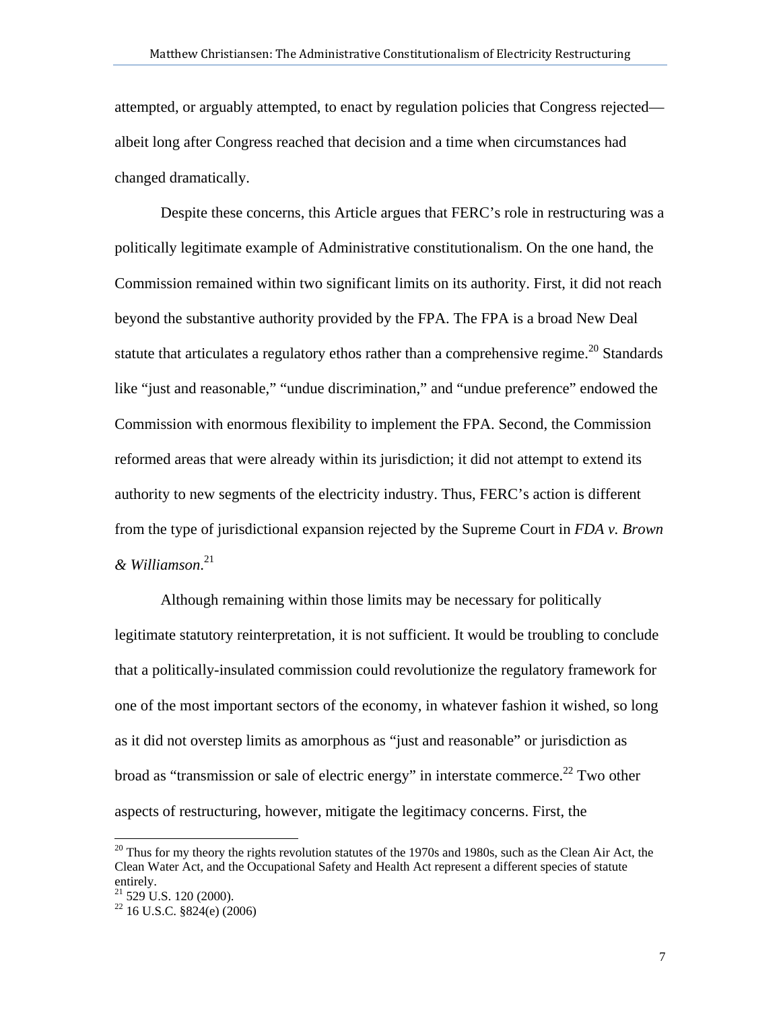attempted, or arguably attempted, to enact by regulation policies that Congress rejected albeit long after Congress reached that decision and a time when circumstances had changed dramatically.

Despite these concerns, this Article argues that FERC's role in restructuring was a politically legitimate example of Administrative constitutionalism. On the one hand, the Commission remained within two significant limits on its authority. First, it did not reach beyond the substantive authority provided by the FPA. The FPA is a broad New Deal statute that articulates a regulatory ethos rather than a comprehensive regime.<sup>20</sup> Standards like "just and reasonable," "undue discrimination," and "undue preference" endowed the Commission with enormous flexibility to implement the FPA. Second, the Commission reformed areas that were already within its jurisdiction; it did not attempt to extend its authority to new segments of the electricity industry. Thus, FERC's action is different from the type of jurisdictional expansion rejected by the Supreme Court in *FDA v. Brown & Williamson*. 21

Although remaining within those limits may be necessary for politically legitimate statutory reinterpretation, it is not sufficient. It would be troubling to conclude that a politically-insulated commission could revolutionize the regulatory framework for one of the most important sectors of the economy, in whatever fashion it wished, so long as it did not overstep limits as amorphous as "just and reasonable" or jurisdiction as broad as "transmission or sale of electric energy" in interstate commerce.<sup>22</sup> Two other aspects of restructuring, however, mitigate the legitimacy concerns. First, the

 $20$  Thus for my theory the rights revolution statutes of the 1970s and 1980s, such as the Clean Air Act, the Clean Water Act, and the Occupational Safety and Health Act represent a different species of statute entirely.

 $21$  529 U.S. 120 (2000).

 $22$  16 U.S.C. §824(e) (2006)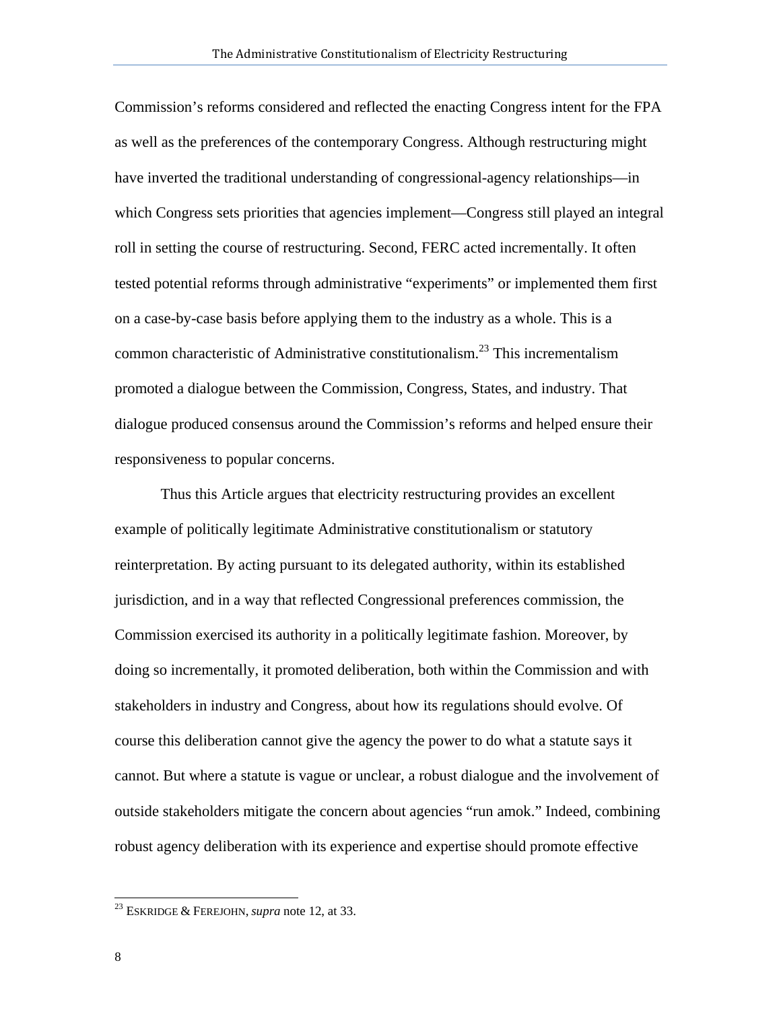Commission's reforms considered and reflected the enacting Congress intent for the FPA as well as the preferences of the contemporary Congress. Although restructuring might have inverted the traditional understanding of congressional-agency relationships—in which Congress sets priorities that agencies implement—Congress still played an integral roll in setting the course of restructuring. Second, FERC acted incrementally. It often tested potential reforms through administrative "experiments" or implemented them first on a case-by-case basis before applying them to the industry as a whole. This is a common characteristic of Administrative constitutionalism.23 This incrementalism promoted a dialogue between the Commission, Congress, States, and industry. That dialogue produced consensus around the Commission's reforms and helped ensure their responsiveness to popular concerns.

Thus this Article argues that electricity restructuring provides an excellent example of politically legitimate Administrative constitutionalism or statutory reinterpretation. By acting pursuant to its delegated authority, within its established jurisdiction, and in a way that reflected Congressional preferences commission, the Commission exercised its authority in a politically legitimate fashion. Moreover, by doing so incrementally, it promoted deliberation, both within the Commission and with stakeholders in industry and Congress, about how its regulations should evolve. Of course this deliberation cannot give the agency the power to do what a statute says it cannot. But where a statute is vague or unclear, a robust dialogue and the involvement of outside stakeholders mitigate the concern about agencies "run amok." Indeed, combining robust agency deliberation with its experience and expertise should promote effective

<sup>23</sup> ESKRIDGE & FEREJOHN, *supra* note 12, at 33.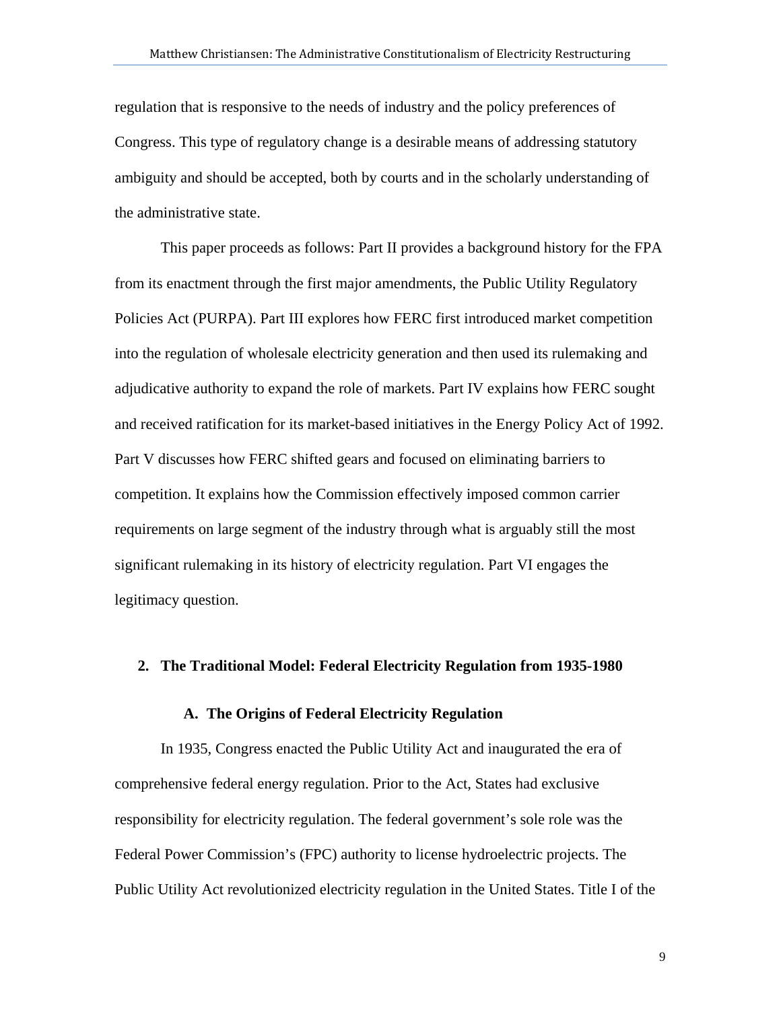regulation that is responsive to the needs of industry and the policy preferences of Congress. This type of regulatory change is a desirable means of addressing statutory ambiguity and should be accepted, both by courts and in the scholarly understanding of the administrative state.

This paper proceeds as follows: Part II provides a background history for the FPA from its enactment through the first major amendments, the Public Utility Regulatory Policies Act (PURPA). Part III explores how FERC first introduced market competition into the regulation of wholesale electricity generation and then used its rulemaking and adjudicative authority to expand the role of markets. Part IV explains how FERC sought and received ratification for its market-based initiatives in the Energy Policy Act of 1992. Part V discusses how FERC shifted gears and focused on eliminating barriers to competition. It explains how the Commission effectively imposed common carrier requirements on large segment of the industry through what is arguably still the most significant rulemaking in its history of electricity regulation. Part VI engages the legitimacy question.

#### **2. The Traditional Model: Federal Electricity Regulation from 1935-1980**

#### **A. The Origins of Federal Electricity Regulation**

In 1935, Congress enacted the Public Utility Act and inaugurated the era of comprehensive federal energy regulation. Prior to the Act, States had exclusive responsibility for electricity regulation. The federal government's sole role was the Federal Power Commission's (FPC) authority to license hydroelectric projects. The Public Utility Act revolutionized electricity regulation in the United States. Title I of the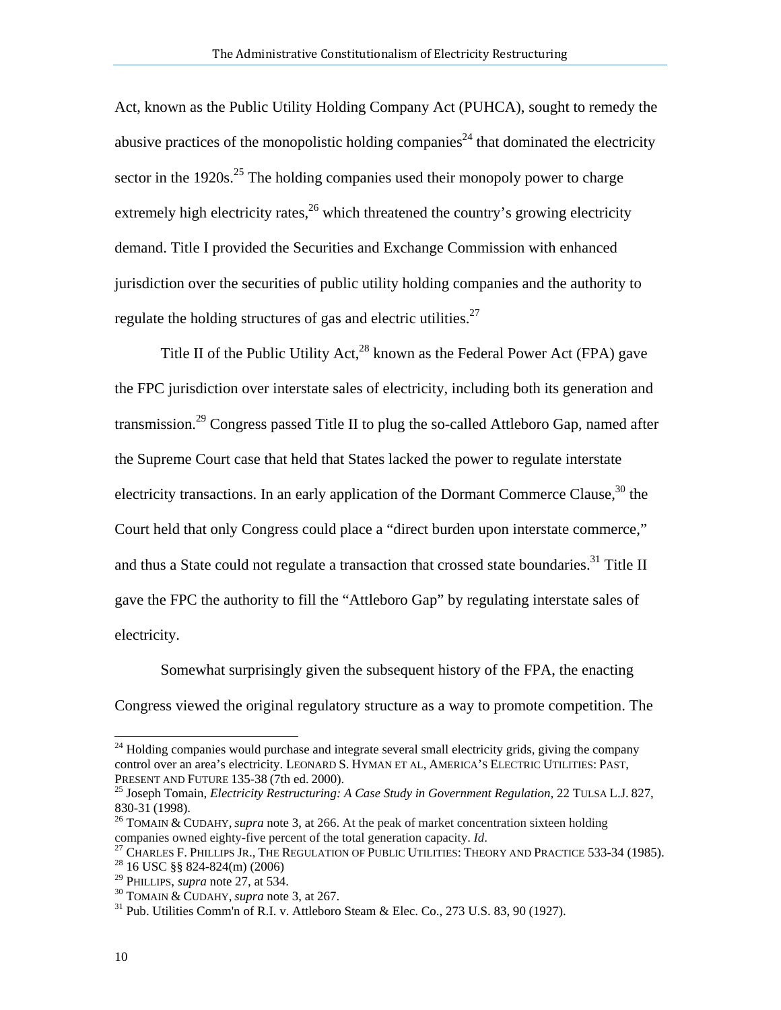Act, known as the Public Utility Holding Company Act (PUHCA), sought to remedy the abusive practices of the monopolistic holding companies<sup>24</sup> that dominated the electricity sector in the 1920s.<sup>25</sup> The holding companies used their monopoly power to charge extremely high electricity rates,  $^{26}$  which threatened the country's growing electricity demand. Title I provided the Securities and Exchange Commission with enhanced jurisdiction over the securities of public utility holding companies and the authority to regulate the holding structures of gas and electric utilities.<sup>27</sup>

Title II of the Public Utility Act,  $^{28}$  known as the Federal Power Act (FPA) gave the FPC jurisdiction over interstate sales of electricity, including both its generation and transmission.<sup>29</sup> Congress passed Title II to plug the so-called Attleboro Gap, named after the Supreme Court case that held that States lacked the power to regulate interstate electricity transactions. In an early application of the Dormant Commerce Clause,  $30$  the Court held that only Congress could place a "direct burden upon interstate commerce," and thus a State could not regulate a transaction that crossed state boundaries.<sup>31</sup> Title II gave the FPC the authority to fill the "Attleboro Gap" by regulating interstate sales of electricity.

Somewhat surprisingly given the subsequent history of the FPA, the enacting Congress viewed the original regulatory structure as a way to promote competition. The

<sup>&</sup>lt;sup>24</sup> Holding companies would purchase and integrate several small electricity grids, giving the company control over an area's electricity. LEONARD S. HYMAN ET AL, AMERICA'S ELECTRIC UTILITIES: PAST,

<sup>&</sup>lt;sup>25</sup> Joseph Tomain, *Electricity Restructuring: A Case Study in Government Regulation, 22 TULSA L.J. 827,* 

<sup>830-31 (1998).&</sup>lt;br><sup>26</sup> TOMAIN & CUDAHY, *supra* note 3, at 266. At the peak of market concentration sixteen holding companies owned eighty-five percent of the total generation capacity. *Id*.

<sup>&</sup>lt;sup>27</sup> CHARLES F. PHILLIPS JR., THE REGULATION OF PUBLIC UTILITIES: THEORY AND PRACTICE 533-34 (1985).<br><sup>28</sup> 16 USC §§ 824-824(m) (2006)<br><sup>29</sup> PHILLIPS, *supra* note 27, at 534.

<sup>&</sup>lt;sup>30</sup> TOMAIN & CUDAHY, *supra* note 3, at 267.<br><sup>31</sup> Pub. Utilities Comm'n of R.I. v. Attleboro Steam & Elec. Co., 273 U.S. 83, 90 (1927).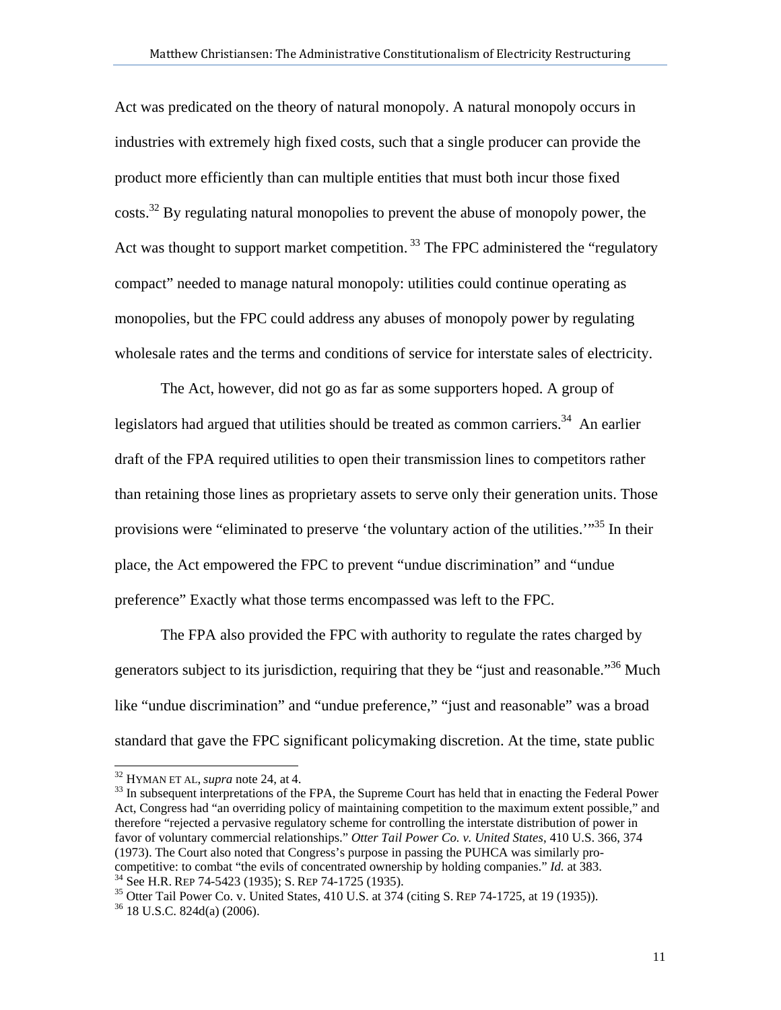Act was predicated on the theory of natural monopoly. A natural monopoly occurs in industries with extremely high fixed costs, such that a single producer can provide the product more efficiently than can multiple entities that must both incur those fixed  $\cos(s^{32}$  By regulating natural monopolies to prevent the abuse of monopoly power, the Act was thought to support market competition.<sup>33</sup> The FPC administered the "regulatory" compact" needed to manage natural monopoly: utilities could continue operating as monopolies, but the FPC could address any abuses of monopoly power by regulating wholesale rates and the terms and conditions of service for interstate sales of electricity.

The Act, however, did not go as far as some supporters hoped. A group of legislators had argued that utilities should be treated as common carriers.<sup>34</sup> An earlier draft of the FPA required utilities to open their transmission lines to competitors rather than retaining those lines as proprietary assets to serve only their generation units. Those provisions were "eliminated to preserve 'the voluntary action of the utilities."<sup>35</sup> In their place, the Act empowered the FPC to prevent "undue discrimination" and "undue preference" Exactly what those terms encompassed was left to the FPC.

The FPA also provided the FPC with authority to regulate the rates charged by generators subject to its jurisdiction, requiring that they be "just and reasonable."<sup>36</sup> Much like "undue discrimination" and "undue preference," "just and reasonable" was a broad standard that gave the FPC significant policymaking discretion. At the time, state public

<sup>&</sup>lt;sup>32</sup> HYMAN ET AL, *supra* note 24, at 4.<br><sup>33</sup> In subsequent interpretations of the FPA, the Supreme Court has held that in enacting the Federal Power Act, Congress had "an overriding policy of maintaining competition to the maximum extent possible," and therefore "rejected a pervasive regulatory scheme for controlling the interstate distribution of power in favor of voluntary commercial relationships." *Otter Tail Power Co. v. United States*, 410 U.S. 366, 374 (1973). The Court also noted that Congress's purpose in passing the PUHCA was similarly procompetitive: to combat "the evils of concentrated ownership by holding companies." *Id.* at 383.<br><sup>34</sup> See H.R. REP 74-5423 (1935); S. REP 74-1725 (1935).<br><sup>35</sup> Otter Tail Power Co. v. United States, 410 U.S. at 374 (citing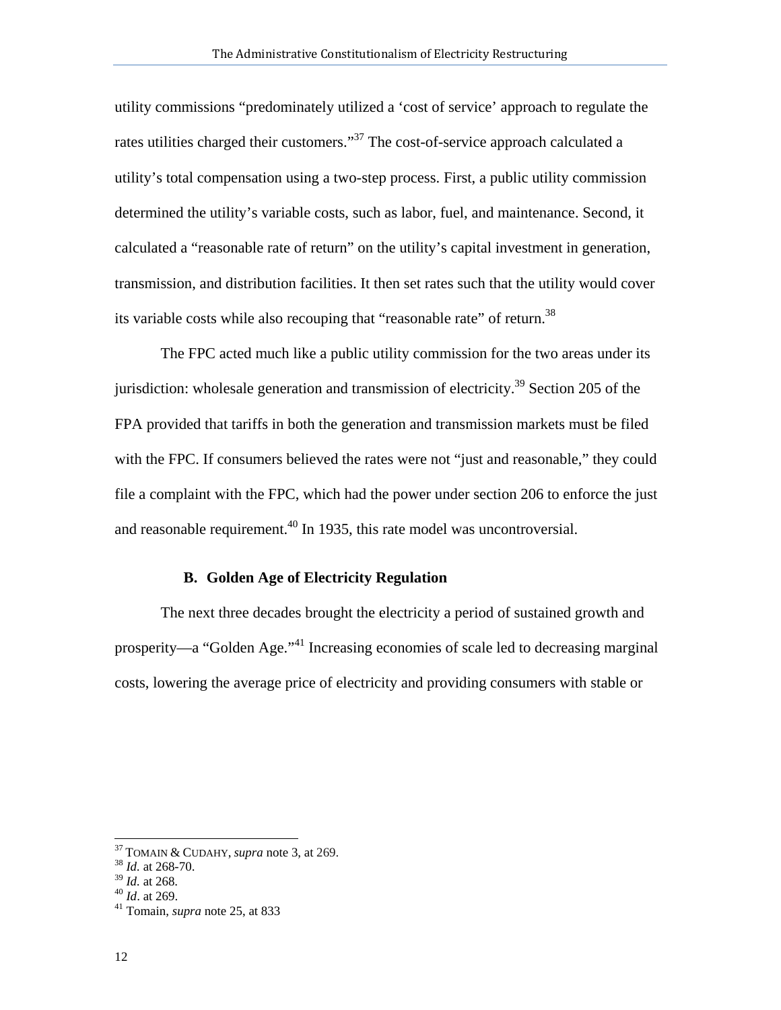utility commissions "predominately utilized a 'cost of service' approach to regulate the rates utilities charged their customers."37 The cost-of-service approach calculated a utility's total compensation using a two-step process. First, a public utility commission determined the utility's variable costs, such as labor, fuel, and maintenance. Second, it calculated a "reasonable rate of return" on the utility's capital investment in generation, transmission, and distribution facilities. It then set rates such that the utility would cover its variable costs while also recouping that "reasonable rate" of return.<sup>38</sup>

The FPC acted much like a public utility commission for the two areas under its jurisdiction: wholesale generation and transmission of electricity.<sup>39</sup> Section 205 of the FPA provided that tariffs in both the generation and transmission markets must be filed with the FPC. If consumers believed the rates were not "just and reasonable," they could file a complaint with the FPC, which had the power under section 206 to enforce the just and reasonable requirement.<sup>40</sup> In 1935, this rate model was uncontroversial.

#### **B. Golden Age of Electricity Regulation**

The next three decades brought the electricity a period of sustained growth and prosperity—a "Golden Age."41 Increasing economies of scale led to decreasing marginal costs, lowering the average price of electricity and providing consumers with stable or

<sup>37</sup> TOMAIN & CUDAHY, *supra* note 3, at 269. 38 *Id.* at 268-70.

<sup>&</sup>lt;sup>38</sup> *Id.* at 268-70.<br><sup>39</sup> *Id.* at 268.<br><sup>40</sup> *Id.* at 269.<br><sup>41</sup> Tomain, *supra* note 25, at 833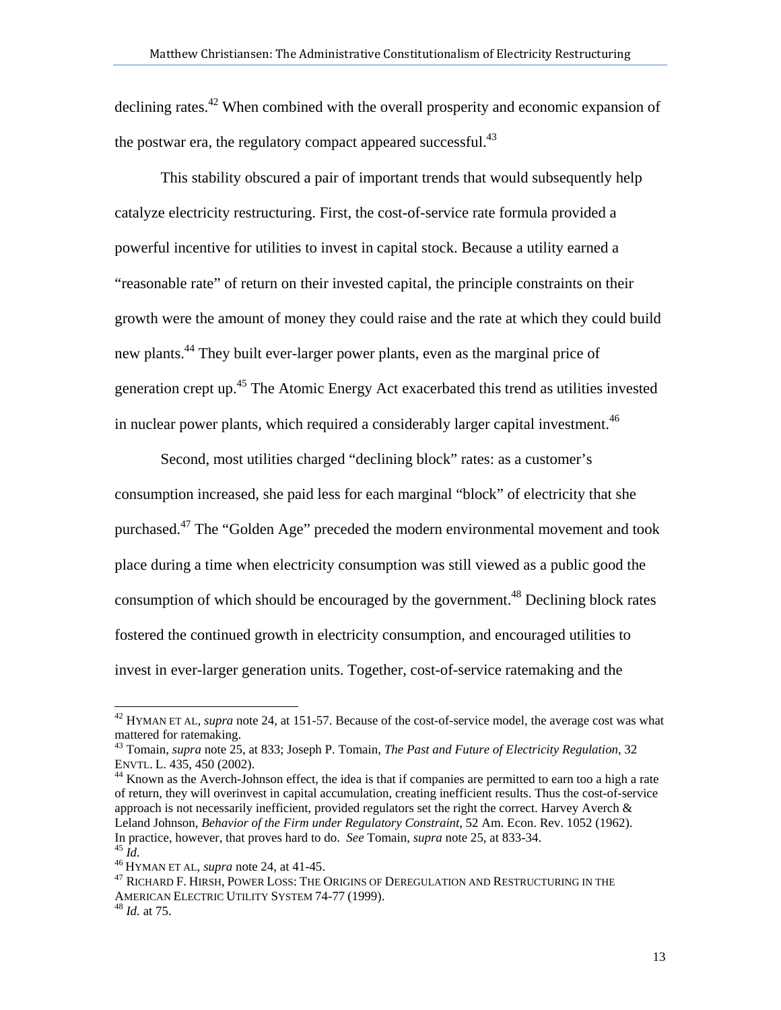declining rates.<sup>42</sup> When combined with the overall prosperity and economic expansion of the postwar era, the regulatory compact appeared successful. $43$ 

This stability obscured a pair of important trends that would subsequently help catalyze electricity restructuring. First, the cost-of-service rate formula provided a powerful incentive for utilities to invest in capital stock. Because a utility earned a "reasonable rate" of return on their invested capital, the principle constraints on their growth were the amount of money they could raise and the rate at which they could build new plants.<sup>44</sup> They built ever-larger power plants, even as the marginal price of generation crept up.45 The Atomic Energy Act exacerbated this trend as utilities invested in nuclear power plants, which required a considerably larger capital investment.  $46$ 

Second, most utilities charged "declining block" rates: as a customer's consumption increased, she paid less for each marginal "block" of electricity that she purchased.<sup>47</sup> The "Golden Age" preceded the modern environmental movement and took place during a time when electricity consumption was still viewed as a public good the consumption of which should be encouraged by the government.<sup>48</sup> Declining block rates fostered the continued growth in electricity consumption, and encouraged utilities to invest in ever-larger generation units. Together, cost-of-service ratemaking and the

of return, they will overinvest in capital accumulation, creating inefficient results. Thus the cost-of-service approach is not necessarily inefficient, provided regulators set the right the correct. Harvey Averch  $\&$ Leland Johnson, *Behavior of the Firm under Regulatory Constraint*, 52 Am. Econ. Rev. 1052 (1962). In practice, however, that proves hard to do. *See* Tomain, *supra* note 25, at 833-34.

<sup>42</sup> HYMAN ET AL, *supra* note 24, at 151-57. Because of the cost-of-service model, the average cost was what mattered for ratemaking.

<sup>43</sup> Tomain, *supra* note 25, at 833; Joseph P. Tomain, *The Past and Future of Electricity Regulation*, 32 ENVTL. L. 435, 450 (2002).<br><sup>44</sup> Known as the Averch-Johnson effect, the idea is that if companies are permitted to earn too a high a rate

<sup>&</sup>lt;sup>45</sup> Id.<br><sup>46</sup> Hyman et al, *supra* note 24, at 41-45.<br><sup>47</sup> Richard F. Hirsh, Power Loss: The Origins of Deregulation and Restructuring in the AMERICAN ELECTRIC UTILITY SYSTEM 74-77 (1999). 48 *Id.* at 75.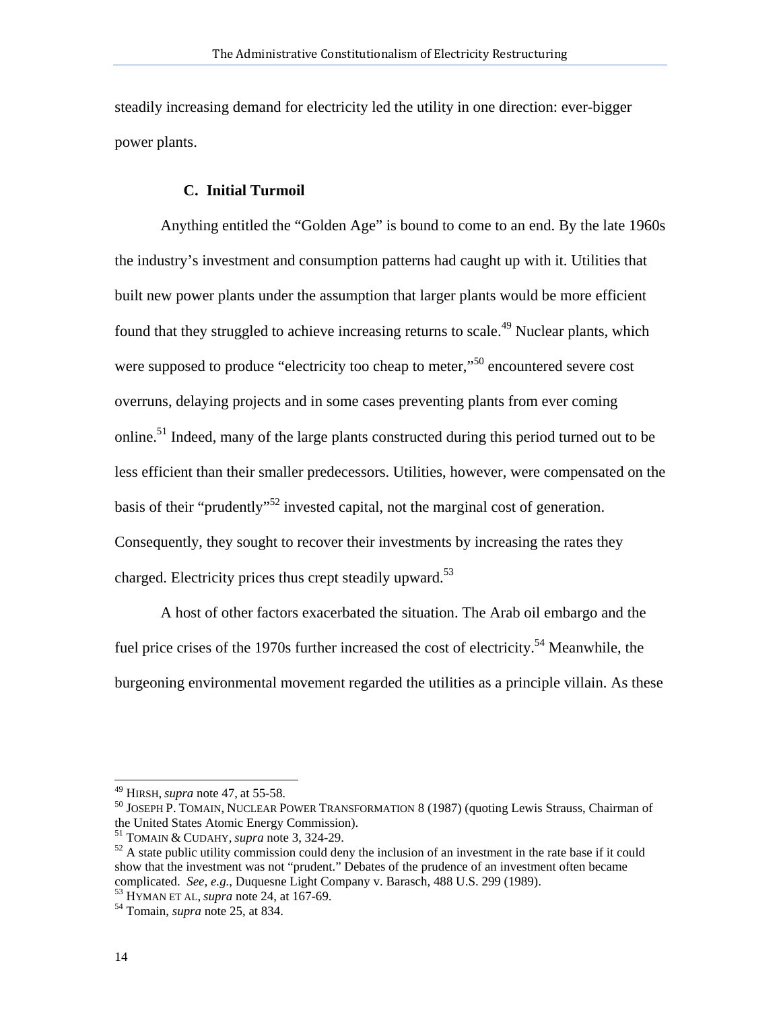steadily increasing demand for electricity led the utility in one direction: ever-bigger power plants.

## **C. Initial Turmoil**

 Anything entitled the "Golden Age" is bound to come to an end. By the late 1960s the industry's investment and consumption patterns had caught up with it. Utilities that built new power plants under the assumption that larger plants would be more efficient found that they struggled to achieve increasing returns to scale.<sup>49</sup> Nuclear plants, which were supposed to produce "electricity too cheap to meter,"<sup>50</sup> encountered severe cost overruns, delaying projects and in some cases preventing plants from ever coming online.<sup>51</sup> Indeed, many of the large plants constructed during this period turned out to be less efficient than their smaller predecessors. Utilities, however, were compensated on the basis of their "prudently"<sup>52</sup> invested capital, not the marginal cost of generation. Consequently, they sought to recover their investments by increasing the rates they charged. Electricity prices thus crept steadily upward.<sup>53</sup>

A host of other factors exacerbated the situation. The Arab oil embargo and the fuel price crises of the 1970s further increased the cost of electricity.<sup>54</sup> Meanwhile, the burgeoning environmental movement regarded the utilities as a principle villain. As these

 $49$  HIRSH, *supra* note 47, at 55-58.

<sup>&</sup>lt;sup>50</sup> JOSEPH P. TOMAIN, NUCLEAR POWER TRANSFORMATION 8 (1987) (quoting Lewis Strauss, Chairman of the United States Atomic Energy Commission).<br><sup>51</sup> TOMAIN & CUDAHY, *supra* note 3, 324-29.

<sup>&</sup>lt;sup>52</sup> A state public utility commission could deny the inclusion of an investment in the rate base if it could show that the investment was not "prudent." Debates of the prudence of an investment often became complicated. *See, e.g.*, Duquesne Light Company v. Barasch, 488 U.S. 299 (1989). 53 HYMAN ET AL, *supra* note 24, at 167-69. 54 Tomain, *supra* note 25, at 834.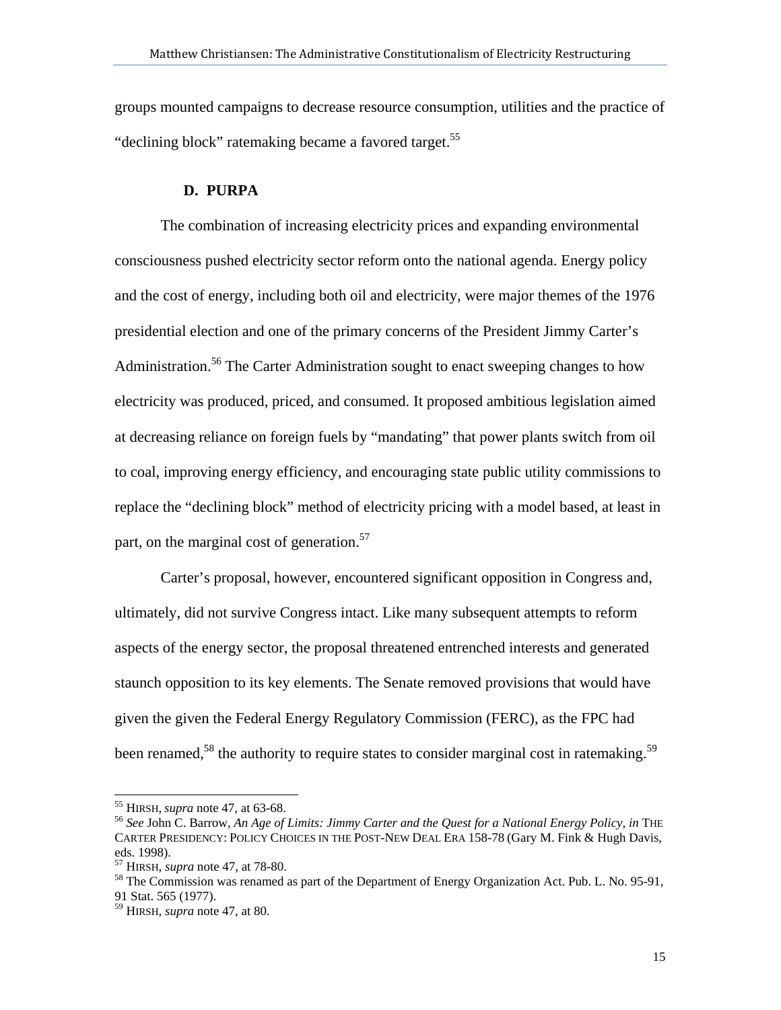groups mounted campaigns to decrease resource consumption, utilities and the practice of "declining block" ratemaking became a favored target.<sup>55</sup>

## **D. PURPA**

The combination of increasing electricity prices and expanding environmental consciousness pushed electricity sector reform onto the national agenda. Energy policy and the cost of energy, including both oil and electricity, were major themes of the 1976 presidential election and one of the primary concerns of the President Jimmy Carter's Administration.<sup>56</sup> The Carter Administration sought to enact sweeping changes to how electricity was produced, priced, and consumed. It proposed ambitious legislation aimed at decreasing reliance on foreign fuels by "mandating" that power plants switch from oil to coal, improving energy efficiency, and encouraging state public utility commissions to replace the "declining block" method of electricity pricing with a model based, at least in part, on the marginal cost of generation.<sup>57</sup>

Carter's proposal, however, encountered significant opposition in Congress and, ultimately, did not survive Congress intact. Like many subsequent attempts to reform aspects of the energy sector, the proposal threatened entrenched interests and generated staunch opposition to its key elements. The Senate removed provisions that would have given the given the Federal Energy Regulatory Commission (FERC), as the FPC had been renamed,<sup>58</sup> the authority to require states to consider marginal cost in ratemaking.<sup>59</sup>

 $<sup>55</sup>$  HIRSH, *supra* note 47, at 63-68.</sup>

<sup>56</sup> See John C. Barrow, An Age of Limits: Jimmy Carter and the Quest for a National Energy Policy, in THE CARTER PRESIDENCY: POLICY CHOICES IN THE POST-NEW DEAL ERA 158-78 (Gary M. Fink & Hugh Davis, eds. 1998).<br><sup>57</sup> HIRSH, *supra* note 47, at 78-80.

<sup>&</sup>lt;sup>58</sup> The Commission was renamed as part of the Department of Energy Organization Act. Pub. L. No. 95-91, 91 Stat. 565 (1977).

<sup>59</sup> HIRSH, *supra* note 47, at 80.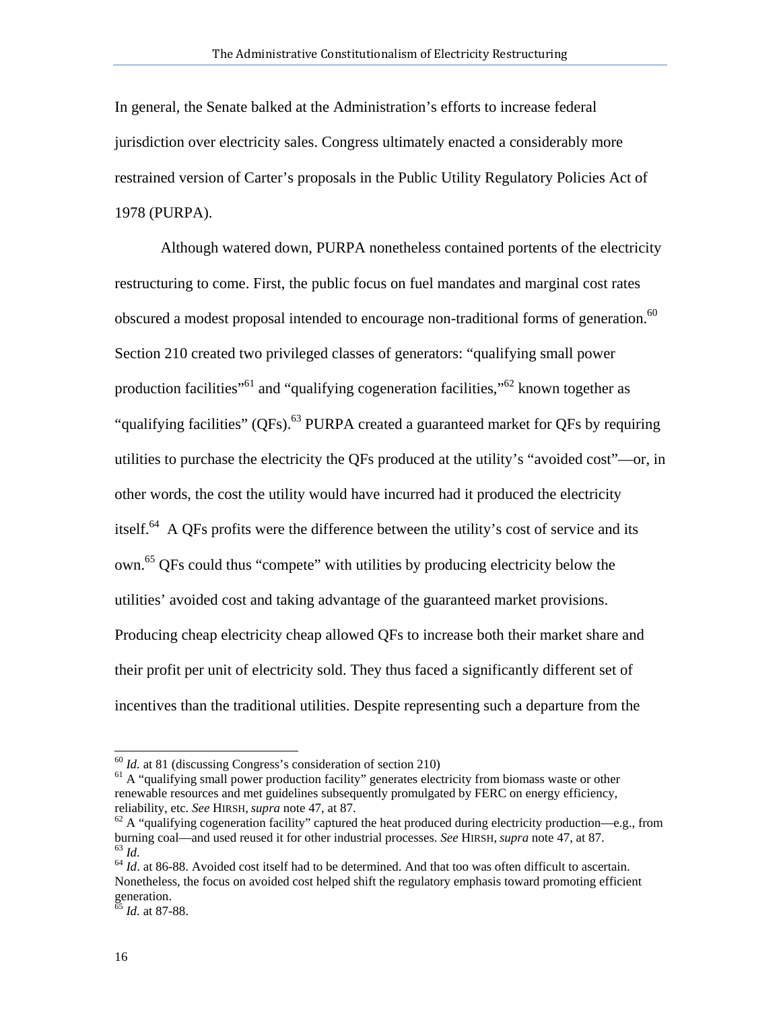In general, the Senate balked at the Administration's efforts to increase federal jurisdiction over electricity sales. Congress ultimately enacted a considerably more restrained version of Carter's proposals in the Public Utility Regulatory Policies Act of 1978 (PURPA).

Although watered down, PURPA nonetheless contained portents of the electricity restructuring to come. First, the public focus on fuel mandates and marginal cost rates obscured a modest proposal intended to encourage non-traditional forms of generation.<sup>60</sup> Section 210 created two privileged classes of generators: "qualifying small power production facilities<sup>"61</sup> and "qualifying cogeneration facilities,"<sup>62</sup> known together as "qualifying facilities" (QFs).<sup>63</sup> PURPA created a guaranteed market for QFs by requiring utilities to purchase the electricity the QFs produced at the utility's "avoided cost"—or, in other words, the cost the utility would have incurred had it produced the electricity itself.<sup>64</sup> A QFs profits were the difference between the utility's cost of service and its own.<sup>65</sup> QFs could thus "compete" with utilities by producing electricity below the utilities' avoided cost and taking advantage of the guaranteed market provisions. Producing cheap electricity cheap allowed QFs to increase both their market share and their profit per unit of electricity sold. They thus faced a significantly different set of incentives than the traditional utilities. Despite representing such a departure from the

 $^{60}$  *Id.* at 81 (discussing Congress's consideration of section 210)<br><sup>61</sup> A "qualifying small power production facility" generates electricity from biomass waste or other renewable resources and met guidelines subsequently promulgated by FERC on energy efficiency, reliability, etc. *See* HIRSH, *supra* note 47, at 87.<br><sup>62</sup> A "qualifying cogeneration facility" captured the heat produced during electricity production—e.g., from

burning coal—and used reused it for other industrial processes. *See* HIRSH, *supra* note 47, at 87.<br><sup>63</sup> *Id.*  $\frac{1}{2}$  *M*. at 86-88. Avoided cost itself had to be determined. And that too was often difficult to ascert

Nonetheless, the focus on avoided cost helped shift the regulatory emphasis toward promoting efficient generation.

<sup>65</sup> *Id.* at 87-88.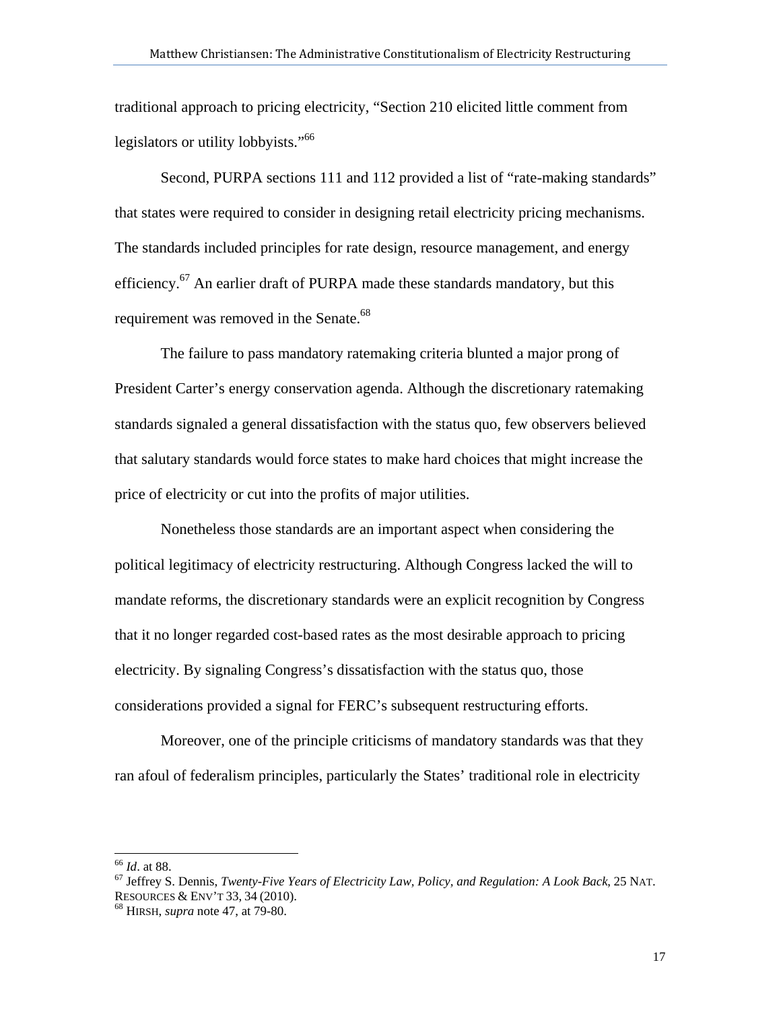traditional approach to pricing electricity, "Section 210 elicited little comment from legislators or utility lobbyists."66

Second, PURPA sections 111 and 112 provided a list of "rate-making standards" that states were required to consider in designing retail electricity pricing mechanisms. The standards included principles for rate design, resource management, and energy efficiency.<sup>67</sup> An earlier draft of PURPA made these standards mandatory, but this requirement was removed in the Senate.<sup>68</sup>

The failure to pass mandatory ratemaking criteria blunted a major prong of President Carter's energy conservation agenda. Although the discretionary ratemaking standards signaled a general dissatisfaction with the status quo, few observers believed that salutary standards would force states to make hard choices that might increase the price of electricity or cut into the profits of major utilities.

Nonetheless those standards are an important aspect when considering the political legitimacy of electricity restructuring. Although Congress lacked the will to mandate reforms, the discretionary standards were an explicit recognition by Congress that it no longer regarded cost-based rates as the most desirable approach to pricing electricity. By signaling Congress's dissatisfaction with the status quo, those considerations provided a signal for FERC's subsequent restructuring efforts.

Moreover, one of the principle criticisms of mandatory standards was that they ran afoul of federalism principles, particularly the States' traditional role in electricity

<sup>66</sup> *Id*. at 88. 67 Jeffrey S. Dennis, *Twenty-Five Years of Electricity Law, Policy, and Regulation: A Look Back*, 25 NAT. RESOURCES & ENV'T 33, <sup>34</sup> (2010). 68 HIRSH, *supra* note 47, at 79-80.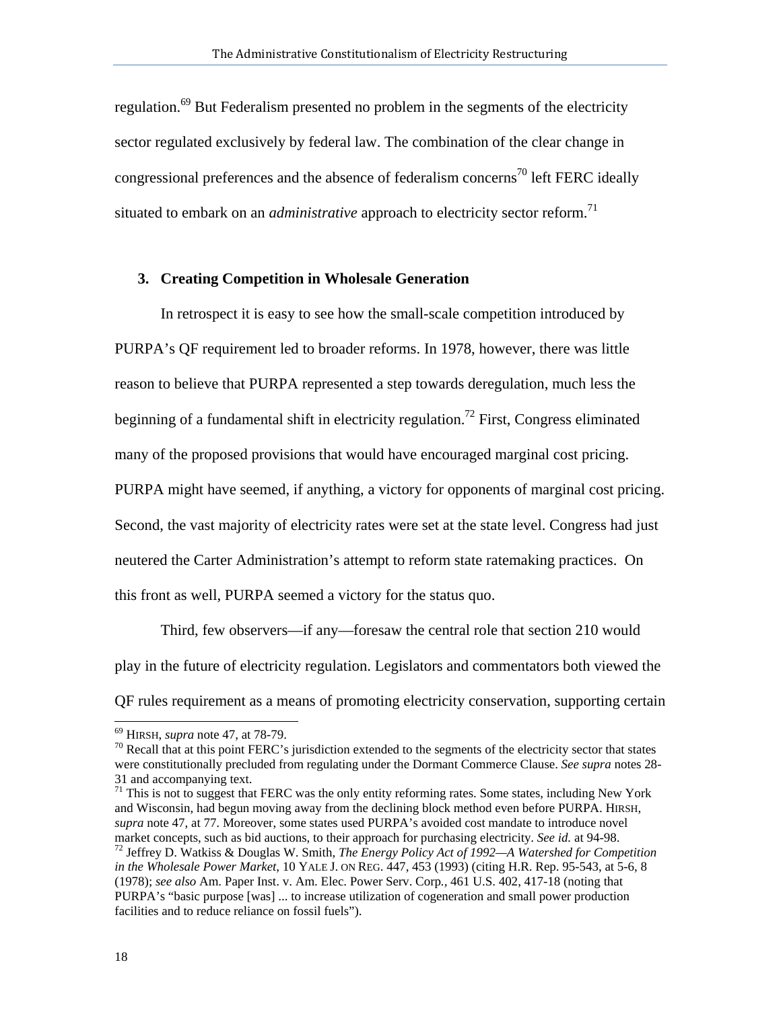regulation.69 But Federalism presented no problem in the segments of the electricity sector regulated exclusively by federal law. The combination of the clear change in congressional preferences and the absence of federalism concerns<sup>70</sup> left FERC ideally situated to embark on an *administrative* approach to electricity sector reform.<sup>71</sup>

#### **3. Creating Competition in Wholesale Generation**

In retrospect it is easy to see how the small-scale competition introduced by PURPA's QF requirement led to broader reforms. In 1978, however, there was little reason to believe that PURPA represented a step towards deregulation, much less the beginning of a fundamental shift in electricity regulation.<sup>72</sup> First, Congress eliminated many of the proposed provisions that would have encouraged marginal cost pricing. PURPA might have seemed, if anything, a victory for opponents of marginal cost pricing. Second, the vast majority of electricity rates were set at the state level. Congress had just neutered the Carter Administration's attempt to reform state ratemaking practices. On this front as well, PURPA seemed a victory for the status quo.

Third, few observers—if any—foresaw the central role that section 210 would play in the future of electricity regulation. Legislators and commentators both viewed the QF rules requirement as a means of promoting electricity conservation, supporting certain

<sup>&</sup>lt;sup>69</sup> HIRSH, *supra* note 47, at 78-79.<br><sup>70</sup> Recall that at this point FERC's jurisdiction extended to the segments of the electricity sector that states were constitutionally precluded from regulating under the Dormant Commerce Clause. *See supra* notes 28- 31 and accompanying text.

 $71$  This is not to suggest that FERC was the only entity reforming rates. Some states, including New York and Wisconsin, had begun moving away from the declining block method even before PURPA. HIRSH, *supra* note 47, at 77. Moreover, some states used PURPA's avoided cost mandate to introduce novel market concepts, such as bid auctions, to their approach for purchasing electricity. *See id.* at 94-98.<br><sup>72</sup> Jeffrey D. Watkiss & Douglas W. Smith, *The Energy Policy Act of 1992—A Watershed for Competition in the Wholesale Power Market*, 10 YALE J. ON REG. 447, 453 (1993) (citing H.R. Rep. 95-543, at 5-6, 8 (1978); *see also* Am. Paper Inst. v. Am. Elec. Power Serv. Corp*.,* 461 U.S. 402, 417-18 (noting that PURPA's "basic purpose [was] ... to increase utilization of cogeneration and small power production facilities and to reduce reliance on fossil fuels").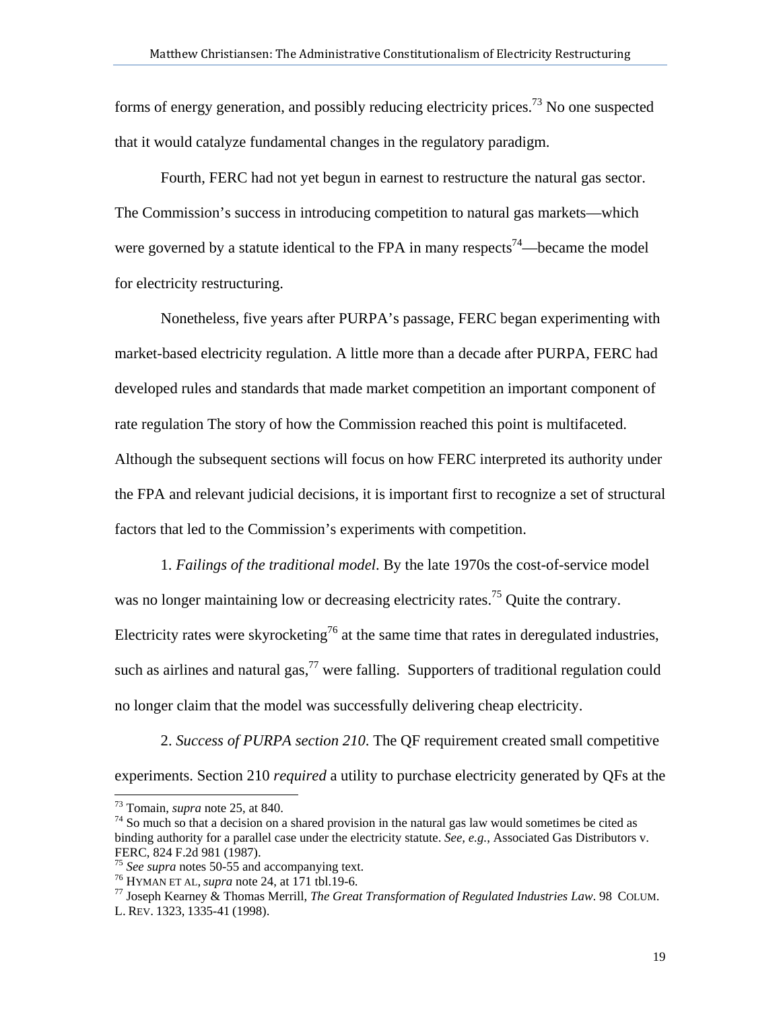forms of energy generation, and possibly reducing electricity prices.<sup>73</sup> No one suspected that it would catalyze fundamental changes in the regulatory paradigm.

Fourth, FERC had not yet begun in earnest to restructure the natural gas sector. The Commission's success in introducing competition to natural gas markets—which were governed by a statute identical to the FPA in many respects<sup>74</sup>—became the model for electricity restructuring.

Nonetheless, five years after PURPA's passage, FERC began experimenting with market-based electricity regulation. A little more than a decade after PURPA, FERC had developed rules and standards that made market competition an important component of rate regulation The story of how the Commission reached this point is multifaceted. Although the subsequent sections will focus on how FERC interpreted its authority under the FPA and relevant judicial decisions, it is important first to recognize a set of structural factors that led to the Commission's experiments with competition.

1. *Failings of the traditional model*. By the late 1970s the cost-of-service model was no longer maintaining low or decreasing electricity rates.<sup>75</sup> Ouite the contrary. Electricity rates were skyrocketing<sup>76</sup> at the same time that rates in deregulated industries, such as airlines and natural gas,  $77$  were falling. Supporters of traditional regulation could no longer claim that the model was successfully delivering cheap electricity.

2. *Success of PURPA section 210*. The QF requirement created small competitive experiments. Section 210 *required* a utility to purchase electricity generated by QFs at the

 $73$  Tomain, *supra* note 25, at 840.

<sup>&</sup>lt;sup>74</sup> So much so that a decision on a shared provision in the natural gas law would sometimes be cited as binding authority for a parallel case under the electricity statute. *See, e.g.*, Associated Gas Distributors v. FERC, 824 F.2d 981 (1987).<br><sup>75</sup> See supra notes 50-55 and accompanying text.

<sup>&</sup>lt;sup>76</sup> HYMAN ET AL, *supra* note 24, at 171 tbl.19-6.<br><sup>77</sup> Joseph Kearney & Thomas Merrill, *The Great Transformation of Regulated Industries Law*. 98 COLUM. L. REV. 1323, 1335-41 (1998).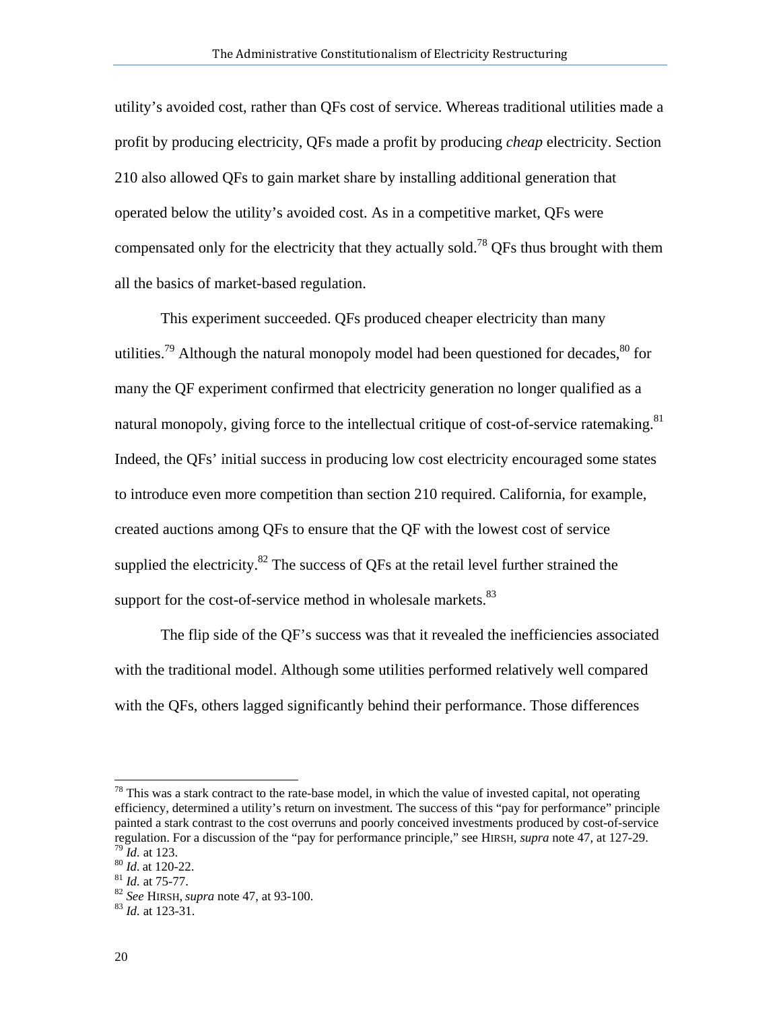utility's avoided cost, rather than QFs cost of service. Whereas traditional utilities made a profit by producing electricity, QFs made a profit by producing *cheap* electricity. Section 210 also allowed QFs to gain market share by installing additional generation that operated below the utility's avoided cost. As in a competitive market, QFs were compensated only for the electricity that they actually sold.<sup>78</sup> QFs thus brought with them all the basics of market-based regulation.

This experiment succeeded. QFs produced cheaper electricity than many utilities.<sup>79</sup> Although the natural monopoly model had been questioned for decades.<sup>80</sup> for many the QF experiment confirmed that electricity generation no longer qualified as a natural monopoly, giving force to the intellectual critique of cost-of-service ratemaking.<sup>81</sup> Indeed, the QFs' initial success in producing low cost electricity encouraged some states to introduce even more competition than section 210 required. California, for example, created auctions among QFs to ensure that the QF with the lowest cost of service supplied the electricity.<sup>82</sup> The success of QFs at the retail level further strained the support for the cost-of-service method in wholesale markets. $83$ 

The flip side of the QF's success was that it revealed the inefficiencies associated with the traditional model. Although some utilities performed relatively well compared with the QFs, others lagged significantly behind their performance. Those differences

l

 $78$  This was a stark contract to the rate-base model, in which the value of invested capital, not operating efficiency, determined a utility's return on investment. The success of this "pay for performance" principle painted a stark contrast to the cost overruns and poorly conceived investments produced by cost-of-service regulation. For a discussion of the "pay for performance principle," see HIRSH, *supra* note 47, at 127-29.<br><sup>79</sup> *Id.* at 123.<br><sup>80</sup> *Id.* at 120-22.<br><sup>81</sup> *Id.* at 75-77.<br><sup>82</sup> *See* HIRSH, *supra* note 47, at 93-100.<br><sup>83</sup>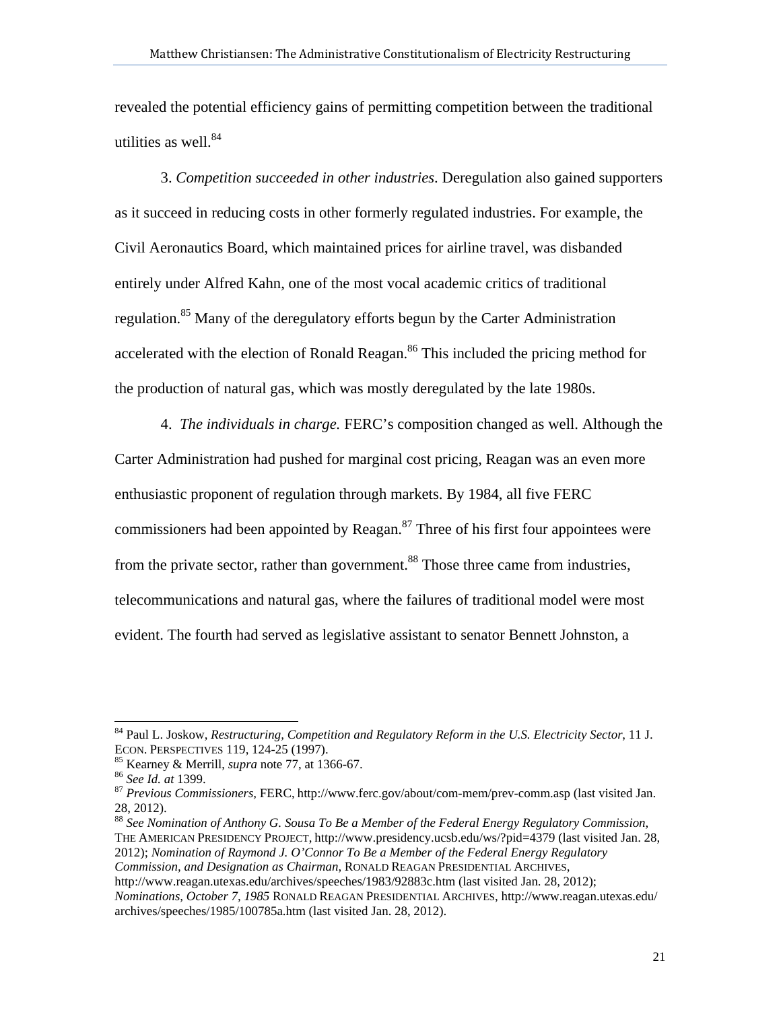revealed the potential efficiency gains of permitting competition between the traditional utilities as well. $84$ 

3. *Competition succeeded in other industries*. Deregulation also gained supporters as it succeed in reducing costs in other formerly regulated industries. For example, the Civil Aeronautics Board, which maintained prices for airline travel, was disbanded entirely under Alfred Kahn, one of the most vocal academic critics of traditional regulation.<sup>85</sup> Many of the deregulatory efforts begun by the Carter Administration accelerated with the election of Ronald Reagan.<sup>86</sup> This included the pricing method for the production of natural gas, which was mostly deregulated by the late 1980s.

4. *The individuals in charge.* FERC's composition changed as well. Although the Carter Administration had pushed for marginal cost pricing, Reagan was an even more enthusiastic proponent of regulation through markets. By 1984, all five FERC commissioners had been appointed by Reagan. $87$  Three of his first four appointees were from the private sector, rather than government.<sup>88</sup> Those three came from industries, telecommunications and natural gas, where the failures of traditional model were most evident. The fourth had served as legislative assistant to senator Bennett Johnston, a

 $\overline{\phantom{a}}$ 

<sup>88</sup> *See Nomination of Anthony G. Sousa To Be a Member of the Federal Energy Regulatory Commission*, THE AMERICAN PRESIDENCY PROJECT, http://www.presidency.ucsb.edu/ws/?pid=4379 (last visited Jan. 28, 2012); *Nomination of Raymond J. O'Connor To Be a Member of the Federal Energy Regulatory Commission, and Designation as Chairman*, RONALD REAGAN PRESIDENTIAL ARCHIVES,

http://www.reagan.utexas.edu/archives/speeches/1983/92883c.htm (last visited Jan. 28, 2012);

*Nominations, October 7, 1985* RONALD REAGAN PRESIDENTIAL ARCHIVES, http://www.reagan.utexas.edu/ archives/speeches/1985/100785a.htm (last visited Jan. 28, 2012).

<sup>84</sup> Paul L. Joskow, *Restructuring, Competition and Regulatory Reform in the U.S. Electricity Sector*, 11 J.

<sup>&</sup>lt;sup>85</sup> Kearney & Merrill, *supra* note 77, at 1366-67.<br><sup>86</sup> See Id. at 1399.<br><sup>87</sup> Previous Commissioners, FERC, http://www.ferc.gov/about/com-mem/prev-comm.asp (last visited Jan. 28, 2012).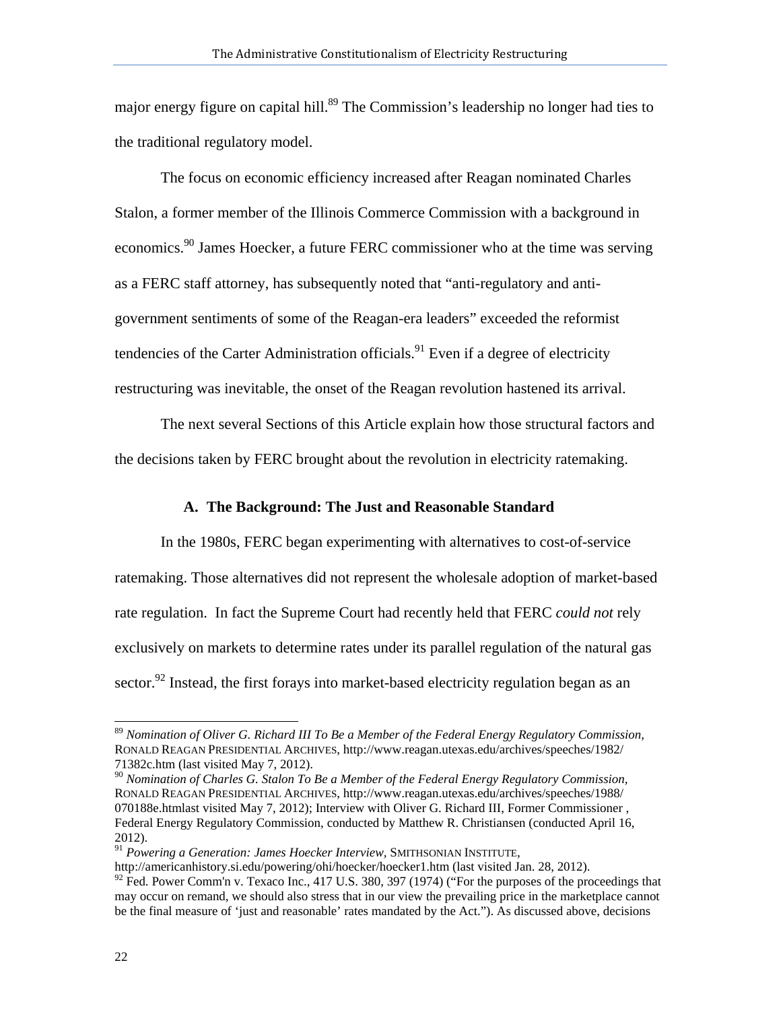major energy figure on capital hill.<sup>89</sup> The Commission's leadership no longer had ties to the traditional regulatory model.

The focus on economic efficiency increased after Reagan nominated Charles Stalon, a former member of the Illinois Commerce Commission with a background in economics.<sup>90</sup> James Hoecker, a future FERC commissioner who at the time was serving as a FERC staff attorney, has subsequently noted that "anti-regulatory and antigovernment sentiments of some of the Reagan-era leaders" exceeded the reformist tendencies of the Carter Administration officials.<sup>91</sup> Even if a degree of electricity restructuring was inevitable, the onset of the Reagan revolution hastened its arrival.

The next several Sections of this Article explain how those structural factors and the decisions taken by FERC brought about the revolution in electricity ratemaking.

### **A. The Background: The Just and Reasonable Standard**

In the 1980s, FERC began experimenting with alternatives to cost-of-service ratemaking. Those alternatives did not represent the wholesale adoption of market-based rate regulation. In fact the Supreme Court had recently held that FERC *could not* rely exclusively on markets to determine rates under its parallel regulation of the natural gas sector.<sup>92</sup> Instead, the first forays into market-based electricity regulation began as an

<sup>91</sup> Powering a Generation: James Hoecker Interview, SMITHSONIAN INSTITUTE,

http://americanhistory.si.edu/powering/ohi/hoecker/hoecker1.htm (last visited Jan. 28, 2012).

 $\overline{\phantom{a}}$ 

<sup>89</sup> *Nomination of Oliver G. Richard III To Be a Member of the Federal Energy Regulatory Commission,*  RONALD REAGAN PRESIDENTIAL ARCHIVES, http://www.reagan.utexas.edu/archives/speeches/1982/ 71382c.htm (last visited May 7, 2012).

<sup>90</sup> *Nomination of Charles G. Stalon To Be a Member of the Federal Energy Regulatory Commission,*  RONALD REAGAN PRESIDENTIAL ARCHIVES, http://www.reagan.utexas.edu/archives/speeches/1988/ 070188e.htmlast visited May 7, 2012); Interview with Oliver G. Richard III, Former Commissioner , Federal Energy Regulatory Commission, conducted by Matthew R. Christiansen (conducted April 16, 2012).

<sup>&</sup>lt;sup>92</sup> Fed. Power Comm'n v. Texaco Inc., 417 U.S. 380, 397 (1974) ("For the purposes of the proceedings that may occur on remand, we should also stress that in our view the prevailing price in the marketplace cannot be the final measure of 'just and reasonable' rates mandated by the Act."). As discussed above, decisions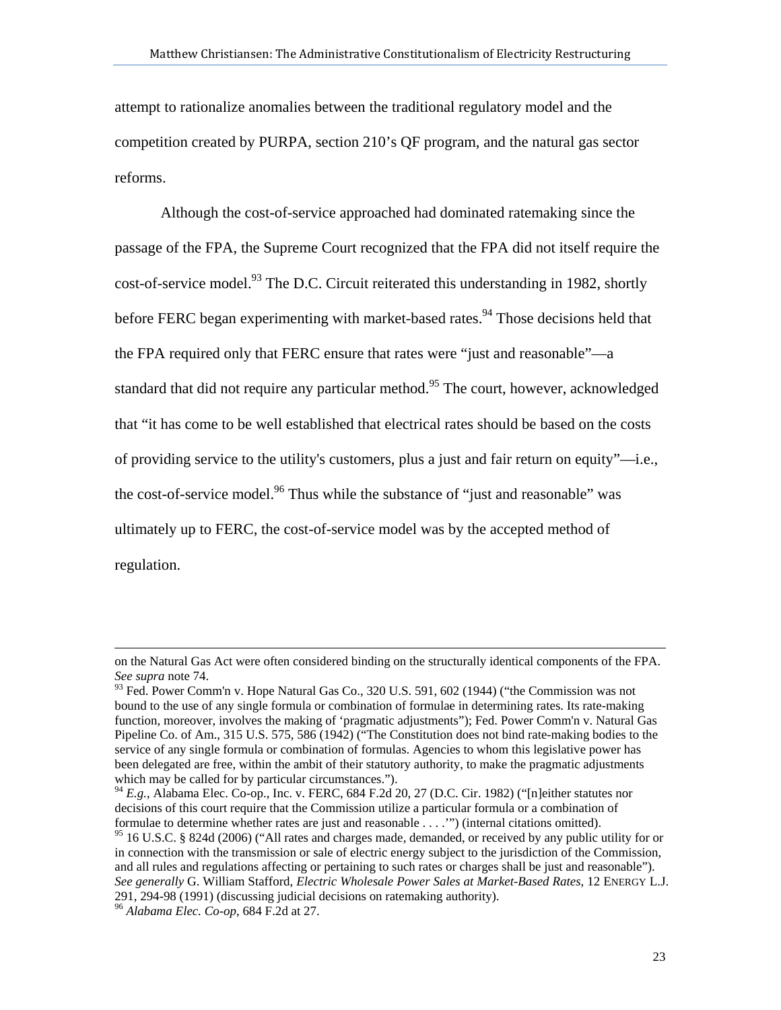attempt to rationalize anomalies between the traditional regulatory model and the competition created by PURPA, section 210's QF program, and the natural gas sector reforms.

Although the cost-of-service approached had dominated ratemaking since the passage of the FPA, the Supreme Court recognized that the FPA did not itself require the cost-of-service model.<sup>93</sup> The D.C. Circuit reiterated this understanding in 1982, shortly before FERC began experimenting with market-based rates.<sup>94</sup> Those decisions held that the FPA required only that FERC ensure that rates were "just and reasonable"—a standard that did not require any particular method.<sup>95</sup> The court, however, acknowledged that "it has come to be well established that electrical rates should be based on the costs of providing service to the utility's customers, plus a just and fair return on equity"—i.e., the cost-of-service model.<sup>96</sup> Thus while the substance of "just and reasonable" was ultimately up to FERC, the cost-of-service model was by the accepted method of regulation.

 $\overline{\phantom{a}}$ 

on the Natural Gas Act were often considered binding on the structurally identical components of the FPA. *See supra* note 74.

 $^{93}_{93}$  Fed. Power Comm'n v. Hope Natural Gas Co., 320 U.S. 591, 602 (1944) ("the Commission was not bound to the use of any single formula or combination of formulae in determining rates. Its rate-making function, moreover, involves the making of 'pragmatic adjustments"); Fed. Power Comm'n v. Natural Gas Pipeline Co. of Am., 315 U.S. 575, 586 (1942) ("The Constitution does not bind rate-making bodies to the service of any single formula or combination of formulas. Agencies to whom this legislative power has been delegated are free, within the ambit of their statutory authority, to make the pragmatic adjustments which may be called for by particular circumstances.").

<sup>&</sup>lt;sup>94</sup> E.g., Alabama Elec. Co-op., Inc. v. FERC, 684 F.2d 20, 27 (D.C. Cir. 1982) ("[n]either statutes nor decisions of this court require that the Commission utilize a particular formula or a combination of formulae to determine whether rates are just and reasonable . . . .'") (internal citations omitted).

<sup>&</sup>lt;sup>95</sup> 16 U.S.C. § 824d (2006) ("All rates and charges made, demanded, or received by any public utility for or in connection with the transmission or sale of electric energy subject to the jurisdiction of the Commission, and all rules and regulations affecting or pertaining to such rates or charges shall be just and reasonable"). *See generally* G. William Stafford, *Electric Wholesale Power Sales at Market-Based Rates*, 12 ENERGY L.J. 291, 294-98 (1991) (discussing judicial decisions on ratemaking authority).

<sup>96</sup> *Alabama Elec. Co-op*, 684 F.2d at 27.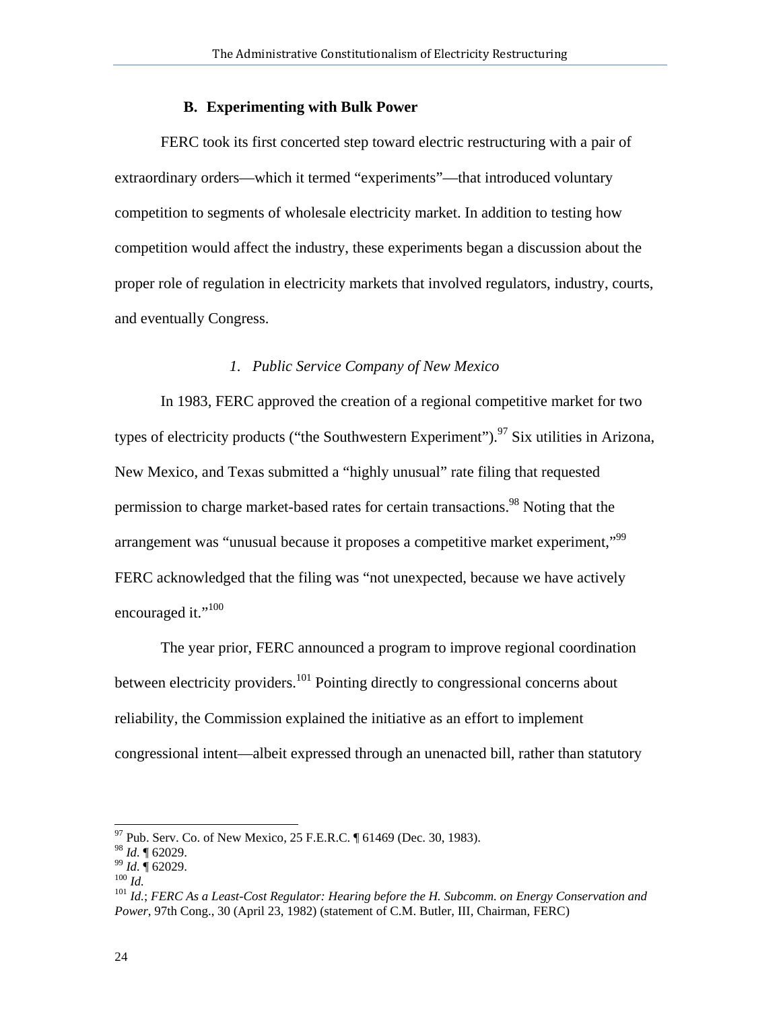## **B. Experimenting with Bulk Power**

FERC took its first concerted step toward electric restructuring with a pair of extraordinary orders—which it termed "experiments"—that introduced voluntary competition to segments of wholesale electricity market. In addition to testing how competition would affect the industry, these experiments began a discussion about the proper role of regulation in electricity markets that involved regulators, industry, courts, and eventually Congress.

#### *1. Public Service Company of New Mexico*

In 1983, FERC approved the creation of a regional competitive market for two types of electricity products ("the Southwestern Experiment").<sup>97</sup> Six utilities in Arizona, New Mexico, and Texas submitted a "highly unusual" rate filing that requested permission to charge market-based rates for certain transactions.<sup>98</sup> Noting that the arrangement was "unusual because it proposes a competitive market experiment,"99 FERC acknowledged that the filing was "not unexpected, because we have actively encouraged it."<sup>100</sup>

The year prior, FERC announced a program to improve regional coordination between electricity providers.<sup>101</sup> Pointing directly to congressional concerns about reliability, the Commission explained the initiative as an effort to implement congressional intent—albeit expressed through an unenacted bill, rather than statutory

l

 $^{97}$  Pub. Serv. Co. of New Mexico, 25 F.E.R.C.  $\sqrt{ }$  61469 (Dec. 30, 1983).

<sup>&</sup>lt;sup>98</sup> *Id.* ¶ 62029.<br><sup>99</sup> *Id.* ¶ 62029.<br><sup>100</sup> *Id.*<br><sup>101</sup> *Id.*; *FERC As a Least-Cost Regulator: Hearing before the H. Subcomm. on Energy Conservation and Power*, 97th Cong., 30 (April 23, 1982) (statement of C.M. Butler, III, Chairman, FERC)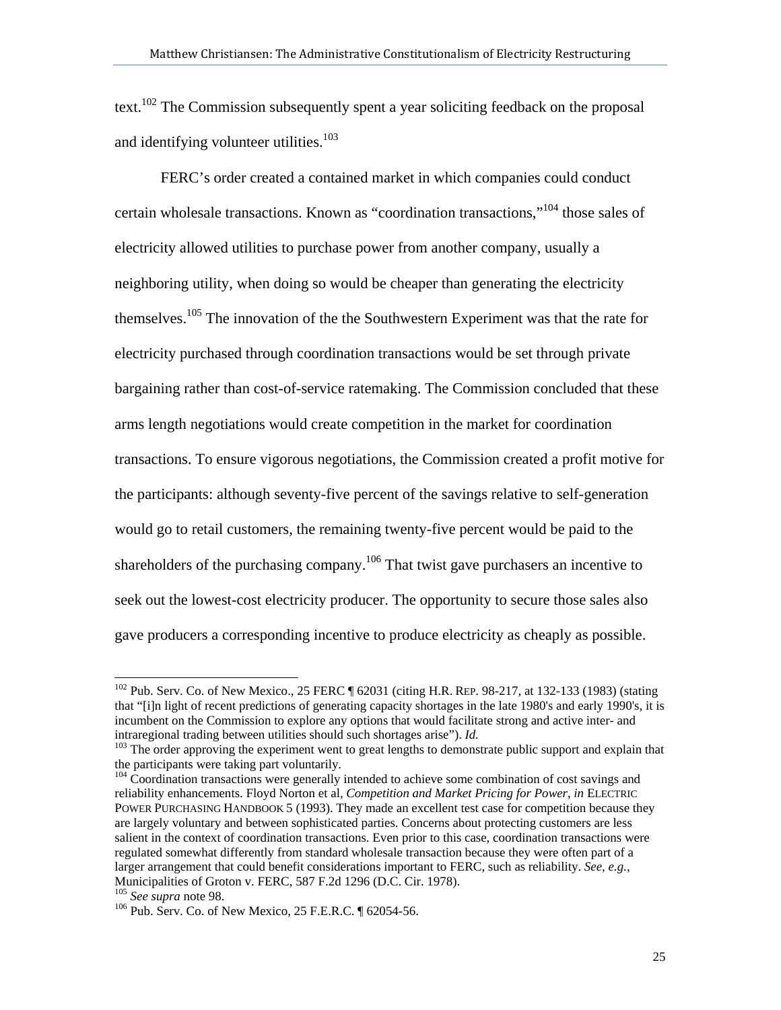text.<sup>102</sup> The Commission subsequently spent a year soliciting feedback on the proposal and identifying volunteer utilities.<sup>103</sup>

FERC's order created a contained market in which companies could conduct certain wholesale transactions. Known as "coordination transactions,"104 those sales of electricity allowed utilities to purchase power from another company, usually a neighboring utility, when doing so would be cheaper than generating the electricity themselves.105 The innovation of the the Southwestern Experiment was that the rate for electricity purchased through coordination transactions would be set through private bargaining rather than cost-of-service ratemaking. The Commission concluded that these arms length negotiations would create competition in the market for coordination transactions. To ensure vigorous negotiations, the Commission created a profit motive for the participants: although seventy-five percent of the savings relative to self-generation would go to retail customers, the remaining twenty-five percent would be paid to the shareholders of the purchasing company.<sup>106</sup> That twist gave purchasers an incentive to seek out the lowest-cost electricity producer. The opportunity to secure those sales also gave producers a corresponding incentive to produce electricity as cheaply as possible.

 $\overline{\phantom{a}}$ 

 $102$  Pub. Serv. Co. of New Mexico., 25 FERC  $\parallel$  62031 (citing H.R. REP. 98-217, at 132-133 (1983) (stating that "[i]n light of recent predictions of generating capacity shortages in the late 1980's and early 1990's, it is incumbent on the Commission to explore any options that would facilitate strong and active inter- and intraregional trading between utilities should such shortages arise").  $Id$ .

<sup>&</sup>lt;sup>103</sup> The order approving the experiment went to great lengths to demonstrate public support and explain that the participants were taking part voluntarily.

 $104$  Coordination transactions were generally intended to achieve some combination of cost savings and reliability enhancements. Floyd Norton et al, *Competition and Market Pricing for Power*, *in* ELECTRIC POWER PURCHASING HANDBOOK 5 (1993). They made an excellent test case for competition because they are largely voluntary and between sophisticated parties. Concerns about protecting customers are less salient in the context of coordination transactions. Even prior to this case, coordination transactions were regulated somewhat differently from standard wholesale transaction because they were often part of a larger arrangement that could benefit considerations important to FERC, such as reliability. *See, e.g.*, Municipalities of Groton v. FERC, 587 F.2d 1296 (D.C. Cir. 1978).<br><sup>105</sup> See supra note 98.

<sup>&</sup>lt;sup>106</sup> Pub. Serv. Co. of New Mexico, 25 F.E.R.C. ¶ 62054-56.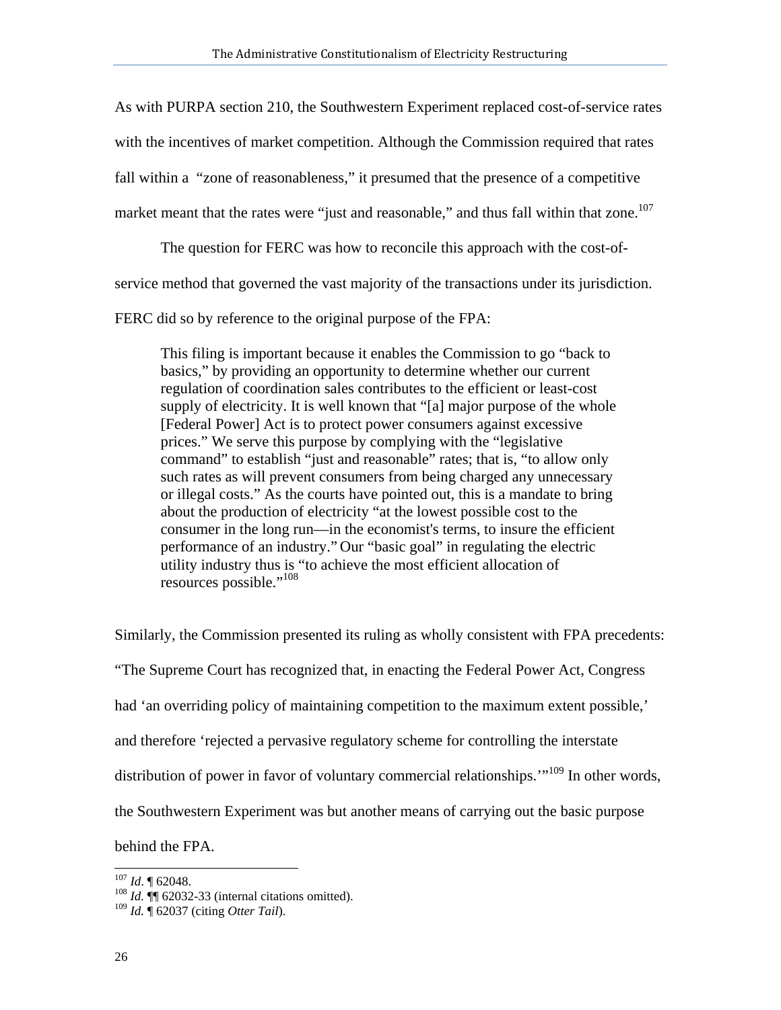As with PURPA section 210, the Southwestern Experiment replaced cost-of-service rates with the incentives of market competition. Although the Commission required that rates fall within a "zone of reasonableness," it presumed that the presence of a competitive market meant that the rates were "just and reasonable," and thus fall within that zone.<sup>107</sup>

The question for FERC was how to reconcile this approach with the cost-ofservice method that governed the vast majority of the transactions under its jurisdiction.

FERC did so by reference to the original purpose of the FPA:

This filing is important because it enables the Commission to go "back to basics," by providing an opportunity to determine whether our current regulation of coordination sales contributes to the efficient or least-cost supply of electricity. It is well known that "[a] major purpose of the whole [Federal Power] Act is to protect power consumers against excessive prices." We serve this purpose by complying with the "legislative command" to establish "just and reasonable" rates; that is, "to allow only such rates as will prevent consumers from being charged any unnecessary or illegal costs." As the courts have pointed out, this is a mandate to bring about the production of electricity "at the lowest possible cost to the consumer in the long run—in the economist's terms, to insure the efficient performance of an industry." Our "basic goal" in regulating the electric utility industry thus is "to achieve the most efficient allocation of resources possible."<sup>108</sup>

Similarly, the Commission presented its ruling as wholly consistent with FPA precedents: "The Supreme Court has recognized that, in enacting the Federal Power Act, Congress had 'an overriding policy of maintaining competition to the maximum extent possible,' and therefore 'rejected a pervasive regulatory scheme for controlling the interstate distribution of power in favor of voluntary commercial relationships."<sup>109</sup> In other words, the Southwestern Experiment was but another means of carrying out the basic purpose

behind the FPA.

 $107$  *Id.* 162048.

<sup>&</sup>lt;sup>108</sup> *Id.* **[1]** 62032-33 (internal citations omitted).

<sup>109</sup> *Id.* ¶ 62037 (citing *Otter Tail*).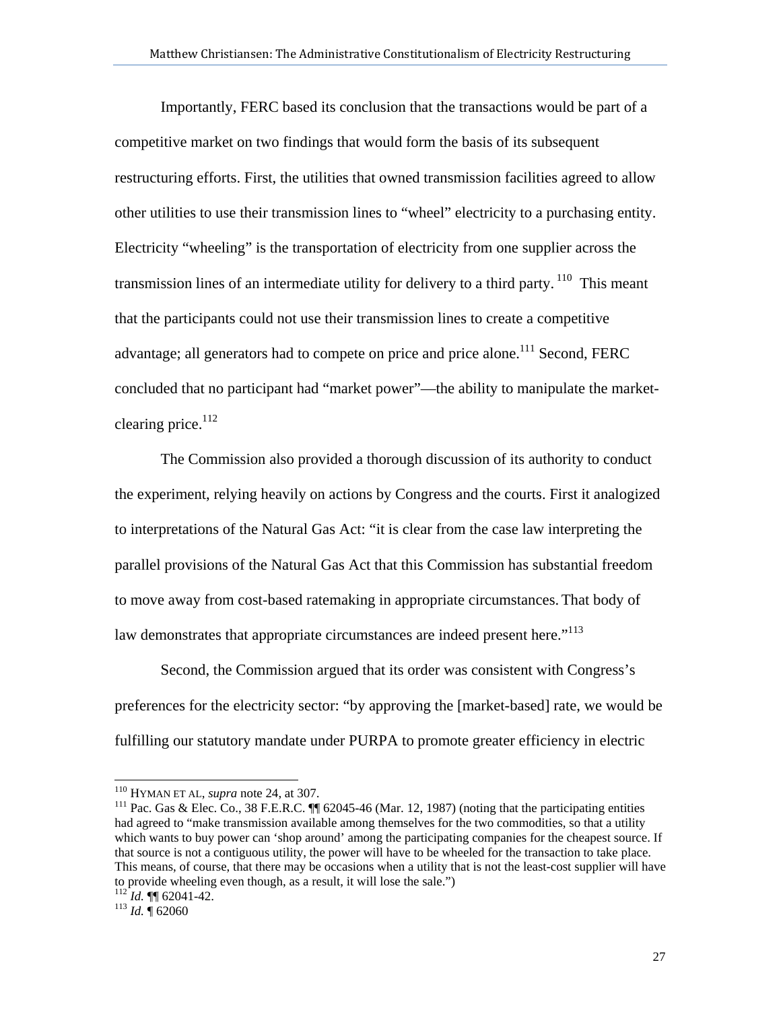Importantly, FERC based its conclusion that the transactions would be part of a competitive market on two findings that would form the basis of its subsequent restructuring efforts. First, the utilities that owned transmission facilities agreed to allow other utilities to use their transmission lines to "wheel" electricity to a purchasing entity. Electricity "wheeling" is the transportation of electricity from one supplier across the transmission lines of an intermediate utility for delivery to a third party.  $110$  This meant that the participants could not use their transmission lines to create a competitive advantage; all generators had to compete on price and price alone.<sup>111</sup> Second, FERC concluded that no participant had "market power"—the ability to manipulate the marketclearing price. $^{112}$ 

The Commission also provided a thorough discussion of its authority to conduct the experiment, relying heavily on actions by Congress and the courts. First it analogized to interpretations of the Natural Gas Act: "it is clear from the case law interpreting the parallel provisions of the Natural Gas Act that this Commission has substantial freedom to move away from cost-based ratemaking in appropriate circumstances. That body of law demonstrates that appropriate circumstances are indeed present here. $113$ 

Second, the Commission argued that its order was consistent with Congress's preferences for the electricity sector: "by approving the [market-based] rate, we would be fulfilling our statutory mandate under PURPA to promote greater efficiency in electric

 $110$  HYMAN ET AL, supra note 24, at 307.

<sup>&</sup>lt;sup>111</sup> Pac. Gas & Elec. Co., 38 F.E.R.C. **[1]** 62045-46 (Mar. 12, 1987) (noting that the participating entities had agreed to "make transmission available among themselves for the two commodities, so that a utility which wants to buy power can 'shop around' among the participating companies for the cheapest source. If that source is not a contiguous utility, the power will have to be wheeled for the transaction to take place. This means, of course, that there may be occasions when a utility that is not the least-cost supplier will have to provide wheeling even though, as a result, it will lose the sale.")

<sup>112</sup> *Id.* ¶¶ 62041-42. 113 *Id.* ¶ 62060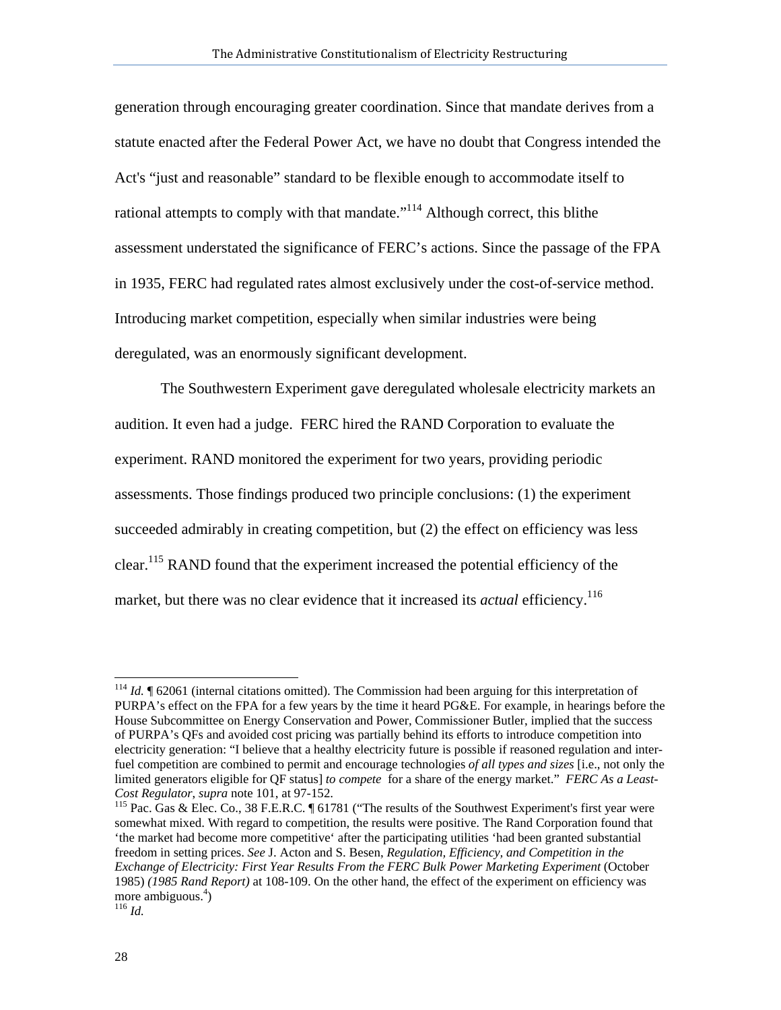generation through encouraging greater coordination. Since that mandate derives from a statute enacted after the Federal Power Act, we have no doubt that Congress intended the Act's "just and reasonable" standard to be flexible enough to accommodate itself to rational attempts to comply with that mandate."<sup>114</sup> Although correct, this blithe assessment understated the significance of FERC's actions. Since the passage of the FPA in 1935, FERC had regulated rates almost exclusively under the cost-of-service method. Introducing market competition, especially when similar industries were being deregulated, was an enormously significant development.

The Southwestern Experiment gave deregulated wholesale electricity markets an audition. It even had a judge. FERC hired the RAND Corporation to evaluate the experiment. RAND monitored the experiment for two years, providing periodic assessments. Those findings produced two principle conclusions: (1) the experiment succeeded admirably in creating competition, but (2) the effect on efficiency was less clear.115 RAND found that the experiment increased the potential efficiency of the market, but there was no clear evidence that it increased its *actual* efficiency.<sup>116</sup>

 $\overline{\phantom{a}}$ 

<sup>&</sup>lt;sup>114</sup> *Id.* 162061 (internal citations omitted). The Commission had been arguing for this interpretation of PURPA's effect on the FPA for a few years by the time it heard PG&E. For example, in hearings before the House Subcommittee on Energy Conservation and Power, Commissioner Butler, implied that the success of PURPA's QFs and avoided cost pricing was partially behind its efforts to introduce competition into electricity generation: "I believe that a healthy electricity future is possible if reasoned regulation and interfuel competition are combined to permit and encourage technologies *of all types and sizes* [i.e., not only the limited generators eligible for QF status] *to compete* for a share of the energy market." *FERC As a Least-*

<sup>&</sup>lt;sup>115</sup> Pac. Gas & Elec. Co., 38 F.E.R.C. ¶ 61781 ("The results of the Southwest Experiment's first year were somewhat mixed. With regard to competition, the results were positive. The Rand Corporation found that 'the market had become more competitive' after the participating utilities 'had been granted substantial freedom in setting prices. *See* J. Acton and S. Besen, *Regulation, Efficiency, and Competition in the Exchange of Electricity: First Year Results From the FERC Bulk Power Marketing Experiment* (October 1985) *(1985 Rand Report)* at 108-109. On the other hand, the effect of the experiment on efficiency was more ambiguous.<sup>4</sup>)<br><sup>116</sup> *Id.*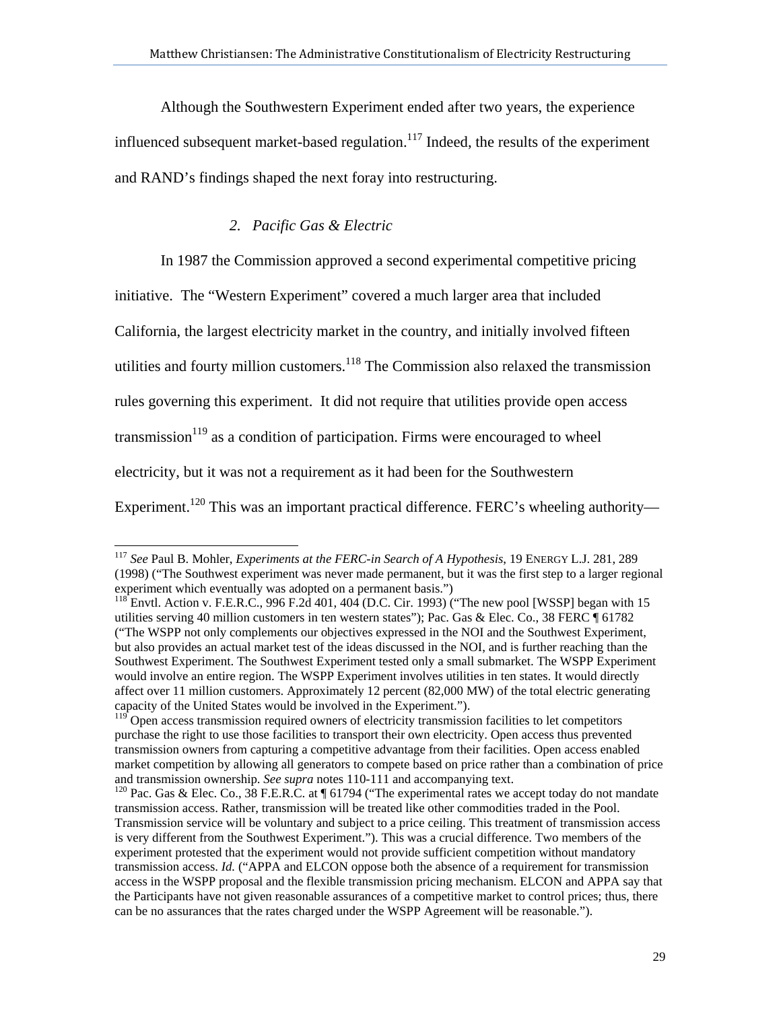Although the Southwestern Experiment ended after two years, the experience influenced subsequent market-based regulation. $117$  Indeed, the results of the experiment and RAND's findings shaped the next foray into restructuring.

## *2. Pacific Gas & Electric*

In 1987 the Commission approved a second experimental competitive pricing

initiative. The "Western Experiment" covered a much larger area that included

California, the largest electricity market in the country, and initially involved fifteen

utilities and fourty million customers.<sup>118</sup> The Commission also relaxed the transmission

rules governing this experiment. It did not require that utilities provide open access

transmission<sup>119</sup> as a condition of participation. Firms were encouraged to wheel

electricity, but it was not a requirement as it had been for the Southwestern

 $\overline{\phantom{a}}$ 

Experiment.<sup>120</sup> This was an important practical difference. FERC's wheeling authority—

<sup>117</sup> *See* Paul B. Mohler, *Experiments at the FERC-in Search of A Hypothesis*, 19 ENERGY L.J. 281, 289 (1998) ("The Southwest experiment was never made permanent, but it was the first step to a larger regional experiment which eventually was adopted on a permanent basis.")

 $^{118}$  Envtl. Action v. F.E.R.C., 996 F.2d 401, 404 (D.C. Cir. 1993) ("The new pool [WSSP] began with 15 utilities serving 40 million customers in ten western states"); Pac. Gas & Elec. Co., 38 FERC ¶ 61782 ("The WSPP not only complements our objectives expressed in the NOI and the Southwest Experiment, but also provides an actual market test of the ideas discussed in the NOI, and is further reaching than the Southwest Experiment. The Southwest Experiment tested only a small submarket. The WSPP Experiment would involve an entire region. The WSPP Experiment involves utilities in ten states. It would directly affect over 11 million customers. Approximately 12 percent (82,000 MW) of the total electric generating capacity of the United States would be involved in the Experiment.").

 $119$  Open access transmission required owners of electricity transmission facilities to let competitors purchase the right to use those facilities to transport their own electricity. Open access thus prevented transmission owners from capturing a competitive advantage from their facilities. Open access enabled market competition by allowing all generators to compete based on price rather than a combination of price and transmission ownership. *See supra* notes 110-111 and accompanying text.<br><sup>120</sup> Pac. Gas & Elec. Co., 38 F.E.R.C. at ¶ 61794 ("The experimental rates we accept today do not mandate

transmission access. Rather, transmission will be treated like other commodities traded in the Pool. Transmission service will be voluntary and subject to a price ceiling. This treatment of transmission access is very different from the Southwest Experiment."). This was a crucial difference. Two members of the experiment protested that the experiment would not provide sufficient competition without mandatory transmission access. *Id.* ("APPA and ELCON oppose both the absence of a requirement for transmission access in the WSPP proposal and the flexible transmission pricing mechanism. ELCON and APPA say that the Participants have not given reasonable assurances of a competitive market to control prices; thus, there can be no assurances that the rates charged under the WSPP Agreement will be reasonable.").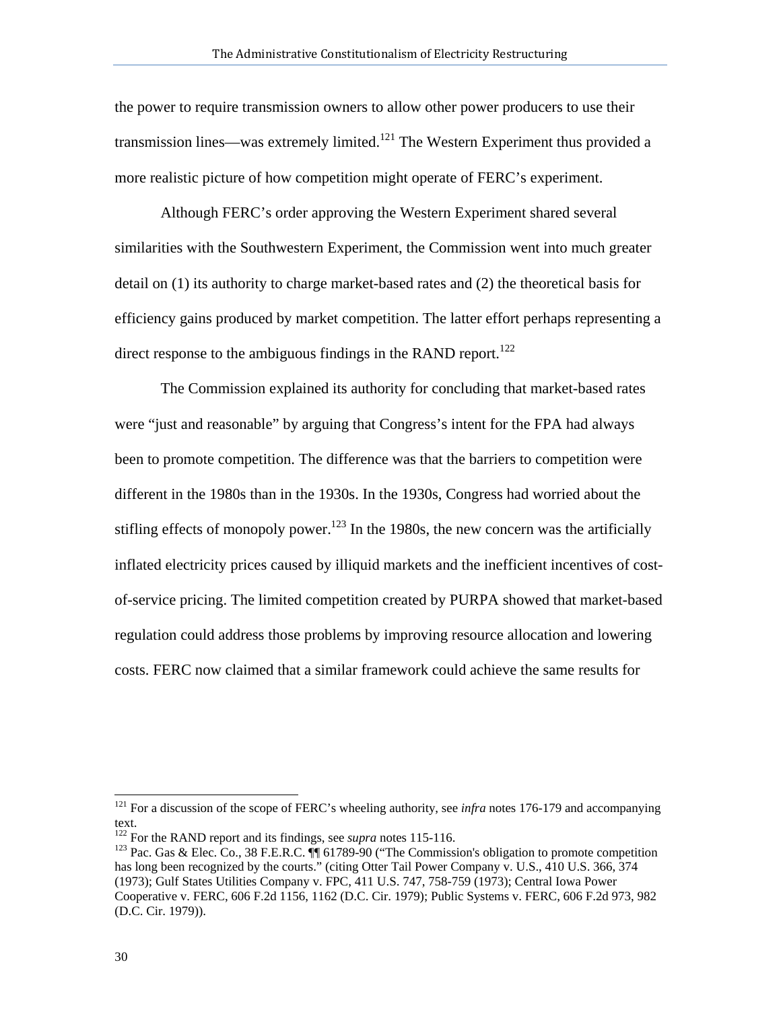the power to require transmission owners to allow other power producers to use their transmission lines—was extremely limited.<sup>121</sup> The Western Experiment thus provided a more realistic picture of how competition might operate of FERC's experiment.

Although FERC's order approving the Western Experiment shared several similarities with the Southwestern Experiment, the Commission went into much greater detail on (1) its authority to charge market-based rates and (2) the theoretical basis for efficiency gains produced by market competition. The latter effort perhaps representing a direct response to the ambiguous findings in the RAND report.<sup>122</sup>

The Commission explained its authority for concluding that market-based rates were "just and reasonable" by arguing that Congress's intent for the FPA had always been to promote competition. The difference was that the barriers to competition were different in the 1980s than in the 1930s. In the 1930s, Congress had worried about the stifling effects of monopoly power.<sup>123</sup> In the 1980s, the new concern was the artificially inflated electricity prices caused by illiquid markets and the inefficient incentives of costof-service pricing. The limited competition created by PURPA showed that market-based regulation could address those problems by improving resource allocation and lowering costs. FERC now claimed that a similar framework could achieve the same results for

 $\overline{\phantom{a}}$ 

<sup>&</sup>lt;sup>121</sup> For a discussion of the scope of FERC's wheeling authority, see *infra* notes 176-179 and accompanying text.<br><sup>122</sup> For the RAND report and its findings, see *supra* notes 115-116.

<sup>&</sup>lt;sup>123</sup> Pac. Gas & Elec. Co., 38 F.E.R.C. **[**¶ 61789-90 ("The Commission's obligation to promote competition has long been recognized by the courts." (citing Otter Tail Power Company v. U.S., 410 U.S. 366, 374 (1973); Gulf States Utilities Company v. FPC, 411 U.S. 747, 758-759 (1973); Central Iowa Power Cooperative v. FERC, 606 F.2d 1156, 1162 (D.C. Cir. 1979); Public Systems v. FERC, 606 F.2d 973, 982 (D.C. Cir. 1979)).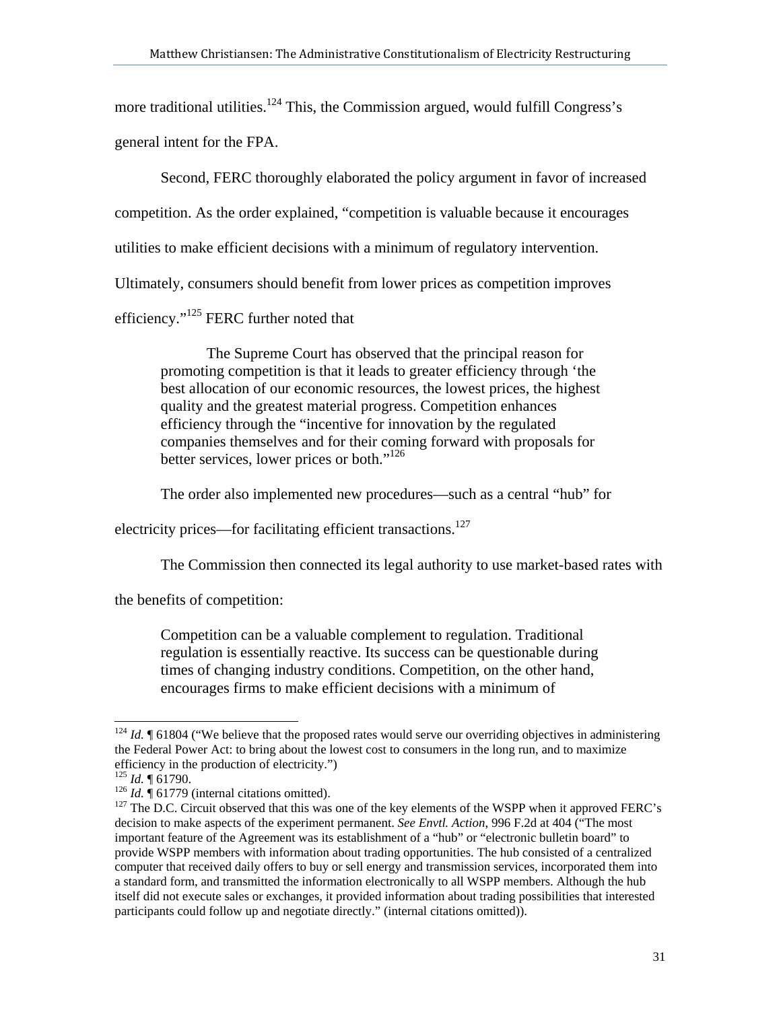more traditional utilities.<sup>124</sup> This, the Commission argued, would fulfill Congress's general intent for the FPA.

Second, FERC thoroughly elaborated the policy argument in favor of increased competition. As the order explained, "competition is valuable because it encourages utilities to make efficient decisions with a minimum of regulatory intervention. Ultimately, consumers should benefit from lower prices as competition improves efficiency."<sup>125</sup> FERC further noted that

The Supreme Court has observed that the principal reason for promoting competition is that it leads to greater efficiency through 'the best allocation of our economic resources, the lowest prices, the highest quality and the greatest material progress. Competition enhances efficiency through the "incentive for innovation by the regulated companies themselves and for their coming forward with proposals for better services, lower prices or both."<sup>126</sup>

The order also implemented new procedures—such as a central "hub" for

electricity prices—for facilitating efficient transactions.<sup>127</sup>

The Commission then connected its legal authority to use market-based rates with

the benefits of competition:

Competition can be a valuable complement to regulation. Traditional regulation is essentially reactive. Its success can be questionable during times of changing industry conditions. Competition, on the other hand, encourages firms to make efficient decisions with a minimum of

 $\overline{\phantom{a}}$ <sup>124</sup> *Id.* ¶ 61804 ("We believe that the proposed rates would serve our overriding objectives in administering the Federal Power Act: to bring about the lowest cost to consumers in the long run, and to maximize efficiency in the production of electricity.")<br> $^{125}$  *Id.*  $\P$  61790.

<sup>126</sup> *Id.*  $\parallel$  61779 (internal citations omitted).<br><sup>126</sup> *Id.* ¶ 61779 (internal citations omitted).<br><sup>127</sup> The D.C. Circuit observed that this was one of the key elements of the WSPP when it approved FERC's decision to make aspects of the experiment permanent. *See Envtl. Action*, 996 F.2d at 404 ("The most important feature of the Agreement was its establishment of a "hub" or "electronic bulletin board" to provide WSPP members with information about trading opportunities. The hub consisted of a centralized computer that received daily offers to buy or sell energy and transmission services, incorporated them into a standard form, and transmitted the information electronically to all WSPP members. Although the hub itself did not execute sales or exchanges, it provided information about trading possibilities that interested participants could follow up and negotiate directly." (internal citations omitted)).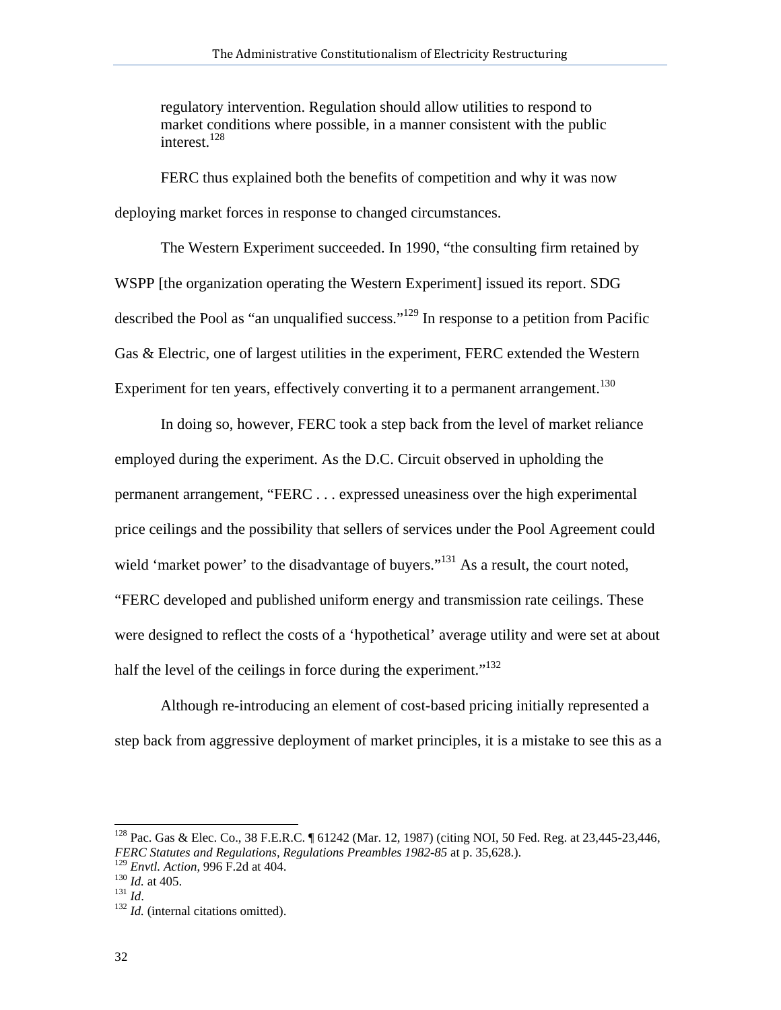regulatory intervention. Regulation should allow utilities to respond to market conditions where possible, in a manner consistent with the public interest.<sup>128</sup>

FERC thus explained both the benefits of competition and why it was now deploying market forces in response to changed circumstances.

The Western Experiment succeeded. In 1990, "the consulting firm retained by WSPP [the organization operating the Western Experiment] issued its report. SDG described the Pool as "an unqualified success."129 In response to a petition from Pacific Gas & Electric, one of largest utilities in the experiment, FERC extended the Western Experiment for ten years, effectively converting it to a permanent arrangement.<sup>130</sup>

In doing so, however, FERC took a step back from the level of market reliance employed during the experiment. As the D.C. Circuit observed in upholding the permanent arrangement, "FERC . . . expressed uneasiness over the high experimental price ceilings and the possibility that sellers of services under the Pool Agreement could wield 'market power' to the disadvantage of buyers."<sup>131</sup> As a result, the court noted, "FERC developed and published uniform energy and transmission rate ceilings. These were designed to reflect the costs of a 'hypothetical' average utility and were set at about half the level of the ceilings in force during the experiment. $132$ 

Although re-introducing an element of cost-based pricing initially represented a step back from aggressive deployment of market principles, it is a mistake to see this as a

l

<sup>&</sup>lt;sup>128</sup> Pac. Gas & Elec. Co., 38 F.E.R.C. ¶ 61242 (Mar. 12, 1987) (citing NOI, 50 Fed. Reg. at 23,445-23,446, *FERC Statutes and Regulations, Regulations Preambles 1982-85* at p. 35,628.).<br><sup>129</sup> *Envtl. Action, 996 F.2d at 404.* 

<sup>130</sup> *Id.* at 405.<br><sup>131</sup> *Id.* (internal citations omitted).<br><sup>132</sup> *Id.* (internal citations omitted).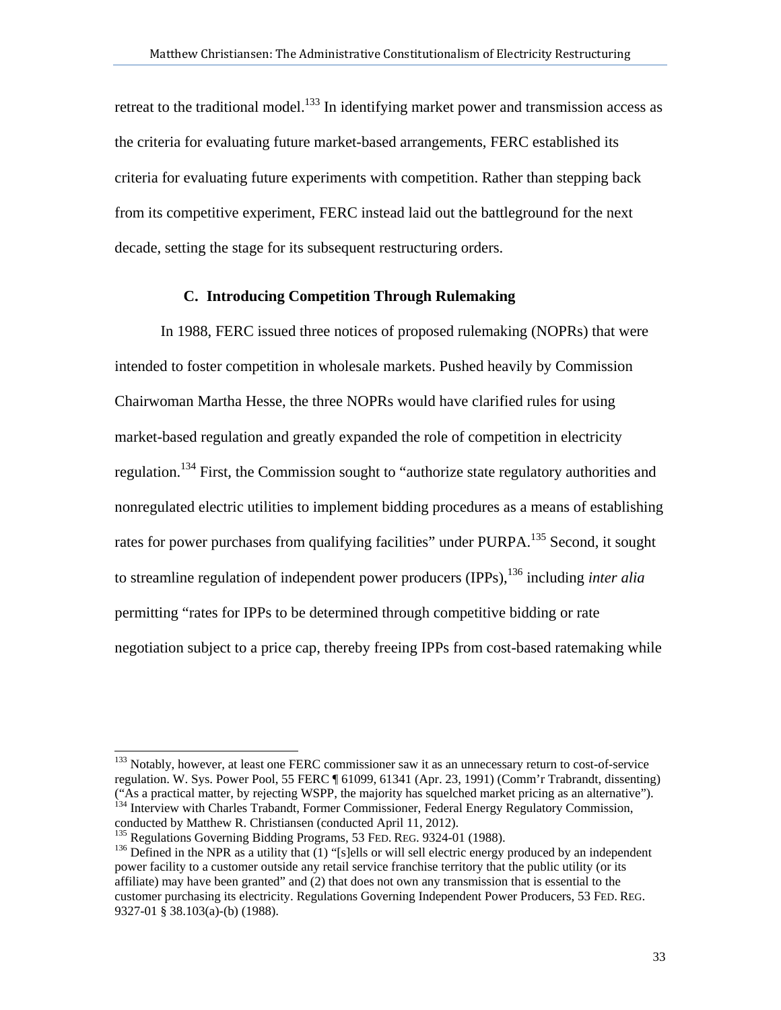retreat to the traditional model.<sup>133</sup> In identifying market power and transmission access as the criteria for evaluating future market-based arrangements, FERC established its criteria for evaluating future experiments with competition. Rather than stepping back from its competitive experiment, FERC instead laid out the battleground for the next decade, setting the stage for its subsequent restructuring orders.

### **C. Introducing Competition Through Rulemaking**

In 1988, FERC issued three notices of proposed rulemaking (NOPRs) that were intended to foster competition in wholesale markets. Pushed heavily by Commission Chairwoman Martha Hesse, the three NOPRs would have clarified rules for using market-based regulation and greatly expanded the role of competition in electricity regulation.134 First, the Commission sought to "authorize state regulatory authorities and nonregulated electric utilities to implement bidding procedures as a means of establishing rates for power purchases from qualifying facilities" under PURPA.<sup>135</sup> Second, it sought to streamline regulation of independent power producers (IPPs),136 including *inter alia* permitting "rates for IPPs to be determined through competitive bidding or rate negotiation subject to a price cap, thereby freeing IPPs from cost-based ratemaking while

<sup>133</sup> Notably, however, at least one FERC commissioner saw it as an unnecessary return to cost-of-service regulation. W. Sys. Power Pool, 55 FERC ¶ 61099, 61341 (Apr. 23, 1991) (Comm'r Trabrandt, dissenting)<br>("As a practical matter, by rejecting WSPP, the majority has squelched market pricing as an alternative"). <sup>134</sup> Interview with Charles Trabandt, Former Commissioner, Federal Energy Regulatory Commission,

 $\overline{\phantom{a}}$ 

conducted by Matthew R. Christiansen (conducted April 11, 2012).<br><sup>135</sup> Regulations Governing Bidding Programs, 53 FED. REG. 9324-01 (1988).

 $136$  Defined in the NPR as a utility that (1) "[s]ells or will sell electric energy produced by an independent power facility to a customer outside any retail service franchise territory that the public utility (or its affiliate) may have been granted" and (2) that does not own any transmission that is essential to the customer purchasing its electricity. Regulations Governing Independent Power Producers, 53 FED. REG. 9327-01 § 38.103(a)-(b) (1988).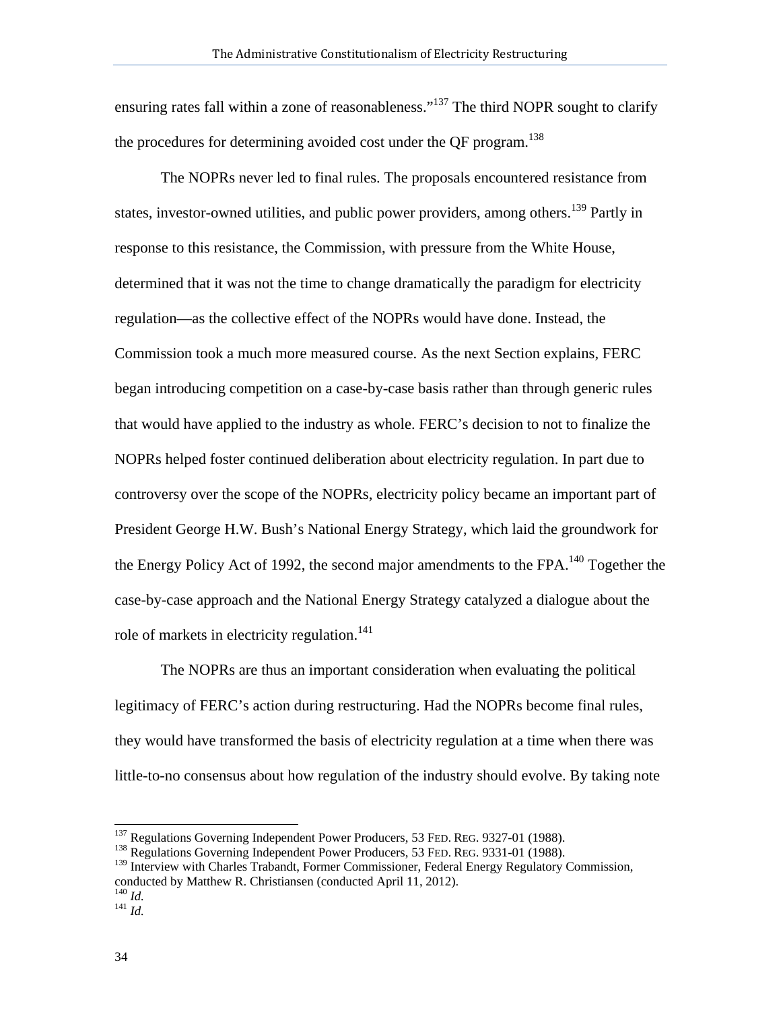ensuring rates fall within a zone of reasonableness."<sup>137</sup> The third NOPR sought to clarify the procedures for determining avoided cost under the OF program.<sup>138</sup>

The NOPRs never led to final rules. The proposals encountered resistance from states, investor-owned utilities, and public power providers, among others.<sup>139</sup> Partly in response to this resistance, the Commission, with pressure from the White House, determined that it was not the time to change dramatically the paradigm for electricity regulation—as the collective effect of the NOPRs would have done. Instead, the Commission took a much more measured course. As the next Section explains, FERC began introducing competition on a case-by-case basis rather than through generic rules that would have applied to the industry as whole. FERC's decision to not to finalize the NOPRs helped foster continued deliberation about electricity regulation. In part due to controversy over the scope of the NOPRs, electricity policy became an important part of President George H.W. Bush's National Energy Strategy, which laid the groundwork for the Energy Policy Act of 1992, the second major amendments to the FPA.<sup>140</sup> Together the case-by-case approach and the National Energy Strategy catalyzed a dialogue about the role of markets in electricity regulation.<sup>141</sup>

The NOPRs are thus an important consideration when evaluating the political legitimacy of FERC's action during restructuring. Had the NOPRs become final rules, they would have transformed the basis of electricity regulation at a time when there was little-to-no consensus about how regulation of the industry should evolve. By taking note

<sup>&</sup>lt;sup>137</sup> Regulations Governing Independent Power Producers, 53 FED. REG. 9327-01 (1988).

<sup>&</sup>lt;sup>138</sup> Regulations Governing Independent Power Producers, 53 FED. REG. 9331-01 (1988).

<sup>&</sup>lt;sup>139</sup> Interview with Charles Trabandt, Former Commissioner, Federal Energy Regulatory Commission, conducted by Matthew R. Christiansen (conducted April 11, 2012).

 $\frac{140}{141}$  *Id. Id.*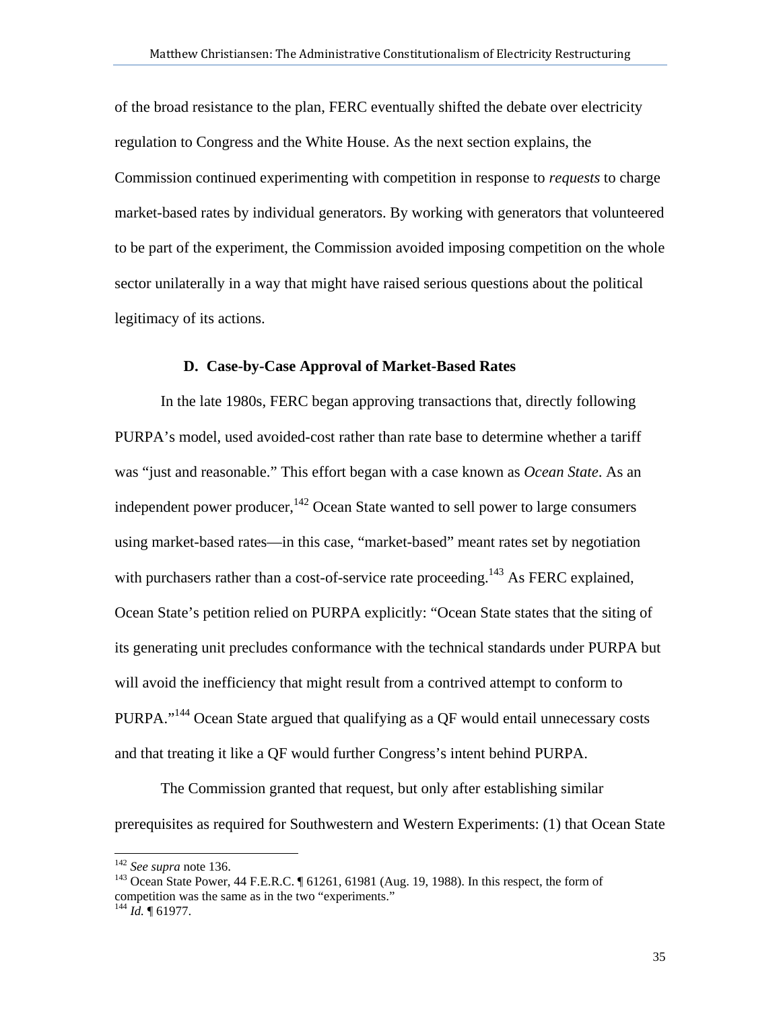of the broad resistance to the plan, FERC eventually shifted the debate over electricity regulation to Congress and the White House. As the next section explains, the Commission continued experimenting with competition in response to *requests* to charge market-based rates by individual generators. By working with generators that volunteered to be part of the experiment, the Commission avoided imposing competition on the whole sector unilaterally in a way that might have raised serious questions about the political legitimacy of its actions.

#### **D. Case-by-Case Approval of Market-Based Rates**

In the late 1980s, FERC began approving transactions that, directly following PURPA's model, used avoided-cost rather than rate base to determine whether a tariff was "just and reasonable." This effort began with a case known as *Ocean State*. As an independent power producer,  $142$  Ocean State wanted to sell power to large consumers using market-based rates—in this case, "market-based" meant rates set by negotiation with purchasers rather than a cost-of-service rate proceeding.<sup>143</sup> As FERC explained, Ocean State's petition relied on PURPA explicitly: "Ocean State states that the siting of its generating unit precludes conformance with the technical standards under PURPA but will avoid the inefficiency that might result from a contrived attempt to conform to PURPA."144 Ocean State argued that qualifying as a QF would entail unnecessary costs and that treating it like a QF would further Congress's intent behind PURPA.

The Commission granted that request, but only after establishing similar prerequisites as required for Southwestern and Western Experiments: (1) that Ocean State

 $\overline{\phantom{a}}$ 

<sup>&</sup>lt;sup>142</sup> *See supra* note 136.<br><sup>143</sup> Ocean State Power, 44 F.E.R.C. ¶ 61261, 61981 (Aug. 19, 1988). In this respect, the form of competition was the same as in the two "experiments."

<sup>144</sup> *Id.* ¶ 61977.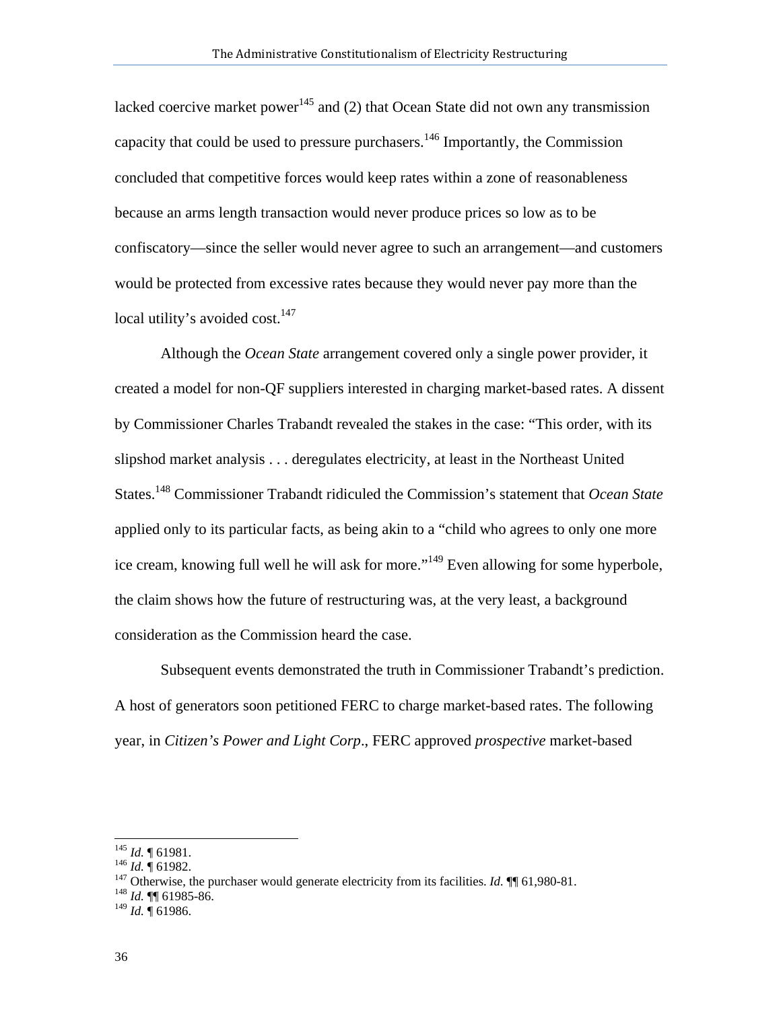lacked coercive market power<sup>145</sup> and (2) that Ocean State did not own any transmission capacity that could be used to pressure purchasers.<sup>146</sup> Importantly, the Commission concluded that competitive forces would keep rates within a zone of reasonableness because an arms length transaction would never produce prices so low as to be confiscatory—since the seller would never agree to such an arrangement—and customers would be protected from excessive rates because they would never pay more than the local utility's avoided cost. $147$ 

Although the *Ocean State* arrangement covered only a single power provider, it created a model for non-QF suppliers interested in charging market-based rates. A dissent by Commissioner Charles Trabandt revealed the stakes in the case: "This order, with its slipshod market analysis . . . deregulates electricity, at least in the Northeast United States.148 Commissioner Trabandt ridiculed the Commission's statement that *Ocean State* applied only to its particular facts, as being akin to a "child who agrees to only one more ice cream, knowing full well he will ask for more."<sup>149</sup> Even allowing for some hyperbole, the claim shows how the future of restructuring was, at the very least, a background consideration as the Commission heard the case.

Subsequent events demonstrated the truth in Commissioner Trabandt's prediction. A host of generators soon petitioned FERC to charge market-based rates. The following year, in *Citizen's Power and Light Corp*., FERC approved *prospective* market-based

 $^{145}$  *Id.*  $\sqrt{\ }$  61981.

<sup>145</sup> *Id.*  $\frac{1}{4}$  61982.<br><sup>147</sup> Otherwise, the purchaser would generate electricity from its facilities. *Id.*  $\P\P$  61,980-81.<br><sup>148</sup> *Id.*  $\P\P$  61985-86.

<sup>149</sup> *Id.* ¶ 61986.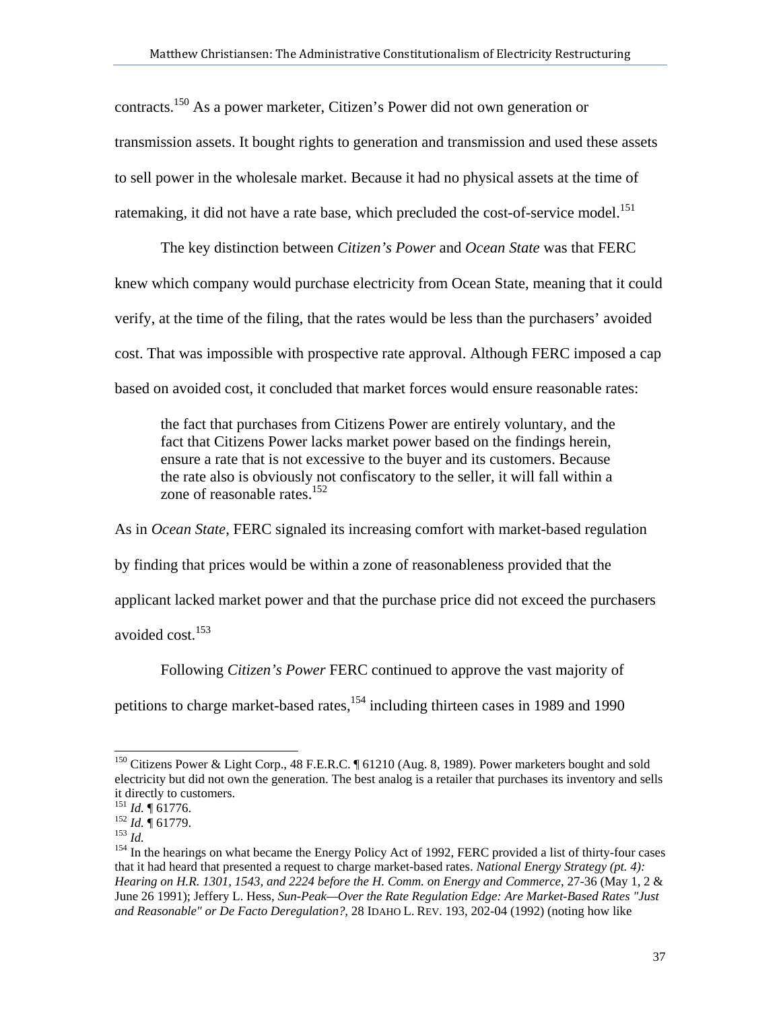contracts.150 As a power marketer, Citizen's Power did not own generation or transmission assets. It bought rights to generation and transmission and used these assets to sell power in the wholesale market. Because it had no physical assets at the time of ratemaking, it did not have a rate base, which precluded the cost-of-service model.<sup>151</sup>

The key distinction between *Citizen's Power* and *Ocean State* was that FERC knew which company would purchase electricity from Ocean State, meaning that it could verify, at the time of the filing, that the rates would be less than the purchasers' avoided cost. That was impossible with prospective rate approval. Although FERC imposed a cap based on avoided cost, it concluded that market forces would ensure reasonable rates:

the fact that purchases from Citizens Power are entirely voluntary, and the fact that Citizens Power lacks market power based on the findings herein, ensure a rate that is not excessive to the buyer and its customers. Because the rate also is obviously not confiscatory to the seller, it will fall within a zone of reasonable rates.<sup>152</sup>

As in *Ocean State*, FERC signaled its increasing comfort with market-based regulation by finding that prices would be within a zone of reasonableness provided that the applicant lacked market power and that the purchase price did not exceed the purchasers avoided cost.<sup>153</sup>

Following *Citizen's Power* FERC continued to approve the vast majority of

petitions to charge market-based rates,<sup>154</sup> including thirteen cases in 1989 and 1990

<sup>&</sup>lt;sup>150</sup> Citizens Power & Light Corp., 48 F.E.R.C. ¶ 61210 (Aug. 8, 1989). Power marketers bought and sold electricity but did not own the generation. The best analog is a retailer that purchases its inventory and sells it directly to customers.<br> $^{151}$  *Id.*  $\text{\degree}$  61776.

<sup>152</sup> *Id.*  $\frac{162}{152}$  *Id.* **161779.**<br><sup>153</sup> *Id.*<br><sup>154</sup> In the hearings on what became the Energy Policy Act of 1992, FERC provided a list of thirty-four cases that it had heard that presented a request to charge market-based rates. *National Energy Strategy (pt. 4): Hearing on H.R. 1301, 1543, and 2224 before the H. Comm. on Energy and Commerce*, 27-36 (May 1, 2 & June 26 1991); Jeffery L. Hess, *Sun-Peak—Over the Rate Regulation Edge: Are Market-Based Rates "Just and Reasonable" or De Facto Deregulation?*, 28 IDAHO L. REV. 193, 202-04 (1992) (noting how like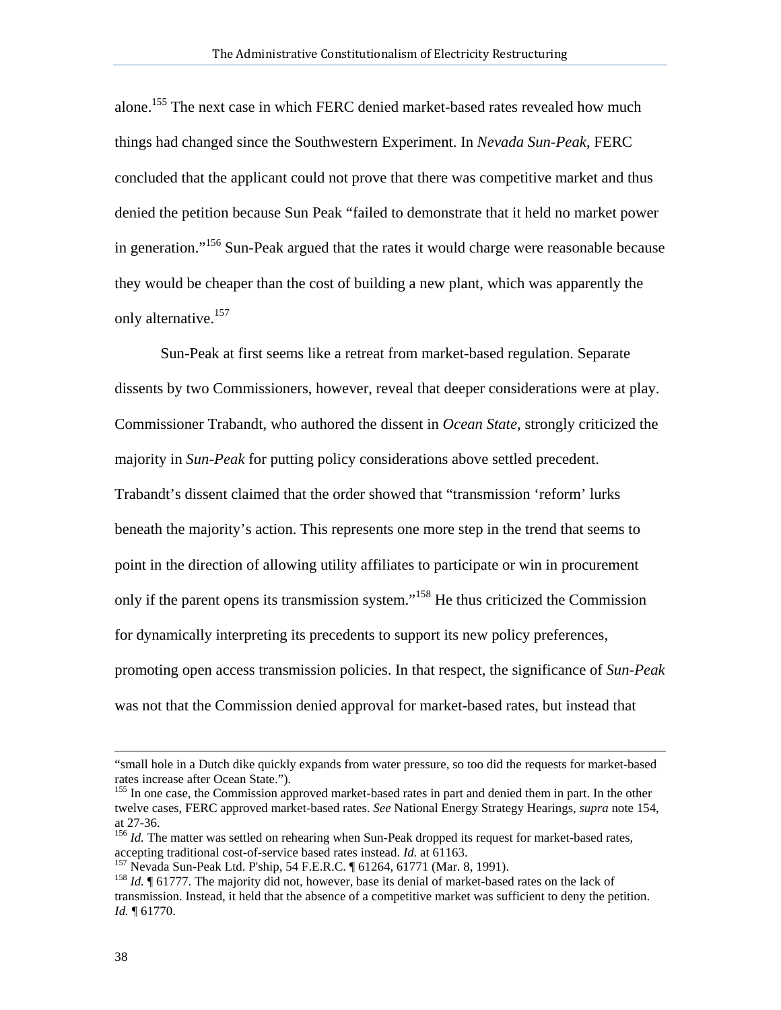alone.155 The next case in which FERC denied market-based rates revealed how much things had changed since the Southwestern Experiment. In *Nevada Sun-Peak*, FERC concluded that the applicant could not prove that there was competitive market and thus denied the petition because Sun Peak "failed to demonstrate that it held no market power in generation."<sup>156</sup> Sun-Peak argued that the rates it would charge were reasonable because they would be cheaper than the cost of building a new plant, which was apparently the only alternative.<sup>157</sup>

Sun-Peak at first seems like a retreat from market-based regulation. Separate dissents by two Commissioners, however, reveal that deeper considerations were at play. Commissioner Trabandt, who authored the dissent in *Ocean State*, strongly criticized the majority in *Sun-Peak* for putting policy considerations above settled precedent. Trabandt's dissent claimed that the order showed that "transmission 'reform' lurks beneath the majority's action. This represents one more step in the trend that seems to point in the direction of allowing utility affiliates to participate or win in procurement only if the parent opens its transmission system."158 He thus criticized the Commission for dynamically interpreting its precedents to support its new policy preferences, promoting open access transmission policies. In that respect, the significance of *Sun-Peak*  was not that the Commission denied approval for market-based rates, but instead that

<sup>&</sup>quot;small hole in a Dutch dike quickly expands from water pressure, so too did the requests for market-based rates increase after Ocean State.").

<sup>&</sup>lt;sup>155</sup> In one case, the Commission approved market-based rates in part and denied them in part. In the other twelve cases, FERC approved market-based rates. *See* National Energy Strategy Hearings, *supra* note 154, at 27-36.

<sup>&</sup>lt;sup>156</sup> *Id.* The matter was settled on rehearing when Sun-Peak dropped its request for market-based rates, accepting traditional cost-of-service based rates instead. *Id.* at 61163.

<sup>&</sup>lt;sup>157</sup> Nevada Sun-Peak Ltd. P'ship, 54 F.E.R.C.  $\parallel$  61264, 61771 (Mar. 8, 1991).<br><sup>158</sup> *Id.*  $\parallel$  61777. The majority did not, however, base its denial of market-based rates on the lack of transmission. Instead, it held that the absence of a competitive market was sufficient to deny the petition. *Id.* ¶ 61770.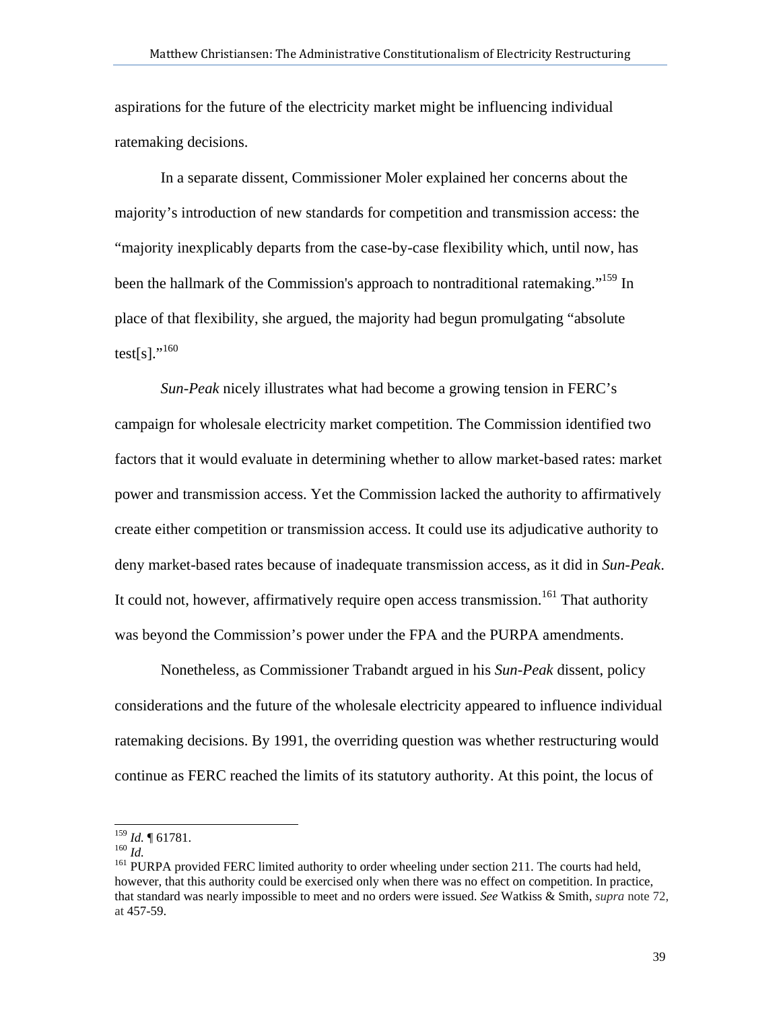aspirations for the future of the electricity market might be influencing individual ratemaking decisions.

In a separate dissent, Commissioner Moler explained her concerns about the majority's introduction of new standards for competition and transmission access: the "majority inexplicably departs from the case-by-case flexibility which, until now, has been the hallmark of the Commission's approach to nontraditional ratemaking."<sup>159</sup> In place of that flexibility, she argued, the majority had begun promulgating "absolute test[s]." $^{160}$ 

*Sun-Peak* nicely illustrates what had become a growing tension in FERC's campaign for wholesale electricity market competition. The Commission identified two factors that it would evaluate in determining whether to allow market-based rates: market power and transmission access. Yet the Commission lacked the authority to affirmatively create either competition or transmission access. It could use its adjudicative authority to deny market-based rates because of inadequate transmission access, as it did in *Sun-Peak*. It could not, however, affirmatively require open access transmission.<sup>161</sup> That authority was beyond the Commission's power under the FPA and the PURPA amendments.

Nonetheless, as Commissioner Trabandt argued in his *Sun-Peak* dissent, policy considerations and the future of the wholesale electricity appeared to influence individual ratemaking decisions. By 1991, the overriding question was whether restructuring would continue as FERC reached the limits of its statutory authority. At this point, the locus of

 $159$  *Id.*  $\sqrt{61781}$ .

<sup>160</sup> *Id.* <sup>no. 2</sup> <sup>161</sup> *Id.* <sup>161</sup> *Id.* <sup>161</sup> *Id.* <sup>161</sup> PURPA provided FERC limited authority to order wheeling under section 211. The courts had held, however, that this authority could be exercised only when there was no effect on competition. In practice, that standard was nearly impossible to meet and no orders were issued. *See* Watkiss & Smith, *supra* note 72, at 457-59.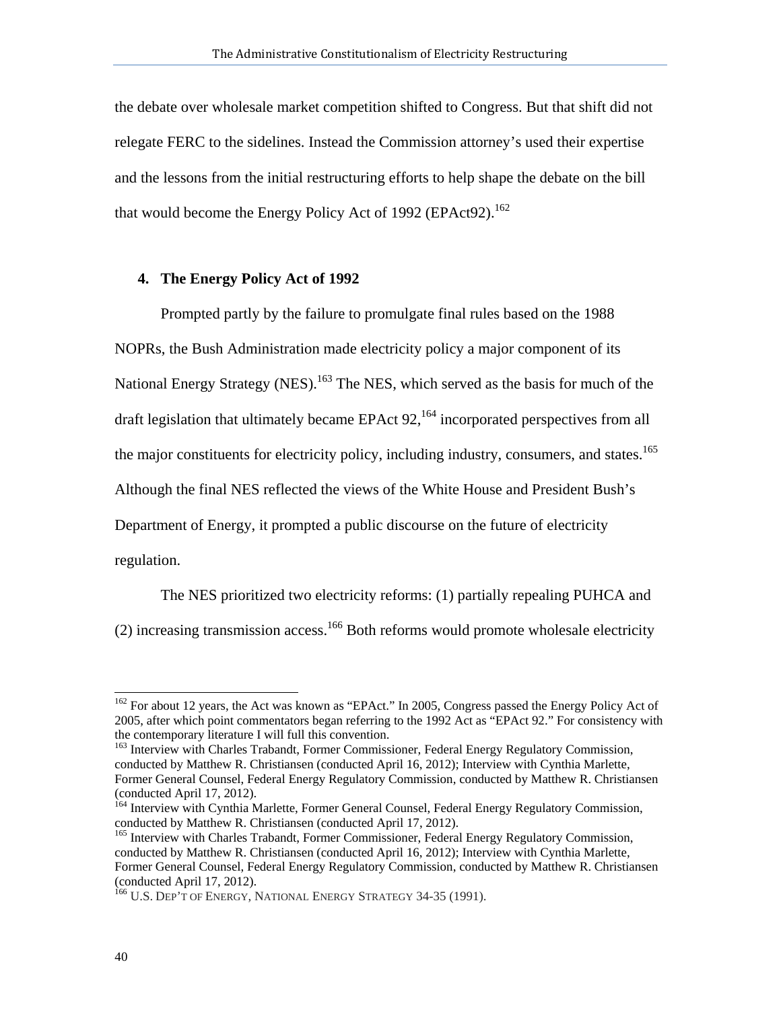the debate over wholesale market competition shifted to Congress. But that shift did not relegate FERC to the sidelines. Instead the Commission attorney's used their expertise and the lessons from the initial restructuring efforts to help shape the debate on the bill that would become the Energy Policy Act of 1992 (EPAct92).<sup>162</sup>

#### **4. The Energy Policy Act of 1992**

Prompted partly by the failure to promulgate final rules based on the 1988 NOPRs, the Bush Administration made electricity policy a major component of its National Energy Strategy (NES).<sup>163</sup> The NES, which served as the basis for much of the draft legislation that ultimately became EPAct  $92$ ,<sup>164</sup> incorporated perspectives from all the major constituents for electricity policy, including industry, consumers, and states.<sup>165</sup> Although the final NES reflected the views of the White House and President Bush's Department of Energy, it prompted a public discourse on the future of electricity regulation.

The NES prioritized two electricity reforms: (1) partially repealing PUHCA and  $(2)$  increasing transmission access.<sup>166</sup> Both reforms would promote wholesale electricity

<sup>&</sup>lt;sup>162</sup> For about 12 years, the Act was known as "EPAct." In 2005, Congress passed the Energy Policy Act of 2005, after which point commentators began referring to the 1992 Act as "EPAct 92." For consistency with the contemporary literature I will full this convention.

<sup>&</sup>lt;sup>163</sup> Interview with Charles Trabandt, Former Commissioner, Federal Energy Regulatory Commission, conducted by Matthew R. Christiansen (conducted April 16, 2012); Interview with Cynthia Marlette, Former General Counsel, Federal Energy Regulatory Commission, conducted by Matthew R. Christiansen (conducted April 17, 2012).

<sup>&</sup>lt;sup>164</sup> Interview with Cynthia Marlette, Former General Counsel, Federal Energy Regulatory Commission, conducted by Matthew R. Christiansen (conducted April 17, 2012).

<sup>&</sup>lt;sup>165</sup> Interview with Charles Trabandt, Former Commissioner, Federal Energy Regulatory Commission, conducted by Matthew R. Christiansen (conducted April 16, 2012); Interview with Cynthia Marlette, Former General Counsel, Federal Energy Regulatory Commission, conducted by Matthew R. Christiansen (conducted April 17, 2012).

<sup>&</sup>lt;sup>166</sup> U.S. DEP'T OF ENERGY, NATIONAL ENERGY STRATEGY 34-35 (1991).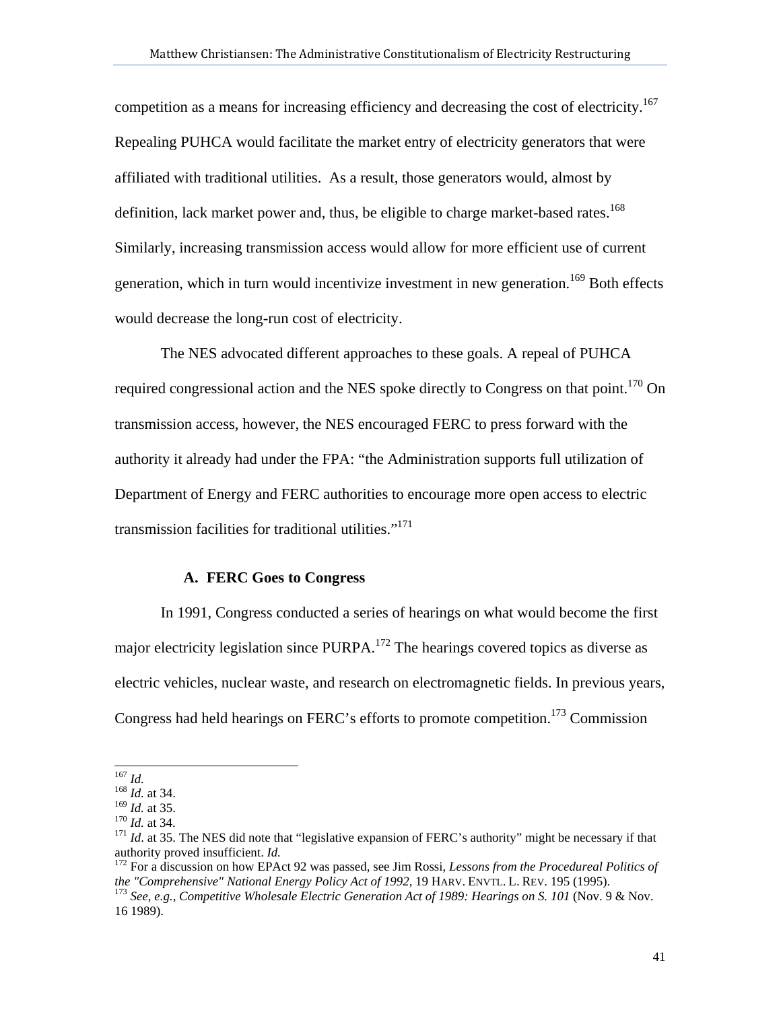competition as a means for increasing efficiency and decreasing the cost of electricity.<sup>167</sup> Repealing PUHCA would facilitate the market entry of electricity generators that were affiliated with traditional utilities. As a result, those generators would, almost by definition, lack market power and, thus, be eligible to charge market-based rates.<sup>168</sup> Similarly, increasing transmission access would allow for more efficient use of current generation, which in turn would incentivize investment in new generation.<sup>169</sup> Both effects would decrease the long-run cost of electricity.

The NES advocated different approaches to these goals. A repeal of PUHCA required congressional action and the NES spoke directly to Congress on that point.<sup>170</sup> On transmission access, however, the NES encouraged FERC to press forward with the authority it already had under the FPA: "the Administration supports full utilization of Department of Energy and FERC authorities to encourage more open access to electric transmission facilities for traditional utilities."<sup>171</sup>

## **A. FERC Goes to Congress**

In 1991, Congress conducted a series of hearings on what would become the first major electricity legislation since PURPA.<sup>172</sup> The hearings covered topics as diverse as electric vehicles, nuclear waste, and research on electromagnetic fields. In previous years, Congress had held hearings on FERC's efforts to promote competition.<sup>173</sup> Commission

 $167$  *Id.* 

<sup>&</sup>lt;sup>168</sup> *Id.* at 34.<br><sup>169</sup> *Id.* at 35.

<sup>&</sup>lt;sup>170</sup> *Id.* at 34. 171 *Id.* at 34. 171 *Id.* at 35. The NES did note that "legislative expansion of FERC's authority" might be necessary if that authority proved insufficient. *Id.* 

<sup>&</sup>lt;sup>172</sup> For a discussion on how EPAct 92 was passed, see Jim Rossi, *Lessons from the Procedureal Politics of the "Comprehensive" National Energy Policy Act of 1992, 19 HARV. ENVTL. L. REV. 195 (1995).* 

<sup>&</sup>lt;sup>173</sup> See, e.g., *Competitive Wholesale Electric Generation Act of 1989: Hearings on S. 101* (Nov. 9 & Nov. 16 1989).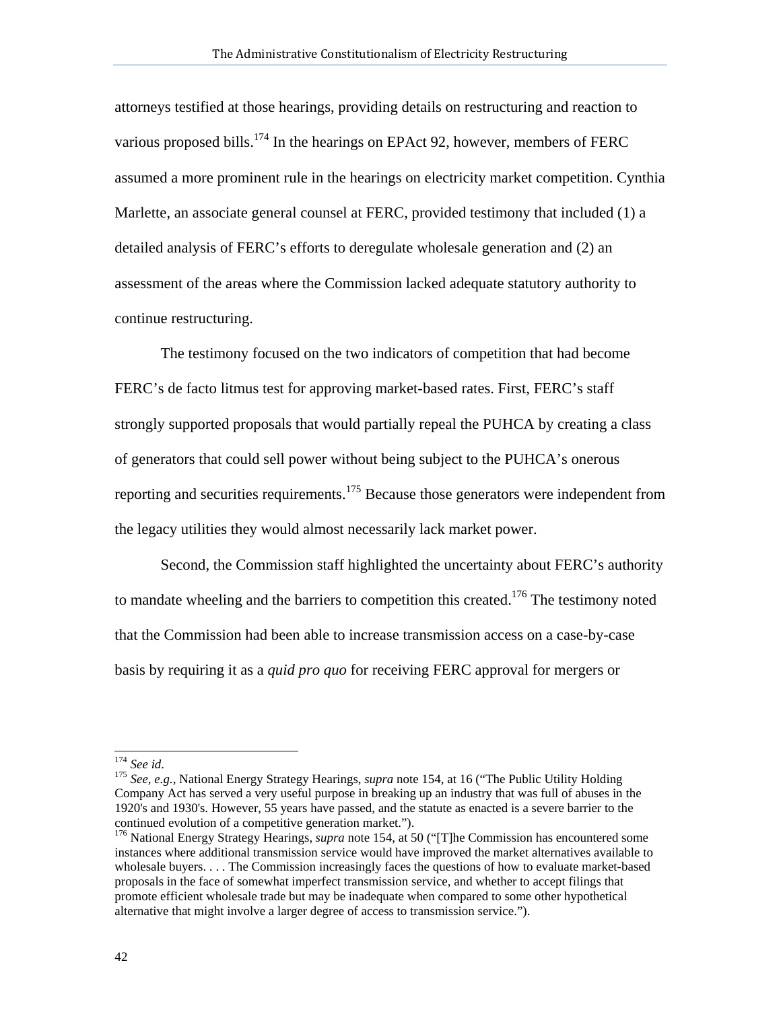attorneys testified at those hearings, providing details on restructuring and reaction to various proposed bills.<sup>174</sup> In the hearings on EPAct 92, however, members of FERC assumed a more prominent rule in the hearings on electricity market competition. Cynthia Marlette, an associate general counsel at FERC, provided testimony that included (1) a detailed analysis of FERC's efforts to deregulate wholesale generation and (2) an assessment of the areas where the Commission lacked adequate statutory authority to continue restructuring.

The testimony focused on the two indicators of competition that had become FERC's de facto litmus test for approving market-based rates. First, FERC's staff strongly supported proposals that would partially repeal the PUHCA by creating a class of generators that could sell power without being subject to the PUHCA's onerous reporting and securities requirements.<sup>175</sup> Because those generators were independent from the legacy utilities they would almost necessarily lack market power.

Second, the Commission staff highlighted the uncertainty about FERC's authority to mandate wheeling and the barriers to competition this created.<sup>176</sup> The testimony noted that the Commission had been able to increase transmission access on a case-by-case basis by requiring it as a *quid pro quo* for receiving FERC approval for mergers or

 $174$  See id.

<sup>&</sup>lt;sup>175</sup> See, e.g., National Energy Strategy Hearings, *supra* note 154, at 16 ("The Public Utility Holding Company Act has served a very useful purpose in breaking up an industry that was full of abuses in the 1920's and 1930's. However, 55 years have passed, and the statute as enacted is a severe barrier to the continued evolution of a competitive generation market.").

<sup>&</sup>lt;sup>176</sup> National Energy Strategy Hearings, *supra* note 154, at 50 ("[T]he Commission has encountered some instances where additional transmission service would have improved the market alternatives available to wholesale buyers. . . . The Commission increasingly faces the questions of how to evaluate market-based proposals in the face of somewhat imperfect transmission service, and whether to accept filings that promote efficient wholesale trade but may be inadequate when compared to some other hypothetical alternative that might involve a larger degree of access to transmission service.").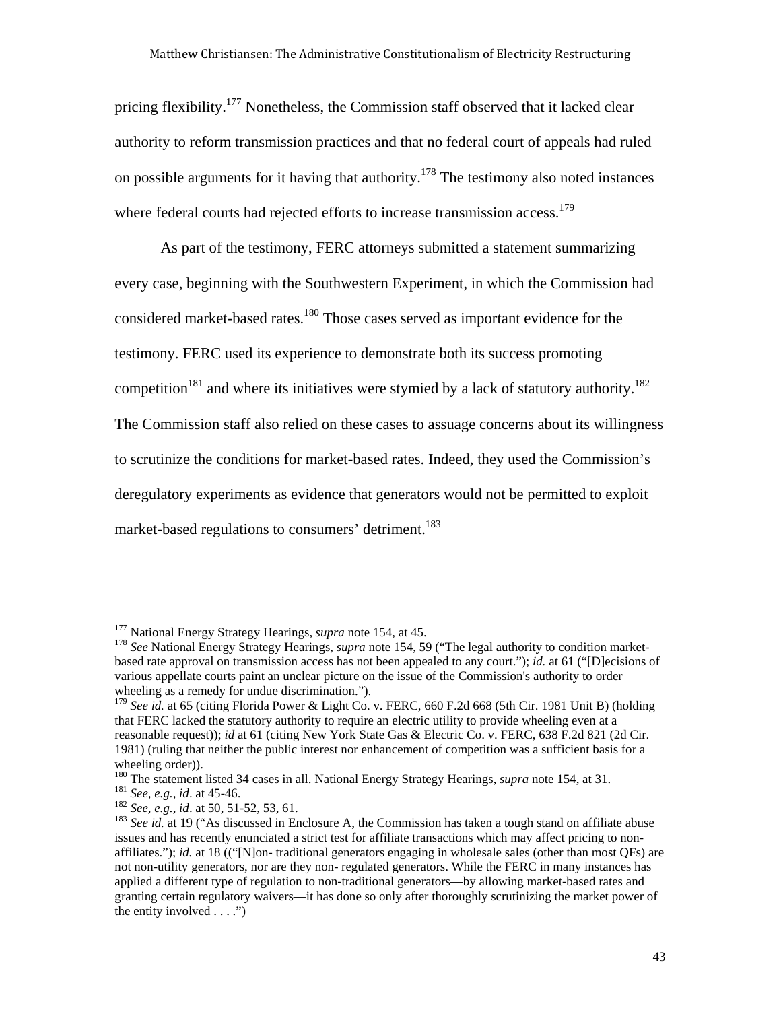pricing flexibility.177 Nonetheless, the Commission staff observed that it lacked clear authority to reform transmission practices and that no federal court of appeals had ruled on possible arguments for it having that authority.<sup>178</sup> The testimony also noted instances where federal courts had rejected efforts to increase transmission access.<sup>179</sup>

As part of the testimony, FERC attorneys submitted a statement summarizing every case, beginning with the Southwestern Experiment, in which the Commission had considered market-based rates.<sup>180</sup> Those cases served as important evidence for the testimony. FERC used its experience to demonstrate both its success promoting competition<sup>181</sup> and where its initiatives were stymied by a lack of statutory authority.<sup>182</sup> The Commission staff also relied on these cases to assuage concerns about its willingness to scrutinize the conditions for market-based rates. Indeed, they used the Commission's deregulatory experiments as evidence that generators would not be permitted to exploit market-based regulations to consumers' detriment.<sup>183</sup>

<sup>&</sup>lt;sup>177</sup> National Energy Strategy Hearings, *supra* note 154, at 45.

<sup>&</sup>lt;sup>178</sup> See National Energy Strategy Hearings, *supra* note 154, 59 ("The legal authority to condition marketbased rate approval on transmission access has not been appealed to any court."); *id.* at 61 ("[D]ecisions of various appellate courts paint an unclear picture on the issue of the Commission's authority to order wheeling as a remedy for undue discrimination.").

<sup>179</sup> *See id.* at 65 (citing Florida Power & Light Co. v. FERC, 660 F.2d 668 (5th Cir. 1981 Unit B) (holding that FERC lacked the statutory authority to require an electric utility to provide wheeling even at a reasonable request)); *id* at 61 (citing New York State Gas & Electric Co. v. FERC, 638 F.2d 821 (2d Cir. 1981) (ruling that neither the public interest nor enhancement of competition was a sufficient basis for a wheeling order)).<br><sup>180</sup> The statement listed 34 cases in all. National Energy Strategy Hearings, *supra* note 154, at 31.

<sup>&</sup>lt;sup>181</sup> See, e.g., id. at 45-46.<br><sup>182</sup> See, e.g., id. at 50, 51-52, 53, 61.<br><sup>182</sup> See id. at 19 ("As discussed in Enclosure A, the Commission has taken a tough stand on affiliate abuse issues and has recently enunciated a strict test for affiliate transactions which may affect pricing to nonaffiliates."); *id.* at 18 (("[N]on- traditional generators engaging in wholesale sales (other than most QFs) are not non-utility generators, nor are they non- regulated generators. While the FERC in many instances has applied a different type of regulation to non-traditional generators—by allowing market-based rates and granting certain regulatory waivers—it has done so only after thoroughly scrutinizing the market power of the entity involved  $\dots$ .")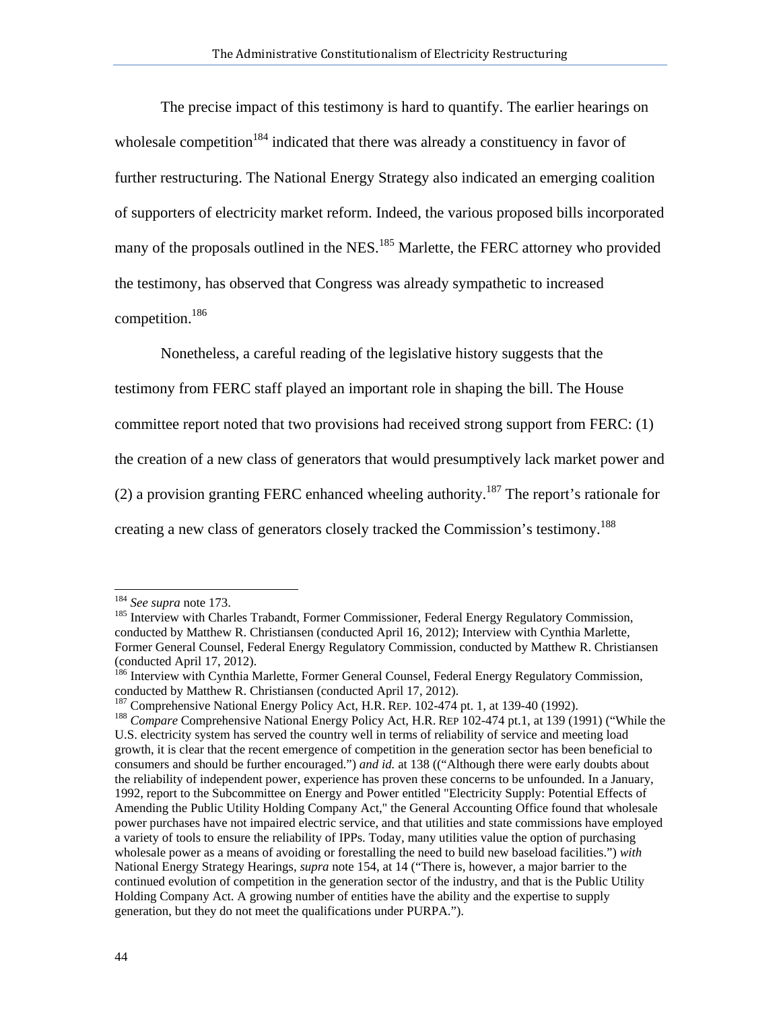The precise impact of this testimony is hard to quantify. The earlier hearings on wholesale competition<sup>184</sup> indicated that there was already a constituency in favor of further restructuring. The National Energy Strategy also indicated an emerging coalition of supporters of electricity market reform. Indeed, the various proposed bills incorporated many of the proposals outlined in the NES.<sup>185</sup> Marlette, the FERC attorney who provided the testimony, has observed that Congress was already sympathetic to increased competition.<sup>186</sup>

Nonetheless, a careful reading of the legislative history suggests that the

testimony from FERC staff played an important role in shaping the bill. The House

committee report noted that two provisions had received strong support from FERC: (1)

the creation of a new class of generators that would presumptively lack market power and

(2) a provision granting FERC enhanced wheeling authority.<sup>187</sup> The report's rationale for

creating a new class of generators closely tracked the Commission's testimony.<sup>188</sup>

<sup>&</sup>lt;sup>184</sup> See supra note 173.

<sup>&</sup>lt;sup>185</sup> Interview with Charles Trabandt, Former Commissioner, Federal Energy Regulatory Commission, conducted by Matthew R. Christiansen (conducted April 16, 2012); Interview with Cynthia Marlette, Former General Counsel, Federal Energy Regulatory Commission, conducted by Matthew R. Christiansen (conducted April 17, 2012).

<sup>&</sup>lt;sup>186</sup> Interview with Cynthia Marlette, Former General Counsel, Federal Energy Regulatory Commission, conducted by Matthew R. Christiansen (conducted April 17, 2012).<br><sup>187</sup> Comprehensive National Energy Policy Act, H.R. REP. 102-474 pt. 1, at 139-40 (1992).

<sup>&</sup>lt;sup>188</sup> Compare Comprehensive National Energy Policy Act, H.R. REP 102-474 pt.1, at 139 (1991) ("While the U.S. electricity system has served the country well in terms of reliability of service and meeting load growth, it is clear that the recent emergence of competition in the generation sector has been beneficial to consumers and should be further encouraged.") *and id.* at 138 (("Although there were early doubts about the reliability of independent power, experience has proven these concerns to be unfounded. In a January, 1992, report to the Subcommittee on Energy and Power entitled "Electricity Supply: Potential Effects of Amending the Public Utility Holding Company Act," the General Accounting Office found that wholesale power purchases have not impaired electric service, and that utilities and state commissions have employed a variety of tools to ensure the reliability of IPPs. Today, many utilities value the option of purchasing wholesale power as a means of avoiding or forestalling the need to build new baseload facilities.") *with*  National Energy Strategy Hearings, *supra* note 154, at 14 ("There is, however, a major barrier to the continued evolution of competition in the generation sector of the industry, and that is the Public Utility Holding Company Act. A growing number of entities have the ability and the expertise to supply generation, but they do not meet the qualifications under PURPA.").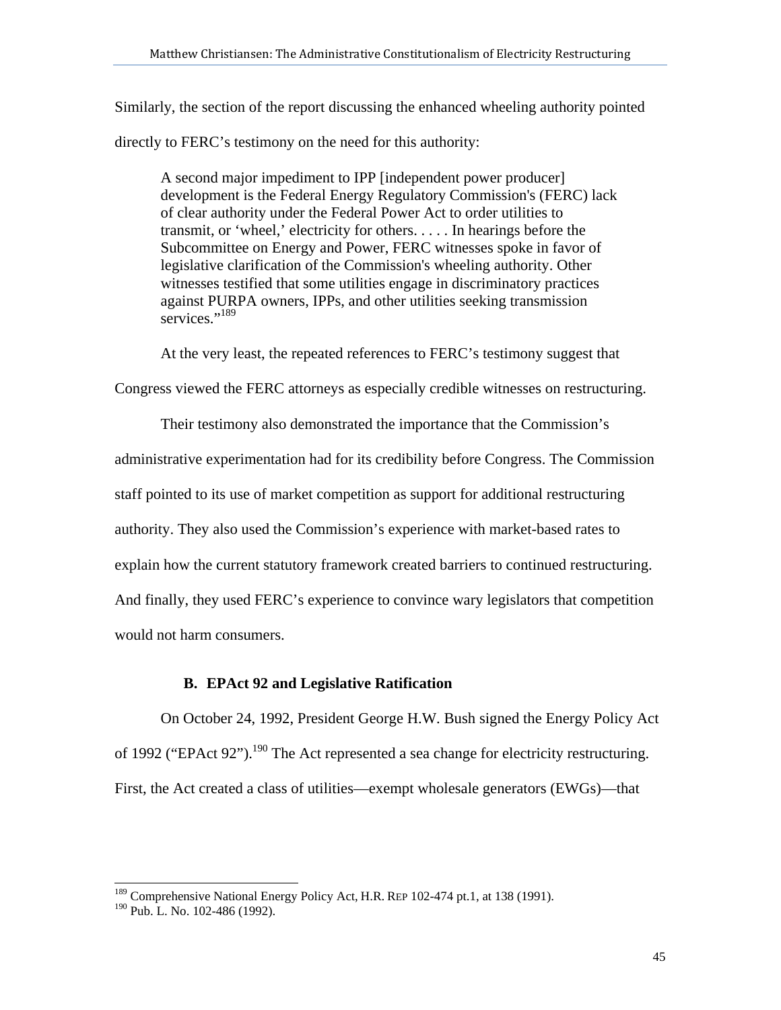Similarly, the section of the report discussing the enhanced wheeling authority pointed

directly to FERC's testimony on the need for this authority:

A second major impediment to IPP [independent power producer] development is the Federal Energy Regulatory Commission's (FERC) lack of clear authority under the Federal Power Act to order utilities to transmit, or 'wheel,' electricity for others. . . . . In hearings before the Subcommittee on Energy and Power, FERC witnesses spoke in favor of legislative clarification of the Commission's wheeling authority. Other witnesses testified that some utilities engage in discriminatory practices against PURPA owners, IPPs, and other utilities seeking transmission services."<sup>189</sup>

At the very least, the repeated references to FERC's testimony suggest that

Congress viewed the FERC attorneys as especially credible witnesses on restructuring.

Their testimony also demonstrated the importance that the Commission's administrative experimentation had for its credibility before Congress. The Commission staff pointed to its use of market competition as support for additional restructuring authority. They also used the Commission's experience with market-based rates to explain how the current statutory framework created barriers to continued restructuring. And finally, they used FERC's experience to convince wary legislators that competition would not harm consumers.

# **B. EPAct 92 and Legislative Ratification**

On October 24, 1992, President George H.W. Bush signed the Energy Policy Act of 1992 ("EPAct 92").<sup>190</sup> The Act represented a sea change for electricity restructuring. First, the Act created a class of utilities—exempt wholesale generators (EWGs)—that

<sup>&</sup>lt;sup>189</sup> Comprehensive National Energy Policy Act, H.R. REP 102-474 pt.1, at 138 (1991).

<sup>190</sup> Pub. L. No. 102-486 (1992).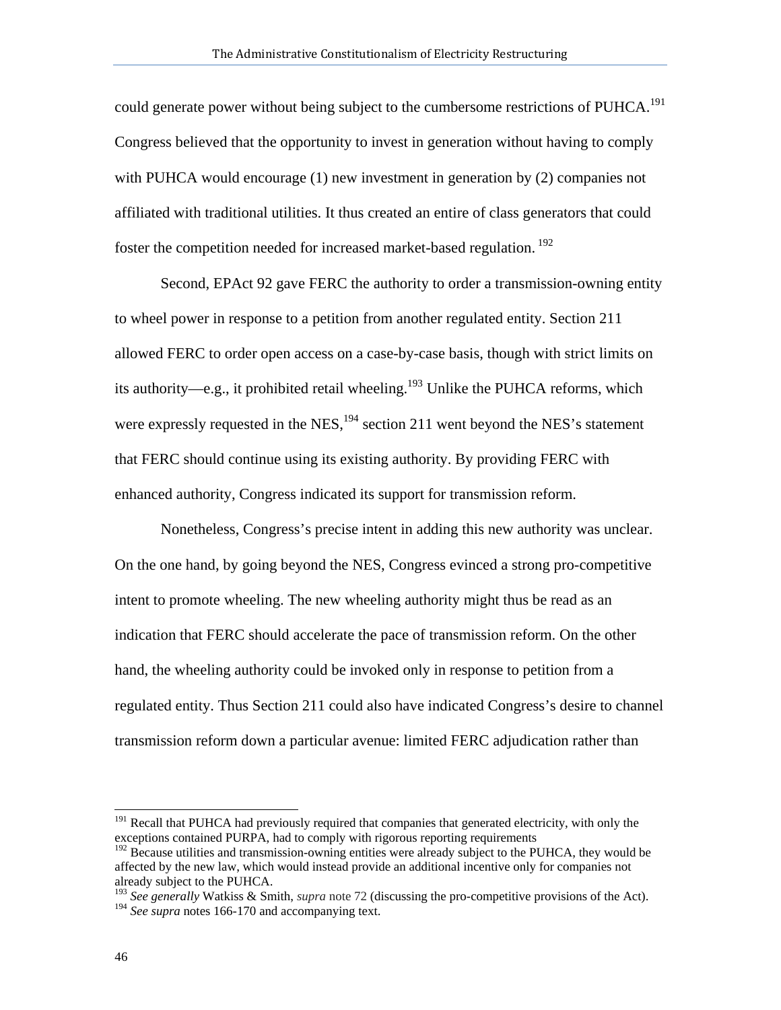could generate power without being subject to the cumbersome restrictions of PUHCA.<sup>191</sup> Congress believed that the opportunity to invest in generation without having to comply with PUHCA would encourage (1) new investment in generation by (2) companies not affiliated with traditional utilities. It thus created an entire of class generators that could foster the competition needed for increased market-based regulation.<sup>192</sup>

Second, EPAct 92 gave FERC the authority to order a transmission-owning entity to wheel power in response to a petition from another regulated entity. Section 211 allowed FERC to order open access on a case-by-case basis, though with strict limits on its authority—e.g., it prohibited retail wheeling.<sup>193</sup> Unlike the PUHCA reforms, which were expressly requested in the NES,<sup>194</sup> section 211 went beyond the NES's statement that FERC should continue using its existing authority. By providing FERC with enhanced authority, Congress indicated its support for transmission reform.

Nonetheless, Congress's precise intent in adding this new authority was unclear. On the one hand, by going beyond the NES, Congress evinced a strong pro-competitive intent to promote wheeling. The new wheeling authority might thus be read as an indication that FERC should accelerate the pace of transmission reform. On the other hand, the wheeling authority could be invoked only in response to petition from a regulated entity. Thus Section 211 could also have indicated Congress's desire to channel transmission reform down a particular avenue: limited FERC adjudication rather than

<sup>&</sup>lt;sup>191</sup> Recall that PUHCA had previously required that companies that generated electricity, with only the exceptions contained PURPA, had to comply with rigorous reporting requirements

 $192$  Because utilities and transmission-owning entities were already subject to the PUHCA, they would be affected by the new law, which would instead provide an additional incentive only for companies not already subject to the PUHCA.

<sup>&</sup>lt;sup>193</sup> See generally Watkiss & Smith, *supra* note 72 (discussing the pro-competitive provisions of the Act). <sup>194</sup> See supra notes 166-170 and accompanying text.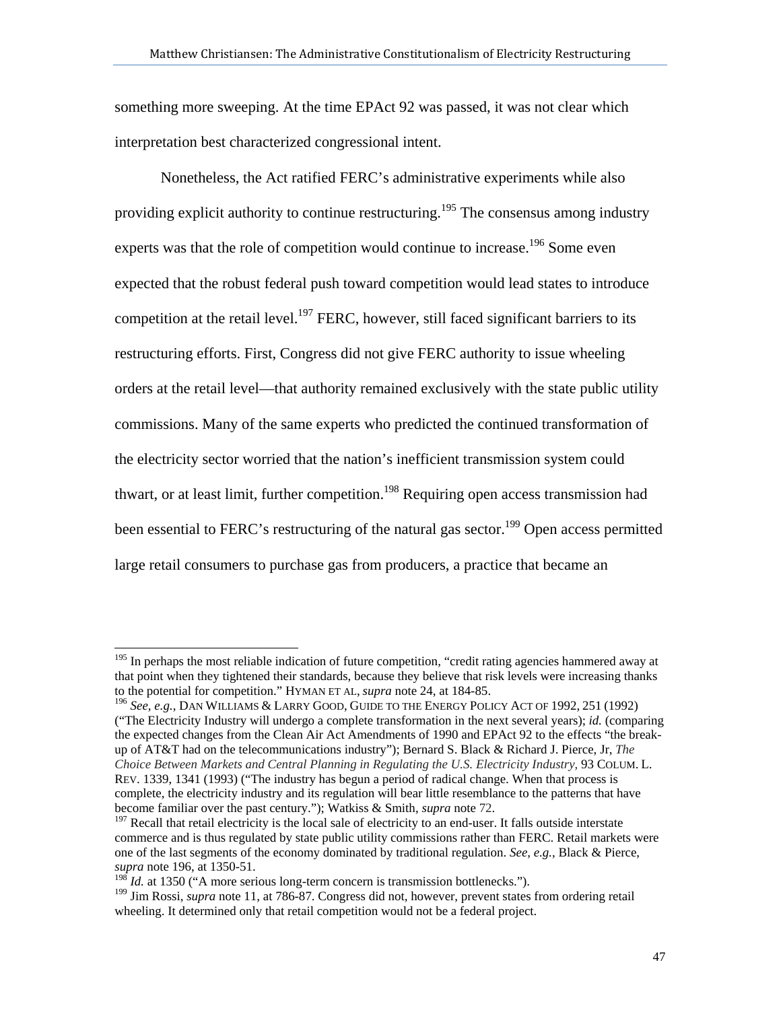something more sweeping. At the time EPAct 92 was passed, it was not clear which interpretation best characterized congressional intent.

Nonetheless, the Act ratified FERC's administrative experiments while also providing explicit authority to continue restructuring.<sup>195</sup> The consensus among industry experts was that the role of competition would continue to increase.<sup>196</sup> Some even expected that the robust federal push toward competition would lead states to introduce competition at the retail level.<sup>197</sup> FERC, however, still faced significant barriers to its restructuring efforts. First, Congress did not give FERC authority to issue wheeling orders at the retail level—that authority remained exclusively with the state public utility commissions. Many of the same experts who predicted the continued transformation of the electricity sector worried that the nation's inefficient transmission system could thwart, or at least limit, further competition.<sup>198</sup> Requiring open access transmission had been essential to FERC's restructuring of the natural gas sector.<sup>199</sup> Open access permitted large retail consumers to purchase gas from producers, a practice that became an

<sup>&</sup>lt;sup>195</sup> In perhaps the most reliable indication of future competition, "credit rating agencies hammered away at that point when they tightened their standards, because they believe that risk levels were increasing thanks to the potential for competition." HYMAN ET AL, *supra* note 24, at 184-85.

<sup>196</sup> *See, e.g.*, DAN WILLIAMS & LARRY GOOD, GUIDE TO THE ENERGY POLICY ACT OF 1992, 251 (1992) ("The Electricity Industry will undergo a complete transformation in the next several years); *id.* (comparing the expected changes from the Clean Air Act Amendments of 1990 and EPAct 92 to the effects "the breakup of AT&T had on the telecommunications industry"); Bernard S. Black & Richard J. Pierce, Jr, *The Choice Between Markets and Central Planning in Regulating the U.S. Electricity Industry*, 93 COLUM. L. REV. 1339, 1341 (1993) ("The industry has begun a period of radical change. When that process is complete, the electricity industry and its regulation will bear little resemblance to the patterns that have become familiar over the past century."); Watkiss & Smith, *supra* note 72.<br><sup>197</sup> Recall that retail electricity is the local sale of electricity to an end-user. It falls outside interstate

commerce and is thus regulated by state public utility commissions rather than FERC. Retail markets were one of the last segments of the economy dominated by traditional regulation. *See, e.g.*, Black & Pierce, *supra* note 196, at 1350-51.

<sup>&</sup>lt;sup>198</sup> *Id.* at 1350 ("A more serious long-term concern is transmission bottlenecks.").

<sup>199</sup> Jim Rossi, *supra* note 11, at 786-87. Congress did not, however, prevent states from ordering retail wheeling. It determined only that retail competition would not be a federal project.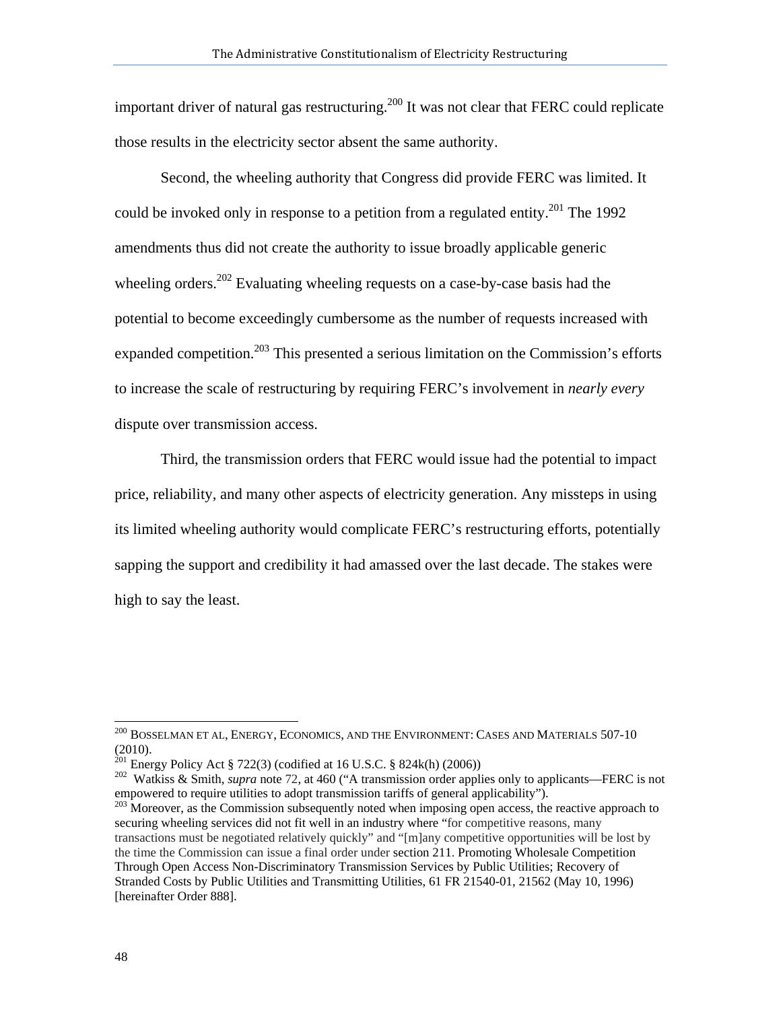important driver of natural gas restructuring.<sup>200</sup> It was not clear that FERC could replicate those results in the electricity sector absent the same authority.

Second, the wheeling authority that Congress did provide FERC was limited. It could be invoked only in response to a petition from a regulated entity.<sup>201</sup> The 1992 amendments thus did not create the authority to issue broadly applicable generic wheeling orders.<sup>202</sup> Evaluating wheeling requests on a case-by-case basis had the potential to become exceedingly cumbersome as the number of requests increased with expanded competition.<sup>203</sup> This presented a serious limitation on the Commission's efforts to increase the scale of restructuring by requiring FERC's involvement in *nearly every* dispute over transmission access.

Third, the transmission orders that FERC would issue had the potential to impact price, reliability, and many other aspects of electricity generation. Any missteps in using its limited wheeling authority would complicate FERC's restructuring efforts, potentially sapping the support and credibility it had amassed over the last decade. The stakes were high to say the least.

 $^{200}\,$  Bosselman et al, Energy, Economics, and the Environment: Cases and Materials 507-10 (2010).

<sup>&</sup>lt;sup>201</sup> Energy Policy Act § 722(3) (codified at 16 U.S.C. § 824k(h) (2006))<br><sup>202</sup> Watkiss & Smith, *supra* note 72, at 460 ("A transmission order applies only to applicants—FERC is not empowered to require utilities to adopt transmission tariffs of general applicability").<br><sup>203</sup> Moreover, as the Commission subsequently noted when imposing open access, the reactive approach to

securing wheeling services did not fit well in an industry where "for competitive reasons, many transactions must be negotiated relatively quickly" and "[m]any competitive opportunities will be lost by the time the Commission can issue a final order under section 211. Promoting Wholesale Competition Through Open Access Non-Discriminatory Transmission Services by Public Utilities; Recovery of Stranded Costs by Public Utilities and Transmitting Utilities, 61 FR 21540-01, 21562 (May 10, 1996) [hereinafter Order 888].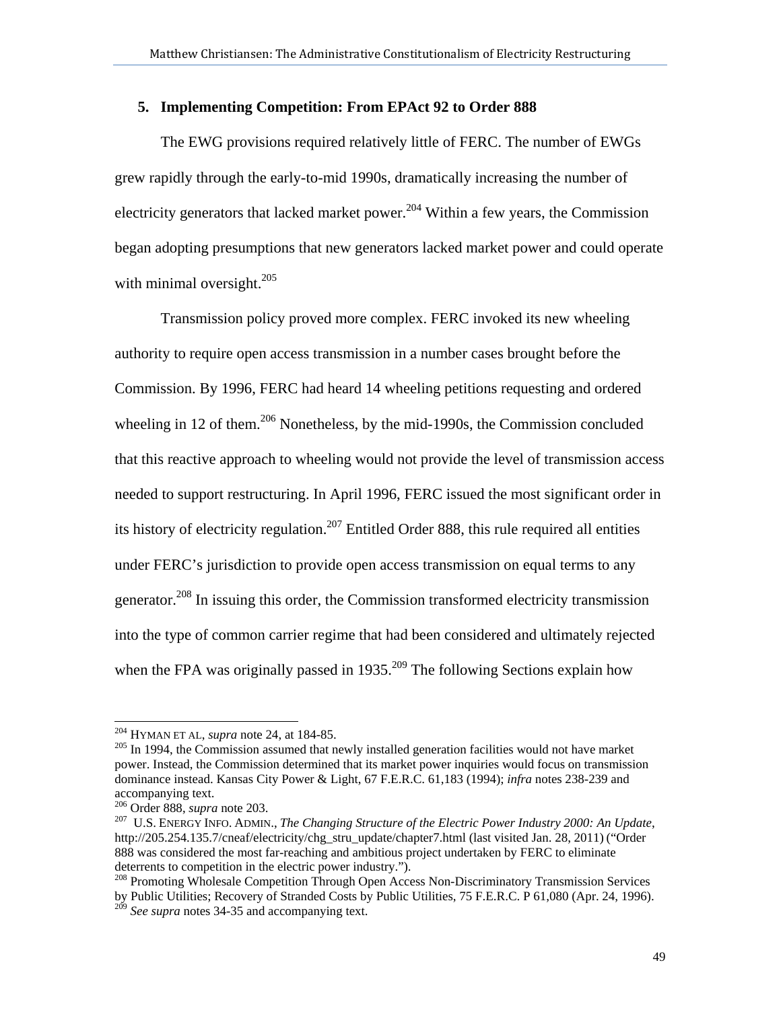# **5. Implementing Competition: From EPAct 92 to Order 888**

The EWG provisions required relatively little of FERC. The number of EWGs grew rapidly through the early-to-mid 1990s, dramatically increasing the number of electricity generators that lacked market power.<sup>204</sup> Within a few years, the Commission began adopting presumptions that new generators lacked market power and could operate with minimal oversight. $^{205}$ 

Transmission policy proved more complex. FERC invoked its new wheeling authority to require open access transmission in a number cases brought before the Commission. By 1996, FERC had heard 14 wheeling petitions requesting and ordered wheeling in 12 of them.<sup>206</sup> Nonetheless, by the mid-1990s, the Commission concluded that this reactive approach to wheeling would not provide the level of transmission access needed to support restructuring. In April 1996, FERC issued the most significant order in its history of electricity regulation.<sup>207</sup> Entitled Order 888, this rule required all entities under FERC's jurisdiction to provide open access transmission on equal terms to any generator.208 In issuing this order, the Commission transformed electricity transmission into the type of common carrier regime that had been considered and ultimately rejected when the FPA was originally passed in 1935.<sup>209</sup> The following Sections explain how

 $204$  HYMAN ET AL, *supra* note 24, at 184-85.

<sup>&</sup>lt;sup>205</sup> In 1994, the Commission assumed that newly installed generation facilities would not have market power. Instead, the Commission determined that its market power inquiries would focus on transmission dominance instead. Kansas City Power & Light, 67 F.E.R.C. 61,183 (1994); *infra* notes 238-239 and accompanying text.<br><sup>206</sup> Order 888, *supra* note 203.

<sup>&</sup>lt;sup>207</sup> U.S. ENERGY INFO. ADMIN., *The Changing Structure of the Electric Power Industry 2000: An Update*, http://205.254.135.7/cneaf/electricity/chg\_stru\_update/chapter7.html (last visited Jan. 28, 2011) ("Order 888 was considered the most far-reaching and ambitious project undertaken by FERC to eliminate deterrents to competition in the electric power industry.").

<sup>&</sup>lt;sup>208</sup> Promoting Wholesale Competition Through Open Access Non-Discriminatory Transmission Services by Public Utilities; Recovery of Stranded Costs by Public Utilities, 75 F.E.R.C. P 61,080 (Apr. 24, 1996). <sup>209</sup> *See supra* notes 34-35 and accompanying text.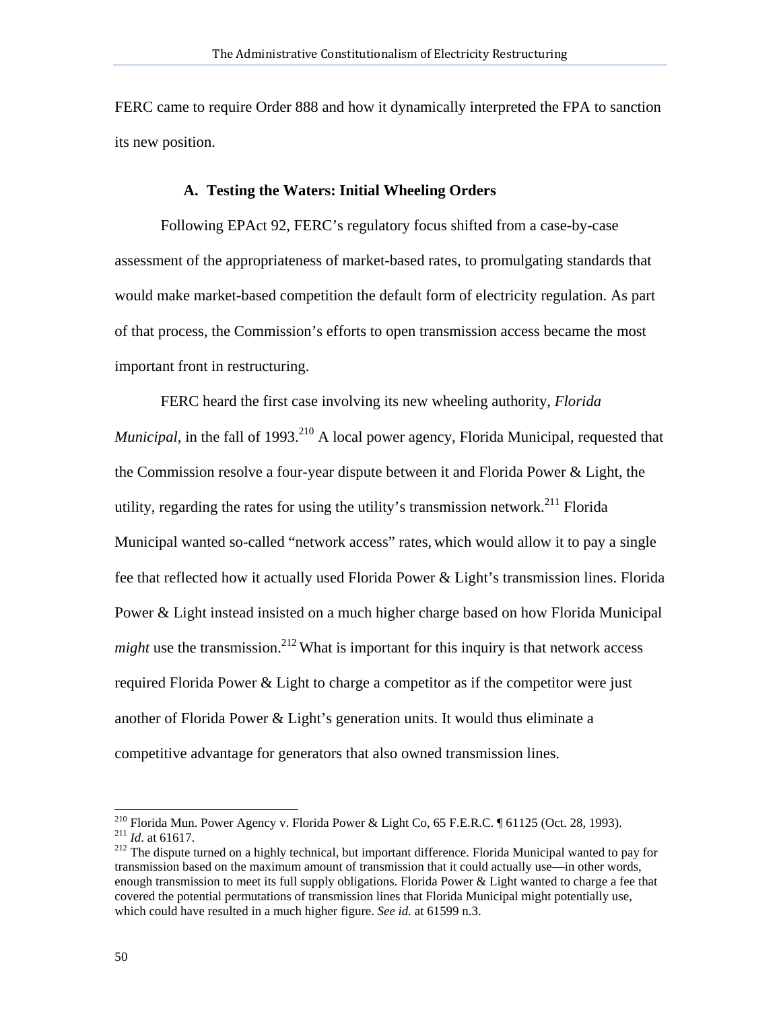FERC came to require Order 888 and how it dynamically interpreted the FPA to sanction its new position.

## **A. Testing the Waters: Initial Wheeling Orders**

Following EPAct 92, FERC's regulatory focus shifted from a case-by-case assessment of the appropriateness of market-based rates, to promulgating standards that would make market-based competition the default form of electricity regulation. As part of that process, the Commission's efforts to open transmission access became the most important front in restructuring.

FERC heard the first case involving its new wheeling authority, *Florida Municipal*, in the fall of 1993.<sup>210</sup> A local power agency, Florida Municipal, requested that the Commission resolve a four-year dispute between it and Florida Power & Light, the utility, regarding the rates for using the utility's transmission network.<sup>211</sup> Florida Municipal wanted so-called "network access" rates, which would allow it to pay a single fee that reflected how it actually used Florida Power & Light's transmission lines. Florida Power & Light instead insisted on a much higher charge based on how Florida Municipal *might* use the transmission.<sup>212</sup> What is important for this inquiry is that network access required Florida Power & Light to charge a competitor as if the competitor were just another of Florida Power & Light's generation units. It would thus eliminate a competitive advantage for generators that also owned transmission lines.

<sup>&</sup>lt;sup>210</sup> Florida Mun. Power Agency v. Florida Power & Light Co, 65 F.E.R.C. ¶ 61125 (Oct. 28, 1993). <sup>211</sup> *Id.* at 61617. The dispute turned on a highly technical, but important difference. Florida Municipal wanted to pay for

transmission based on the maximum amount of transmission that it could actually use—in other words, enough transmission to meet its full supply obligations. Florida Power & Light wanted to charge a fee that covered the potential permutations of transmission lines that Florida Municipal might potentially use, which could have resulted in a much higher figure. *See id.* at 61599 n.3.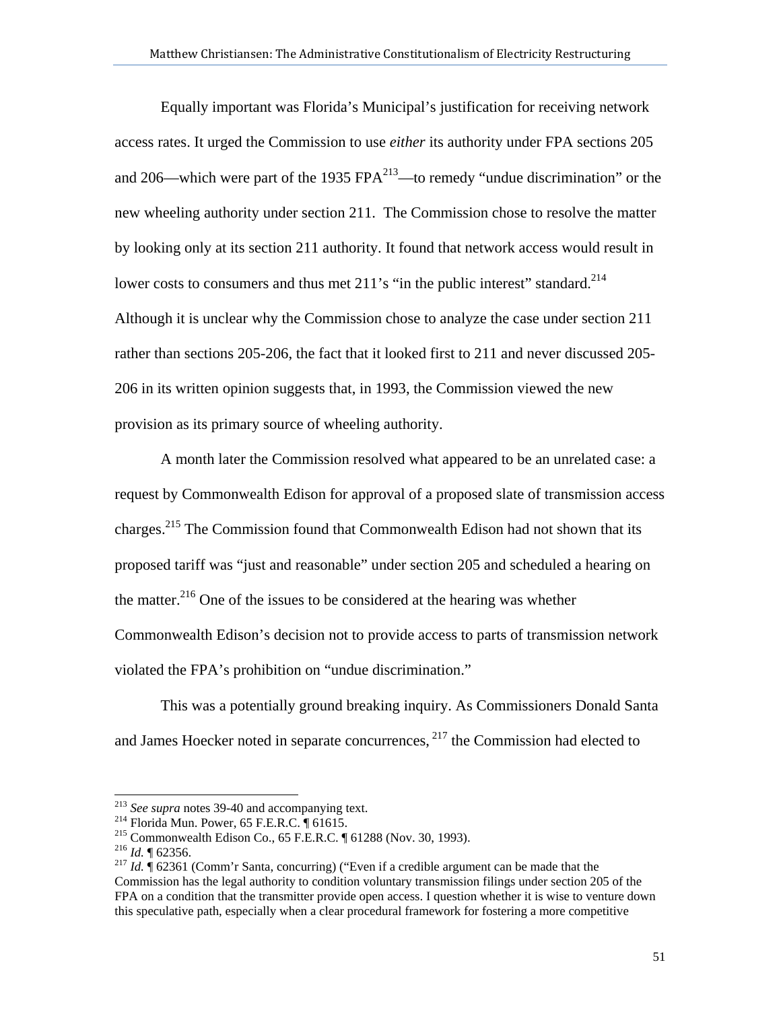Equally important was Florida's Municipal's justification for receiving network access rates. It urged the Commission to use *either* its authority under FPA sections 205 and 206—which were part of the 1935  $FPA^{213}$ —to remedy "undue discrimination" or the new wheeling authority under section 211. The Commission chose to resolve the matter by looking only at its section 211 authority. It found that network access would result in lower costs to consumers and thus met 211's "in the public interest" standard.<sup>214</sup> Although it is unclear why the Commission chose to analyze the case under section 211 rather than sections 205-206, the fact that it looked first to 211 and never discussed 205- 206 in its written opinion suggests that, in 1993, the Commission viewed the new provision as its primary source of wheeling authority.

A month later the Commission resolved what appeared to be an unrelated case: a request by Commonwealth Edison for approval of a proposed slate of transmission access charges.215 The Commission found that Commonwealth Edison had not shown that its proposed tariff was "just and reasonable" under section 205 and scheduled a hearing on the matter.<sup>216</sup> One of the issues to be considered at the hearing was whether Commonwealth Edison's decision not to provide access to parts of transmission network violated the FPA's prohibition on "undue discrimination."

This was a potentially ground breaking inquiry. As Commissioners Donald Santa and James Hoecker noted in separate concurrences, 217 the Commission had elected to

<sup>&</sup>lt;sup>213</sup> See supra notes 39-40 and accompanying text.

<sup>&</sup>lt;sup>214</sup> Florida Mun. Power, 65 F.E.R.C.  $\P$  61615.<br><sup>215</sup> Commonwealth Edison Co., 65 F.E.R.C.  $\P$  61288 (Nov. 30, 1993).<br><sup>216</sup> *Id.*  $\P$  62356.<br><sup>216</sup> *Id.*  $\P$  62361 (Comm'r Santa, concurring) ("Even if a credible argument Commission has the legal authority to condition voluntary transmission filings under section 205 of the FPA on a condition that the transmitter provide open access. I question whether it is wise to venture down this speculative path, especially when a clear procedural framework for fostering a more competitive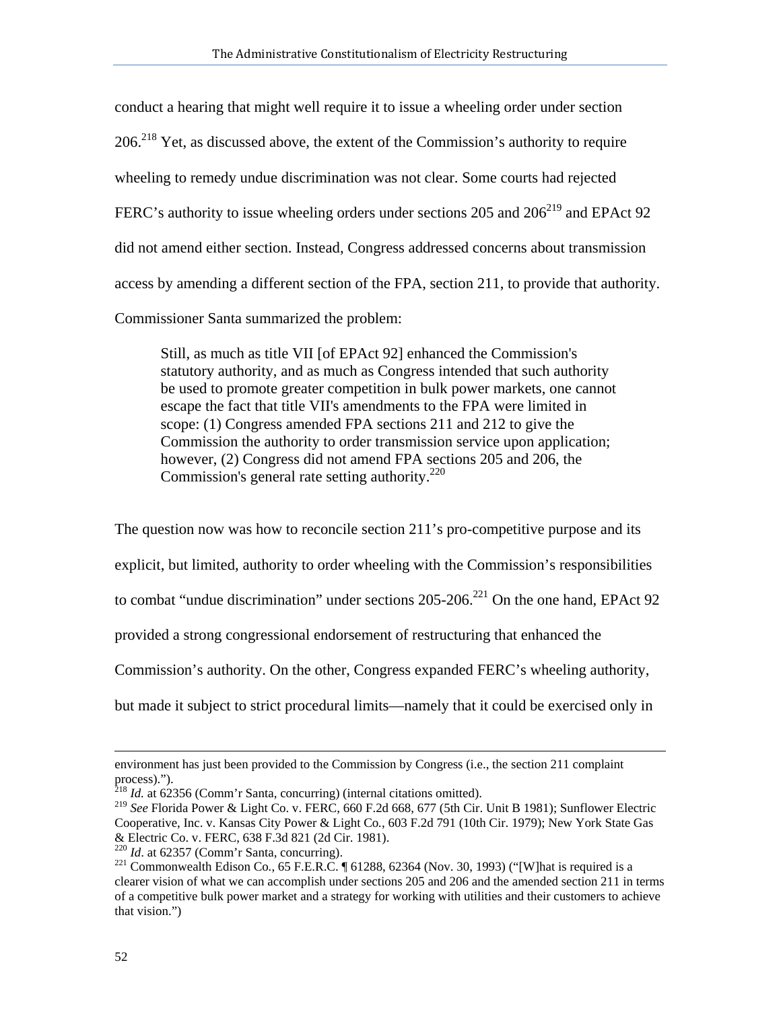conduct a hearing that might well require it to issue a wheeling order under section  $206.<sup>218</sup>$  Yet, as discussed above, the extent of the Commission's authority to require wheeling to remedy undue discrimination was not clear. Some courts had rejected FERC's authority to issue wheeling orders under sections 205 and  $206<sup>219</sup>$  and EPAct 92 did not amend either section. Instead, Congress addressed concerns about transmission access by amending a different section of the FPA, section 211, to provide that authority. Commissioner Santa summarized the problem:

Still, as much as title VII [of EPAct 92] enhanced the Commission's statutory authority, and as much as Congress intended that such authority be used to promote greater competition in bulk power markets, one cannot escape the fact that title VII's amendments to the FPA were limited in scope: (1) Congress amended FPA sections 211 and 212 to give the Commission the authority to order transmission service upon application; however, (2) Congress did not amend FPA sections 205 and 206, the Commission's general rate setting authority.<sup>220</sup>

The question now was how to reconcile section 211's pro-competitive purpose and its explicit, but limited, authority to order wheeling with the Commission's responsibilities to combat "undue discrimination" under sections  $205-206$ <sup>221</sup> On the one hand, EPAct 92 provided a strong congressional endorsement of restructuring that enhanced the Commission's authority. On the other, Congress expanded FERC's wheeling authority, but made it subject to strict procedural limits—namely that it could be exercised only in

environment has just been provided to the Commission by Congress (i.e., the section 211 complaint process).").

<sup>218</sup> *Id.* at 62356 (Comm'r Santa, concurring) (internal citations omitted).

<sup>219</sup> *See* Florida Power & Light Co. v. FERC, 660 F.2d 668, 677 (5th Cir. Unit B 1981); Sunflower Electric Cooperative, Inc. v. Kansas City Power & Light Co*.*, 603 F.2d 791 (10th Cir. 1979); New York State Gas & Electric Co. v. FERC, 638 F.3d 821 (2d Cir. 1981).<br><sup>220</sup> Id. at 62357 (Comm'r Santa, concurring).

<sup>&</sup>lt;sup>221</sup> Commonwealth Edison Co., 65 F.E.R.C. ¶ 61288, 62364 (Nov. 30, 1993) ("[W]hat is required is a clearer vision of what we can accomplish under sections 205 and 206 and the amended section 211 in terms of a competitive bulk power market and a strategy for working with utilities and their customers to achieve that vision.")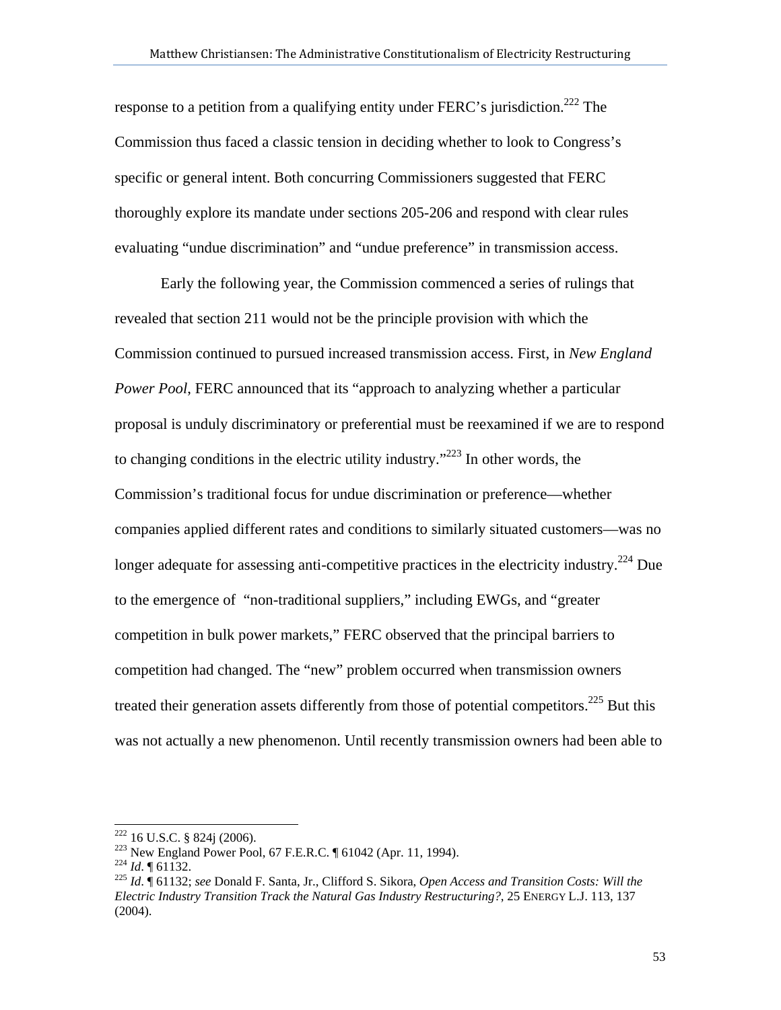response to a petition from a qualifying entity under FERC's jurisdiction.<sup>222</sup> The Commission thus faced a classic tension in deciding whether to look to Congress's specific or general intent. Both concurring Commissioners suggested that FERC thoroughly explore its mandate under sections 205-206 and respond with clear rules evaluating "undue discrimination" and "undue preference" in transmission access.

Early the following year, the Commission commenced a series of rulings that revealed that section 211 would not be the principle provision with which the Commission continued to pursued increased transmission access. First, in *New England Power Pool*, FERC announced that its "approach to analyzing whether a particular proposal is unduly discriminatory or preferential must be reexamined if we are to respond to changing conditions in the electric utility industry."<sup>223</sup> In other words, the Commission's traditional focus for undue discrimination or preference—whether companies applied different rates and conditions to similarly situated customers—was no longer adequate for assessing anti-competitive practices in the electricity industry.<sup>224</sup> Due to the emergence of "non-traditional suppliers," including EWGs, and "greater competition in bulk power markets," FERC observed that the principal barriers to competition had changed. The "new" problem occurred when transmission owners treated their generation assets differently from those of potential competitors.<sup>225</sup> But this was not actually a new phenomenon. Until recently transmission owners had been able to

 $222$  16 U.S.C. § 824j (2006).

<sup>&</sup>lt;sup>223</sup> New England Power Pool, 67 F.E.R.C. ¶ 61042 (Apr. 11, 1994).<br><sup>224</sup> Id. ¶ 61132.<br><sup>225</sup> Id. ¶ 61132; *see* Donald F. Santa, Jr., Clifford S. Sikora, *Open Access and Transition Costs: Will the Electric Industry Transition Track the Natural Gas Industry Restructuring?*, 25 ENERGY L.J. 113, 137 (2004).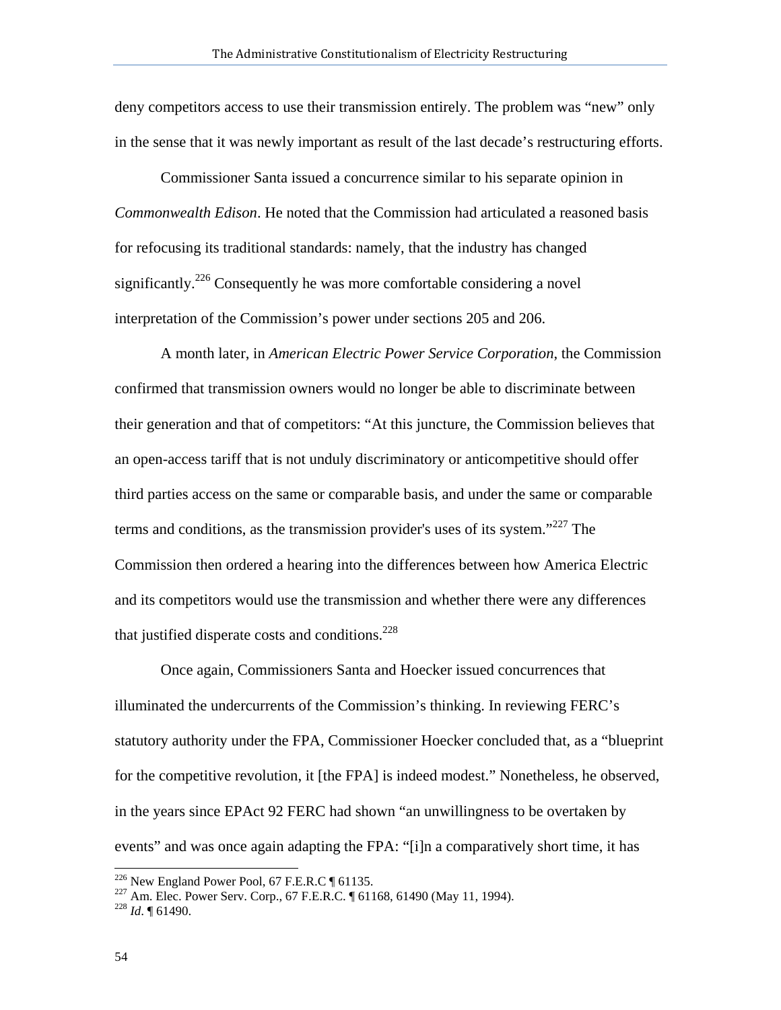deny competitors access to use their transmission entirely. The problem was "new" only in the sense that it was newly important as result of the last decade's restructuring efforts.

Commissioner Santa issued a concurrence similar to his separate opinion in *Commonwealth Edison*. He noted that the Commission had articulated a reasoned basis for refocusing its traditional standards: namely, that the industry has changed significantly.<sup>226</sup> Consequently he was more comfortable considering a novel interpretation of the Commission's power under sections 205 and 206.

A month later, in *American Electric Power Service Corporation*, the Commission confirmed that transmission owners would no longer be able to discriminate between their generation and that of competitors: "At this juncture, the Commission believes that an open-access tariff that is not unduly discriminatory or anticompetitive should offer third parties access on the same or comparable basis, and under the same or comparable terms and conditions, as the transmission provider's uses of its system. $1227$  The Commission then ordered a hearing into the differences between how America Electric and its competitors would use the transmission and whether there were any differences that justified disperate costs and conditions.<sup>228</sup>

Once again, Commissioners Santa and Hoecker issued concurrences that illuminated the undercurrents of the Commission's thinking. In reviewing FERC's statutory authority under the FPA, Commissioner Hoecker concluded that, as a "blueprint for the competitive revolution, it [the FPA] is indeed modest." Nonetheless, he observed, in the years since EPAct 92 FERC had shown "an unwillingness to be overtaken by events" and was once again adapting the FPA: "[i]n a comparatively short time, it has

 $^{226}$  New England Power Pool, 67 F.E.R.C  $\parallel$  61135.

<sup>&</sup>lt;sup>227</sup> Am. Elec. Power Serv. Corp., 67 F.E.R.C. ¶ 61168, 61490 (May 11, 1994). <sup>228</sup> *Id.* ¶ 61490.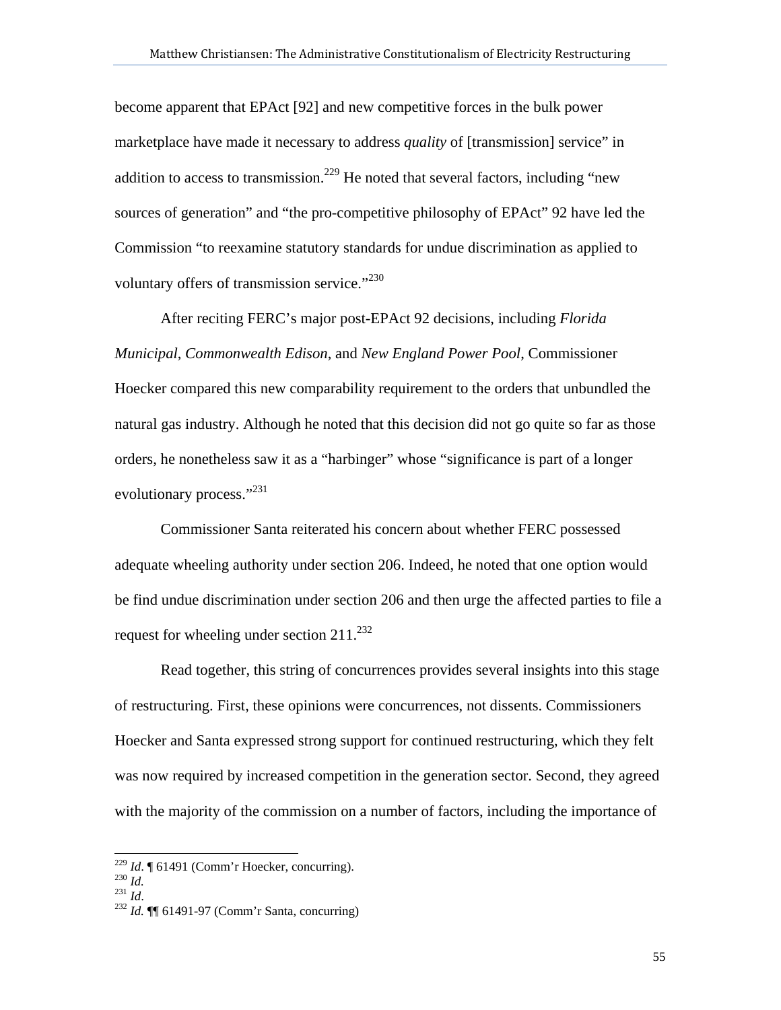become apparent that EPAct [92] and new competitive forces in the bulk power marketplace have made it necessary to address *quality* of [transmission] service" in addition to access to transmission.<sup>229</sup> He noted that several factors, including "new sources of generation" and "the pro-competitive philosophy of EPAct" 92 have led the Commission "to reexamine statutory standards for undue discrimination as applied to voluntary offers of transmission service." $230$ 

After reciting FERC's major post-EPAct 92 decisions, including *Florida Municipal*, *Commonwealth Edison*, and *New England Power Pool*, Commissioner Hoecker compared this new comparability requirement to the orders that unbundled the natural gas industry. Although he noted that this decision did not go quite so far as those orders, he nonetheless saw it as a "harbinger" whose "significance is part of a longer evolutionary process."<sup>231</sup>

Commissioner Santa reiterated his concern about whether FERC possessed adequate wheeling authority under section 206. Indeed, he noted that one option would be find undue discrimination under section 206 and then urge the affected parties to file a request for wheeling under section  $211^{232}$ 

Read together, this string of concurrences provides several insights into this stage of restructuring. First, these opinions were concurrences, not dissents. Commissioners Hoecker and Santa expressed strong support for continued restructuring, which they felt was now required by increased competition in the generation sector. Second, they agreed with the majority of the commission on a number of factors, including the importance of

<sup>&</sup>lt;sup>229</sup> *Id.* ¶ 61491 (Comm'r Hoecker, concurring).<br><sup>230</sup> *Id.* <br><sup>231</sup> *Id.* ¶ 61491-97 (Comm'r Santa, concurring)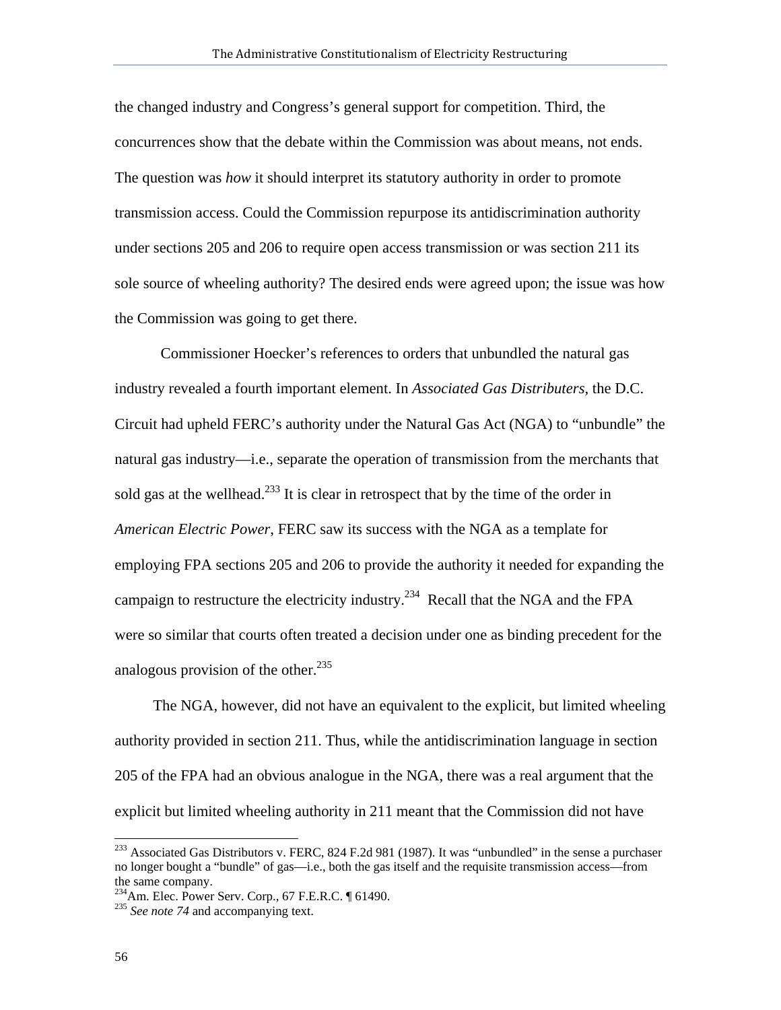the changed industry and Congress's general support for competition. Third, the concurrences show that the debate within the Commission was about means, not ends. The question was *how* it should interpret its statutory authority in order to promote transmission access. Could the Commission repurpose its antidiscrimination authority under sections 205 and 206 to require open access transmission or was section 211 its sole source of wheeling authority? The desired ends were agreed upon; the issue was how the Commission was going to get there.

Commissioner Hoecker's references to orders that unbundled the natural gas industry revealed a fourth important element. In *Associated Gas Distributers*, the D.C. Circuit had upheld FERC's authority under the Natural Gas Act (NGA) to "unbundle" the natural gas industry—i.e., separate the operation of transmission from the merchants that sold gas at the wellhead.<sup>233</sup> It is clear in retrospect that by the time of the order in *American Electric Power*, FERC saw its success with the NGA as a template for employing FPA sections 205 and 206 to provide the authority it needed for expanding the campaign to restructure the electricity industry.<sup>234</sup> Recall that the NGA and the FPA were so similar that courts often treated a decision under one as binding precedent for the analogous provision of the other. $^{235}$ 

 The NGA, however, did not have an equivalent to the explicit, but limited wheeling authority provided in section 211. Thus, while the antidiscrimination language in section 205 of the FPA had an obvious analogue in the NGA, there was a real argument that the explicit but limited wheeling authority in 211 meant that the Commission did not have

 $^{233}$  Associated Gas Distributors v. FERC, 824 F.2d 981 (1987). It was "unbundled" in the sense a purchaser no longer bought a "bundle" of gas—i.e., both the gas itself and the requisite transmission access—from the same company.

<sup>&</sup>lt;sup>234</sup>Am. Elec. Power Serv. Corp., 67 F.E.R.C. ¶ 61490.<br><sup>235</sup> *See note 74* and accompanying text.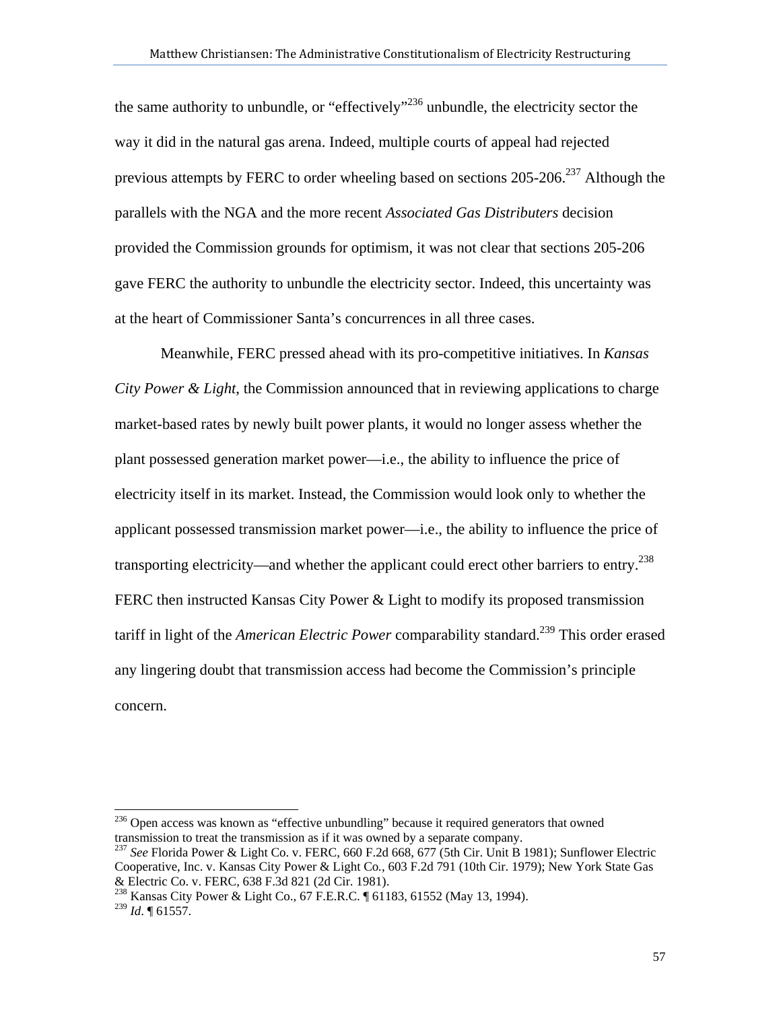the same authority to unbundle, or "effectively"<sup>236</sup> unbundle, the electricity sector the way it did in the natural gas arena. Indeed, multiple courts of appeal had rejected previous attempts by FERC to order wheeling based on sections  $205-206$ <sup>237</sup> Although the parallels with the NGA and the more recent *Associated Gas Distributers* decision provided the Commission grounds for optimism, it was not clear that sections 205-206 gave FERC the authority to unbundle the electricity sector. Indeed, this uncertainty was at the heart of Commissioner Santa's concurrences in all three cases.

Meanwhile, FERC pressed ahead with its pro-competitive initiatives. In *Kansas City Power & Light*, the Commission announced that in reviewing applications to charge market-based rates by newly built power plants, it would no longer assess whether the plant possessed generation market power—i.e., the ability to influence the price of electricity itself in its market. Instead, the Commission would look only to whether the applicant possessed transmission market power—i.e., the ability to influence the price of transporting electricity—and whether the applicant could erect other barriers to entry.<sup>238</sup> FERC then instructed Kansas City Power & Light to modify its proposed transmission tariff in light of the *American Electric Power* comparability standard.<sup>239</sup> This order erased any lingering doubt that transmission access had become the Commission's principle concern.

 $236$  Open access was known as "effective unbundling" because it required generators that owned transmission to treat the transmission as if it was owned by a separate company.

<sup>237</sup> *See* Florida Power & Light Co. v. FERC, 660 F.2d 668, 677 (5th Cir. Unit B 1981); Sunflower Electric Cooperative, Inc. v. Kansas City Power & Light Co*.*, 603 F.2d 791 (10th Cir. 1979); New York State Gas & Electric Co. v. FERC, 638 F.3d 821 (2d Cir. 1981).

<sup>238</sup> Kansas City Power & Light Co., 67 F.E.R.C. ¶ 61183, 61552 (May 13, 1994). <sup>239</sup> *Id*. ¶ 61557.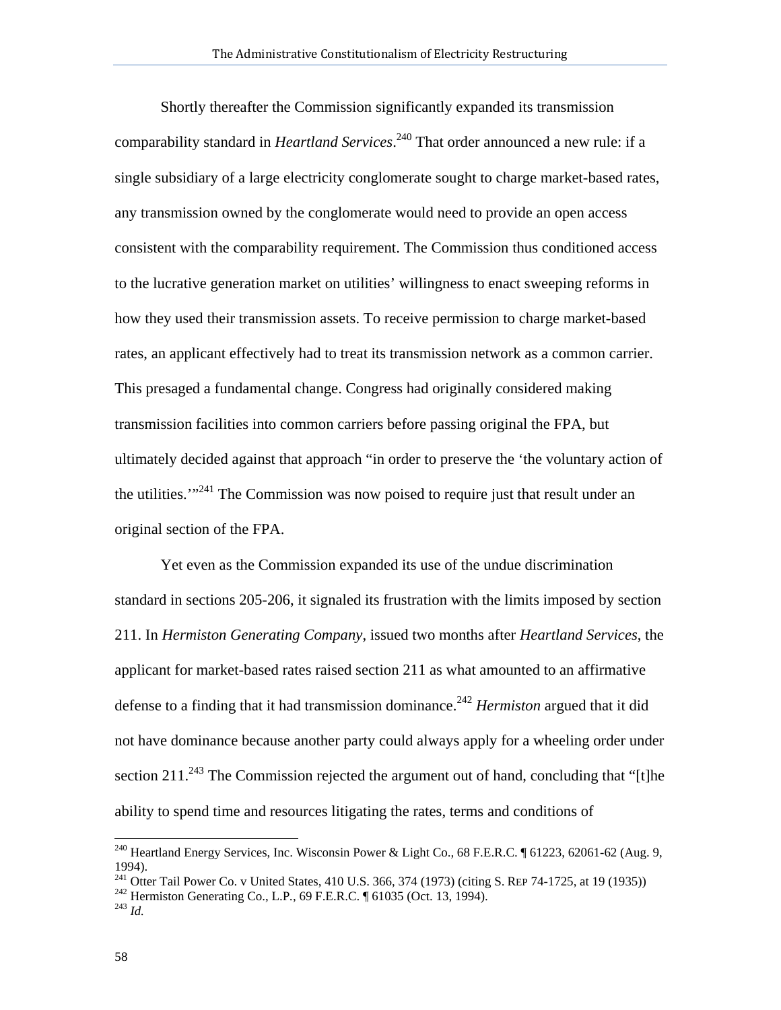Shortly thereafter the Commission significantly expanded its transmission comparability standard in *Heartland Services*. 240 That order announced a new rule: if a single subsidiary of a large electricity conglomerate sought to charge market-based rates, any transmission owned by the conglomerate would need to provide an open access consistent with the comparability requirement. The Commission thus conditioned access to the lucrative generation market on utilities' willingness to enact sweeping reforms in how they used their transmission assets. To receive permission to charge market-based rates, an applicant effectively had to treat its transmission network as a common carrier. This presaged a fundamental change. Congress had originally considered making transmission facilities into common carriers before passing original the FPA, but ultimately decided against that approach "in order to preserve the 'the voluntary action of the utilities.<sup>'"<sup>241</sup> The Commission was now poised to require just that result under an</sup> original section of the FPA.

Yet even as the Commission expanded its use of the undue discrimination standard in sections 205-206, it signaled its frustration with the limits imposed by section 211. In *Hermiston Generating Company*, issued two months after *Heartland Services*, the applicant for market-based rates raised section 211 as what amounted to an affirmative defense to a finding that it had transmission dominance.<sup>242</sup> *Hermiston* argued that it did not have dominance because another party could always apply for a wheeling order under section 211.<sup>243</sup> The Commission rejected the argument out of hand, concluding that "[t]he ability to spend time and resources litigating the rates, terms and conditions of

<sup>240</sup> Heartland Energy Services, Inc. Wisconsin Power & Light Co.*,* 68 F.E.R.C. ¶ 61223, 62061-62 (Aug. 9, 1994).

<sup>&</sup>lt;sup>241</sup> Otter Tail Power Co. v United States, 410 U.S. 366, 374 (1973) (citing S. REP 74-1725, at 19 (1935)) <sup>242</sup> Hermiston Generating Co., L.P., 69 F.E.R.C. ¶ 61035 (Oct. 13, 1994). <sup>243</sup> *Id.*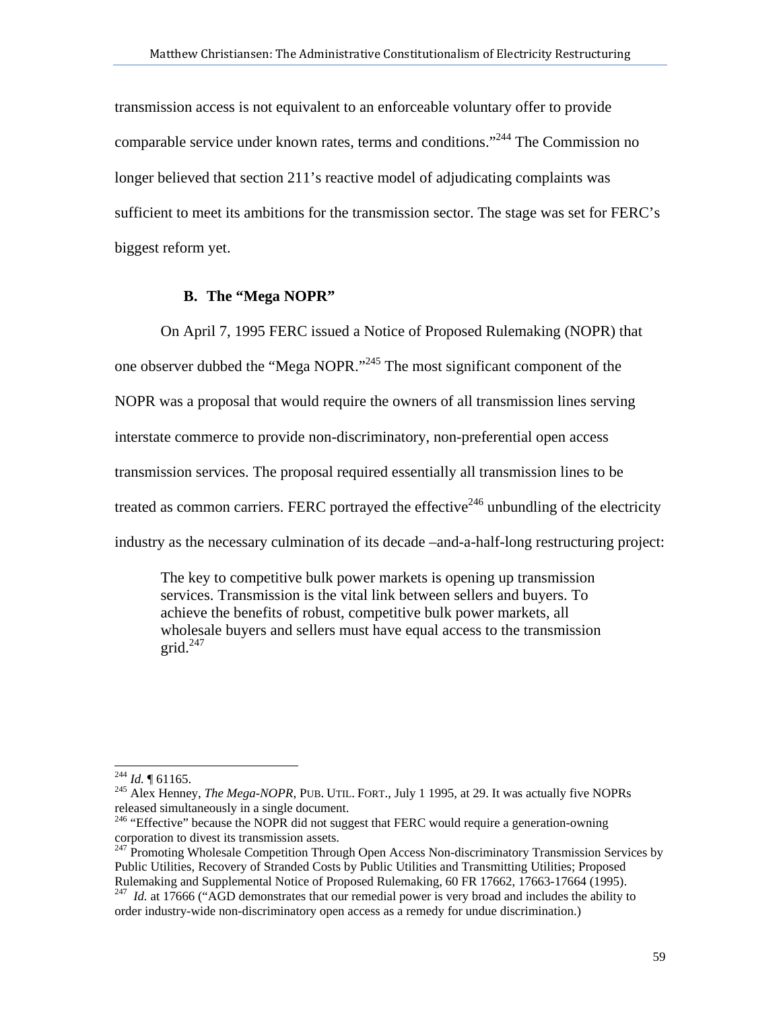transmission access is not equivalent to an enforceable voluntary offer to provide comparable service under known rates, terms and conditions."244 The Commission no longer believed that section 211's reactive model of adjudicating complaints was sufficient to meet its ambitions for the transmission sector. The stage was set for FERC's biggest reform yet.

## **B. The "Mega NOPR"**

On April 7, 1995 FERC issued a Notice of Proposed Rulemaking (NOPR) that one observer dubbed the "Mega NOPR."245 The most significant component of the NOPR was a proposal that would require the owners of all transmission lines serving interstate commerce to provide non-discriminatory, non-preferential open access transmission services. The proposal required essentially all transmission lines to be treated as common carriers. FERC portrayed the effective<sup>246</sup> unbundling of the electricity industry as the necessary culmination of its decade –and-a-half-long restructuring project:

The key to competitive bulk power markets is opening up transmission services. Transmission is the vital link between sellers and buyers. To achieve the benefits of robust, competitive bulk power markets, all wholesale buyers and sellers must have equal access to the transmission grid. $247$ 

 $^{244}$  *Id.*  $\P$  61165.

<sup>&</sup>lt;sup>245</sup> Alex Henney, *The Mega-NOPR*, PUB. UTIL. FORT., July 1 1995, at 29. It was actually five NOPRs released simultaneously in a single document.

<sup>&</sup>lt;sup>246</sup> "Effective" because the NOPR did not suggest that FERC would require a generation-owning corporation to divest its transmission assets.

<sup>&</sup>lt;sup>247</sup> Promoting Wholesale Competition Through Open Access Non-discriminatory Transmission Services by Public Utilities, Recovery of Stranded Costs by Public Utilities and Transmitting Utilities; Proposed Rulemaking and Supplemental Notice of Proposed Rulemaking, 60 FR 17662, 17663-17664 (1995).

<sup>&</sup>lt;sup>247</sup> *Id.* at 17666 ("AGD demonstrates that our remedial power is very broad and includes the ability to order industry-wide non-discriminatory open access as a remedy for undue discrimination.)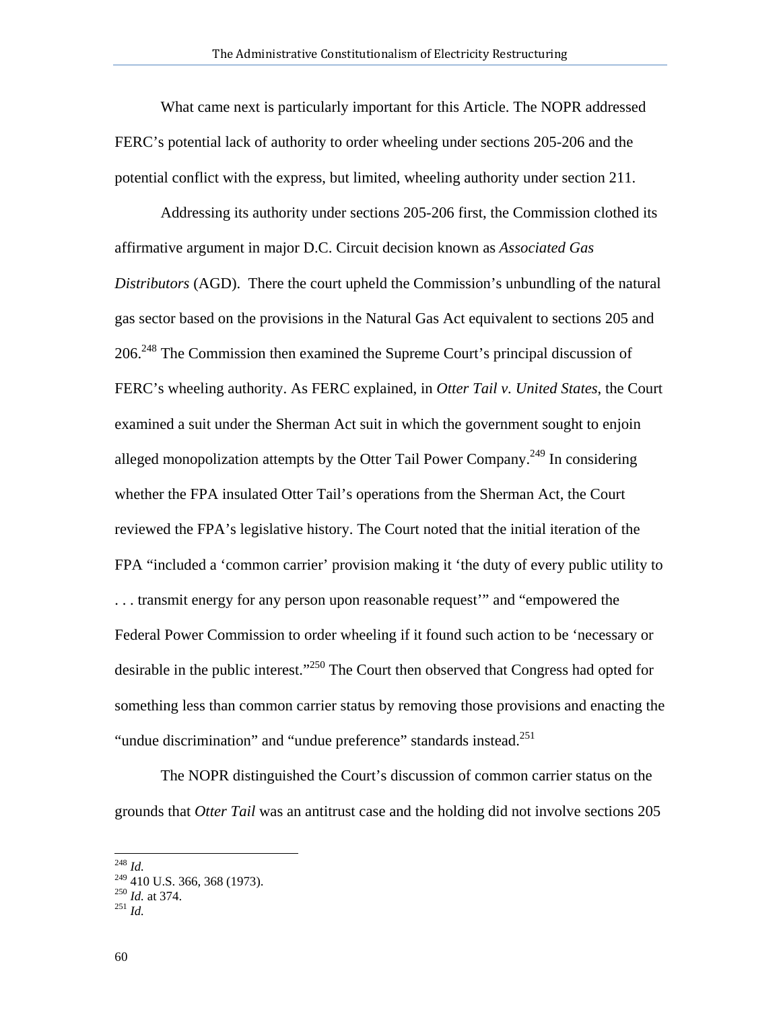What came next is particularly important for this Article. The NOPR addressed FERC's potential lack of authority to order wheeling under sections 205-206 and the potential conflict with the express, but limited, wheeling authority under section 211.

Addressing its authority under sections 205-206 first, the Commission clothed its affirmative argument in major D.C. Circuit decision known as *Associated Gas Distributors* (AGD). There the court upheld the Commission's unbundling of the natural gas sector based on the provisions in the Natural Gas Act equivalent to sections 205 and 206.248 The Commission then examined the Supreme Court's principal discussion of FERC's wheeling authority. As FERC explained, in *Otter Tail v. United States*, the Court examined a suit under the Sherman Act suit in which the government sought to enjoin alleged monopolization attempts by the Otter Tail Power Company.<sup>249</sup> In considering whether the FPA insulated Otter Tail's operations from the Sherman Act, the Court reviewed the FPA's legislative history. The Court noted that the initial iteration of the FPA "included a 'common carrier' provision making it 'the duty of every public utility to . . . transmit energy for any person upon reasonable request'" and "empowered the Federal Power Commission to order wheeling if it found such action to be 'necessary or desirable in the public interest."<sup>250</sup> The Court then observed that Congress had opted for something less than common carrier status by removing those provisions and enacting the "undue discrimination" and "undue preference" standards instead.<sup>251</sup>

The NOPR distinguished the Court's discussion of common carrier status on the grounds that *Otter Tail* was an antitrust case and the holding did not involve sections 205

<sup>248</sup> *Id.*

 $\frac{249}{249}$  410 U.S. 366, 368 (1973).<br>
<sup>250</sup> *Id.* at 374.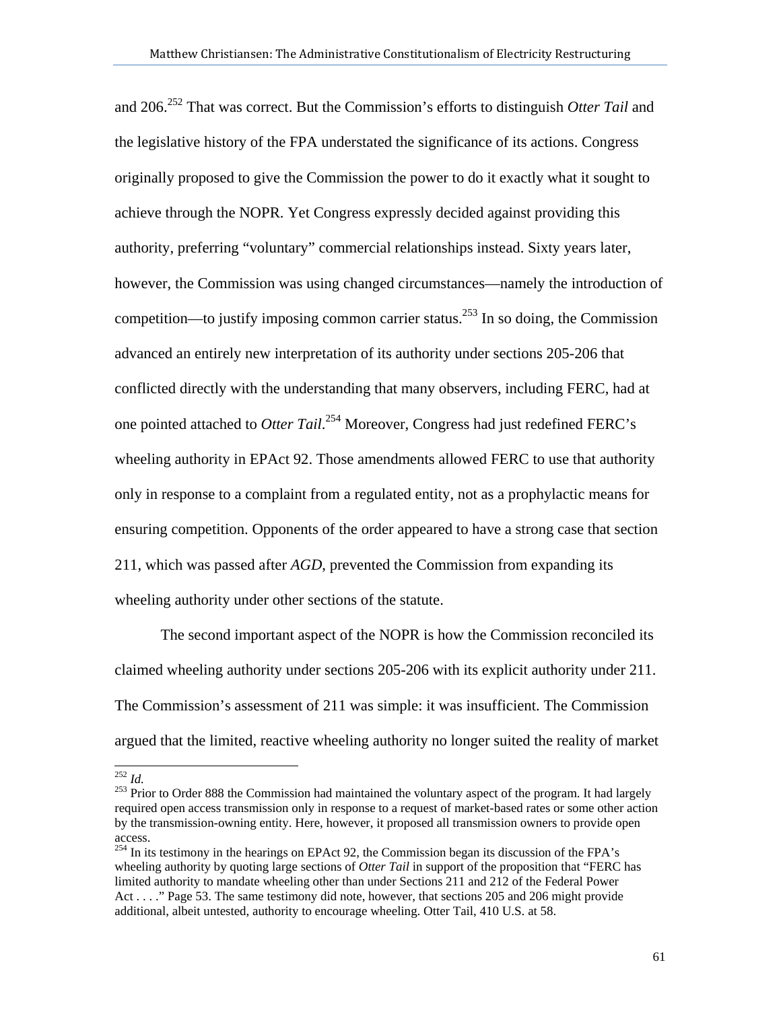and 206.252 That was correct. But the Commission's efforts to distinguish *Otter Tail* and the legislative history of the FPA understated the significance of its actions. Congress originally proposed to give the Commission the power to do it exactly what it sought to achieve through the NOPR. Yet Congress expressly decided against providing this authority, preferring "voluntary" commercial relationships instead. Sixty years later, however, the Commission was using changed circumstances—namely the introduction of competition—to justify imposing common carrier status.<sup>253</sup> In so doing, the Commission advanced an entirely new interpretation of its authority under sections 205-206 that conflicted directly with the understanding that many observers, including FERC, had at one pointed attached to *Otter Tail*. <sup>254</sup> Moreover, Congress had just redefined FERC's wheeling authority in EPAct 92. Those amendments allowed FERC to use that authority only in response to a complaint from a regulated entity, not as a prophylactic means for ensuring competition. Opponents of the order appeared to have a strong case that section 211, which was passed after *AGD*, prevented the Commission from expanding its wheeling authority under other sections of the statute.

 The second important aspect of the NOPR is how the Commission reconciled its claimed wheeling authority under sections 205-206 with its explicit authority under 211. The Commission's assessment of 211 was simple: it was insufficient. The Commission argued that the limited, reactive wheeling authority no longer suited the reality of market

 $^{252}$  *Id.* 

<sup>&</sup>lt;sup>253</sup> Prior to Order 888 the Commission had maintained the voluntary aspect of the program. It had largely required open access transmission only in response to a request of market-based rates or some other action by the transmission-owning entity. Here, however, it proposed all transmission owners to provide open access.

<sup>&</sup>lt;sup>254</sup> In its testimony in the hearings on EPAct 92, the Commission began its discussion of the FPA's wheeling authority by quoting large sections of *Otter Tail* in support of the proposition that "FERC has limited authority to mandate wheeling other than under Sections 211 and 212 of the Federal Power Act . . . ." Page 53. The same testimony did note, however, that sections 205 and 206 might provide additional, albeit untested, authority to encourage wheeling. Otter Tail, 410 U.S. at 58.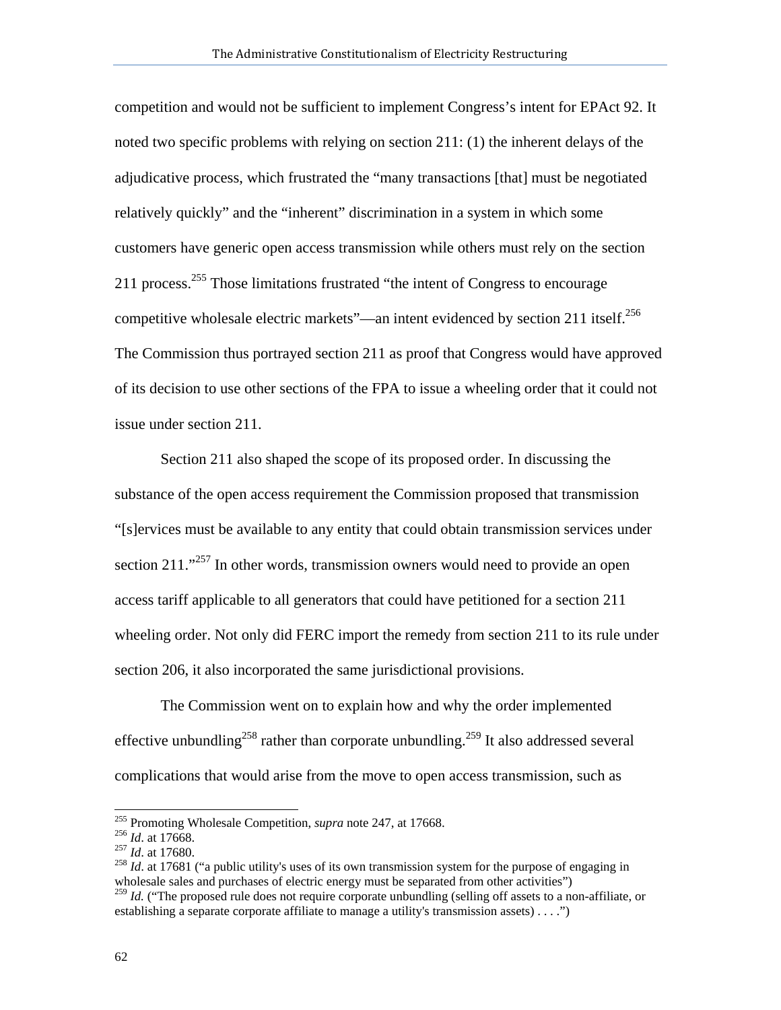competition and would not be sufficient to implement Congress's intent for EPAct 92. It noted two specific problems with relying on section 211: (1) the inherent delays of the adjudicative process, which frustrated the "many transactions [that] must be negotiated relatively quickly" and the "inherent" discrimination in a system in which some customers have generic open access transmission while others must rely on the section 211 process.<sup>255</sup> Those limitations frustrated "the intent of Congress to encourage competitive wholesale electric markets"—an intent evidenced by section 211 itself.<sup>256</sup> The Commission thus portrayed section 211 as proof that Congress would have approved of its decision to use other sections of the FPA to issue a wheeling order that it could not issue under section 211.

 Section 211 also shaped the scope of its proposed order. In discussing the substance of the open access requirement the Commission proposed that transmission "[s]ervices must be available to any entity that could obtain transmission services under section 211."<sup>257</sup> In other words, transmission owners would need to provide an open access tariff applicable to all generators that could have petitioned for a section 211 wheeling order. Not only did FERC import the remedy from section 211 to its rule under section 206, it also incorporated the same jurisdictional provisions.

The Commission went on to explain how and why the order implemented effective unbundling<sup>258</sup> rather than corporate unbundling.<sup>259</sup> It also addressed several complications that would arise from the move to open access transmission, such as

<sup>&</sup>lt;sup>255</sup> Promoting Wholesale Competition, *supra* note 247, at 17668.

<sup>&</sup>lt;sup>256</sup> *Id.* at 17668.<br><sup>257</sup> *Id.* at 17680.<br><sup>257</sup> *Id.* at 17680.<br><sup>258</sup> *Id.* at 17681 ("a public utility's uses of its own transmission system for the purpose of engaging in wholesale sales and purchases of electric energy must be separated from other activities")

<sup>&</sup>lt;sup>259</sup> *Id.* ("The proposed rule does not require corporate unbundling (selling off assets to a non-affiliate, or establishing a separate corporate affiliate to manage a utility's transmission assets) . . . .")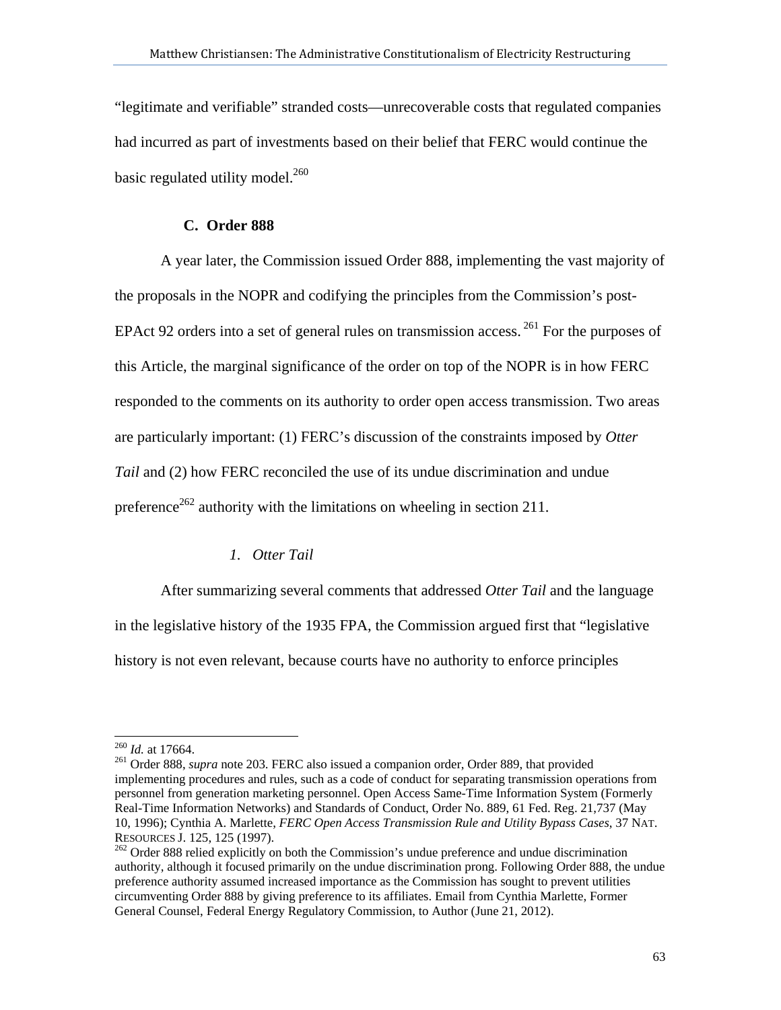"legitimate and verifiable" stranded costs—unrecoverable costs that regulated companies had incurred as part of investments based on their belief that FERC would continue the basic regulated utility model.<sup>260</sup>

## **C. Order 888**

A year later, the Commission issued Order 888, implementing the vast majority of the proposals in the NOPR and codifying the principles from the Commission's post-EPAct 92 orders into a set of general rules on transmission access.  $^{261}$  For the purposes of this Article, the marginal significance of the order on top of the NOPR is in how FERC responded to the comments on its authority to order open access transmission. Two areas are particularly important: (1) FERC's discussion of the constraints imposed by *Otter Tail* and (2) how FERC reconciled the use of its undue discrimination and undue preference<sup>262</sup> authority with the limitations on wheeling in section 211.

# *1. Otter Tail*

After summarizing several comments that addressed *Otter Tail* and the language in the legislative history of the 1935 FPA, the Commission argued first that "legislative history is not even relevant, because courts have no authority to enforce principles

 $260$  *Id.* at 17664.

<sup>&</sup>lt;sup>261</sup> Order 888, *supra* note 203. FERC also issued a companion order, Order 889, that provided implementing procedures and rules, such as a code of conduct for separating transmission operations from personnel from generation marketing personnel. Open Access Same-Time Information System (Formerly Real-Time Information Networks) and Standards of Conduct, Order No. 889, 61 Fed. Reg. 21,737 (May 10, 1996); Cynthia A. Marlette, *FERC Open Access Transmission Rule and Utility Bypass Cases*, 37 NAT.

<sup>&</sup>lt;sup>262</sup> Order 888 relied explicitly on both the Commission's undue preference and undue discrimination authority, although it focused primarily on the undue discrimination prong. Following Order 888, the undue preference authority assumed increased importance as the Commission has sought to prevent utilities circumventing Order 888 by giving preference to its affiliates. Email from Cynthia Marlette, Former General Counsel, Federal Energy Regulatory Commission, to Author (June 21, 2012).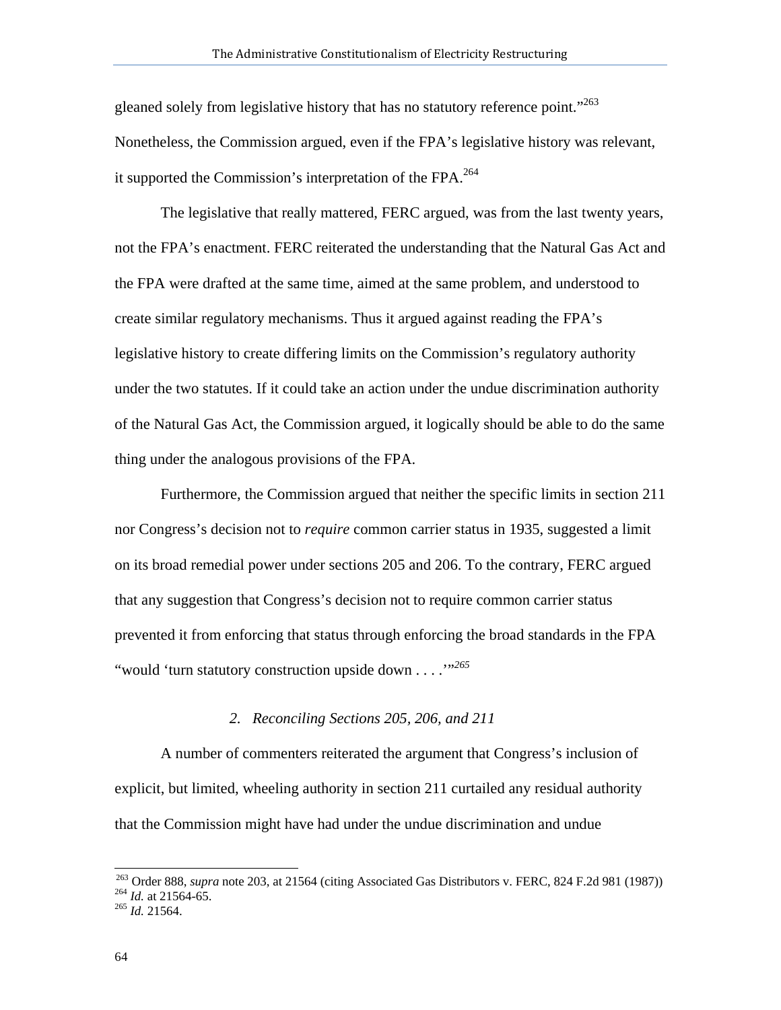gleaned solely from legislative history that has no statutory reference point."<sup>263</sup> Nonetheless, the Commission argued, even if the FPA's legislative history was relevant, it supported the Commission's interpretation of the FPA.<sup>264</sup>

The legislative that really mattered, FERC argued, was from the last twenty years, not the FPA's enactment. FERC reiterated the understanding that the Natural Gas Act and the FPA were drafted at the same time, aimed at the same problem, and understood to create similar regulatory mechanisms. Thus it argued against reading the FPA's legislative history to create differing limits on the Commission's regulatory authority under the two statutes. If it could take an action under the undue discrimination authority of the Natural Gas Act, the Commission argued, it logically should be able to do the same thing under the analogous provisions of the FPA.

Furthermore, the Commission argued that neither the specific limits in section 211 nor Congress's decision not to *require* common carrier status in 1935, suggested a limit on its broad remedial power under sections 205 and 206. To the contrary, FERC argued that any suggestion that Congress's decision not to require common carrier status prevented it from enforcing that status through enforcing the broad standards in the FPA "would 'turn statutory construction upside down . . . .'"*<sup>265</sup>*

### *2. Reconciling Sections 205, 206, and 211*

A number of commenters reiterated the argument that Congress's inclusion of explicit, but limited, wheeling authority in section 211 curtailed any residual authority that the Commission might have had under the undue discrimination and undue

l

<sup>&</sup>lt;sup>263</sup> Order 888, *supra* note 203, at 21564 (citing Associated Gas Distributors v. FERC, 824 F.2d 981 (1987)) <sup>264</sup> *Id.* at 21564-65. <br><sup>264</sup> *Id.* 21564.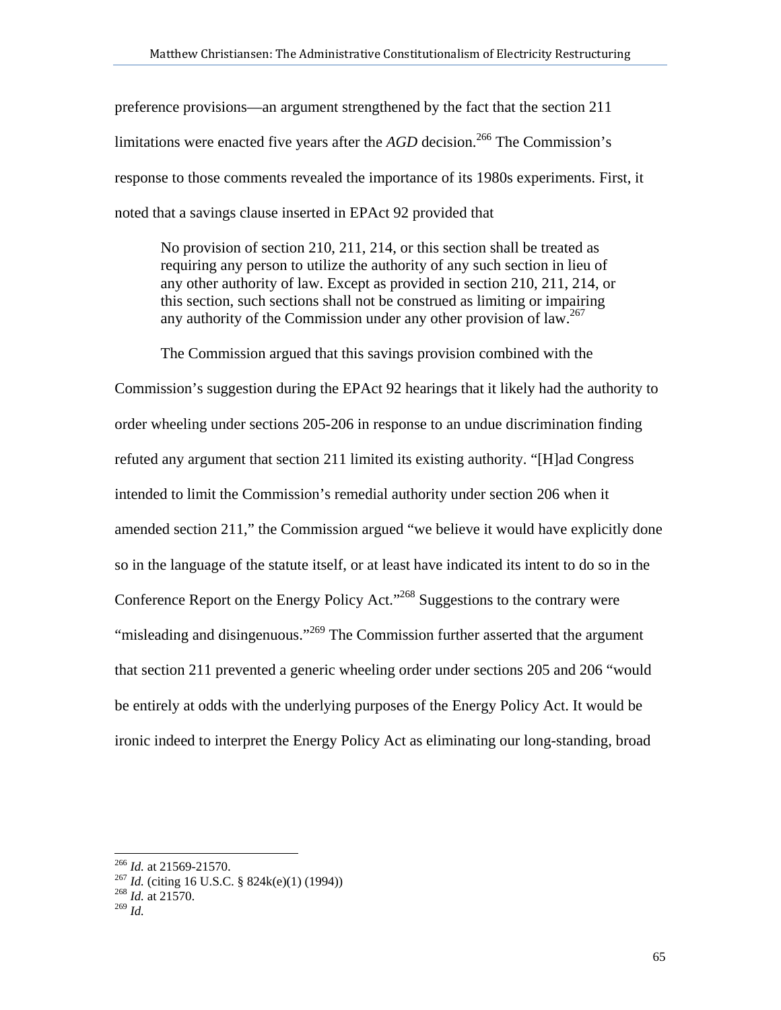preference provisions—an argument strengthened by the fact that the section 211 limitations were enacted five years after the  $AGD$  decision.<sup>266</sup> The Commission's response to those comments revealed the importance of its 1980s experiments. First, it noted that a savings clause inserted in EPAct 92 provided that

No provision of section 210, 211, 214, or this section shall be treated as requiring any person to utilize the authority of any such section in lieu of any other authority of law. Except as provided in section 210, 211, 214, or this section, such sections shall not be construed as limiting or impairing any authority of the Commission under any other provision of  $law<sup>267</sup>$ .

The Commission argued that this savings provision combined with the

Commission's suggestion during the EPAct 92 hearings that it likely had the authority to order wheeling under sections 205-206 in response to an undue discrimination finding refuted any argument that section 211 limited its existing authority. "[H]ad Congress intended to limit the Commission's remedial authority under section 206 when it amended section 211," the Commission argued "we believe it would have explicitly done so in the language of the statute itself, or at least have indicated its intent to do so in the Conference Report on the Energy Policy Act."268 Suggestions to the contrary were "misleading and disingenuous."<sup>269</sup> The Commission further asserted that the argument that section 211 prevented a generic wheeling order under sections 205 and 206 "would be entirely at odds with the underlying purposes of the Energy Policy Act. It would be ironic indeed to interpret the Energy Policy Act as eliminating our long-standing, broad

<sup>266</sup> *Id.* at 21569-21570. 267 *Id.* (citing 16 U.S.C. § 824k(e)(1) (1994)) 268 *Id.* at 21570.

<sup>269</sup> *Id.*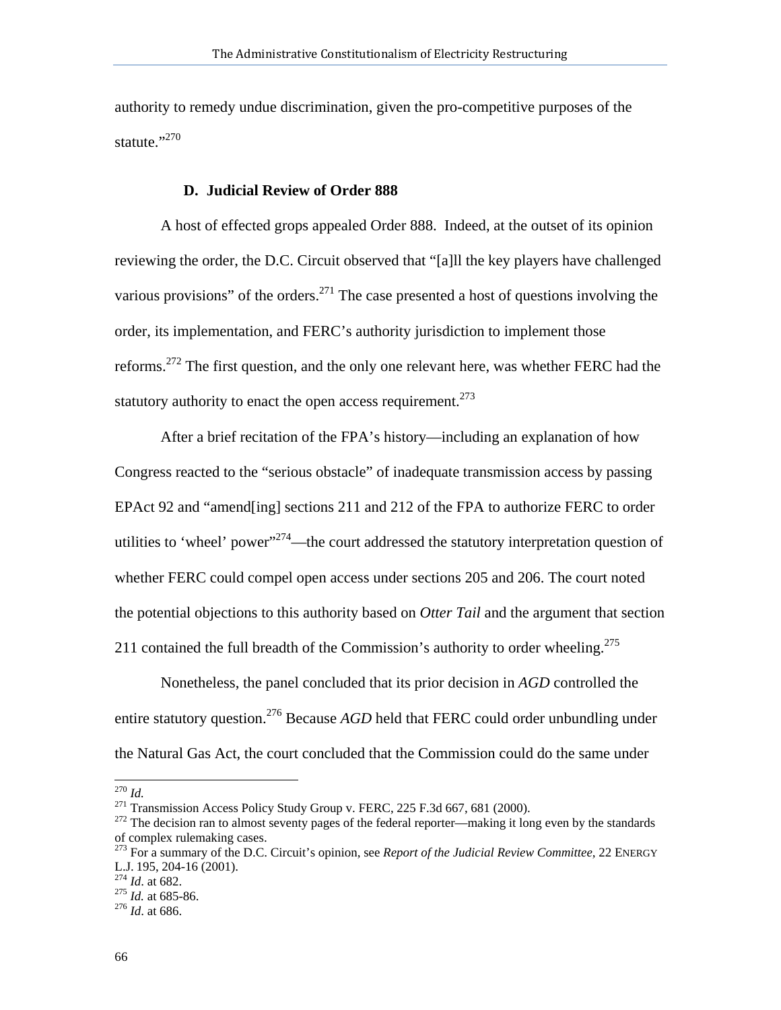authority to remedy undue discrimination, given the pro-competitive purposes of the statute."270

## **D. Judicial Review of Order 888**

A host of effected grops appealed Order 888. Indeed, at the outset of its opinion reviewing the order, the D.C. Circuit observed that "[a]ll the key players have challenged various provisions" of the orders.<sup>271</sup> The case presented a host of questions involving the order, its implementation, and FERC's authority jurisdiction to implement those reforms.272 The first question, and the only one relevant here, was whether FERC had the statutory authority to enact the open access requirement.<sup> $273$ </sup>

After a brief recitation of the FPA's history—including an explanation of how Congress reacted to the "serious obstacle" of inadequate transmission access by passing EPAct 92 and "amend[ing] sections 211 and 212 of the FPA to authorize FERC to order utilities to 'wheel' power"<sup>274</sup>—the court addressed the statutory interpretation question of whether FERC could compel open access under sections 205 and 206. The court noted the potential objections to this authority based on *Otter Tail* and the argument that section 211 contained the full breadth of the Commission's authority to order wheeling.<sup>275</sup>

Nonetheless, the panel concluded that its prior decision in *AGD* controlled the entire statutory question.<sup>276</sup> Because *AGD* held that FERC could order unbundling under the Natural Gas Act, the court concluded that the Commission could do the same under

 $^{270}$  *Id.* 

<sup>&</sup>lt;sup>271</sup> Transmission Access Policy Study Group v. FERC, 225 F.3d 667, 681 (2000).<br><sup>272</sup> The decision ran to almost seventy pages of the federal reporter—making it long even by the standards of complex rulemaking cases.

<sup>273</sup> For a summary of the D.C. Circuit's opinion, see *Report of the Judicial Review Committee*, 22 ENERGY L.J. 195, 204-16 (2001). 274 *Id*. at 682. 275 *Id.* at 685-86. 276 *Id*. at 686.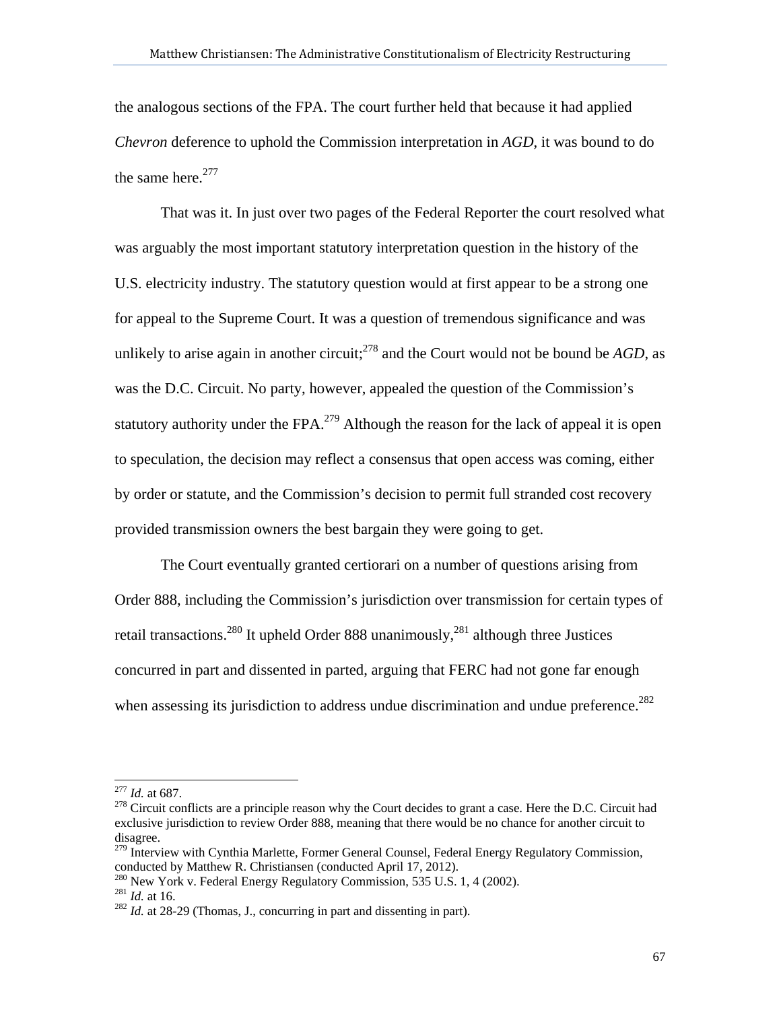the analogous sections of the FPA. The court further held that because it had applied *Chevron* deference to uphold the Commission interpretation in *AGD*, it was bound to do the same here. $277$ 

That was it. In just over two pages of the Federal Reporter the court resolved what was arguably the most important statutory interpretation question in the history of the U.S. electricity industry. The statutory question would at first appear to be a strong one for appeal to the Supreme Court. It was a question of tremendous significance and was unlikely to arise again in another circuit;<sup>278</sup> and the Court would not be bound be  $AGD$ , as was the D.C. Circuit. No party, however, appealed the question of the Commission's statutory authority under the FPA. $^{279}$  Although the reason for the lack of appeal it is open to speculation, the decision may reflect a consensus that open access was coming, either by order or statute, and the Commission's decision to permit full stranded cost recovery provided transmission owners the best bargain they were going to get.

The Court eventually granted certiorari on a number of questions arising from Order 888, including the Commission's jurisdiction over transmission for certain types of retail transactions.<sup>280</sup> It upheld Order 888 unanimously,<sup>281</sup> although three Justices concurred in part and dissented in parted, arguing that FERC had not gone far enough when assessing its jurisdiction to address undue discrimination and undue preference.<sup>282</sup>

 $277$  *Id.* at 687.

<sup>&</sup>lt;sup>278</sup> Circuit conflicts are a principle reason why the Court decides to grant a case. Here the D.C. Circuit had exclusive jurisdiction to review Order 888, meaning that there would be no chance for another circuit to disagree.

<sup>&</sup>lt;sup>279</sup> Interview with Cynthia Marlette, Former General Counsel, Federal Energy Regulatory Commission, conducted by Matthew R. Christiansen (conducted April 17, 2012).

<sup>&</sup>lt;sup>280</sup> New York v. Federal Energy Regulatory Commission, 535 U.S. 1, 4 (2002).<br><sup>281</sup> *Id.* at 16. <sup>282</sup> *Id.* at 28-29 (Thomas, J., concurring in part and dissenting in part).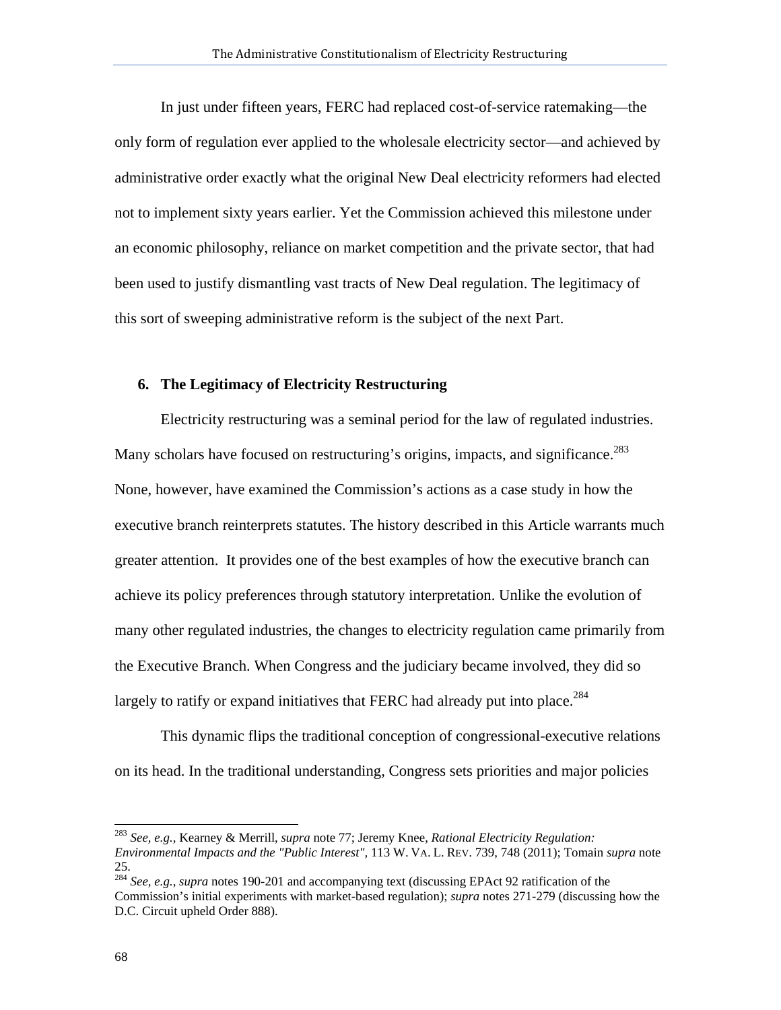In just under fifteen years, FERC had replaced cost-of-service ratemaking—the only form of regulation ever applied to the wholesale electricity sector—and achieved by administrative order exactly what the original New Deal electricity reformers had elected not to implement sixty years earlier. Yet the Commission achieved this milestone under an economic philosophy, reliance on market competition and the private sector, that had been used to justify dismantling vast tracts of New Deal regulation. The legitimacy of this sort of sweeping administrative reform is the subject of the next Part.

### **6. The Legitimacy of Electricity Restructuring**

Electricity restructuring was a seminal period for the law of regulated industries. Many scholars have focused on restructuring's origins, impacts, and significance.<sup>283</sup> None, however, have examined the Commission's actions as a case study in how the executive branch reinterprets statutes. The history described in this Article warrants much greater attention. It provides one of the best examples of how the executive branch can achieve its policy preferences through statutory interpretation. Unlike the evolution of many other regulated industries, the changes to electricity regulation came primarily from the Executive Branch. When Congress and the judiciary became involved, they did so largely to ratify or expand initiatives that FERC had already put into place.<sup>284</sup>

This dynamic flips the traditional conception of congressional-executive relations on its head. In the traditional understanding, Congress sets priorities and major policies

l

<sup>283</sup> *See, e.g.*, Kearney & Merrill, *supra* note 77; Jeremy Knee, *Rational Electricity Regulation: Environmental Impacts and the "Public Interest",* 113 W. VA. L. REV. 739, 748 (2011); Tomain *supra* note 25.

<sup>284</sup> *See, e.g.*, *supra* notes 190-201 and accompanying text (discussing EPAct 92 ratification of the Commission's initial experiments with market-based regulation); *supra* notes 271-279 (discussing how the D.C. Circuit upheld Order 888).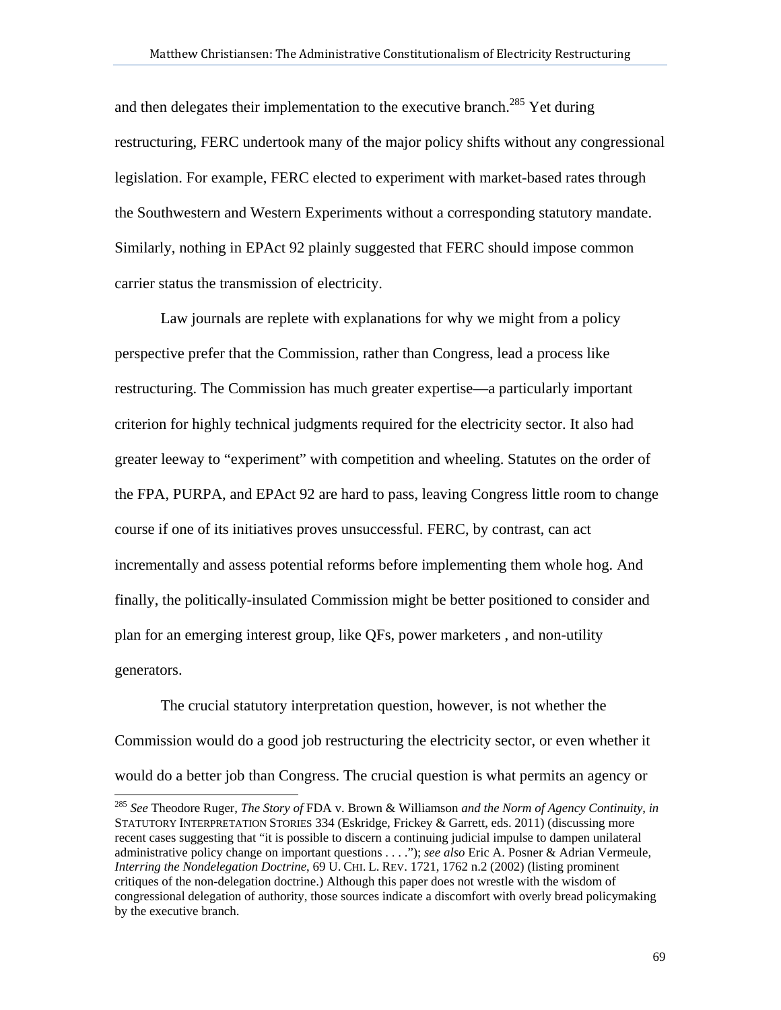and then delegates their implementation to the executive branch.<sup>285</sup> Yet during restructuring, FERC undertook many of the major policy shifts without any congressional legislation. For example, FERC elected to experiment with market-based rates through the Southwestern and Western Experiments without a corresponding statutory mandate. Similarly, nothing in EPAct 92 plainly suggested that FERC should impose common carrier status the transmission of electricity.

Law journals are replete with explanations for why we might from a policy perspective prefer that the Commission, rather than Congress, lead a process like restructuring. The Commission has much greater expertise—a particularly important criterion for highly technical judgments required for the electricity sector. It also had greater leeway to "experiment" with competition and wheeling. Statutes on the order of the FPA, PURPA, and EPAct 92 are hard to pass, leaving Congress little room to change course if one of its initiatives proves unsuccessful. FERC, by contrast, can act incrementally and assess potential reforms before implementing them whole hog. And finally, the politically-insulated Commission might be better positioned to consider and plan for an emerging interest group, like QFs, power marketers , and non-utility generators.

The crucial statutory interpretation question, however, is not whether the Commission would do a good job restructuring the electricity sector, or even whether it would do a better job than Congress. The crucial question is what permits an agency or

<sup>285</sup> *See* Theodore Ruger, *The Story of* FDA v. Brown & Williamson *and the Norm of Agency Continuity*, *in* STATUTORY INTERPRETATION STORIES 334 (Eskridge, Frickey & Garrett, eds. 2011) (discussing more recent cases suggesting that "it is possible to discern a continuing judicial impulse to dampen unilateral administrative policy change on important questions . . . ."); *see also* Eric A. Posner & Adrian Vermeule, *Interring the Nondelegation Doctrine*, 69 U. CHI. L. REV. 1721, 1762 n.2 (2002) (listing prominent critiques of the non-delegation doctrine.) Although this paper does not wrestle with the wisdom of congressional delegation of authority, those sources indicate a discomfort with overly bread policymaking by the executive branch.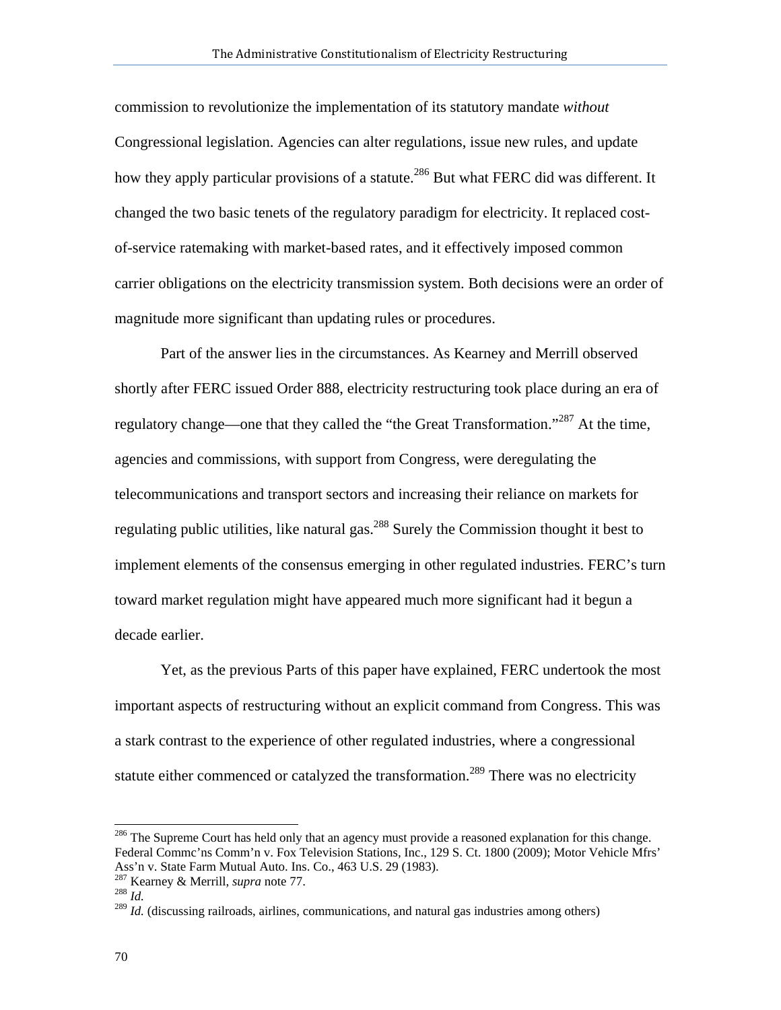commission to revolutionize the implementation of its statutory mandate *without*  Congressional legislation. Agencies can alter regulations, issue new rules, and update how they apply particular provisions of a statute.<sup>286</sup> But what FERC did was different. It changed the two basic tenets of the regulatory paradigm for electricity. It replaced costof-service ratemaking with market-based rates, and it effectively imposed common carrier obligations on the electricity transmission system. Both decisions were an order of magnitude more significant than updating rules or procedures.

Part of the answer lies in the circumstances. As Kearney and Merrill observed shortly after FERC issued Order 888, electricity restructuring took place during an era of regulatory change—one that they called the "the Great Transformation."<sup>287</sup> At the time, agencies and commissions, with support from Congress, were deregulating the telecommunications and transport sectors and increasing their reliance on markets for regulating public utilities, like natural gas.<sup>288</sup> Surely the Commission thought it best to implement elements of the consensus emerging in other regulated industries. FERC's turn toward market regulation might have appeared much more significant had it begun a decade earlier.

Yet, as the previous Parts of this paper have explained, FERC undertook the most important aspects of restructuring without an explicit command from Congress. This was a stark contrast to the experience of other regulated industries, where a congressional statute either commenced or catalyzed the transformation.<sup>289</sup> There was no electricity

l

<sup>&</sup>lt;sup>286</sup> The Supreme Court has held only that an agency must provide a reasoned explanation for this change. Federal Commc'ns Comm'n v. Fox Television Stations, Inc., 129 S. Ct. 1800 (2009); Motor Vehicle Mfrs' Ass'n v. State Farm Mutual Auto. Ins. Co., 463 U.S. 29 (1983).

<sup>287</sup> Kearney & Merrill, *supra* note 77. 288 *Id.*

<sup>&</sup>lt;sup>289</sup> *Id.* (discussing railroads, airlines, communications, and natural gas industries among others)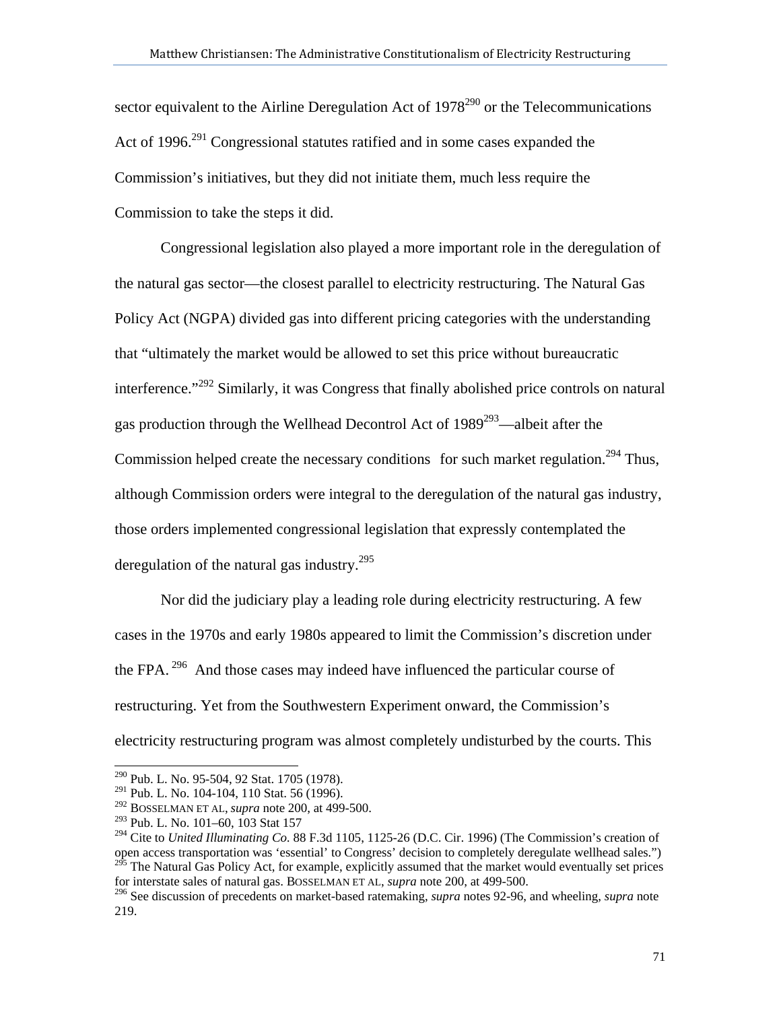sector equivalent to the Airline Deregulation Act of  $1978^{290}$  or the Telecommunications Act of 1996.<sup>291</sup> Congressional statutes ratified and in some cases expanded the Commission's initiatives, but they did not initiate them, much less require the Commission to take the steps it did.

Congressional legislation also played a more important role in the deregulation of the natural gas sector—the closest parallel to electricity restructuring. The Natural Gas Policy Act (NGPA) divided gas into different pricing categories with the understanding that "ultimately the market would be allowed to set this price without bureaucratic interference."<sup>292</sup> Similarly, it was Congress that finally abolished price controls on natural gas production through the Wellhead Decontrol Act of  $1989^{293}$ —albeit after the Commission helped create the necessary conditions for such market regulation.<sup>294</sup> Thus, although Commission orders were integral to the deregulation of the natural gas industry, those orders implemented congressional legislation that expressly contemplated the deregulation of the natural gas industry.<sup>295</sup>

Nor did the judiciary play a leading role during electricity restructuring. A few cases in the 1970s and early 1980s appeared to limit the Commission's discretion under the FPA.<sup>296</sup> And those cases may indeed have influenced the particular course of restructuring. Yet from the Southwestern Experiment onward, the Commission's electricity restructuring program was almost completely undisturbed by the courts. This

<sup>290</sup> Pub. L. No. 95-504, 92 Stat. 1705 (1978).

<sup>&</sup>lt;sup>291</sup> Pub. L. No. 104-104, 110 Stat. 56 (1996).

<sup>292</sup> BOSSELMAN ET AL, *supra* note 200, at 499-500.

<sup>293</sup> Pub. L. No. 101–60, 103 Stat 157

<sup>294</sup> Cite to *United Illuminating Co.* 88 F.3d 1105, 1125-26 (D.C. Cir. 1996) (The Commission's creation of open access transportation was 'essential' to Congress' decision to completely deregulate wellhead sales.") <sup>295</sup> The Natural Gas Policy Act, for example, explicitly assumed that the market would eventually set prices for interstate sales of natural gas. BOSSELMAN ET AL, *supra* note 200, at 499-500.

<sup>296</sup> See discussion of precedents on market-based ratemaking, *supra* notes 92-96, and wheeling, *supra* note 219.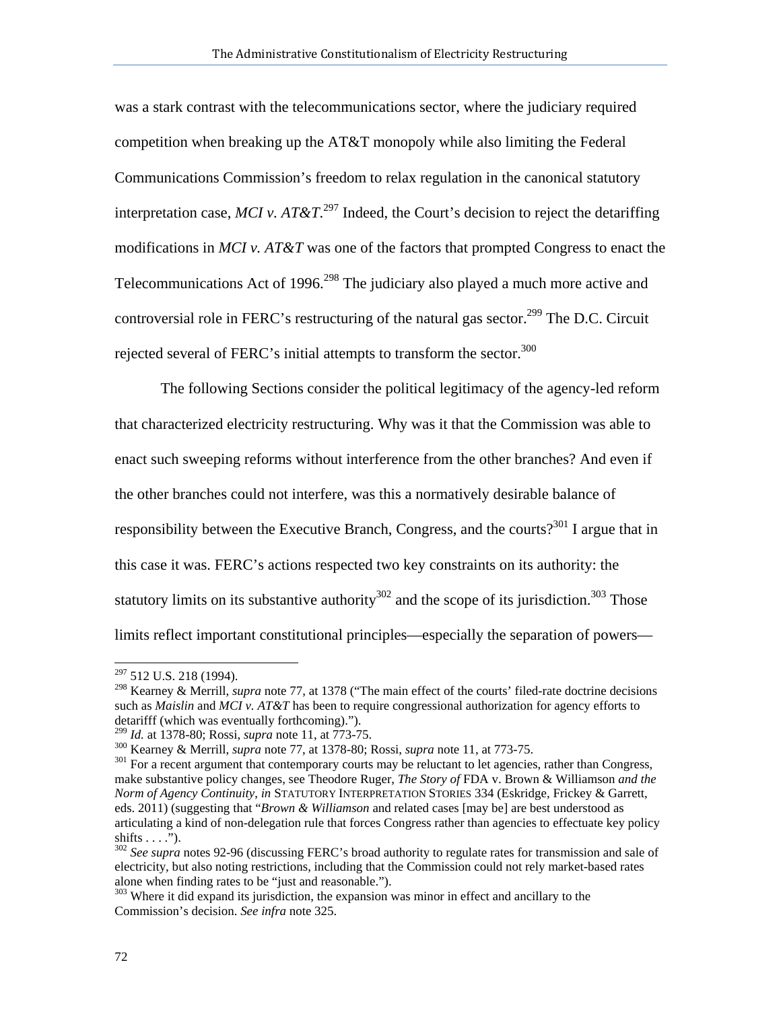was a stark contrast with the telecommunications sector, where the judiciary required competition when breaking up the AT&T monopoly while also limiting the Federal Communications Commission's freedom to relax regulation in the canonical statutory interpretation case, *MCI v.*  $AT\&T$ <sup>297</sup> Indeed, the Court's decision to reject the detariffing modifications in *MCI v. AT&T* was one of the factors that prompted Congress to enact the Telecommunications Act of 1996.<sup>298</sup> The judiciary also played a much more active and controversial role in FERC's restructuring of the natural gas sector.<sup>299</sup> The D.C. Circuit rejected several of FERC's initial attempts to transform the sector. $300$ 

The following Sections consider the political legitimacy of the agency-led reform that characterized electricity restructuring. Why was it that the Commission was able to enact such sweeping reforms without interference from the other branches? And even if the other branches could not interfere, was this a normatively desirable balance of responsibility between the Executive Branch, Congress, and the courts?<sup>301</sup> I argue that in this case it was. FERC's actions respected two key constraints on its authority: the statutory limits on its substantive authority<sup>302</sup> and the scope of its jurisdiction.<sup>303</sup> Those limits reflect important constitutional principles—especially the separation of powers—

<sup>&</sup>lt;sup>297</sup> 512 U.S. 218 (1994).

<sup>298</sup> Kearney & Merrill, *supra* note 77, at 1378 ("The main effect of the courts' filed-rate doctrine decisions such as *Maislin* and *MCI v. AT&T* has been to require congressional authorization for agency efforts to detarifff (which was eventually forthcoming).").<br> $^{299}$  *Id.* at 1378-80; Rossi, *supra* note 11, at 773-75.

<sup>&</sup>lt;sup>300</sup> Kearney & Merrill, *supra* note 77, at 1378-80; Rossi, *supra* note 11, at 773-75.<br><sup>301</sup> For a recent argument that contemporary courts may be reluctant to let agencies, rather than Congress, make substantive policy changes, see Theodore Ruger, *The Story of* FDA v. Brown & Williamson *and the Norm of Agency Continuity*, *in* STATUTORY INTERPRETATION STORIES 334 (Eskridge, Frickey & Garrett, eds. 2011) (suggesting that "*Brown & Williamson* and related cases [may be] are best understood as articulating a kind of non-delegation rule that forces Congress rather than agencies to effectuate key policy shifts  $\dots$ .").

<sup>302</sup> *See supra* notes 92-96 (discussing FERC's broad authority to regulate rates for transmission and sale of electricity, but also noting restrictions, including that the Commission could not rely market-based rates alone when finding rates to be "just and reasonable.").

<sup>&</sup>lt;sup>303</sup> Where it did expand its jurisdiction, the expansion was minor in effect and ancillary to the Commission's decision. *See infra* note 325.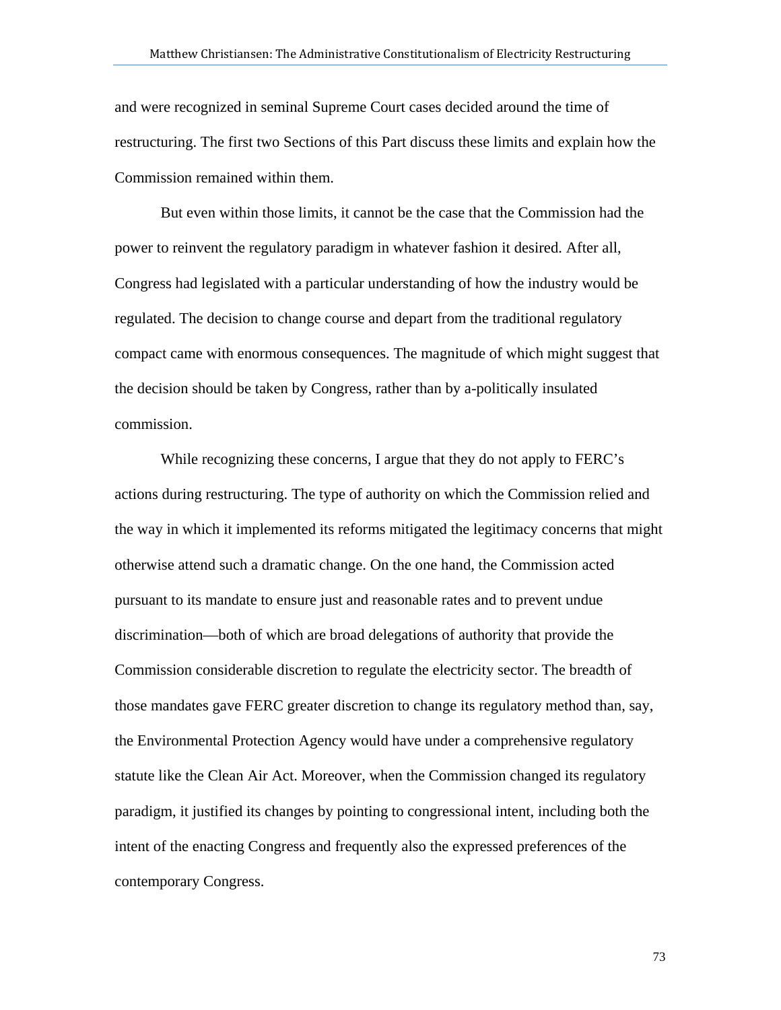and were recognized in seminal Supreme Court cases decided around the time of restructuring. The first two Sections of this Part discuss these limits and explain how the Commission remained within them.

But even within those limits, it cannot be the case that the Commission had the power to reinvent the regulatory paradigm in whatever fashion it desired. After all, Congress had legislated with a particular understanding of how the industry would be regulated. The decision to change course and depart from the traditional regulatory compact came with enormous consequences. The magnitude of which might suggest that the decision should be taken by Congress, rather than by a-politically insulated commission.

While recognizing these concerns, I argue that they do not apply to FERC's actions during restructuring. The type of authority on which the Commission relied and the way in which it implemented its reforms mitigated the legitimacy concerns that might otherwise attend such a dramatic change. On the one hand, the Commission acted pursuant to its mandate to ensure just and reasonable rates and to prevent undue discrimination—both of which are broad delegations of authority that provide the Commission considerable discretion to regulate the electricity sector. The breadth of those mandates gave FERC greater discretion to change its regulatory method than, say, the Environmental Protection Agency would have under a comprehensive regulatory statute like the Clean Air Act. Moreover, when the Commission changed its regulatory paradigm, it justified its changes by pointing to congressional intent, including both the intent of the enacting Congress and frequently also the expressed preferences of the contemporary Congress.

73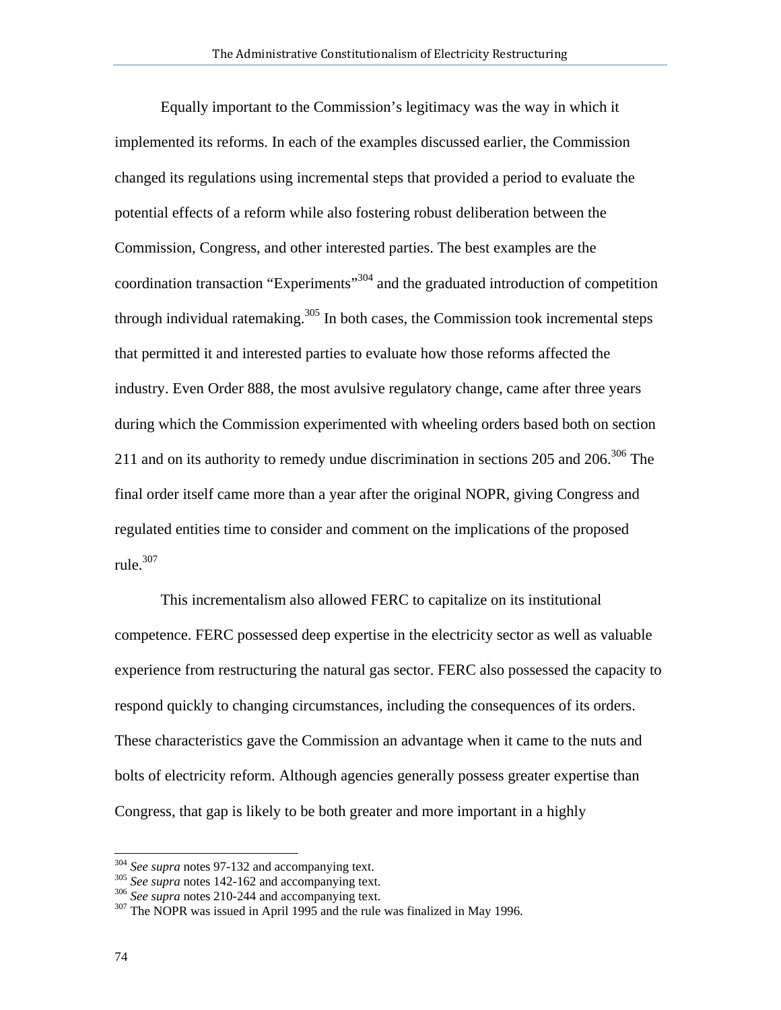Equally important to the Commission's legitimacy was the way in which it implemented its reforms. In each of the examples discussed earlier, the Commission changed its regulations using incremental steps that provided a period to evaluate the potential effects of a reform while also fostering robust deliberation between the Commission, Congress, and other interested parties. The best examples are the coordination transaction "Experiments"<sup>304</sup> and the graduated introduction of competition through individual ratemaking.<sup>305</sup> In both cases, the Commission took incremental steps that permitted it and interested parties to evaluate how those reforms affected the industry. Even Order 888, the most avulsive regulatory change, came after three years during which the Commission experimented with wheeling orders based both on section 211 and on its authority to remedy undue discrimination in sections 205 and 206.<sup>306</sup> The final order itself came more than a year after the original NOPR, giving Congress and regulated entities time to consider and comment on the implications of the proposed rule. $307$ 

This incrementalism also allowed FERC to capitalize on its institutional competence. FERC possessed deep expertise in the electricity sector as well as valuable experience from restructuring the natural gas sector. FERC also possessed the capacity to respond quickly to changing circumstances, including the consequences of its orders. These characteristics gave the Commission an advantage when it came to the nuts and bolts of electricity reform. Although agencies generally possess greater expertise than Congress, that gap is likely to be both greater and more important in a highly

<sup>&</sup>lt;sup>304</sup> See supra notes 97-132 and accompanying text.<br><sup>305</sup> See supra notes 142-162 and accompanying text.<br><sup>306</sup> See supra notes 210-244 and accompanying text.<br><sup>307</sup> The NOPR was issued in April 1995 and the rule was finali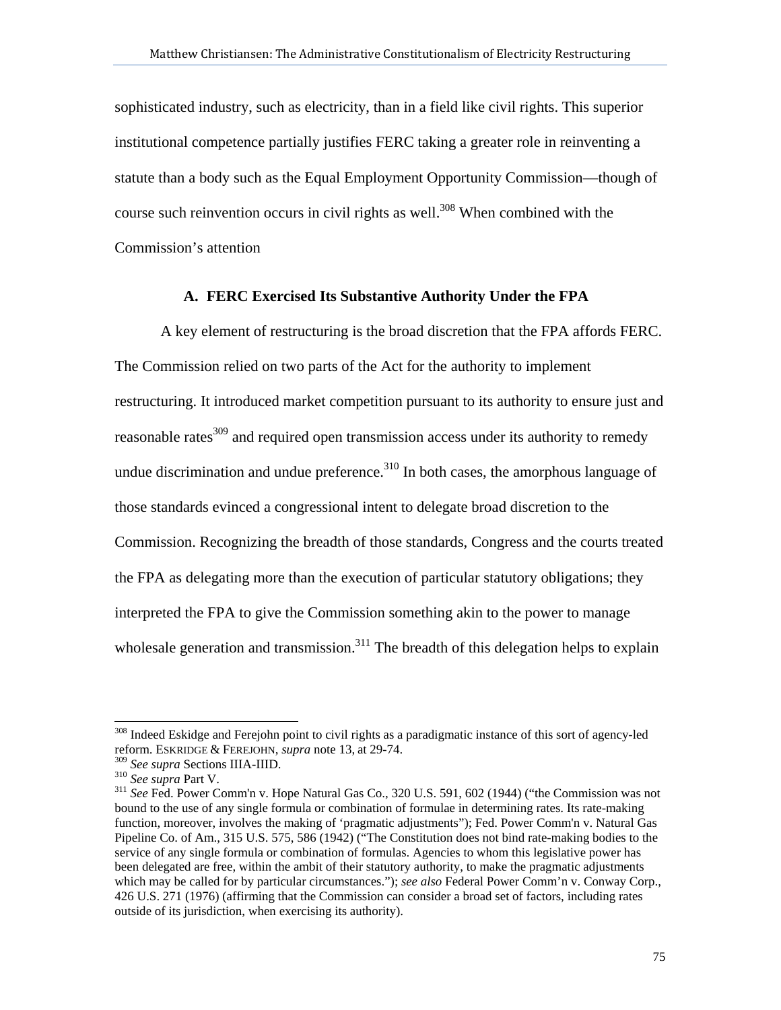sophisticated industry, such as electricity, than in a field like civil rights. This superior institutional competence partially justifies FERC taking a greater role in reinventing a statute than a body such as the Equal Employment Opportunity Commission—though of course such reinvention occurs in civil rights as well.<sup>308</sup> When combined with the Commission's attention

## **A. FERC Exercised Its Substantive Authority Under the FPA**

A key element of restructuring is the broad discretion that the FPA affords FERC. The Commission relied on two parts of the Act for the authority to implement restructuring. It introduced market competition pursuant to its authority to ensure just and reasonable rates<sup>309</sup> and required open transmission access under its authority to remedy undue discrimination and undue preference. $310$  In both cases, the amorphous language of those standards evinced a congressional intent to delegate broad discretion to the Commission. Recognizing the breadth of those standards, Congress and the courts treated the FPA as delegating more than the execution of particular statutory obligations; they interpreted the FPA to give the Commission something akin to the power to manage wholesale generation and transmission.<sup>311</sup> The breadth of this delegation helps to explain

<sup>&</sup>lt;sup>308</sup> Indeed Eskidge and Ferejohn point to civil rights as a paradigmatic instance of this sort of agency-led reform. ESKRIDGE & FEREJOHN, *supra* note 13, at 29-74.

<sup>310</sup> *See supra Sections* III.<br><sup>310</sup> *See supra* Part V.<br><sup>311</sup> *See* Fed. Power Comm'n v. Hope Natural Gas Co., 320 U.S. 591, 602 (1944) ("the Commission was not bound to the use of any single formula or combination of formulae in determining rates. Its rate-making function, moreover, involves the making of 'pragmatic adjustments"); Fed. Power Comm'n v. Natural Gas Pipeline Co. of Am., 315 U.S. 575, 586 (1942) ("The Constitution does not bind rate-making bodies to the service of any single formula or combination of formulas. Agencies to whom this legislative power has been delegated are free, within the ambit of their statutory authority, to make the pragmatic adjustments which may be called for by particular circumstances."); *see also* Federal Power Comm'n v. Conway Corp., 426 U.S. 271 (1976) (affirming that the Commission can consider a broad set of factors, including rates outside of its jurisdiction, when exercising its authority).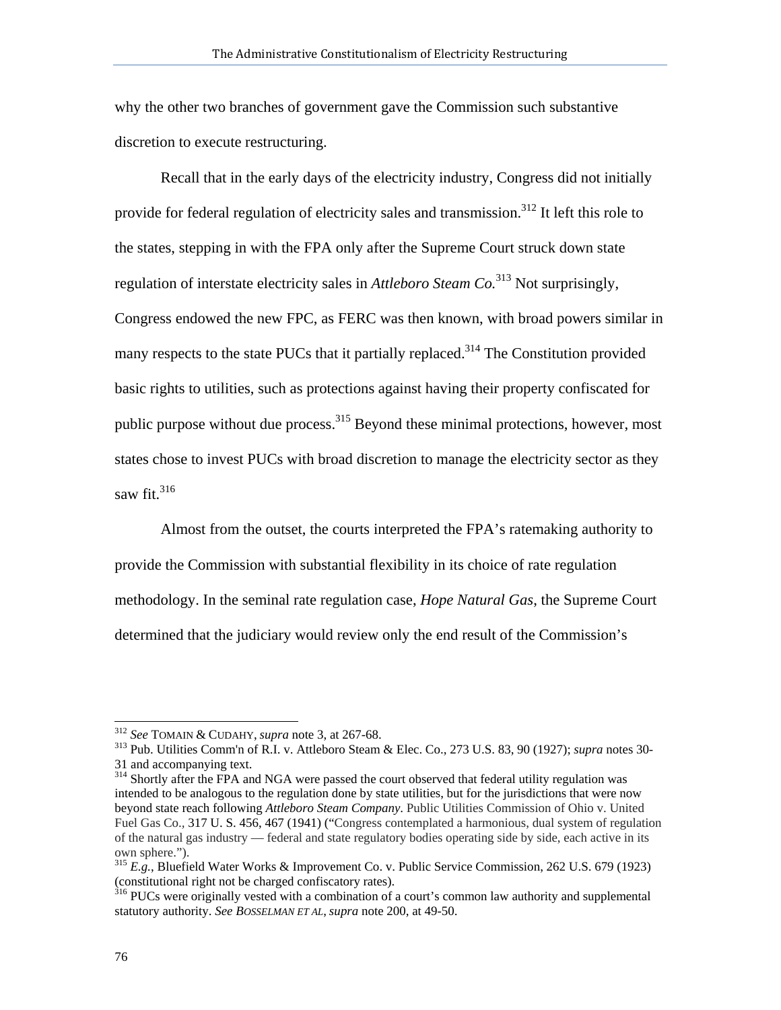why the other two branches of government gave the Commission such substantive discretion to execute restructuring.

Recall that in the early days of the electricity industry, Congress did not initially provide for federal regulation of electricity sales and transmission.<sup>312</sup> It left this role to the states, stepping in with the FPA only after the Supreme Court struck down state regulation of interstate electricity sales in *Attleboro Steam Co.*313 Not surprisingly, Congress endowed the new FPC, as FERC was then known, with broad powers similar in many respects to the state PUCs that it partially replaced.<sup>314</sup> The Constitution provided basic rights to utilities, such as protections against having their property confiscated for public purpose without due process.<sup>315</sup> Beyond these minimal protections, however, most states chose to invest PUCs with broad discretion to manage the electricity sector as they saw fit. $316$ 

Almost from the outset, the courts interpreted the FPA's ratemaking authority to provide the Commission with substantial flexibility in its choice of rate regulation methodology. In the seminal rate regulation case, *Hope Natural Gas*, the Supreme Court determined that the judiciary would review only the end result of the Commission's

<sup>312</sup> *See* TOMAIN & CUDAHY, *supra* note 3, at 267-68. 313 Pub. Utilities Comm'n of R.I. v. Attleboro Steam & Elec. Co., 273 U.S. 83, 90 (1927); *supra* notes 30- 31 and accompanying text.

<sup>&</sup>lt;sup>314</sup> Shortly after the FPA and NGA were passed the court observed that federal utility regulation was intended to be analogous to the regulation done by state utilities, but for the jurisdictions that were now beyond state reach following *Attleboro Steam Company*. Public Utilities Commission of Ohio v. United Fuel Gas Co.*,* 317 U. S. 456, 467 (1941) ("Congress contemplated a harmonious, dual system of regulation of the natural gas industry — federal and state regulatory bodies operating side by side, each active in its own sphere.").

<sup>315</sup> *E.g.*, Bluefield Water Works & Improvement Co. v. Public Service Commission, 262 U.S. 679 (1923) (constitutional right not be charged confiscatory rates).

<sup>&</sup>lt;sup>316</sup> PUCs were originally vested with a combination of a court's common law authority and supplemental statutory authority. *See BOSSELMAN ET AL*, *supra* note 200, at 49-50.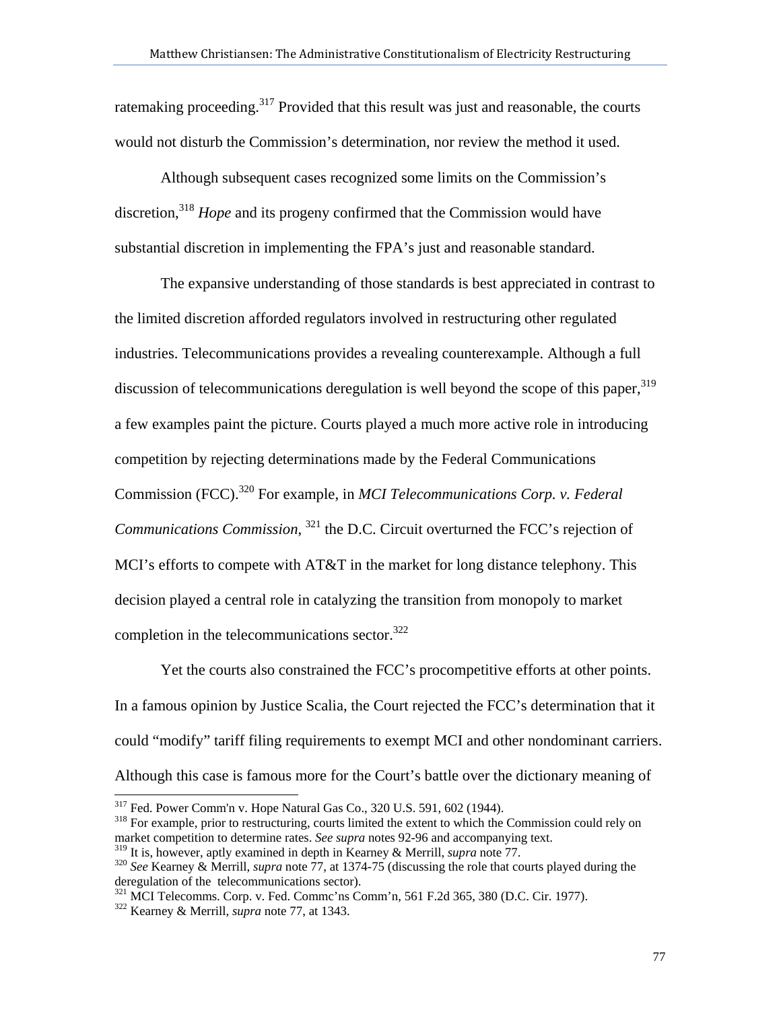ratemaking proceeding.<sup>317</sup> Provided that this result was just and reasonable, the courts would not disturb the Commission's determination, nor review the method it used.

Although subsequent cases recognized some limits on the Commission's discretion,<sup>318</sup> *Hope* and its progeny confirmed that the Commission would have substantial discretion in implementing the FPA's just and reasonable standard.

The expansive understanding of those standards is best appreciated in contrast to the limited discretion afforded regulators involved in restructuring other regulated industries. Telecommunications provides a revealing counterexample. Although a full discussion of telecommunications deregulation is well beyond the scope of this paper,  $319$ a few examples paint the picture. Courts played a much more active role in introducing competition by rejecting determinations made by the Federal Communications Commission (FCC).320 For example, in *MCI Telecommunications Corp. v. Federal Communications Commission*, <sup>321</sup> the D.C. Circuit overturned the FCC's rejection of MCI's efforts to compete with AT&T in the market for long distance telephony. This decision played a central role in catalyzing the transition from monopoly to market completion in the telecommunications sector. $322$ 

Yet the courts also constrained the FCC's procompetitive efforts at other points. In a famous opinion by Justice Scalia, the Court rejected the FCC's determination that it could "modify" tariff filing requirements to exempt MCI and other nondominant carriers. Although this case is famous more for the Court's battle over the dictionary meaning of

321 MCI Telecomms. Corp. v. Fed. Commc'ns Comm'n, 561 F.2d 365, 380 (D.C. Cir. 1977). 322 Kearney & Merrill, *supra* note 77, at 1343.

<sup>&</sup>lt;sup>317</sup> Fed. Power Comm'n v. Hope Natural Gas Co., 320 U.S. 591, 602 (1944).

<sup>&</sup>lt;sup>318</sup> For example, prior to restructuring, courts limited the extent to which the Commission could rely on market competition to determine rates. *See supra* notes 92-96 and accompanying text.

<sup>319</sup> It is, however, aptly examined in depth in Kearney & Merrill, *supra* note 77. 320 *See* Kearney & Merrill, *supra* note 77, at 1374-75 (discussing the role that courts played during the deregulation of the telecommunications sector).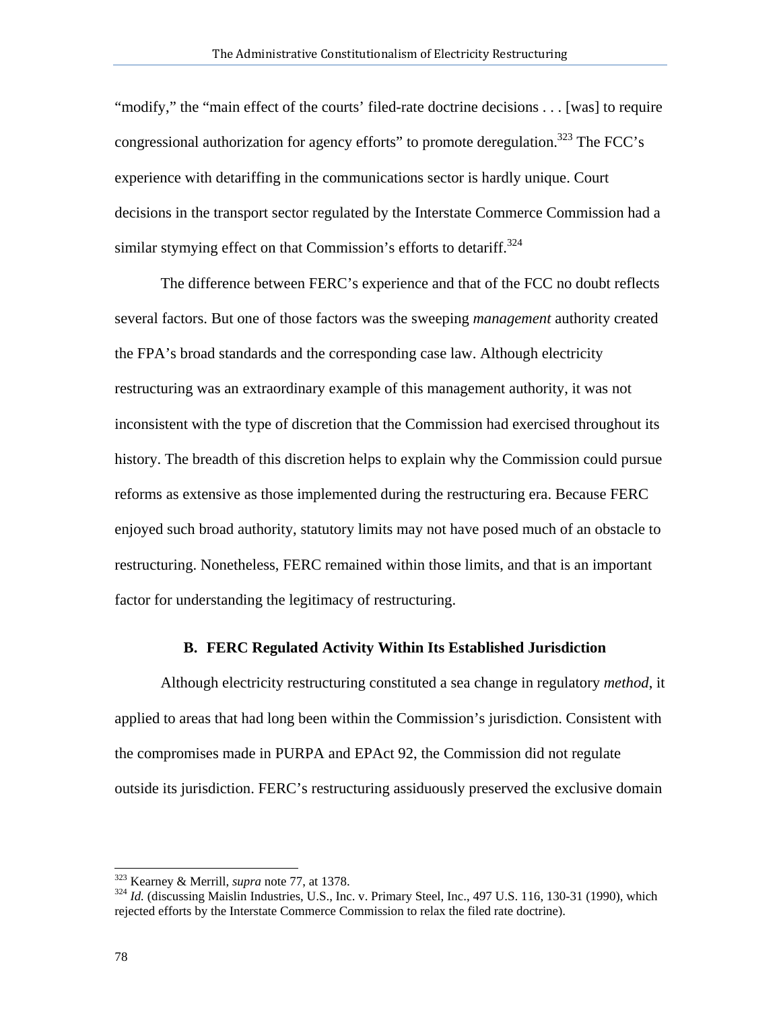"modify," the "main effect of the courts' filed-rate doctrine decisions . . . [was] to require congressional authorization for agency efforts" to promote deregulation.<sup>323</sup> The FCC's experience with detariffing in the communications sector is hardly unique. Court decisions in the transport sector regulated by the Interstate Commerce Commission had a similar stymying effect on that Commission's efforts to detariff.<sup>324</sup>

 The difference between FERC's experience and that of the FCC no doubt reflects several factors. But one of those factors was the sweeping *management* authority created the FPA's broad standards and the corresponding case law. Although electricity restructuring was an extraordinary example of this management authority, it was not inconsistent with the type of discretion that the Commission had exercised throughout its history. The breadth of this discretion helps to explain why the Commission could pursue reforms as extensive as those implemented during the restructuring era. Because FERC enjoyed such broad authority, statutory limits may not have posed much of an obstacle to restructuring. Nonetheless, FERC remained within those limits, and that is an important factor for understanding the legitimacy of restructuring.

## **B. FERC Regulated Activity Within Its Established Jurisdiction**

Although electricity restructuring constituted a sea change in regulatory *method*, it applied to areas that had long been within the Commission's jurisdiction. Consistent with the compromises made in PURPA and EPAct 92, the Commission did not regulate outside its jurisdiction. FERC's restructuring assiduously preserved the exclusive domain

<sup>&</sup>lt;sup>323</sup> Kearney & Merrill, *supra* note 77, at 1378.

<sup>&</sup>lt;sup>324</sup> Id. (discussing Maislin Industries, U.S., Inc. v. Primary Steel, Inc., 497 U.S. 116, 130-31 (1990), which rejected efforts by the Interstate Commerce Commission to relax the filed rate doctrine).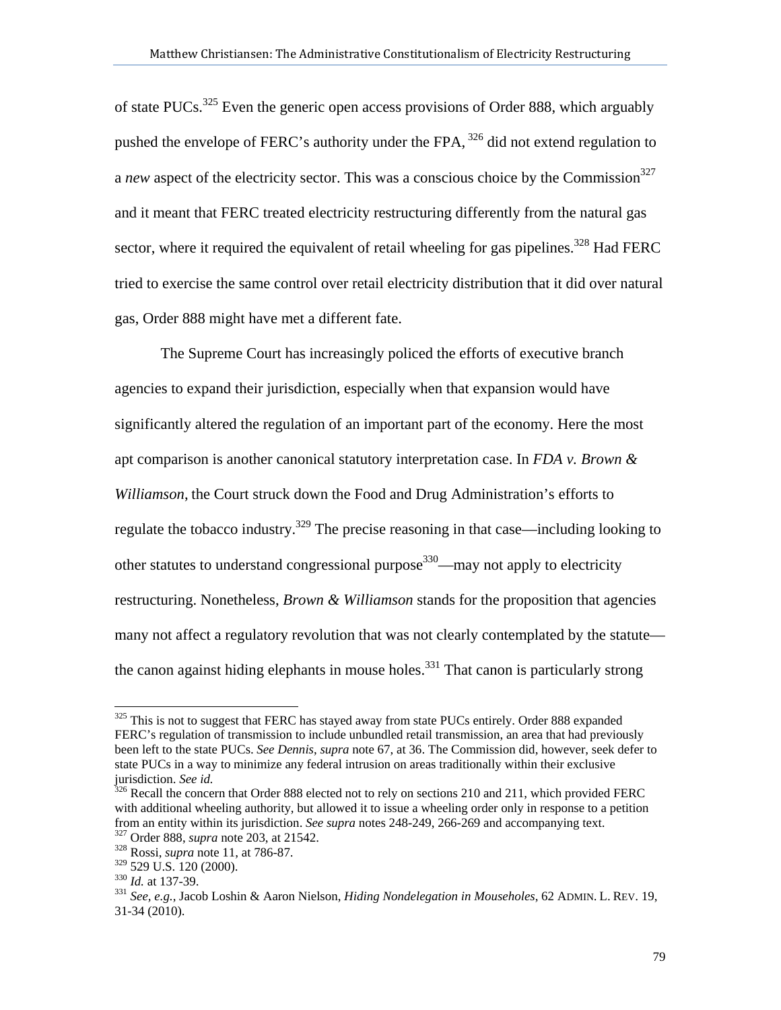of state PUCs.<sup>325</sup> Even the generic open access provisions of Order 888, which arguably pushed the envelope of FERC's authority under the FPA, <sup>326</sup> did not extend regulation to a *new* aspect of the electricity sector. This was a conscious choice by the Commission<sup>327</sup> and it meant that FERC treated electricity restructuring differently from the natural gas sector, where it required the equivalent of retail wheeling for gas pipelines.<sup>328</sup> Had FERC tried to exercise the same control over retail electricity distribution that it did over natural gas, Order 888 might have met a different fate.

The Supreme Court has increasingly policed the efforts of executive branch agencies to expand their jurisdiction, especially when that expansion would have significantly altered the regulation of an important part of the economy. Here the most apt comparison is another canonical statutory interpretation case. In *FDA v. Brown & Williamson*, the Court struck down the Food and Drug Administration's efforts to regulate the tobacco industry.<sup>329</sup> The precise reasoning in that case—including looking to other statutes to understand congressional purpose<sup>330</sup>—may not apply to electricity restructuring. Nonetheless, *Brown & Williamson* stands for the proposition that agencies many not affect a regulatory revolution that was not clearly contemplated by the statute the canon against hiding elephants in mouse holes.<sup>331</sup> That canon is particularly strong

<sup>&</sup>lt;sup>325</sup> This is not to suggest that FERC has stayed away from state PUCs entirely. Order 888 expanded FERC's regulation of transmission to include unbundled retail transmission, an area that had previously been left to the state PUCs. *See Dennis*, *supra* note 67, at 36. The Commission did, however, seek defer to state PUCs in a way to minimize any federal intrusion on areas traditionally within their exclusive jurisdiction. See id.

<sup>&</sup>lt;sup>326</sup> Recall the concern that Order 888 elected not to rely on sections 210 and 211, which provided FERC with additional wheeling authority, but allowed it to issue a wheeling order only in response to a petition from an entity within its jurisdiction. *See supra* notes 248-249, 266-269 and accompanying text. 327 Order 888, *supra* note 203, at 21542. 328 Rossi, *supra* note 11, at 786-87.

<sup>&</sup>lt;sup>330</sup> Id. at 137-39.<br><sup>331</sup> *See, e.g.*, Jacob Loshin & Aaron Nielson, *Hiding Nondelegation in Mouseholes*, 62 ADMIN. L. REV. 19, 31-34 (2010).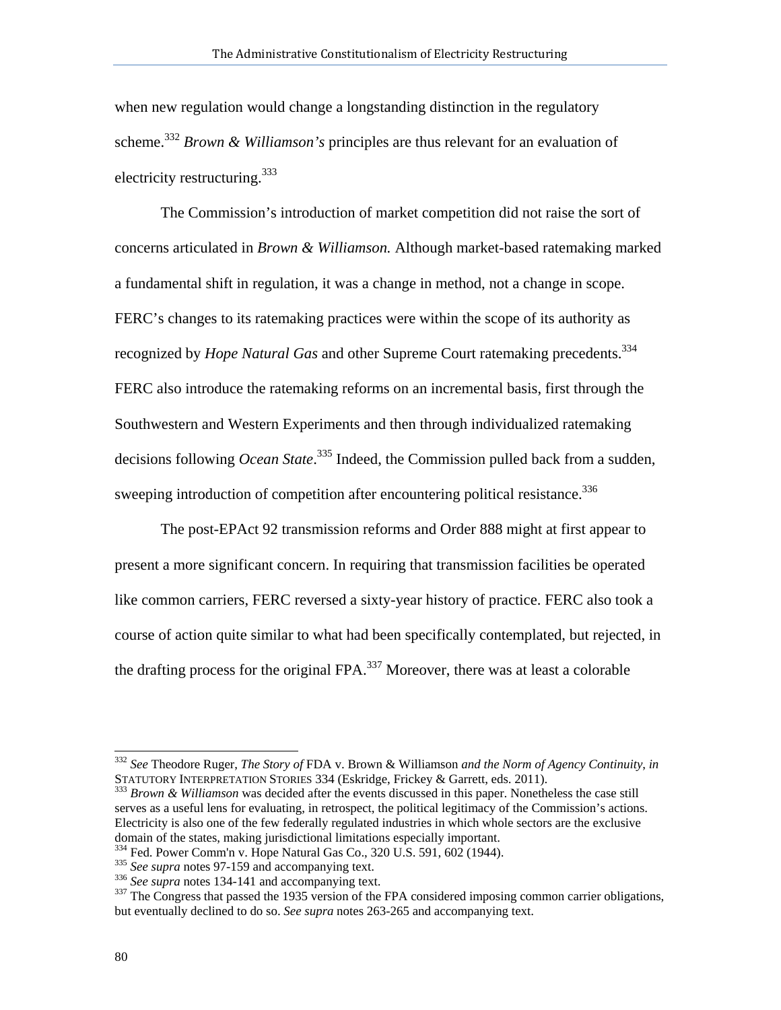when new regulation would change a longstanding distinction in the regulatory scheme.<sup>332</sup> *Brown & Williamson's* principles are thus relevant for an evaluation of electricity restructuring. $333$ 

The Commission's introduction of market competition did not raise the sort of concerns articulated in *Brown & Williamson.* Although market-based ratemaking marked a fundamental shift in regulation, it was a change in method, not a change in scope. FERC's changes to its ratemaking practices were within the scope of its authority as recognized by *Hope Natural Gas* and other Supreme Court ratemaking precedents.<sup>334</sup> FERC also introduce the ratemaking reforms on an incremental basis, first through the Southwestern and Western Experiments and then through individualized ratemaking decisions following *Ocean State*. 335 Indeed, the Commission pulled back from a sudden, sweeping introduction of competition after encountering political resistance.<sup>336</sup>

The post-EPAct 92 transmission reforms and Order 888 might at first appear to present a more significant concern. In requiring that transmission facilities be operated like common carriers, FERC reversed a sixty-year history of practice. FERC also took a course of action quite similar to what had been specifically contemplated, but rejected, in the drafting process for the original FPA. $^{337}$  Moreover, there was at least a colorable

<sup>332</sup> *See* Theodore Ruger, *The Story of* FDA v. Brown & Williamson *and the Norm of Agency Continuity*, *in*

<sup>&</sup>lt;sup>333</sup> Brown & Williamson was decided after the events discussed in this paper. Nonetheless the case still serves as a useful lens for evaluating, in retrospect, the political legitimacy of the Commission's actions. Electricity is also one of the few federally regulated industries in which whole sectors are the exclusive domain of the states, making jurisdictional limitations especially important.<br><sup>334</sup> Fed. Power Comm'n v. Hope Natural Gas Co., 320 U.S. 591, 602 (1944).

<sup>&</sup>lt;sup>335</sup> See supra notes 97-159 and accompanying text.<br><sup>336</sup> See supra notes 134-141 and accompanying text.<br><sup>336</sup> The Congress that passed the 1935 version of the FPA considered imposing common carrier obligations, but eventually declined to do so. *See supra* notes 263-265 and accompanying text.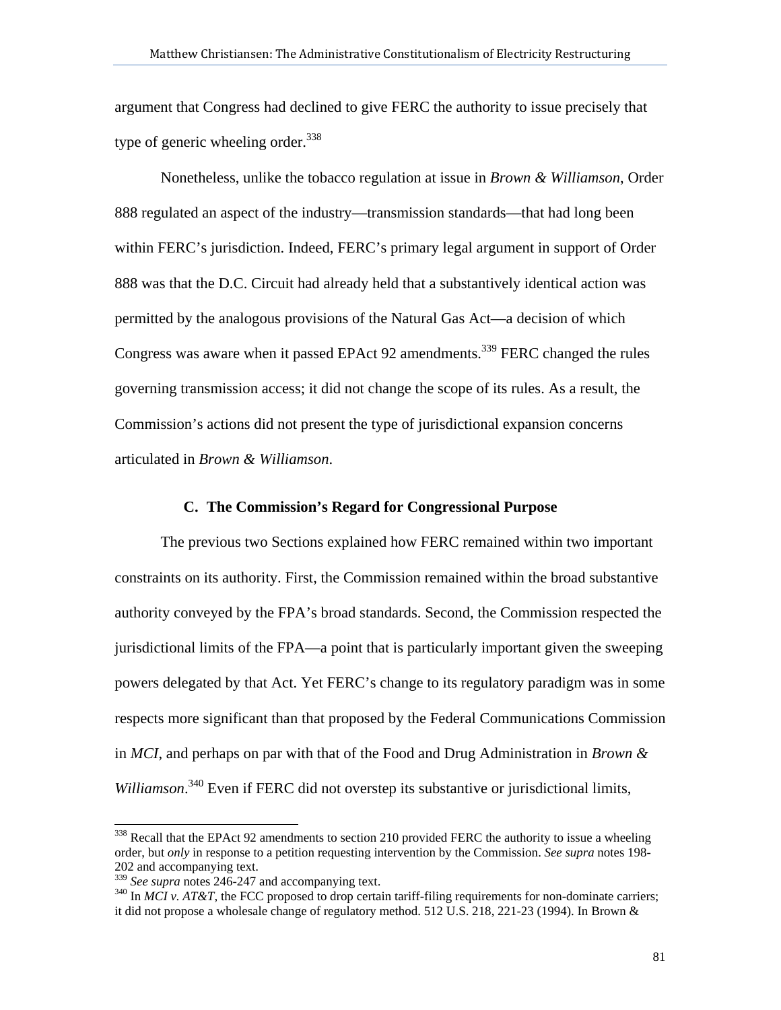argument that Congress had declined to give FERC the authority to issue precisely that type of generic wheeling order.  $338$ 

Nonetheless, unlike the tobacco regulation at issue in *Brown & Williamson*, Order 888 regulated an aspect of the industry—transmission standards—that had long been within FERC's jurisdiction. Indeed, FERC's primary legal argument in support of Order 888 was that the D.C. Circuit had already held that a substantively identical action was permitted by the analogous provisions of the Natural Gas Act—a decision of which Congress was aware when it passed EPAct 92 amendments.<sup>339</sup> FERC changed the rules governing transmission access; it did not change the scope of its rules. As a result, the Commission's actions did not present the type of jurisdictional expansion concerns articulated in *Brown & Williamson*.

## **C. The Commission's Regard for Congressional Purpose**

The previous two Sections explained how FERC remained within two important constraints on its authority. First, the Commission remained within the broad substantive authority conveyed by the FPA's broad standards. Second, the Commission respected the jurisdictional limits of the FPA—a point that is particularly important given the sweeping powers delegated by that Act. Yet FERC's change to its regulatory paradigm was in some respects more significant than that proposed by the Federal Communications Commission in *MCI*, and perhaps on par with that of the Food and Drug Administration in *Brown &*  Williamson.<sup>340</sup> Even if FERC did not overstep its substantive or jurisdictional limits,

l

<sup>&</sup>lt;sup>338</sup> Recall that the EPAct 92 amendments to section 210 provided FERC the authority to issue a wheeling order, but *only* in response to a petition requesting intervention by the Commission. *See supra* notes 198- 202 and accompanying text.<br>
<sup>339</sup> See supra notes 246-247 and accompanying text.

<sup>&</sup>lt;sup>340</sup> In *MCI v. AT&T*, the FCC proposed to drop certain tariff-filing requirements for non-dominate carriers; it did not propose a wholesale change of regulatory method. 512 U.S. 218, 221-23 (1994). In Brown &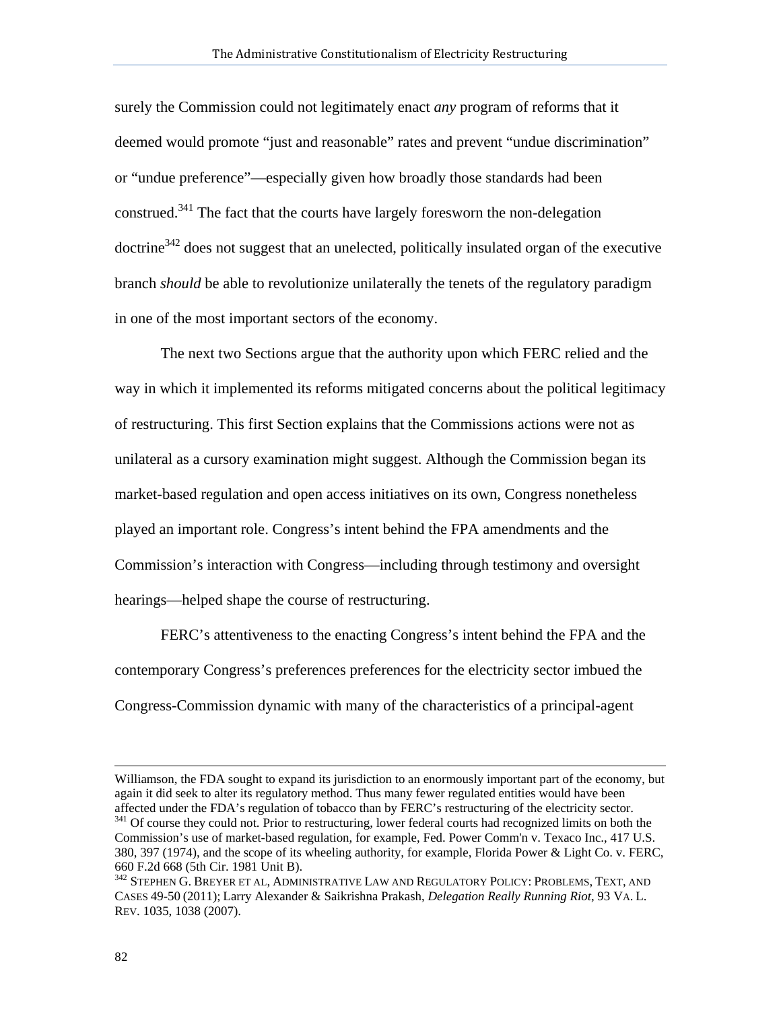surely the Commission could not legitimately enact *any* program of reforms that it deemed would promote "just and reasonable" rates and prevent "undue discrimination" or "undue preference"—especially given how broadly those standards had been construed.341 The fact that the courts have largely foresworn the non-delegation  $dot{z}^{342}$  does not suggest that an unelected, politically insulated organ of the executive branch *should* be able to revolutionize unilaterally the tenets of the regulatory paradigm in one of the most important sectors of the economy.

The next two Sections argue that the authority upon which FERC relied and the way in which it implemented its reforms mitigated concerns about the political legitimacy of restructuring. This first Section explains that the Commissions actions were not as unilateral as a cursory examination might suggest. Although the Commission began its market-based regulation and open access initiatives on its own, Congress nonetheless played an important role. Congress's intent behind the FPA amendments and the Commission's interaction with Congress—including through testimony and oversight hearings—helped shape the course of restructuring.

FERC's attentiveness to the enacting Congress's intent behind the FPA and the contemporary Congress's preferences preferences for the electricity sector imbued the Congress-Commission dynamic with many of the characteristics of a principal-agent

Williamson, the FDA sought to expand its jurisdiction to an enormously important part of the economy, but again it did seek to alter its regulatory method. Thus many fewer regulated entities would have been affected under the FDA's regulation of tobacco than by FERC's restructuring of the electricity sector.<br><sup>341</sup> Of course they could not. Prior to restructuring, lower federal courts had recognized limits on both the

Commission's use of market-based regulation, for example, Fed. Power Comm'n v. Texaco Inc., 417 U.S. 380, 397 (1974), and the scope of its wheeling authority, for example, Florida Power & Light Co. v. FERC, 660 F.2d 668 (5th Cir. 1981 Unit B).

<sup>&</sup>lt;sup>342</sup> STEPHEN G. BREYER ET AL, ADMINISTRATIVE LAW AND REGULATORY POLICY: PROBLEMS, TEXT, AND CASES 49-50 (2011); Larry Alexander & Saikrishna Prakash, *Delegation Really Running Riot*, 93 VA. L. REV. 1035, 1038 (2007).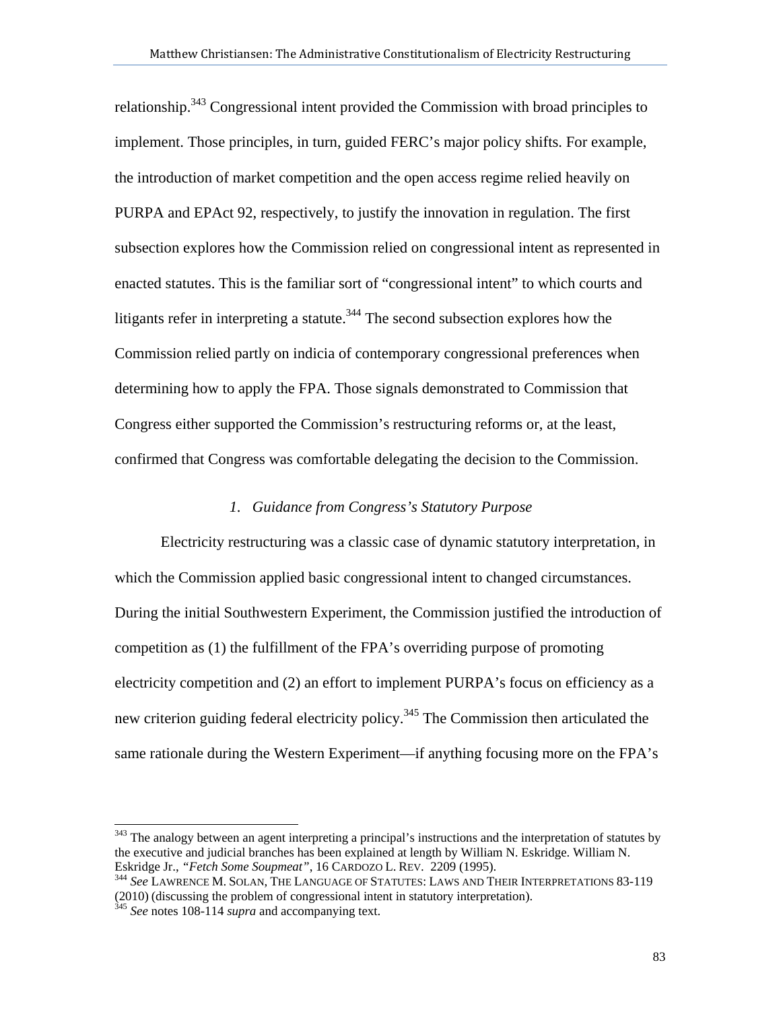relationship.343 Congressional intent provided the Commission with broad principles to implement. Those principles, in turn, guided FERC's major policy shifts. For example, the introduction of market competition and the open access regime relied heavily on PURPA and EPAct 92, respectively, to justify the innovation in regulation. The first subsection explores how the Commission relied on congressional intent as represented in enacted statutes. This is the familiar sort of "congressional intent" to which courts and litigants refer in interpreting a statute.<sup>344</sup> The second subsection explores how the Commission relied partly on indicia of contemporary congressional preferences when determining how to apply the FPA. Those signals demonstrated to Commission that Congress either supported the Commission's restructuring reforms or, at the least, confirmed that Congress was comfortable delegating the decision to the Commission.

# *1. Guidance from Congress's Statutory Purpose*

Electricity restructuring was a classic case of dynamic statutory interpretation, in which the Commission applied basic congressional intent to changed circumstances. During the initial Southwestern Experiment, the Commission justified the introduction of competition as (1) the fulfillment of the FPA's overriding purpose of promoting electricity competition and (2) an effort to implement PURPA's focus on efficiency as a new criterion guiding federal electricity policy.<sup>345</sup> The Commission then articulated the same rationale during the Western Experiment—if anything focusing more on the FPA's

l

<sup>&</sup>lt;sup>343</sup> The analogy between an agent interpreting a principal's instructions and the interpretation of statutes by the executive and judicial branches has been explained at length by William N. Eskridge. William N. Eskridge Jr., *"Fetch Some Soupmeat"*, 16 CARDOZO L. REV. 2209 (1995). 344 *See* LAWRENCE M. SOLAN, THE LANGUAGE OF STATUTES: LAWS AND THEIR INTERPRETATIONS 83-119

<sup>(2010)</sup> (discussing the problem of congressional intent in statutory interpretation). 345 *See* notes 108-114 *supra* and accompanying text.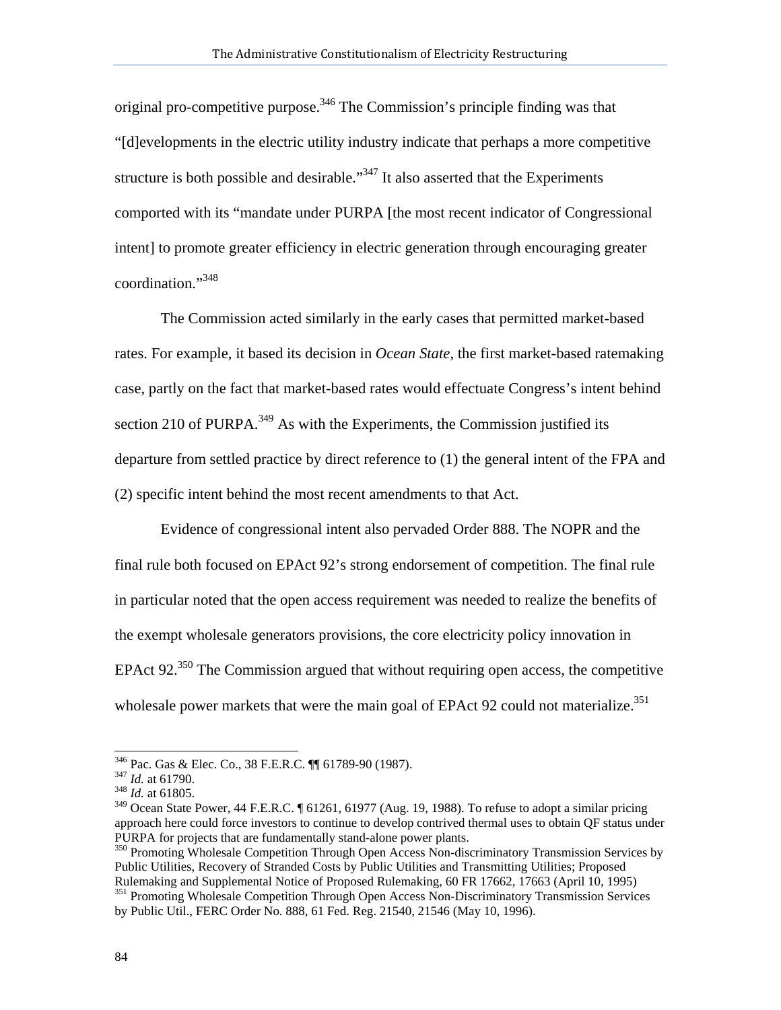original pro-competitive purpose.<sup>346</sup> The Commission's principle finding was that "[d]evelopments in the electric utility industry indicate that perhaps a more competitive structure is both possible and desirable."<sup>347</sup> It also asserted that the Experiments comported with its "mandate under PURPA [the most recent indicator of Congressional intent] to promote greater efficiency in electric generation through encouraging greater coordination."348

The Commission acted similarly in the early cases that permitted market-based rates. For example, it based its decision in *Ocean State*, the first market-based ratemaking case, partly on the fact that market-based rates would effectuate Congress's intent behind section 210 of PURPA.<sup>349</sup> As with the Experiments, the Commission justified its departure from settled practice by direct reference to (1) the general intent of the FPA and (2) specific intent behind the most recent amendments to that Act.

Evidence of congressional intent also pervaded Order 888. The NOPR and the final rule both focused on EPAct 92's strong endorsement of competition. The final rule in particular noted that the open access requirement was needed to realize the benefits of the exempt wholesale generators provisions, the core electricity policy innovation in EPAct  $92.^{350}$  The Commission argued that without requiring open access, the competitive wholesale power markets that were the main goal of EPAct 92 could not materialize.<sup>351</sup>

<sup>346</sup> Pac. Gas & Elec. Co., 38 F.E.R.C. ¶¶ 61789-90 (1987). 347 *Id.* at 61790. 348 *Id.* at 61805.

<sup>&</sup>lt;sup>349</sup> Ocean State Power, 44 F.E.R.C. [ 61261, 61977 (Aug. 19, 1988). To refuse to adopt a similar pricing approach here could force investors to continue to develop contrived thermal uses to obtain QF status under PURPA for projects that are fundamentally stand-alone power plants. 350 Promoting Wholesale Competition Through Open Access Non-discriminatory Transmission Services by

Public Utilities, Recovery of Stranded Costs by Public Utilities and Transmitting Utilities; Proposed Rulemaking and Supplemental Notice of Proposed Rulemaking, 60 FR 17662, 17663 (April 10, 1995) <sup>351</sup> Promoting Wholesale Competition Through Open Access Non-Discriminatory Transmission Services

by Public Util., FERC Order No. 888, 61 Fed. Reg. 21540, 21546 (May 10, 1996).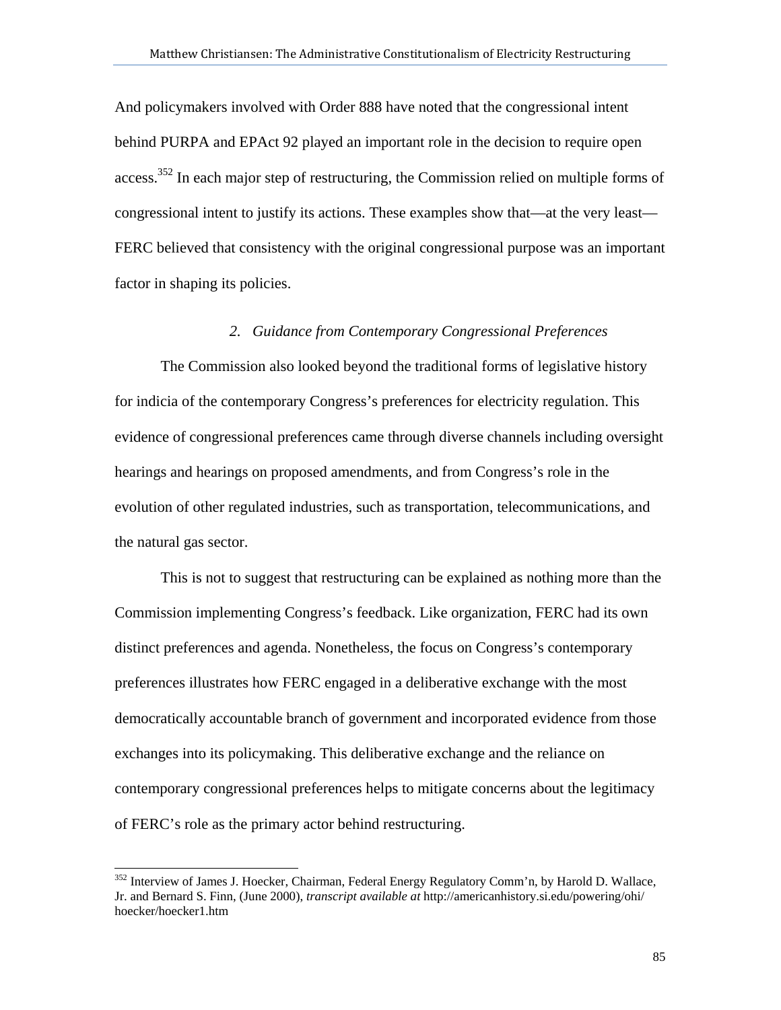And policymakers involved with Order 888 have noted that the congressional intent behind PURPA and EPAct 92 played an important role in the decision to require open access.<sup>352</sup> In each major step of restructuring, the Commission relied on multiple forms of congressional intent to justify its actions. These examples show that—at the very least— FERC believed that consistency with the original congressional purpose was an important factor in shaping its policies.

# *2. Guidance from Contemporary Congressional Preferences*

The Commission also looked beyond the traditional forms of legislative history for indicia of the contemporary Congress's preferences for electricity regulation. This evidence of congressional preferences came through diverse channels including oversight hearings and hearings on proposed amendments, and from Congress's role in the evolution of other regulated industries, such as transportation, telecommunications, and the natural gas sector.

This is not to suggest that restructuring can be explained as nothing more than the Commission implementing Congress's feedback. Like organization, FERC had its own distinct preferences and agenda. Nonetheless, the focus on Congress's contemporary preferences illustrates how FERC engaged in a deliberative exchange with the most democratically accountable branch of government and incorporated evidence from those exchanges into its policymaking. This deliberative exchange and the reliance on contemporary congressional preferences helps to mitigate concerns about the legitimacy of FERC's role as the primary actor behind restructuring.

l

<sup>&</sup>lt;sup>352</sup> Interview of James J. Hoecker, Chairman, Federal Energy Regulatory Comm'n, by Harold D. Wallace, Jr. and Bernard S. Finn, (June 2000), *transcript available at* http://americanhistory.si.edu/powering/ohi/ hoecker/hoecker1.htm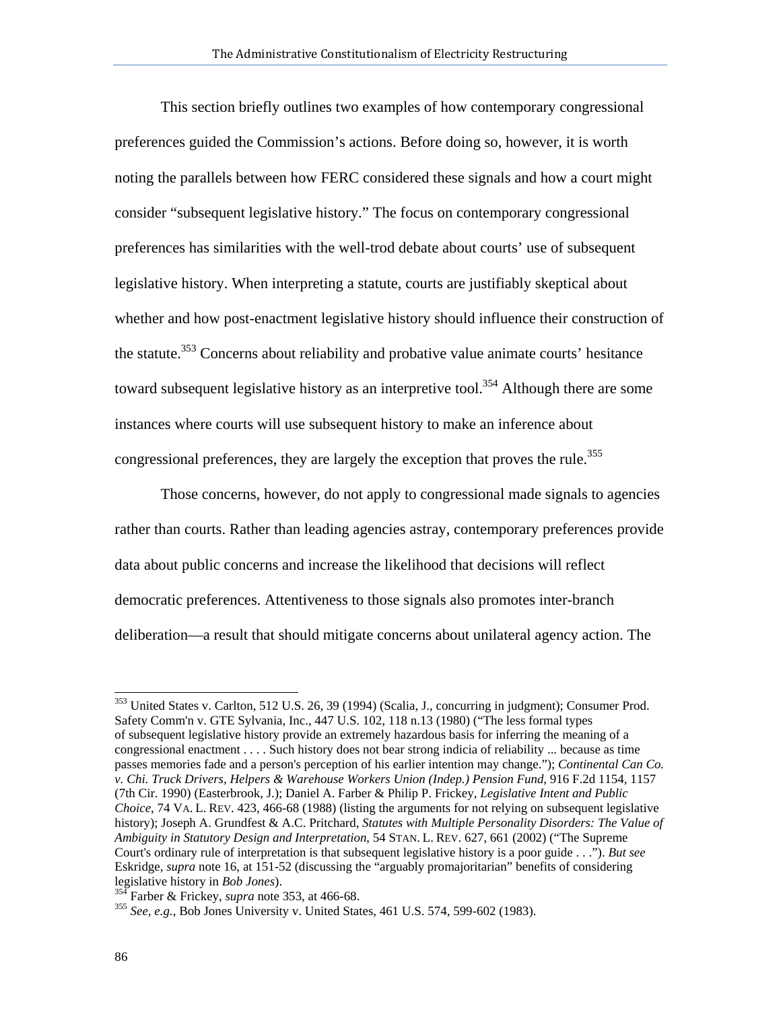This section briefly outlines two examples of how contemporary congressional preferences guided the Commission's actions. Before doing so, however, it is worth noting the parallels between how FERC considered these signals and how a court might consider "subsequent legislative history." The focus on contemporary congressional preferences has similarities with the well-trod debate about courts' use of subsequent legislative history. When interpreting a statute, courts are justifiably skeptical about whether and how post-enactment legislative history should influence their construction of the statute.<sup>353</sup> Concerns about reliability and probative value animate courts' hesitance toward subsequent legislative history as an interpretive tool.<sup>354</sup> Although there are some instances where courts will use subsequent history to make an inference about congressional preferences, they are largely the exception that proves the rule.<sup>355</sup>

Those concerns, however, do not apply to congressional made signals to agencies rather than courts. Rather than leading agencies astray, contemporary preferences provide data about public concerns and increase the likelihood that decisions will reflect democratic preferences. Attentiveness to those signals also promotes inter-branch deliberation—a result that should mitigate concerns about unilateral agency action. The

<sup>&</sup>lt;sup>353</sup> United States v. Carlton, 512 U.S. 26, 39 (1994) (Scalia, J., concurring in judgment); Consumer Prod. Safety Comm'n v. GTE Sylvania, Inc., 447 U.S. 102, 118 n.13 (1980) ("The less formal types of subsequent legislative history provide an extremely hazardous basis for inferring the meaning of a congressional enactment . . . . Such history does not bear strong indicia of reliability ... because as time passes memories fade and a person's perception of his earlier intention may change."); *Continental Can Co. v. Chi. Truck Drivers, Helpers & Warehouse Workers Union (Indep.) Pension Fund*, 916 F.2d 1154, 1157 (7th Cir. 1990) (Easterbrook, J.); Daniel A. Farber & Philip P. Frickey, *Legislative Intent and Public Choice*, 74 VA. L. REV. 423, 466-68 (1988) (listing the arguments for not relying on subsequent legislative history); Joseph A. Grundfest & A.C. Pritchard, *Statutes with Multiple Personality Disorders: The Value of Ambiguity in Statutory Design and Interpretation*, 54 STAN. L. REV. 627, 661 (2002) ("The Supreme Court's ordinary rule of interpretation is that subsequent legislative history is a poor guide . . ."). *But see*  Eskridge, *supra* note 16, at 151-52 (discussing the "arguably promajoritarian" benefits of considering legislative history in *Bob Jones*).<br><sup>354</sup> Farber & Frickey, *supra* note 353, at 466-68.<br><sup>355</sup> *See, e.g.*, Bob Jones University v. United States, 461 U.S. 574, 599-602 (1983).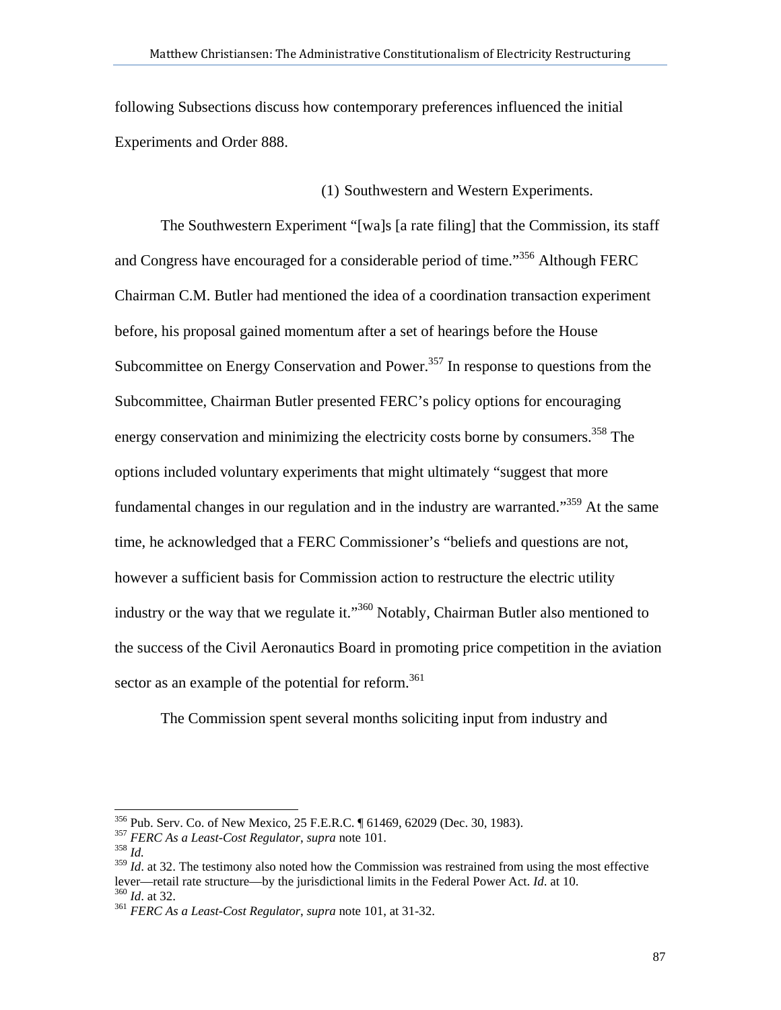following Subsections discuss how contemporary preferences influenced the initial Experiments and Order 888.

(1) Southwestern and Western Experiments.

The Southwestern Experiment "[wa]s [a rate filing] that the Commission, its staff and Congress have encouraged for a considerable period of time."356 Although FERC Chairman C.M. Butler had mentioned the idea of a coordination transaction experiment before, his proposal gained momentum after a set of hearings before the House Subcommittee on Energy Conservation and Power.<sup>357</sup> In response to questions from the Subcommittee, Chairman Butler presented FERC's policy options for encouraging energy conservation and minimizing the electricity costs borne by consumers.<sup>358</sup> The options included voluntary experiments that might ultimately "suggest that more fundamental changes in our regulation and in the industry are warranted.<sup>359</sup> At the same time, he acknowledged that a FERC Commissioner's "beliefs and questions are not, however a sufficient basis for Commission action to restructure the electric utility industry or the way that we regulate it."<sup>360</sup> Notably, Chairman Butler also mentioned to the success of the Civil Aeronautics Board in promoting price competition in the aviation sector as an example of the potential for reform.<sup>361</sup>

The Commission spent several months soliciting input from industry and

<sup>356</sup> Pub. Serv. Co. of New Mexico, 25 F.E.R.C. ¶ 61469, 62029 (Dec. 30, 1983). 357 *FERC As a Least-Cost Regulator*, *supra* note 101. 358 *Id.*

<sup>&</sup>lt;sup>359</sup> *Id.* at 32. The testimony also noted how the Commission was restrained from using the most effective lever—retail rate structure—by the jurisdictional limits in the Federal Power Act. *Id*. at 10. 360 *Id*. at 32. 361 *FERC As a Least-Cost Regulator*, *supra* note 101, at 31-32.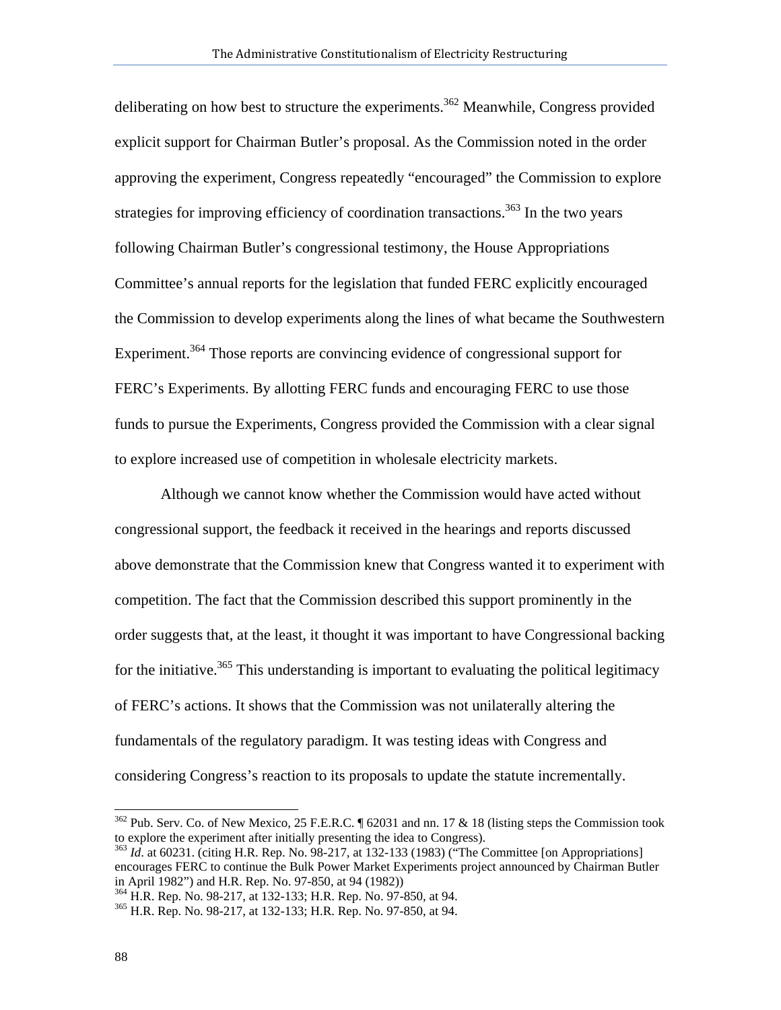deliberating on how best to structure the experiments.<sup>362</sup> Meanwhile, Congress provided explicit support for Chairman Butler's proposal. As the Commission noted in the order approving the experiment, Congress repeatedly "encouraged" the Commission to explore strategies for improving efficiency of coordination transactions.<sup>363</sup> In the two vears following Chairman Butler's congressional testimony, the House Appropriations Committee's annual reports for the legislation that funded FERC explicitly encouraged the Commission to develop experiments along the lines of what became the Southwestern Experiment.<sup>364</sup> Those reports are convincing evidence of congressional support for FERC's Experiments. By allotting FERC funds and encouraging FERC to use those funds to pursue the Experiments, Congress provided the Commission with a clear signal to explore increased use of competition in wholesale electricity markets.

Although we cannot know whether the Commission would have acted without congressional support, the feedback it received in the hearings and reports discussed above demonstrate that the Commission knew that Congress wanted it to experiment with competition. The fact that the Commission described this support prominently in the order suggests that, at the least, it thought it was important to have Congressional backing for the initiative.<sup>365</sup> This understanding is important to evaluating the political legitimacy of FERC's actions. It shows that the Commission was not unilaterally altering the fundamentals of the regulatory paradigm. It was testing ideas with Congress and considering Congress's reaction to its proposals to update the statute incrementally.

 $362$  Pub. Serv. Co. of New Mexico, 25 F.E.R.C. ¶ 62031 and nn. 17 & 18 (listing steps the Commission took to explore the experiment after initially presenting the idea to Congress).

<sup>&</sup>lt;sup>363</sup> *Id.* at 60231. (citing H.R. Rep. No. 98-217, at 132-133 (1983) ("The Committee [on Appropriations] encourages FERC to continue the Bulk Power Market Experiments project announced by Chairman Butler in April 1982") and H.R. Rep. No. 97-850, at 94 (1982))

<sup>&</sup>lt;sup>364</sup> H.R. Rep. No. 98-217, at 132-133; H.R. Rep. No. 97-850, at 94.<br><sup>365</sup> H.R. Rep. No. 98-217, at 132-133; H.R. Rep. No. 97-850, at 94.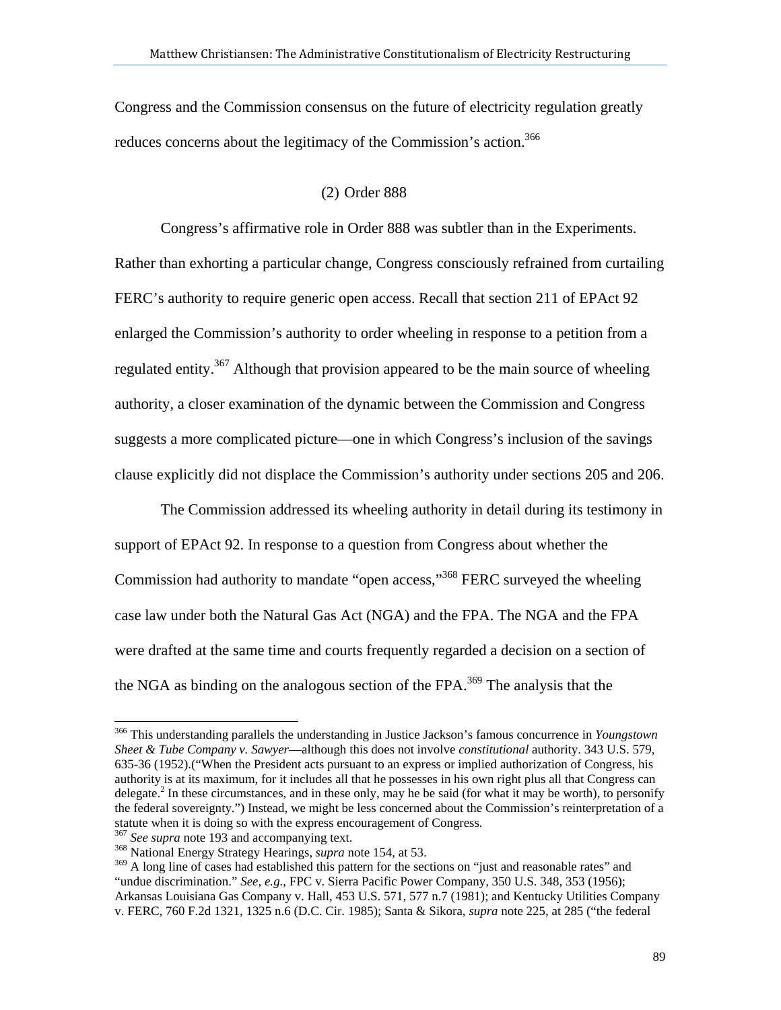Congress and the Commission consensus on the future of electricity regulation greatly reduces concerns about the legitimacy of the Commission's action.<sup>366</sup>

## (2) Order 888

Congress's affirmative role in Order 888 was subtler than in the Experiments. Rather than exhorting a particular change, Congress consciously refrained from curtailing FERC's authority to require generic open access. Recall that section 211 of EPAct 92 enlarged the Commission's authority to order wheeling in response to a petition from a regulated entity.<sup>367</sup> Although that provision appeared to be the main source of wheeling authority, a closer examination of the dynamic between the Commission and Congress suggests a more complicated picture—one in which Congress's inclusion of the savings clause explicitly did not displace the Commission's authority under sections 205 and 206.

The Commission addressed its wheeling authority in detail during its testimony in support of EPAct 92. In response to a question from Congress about whether the Commission had authority to mandate "open access,"<sup>368</sup> FERC surveyed the wheeling case law under both the Natural Gas Act (NGA) and the FPA. The NGA and the FPA were drafted at the same time and courts frequently regarded a decision on a section of the NGA as binding on the analogous section of the FPA.<sup>369</sup> The analysis that the

<sup>366</sup> This understanding parallels the understanding in Justice Jackson's famous concurrence in *Youngstown Sheet & Tube Company v. Sawyer*—although this does not involve *constitutional* authority. 343 U.S. 579, 635-36 (1952).("When the President acts pursuant to an express or implied authorization of Congress, his authority is at its maximum, for it includes all that he possesses in his own right plus all that Congress can delegate.<sup>2</sup> In these circumstances, and in these only, may he be said (for what it may be worth), to personify the federal sovereignty.") Instead, we might be less concerned about the Commission's reinterpretation of a statute when it is doing so with the express encouragement of Congress.

<sup>&</sup>lt;sup>367</sup> See supra note 193 and accompanying text.<br><sup>368</sup> National Energy Strategy Hearings, *supra* note 154, at 53.

<sup>&</sup>lt;sup>369</sup> A long line of cases had established this pattern for the sections on "just and reasonable rates" and "undue discrimination." *See, e.g.*, FPC v. Sierra Pacific Power Company, 350 U.S. 348, 353 (1956); Arkansas Louisiana Gas Company v. Hall, 453 U.S. 571, 577 n.7 (1981); and Kentucky Utilities Company v. FERC, 760 F.2d 1321, 1325 n.6 (D.C. Cir. 1985); Santa & Sikora, *supra* note 225, at 285 ("the federal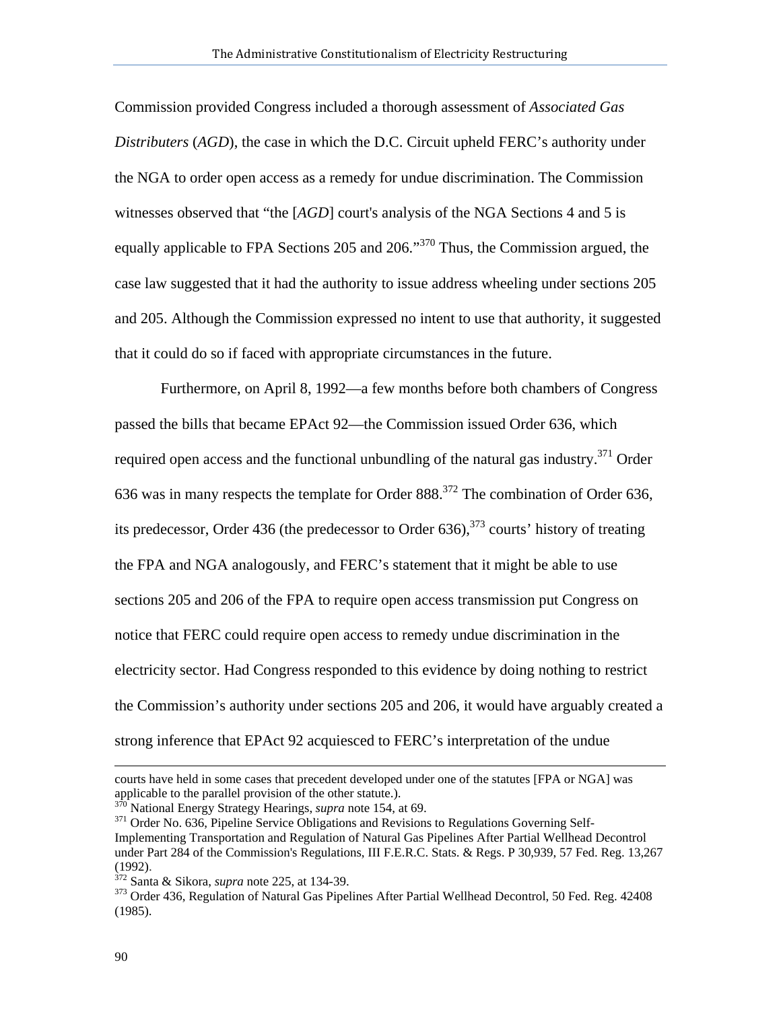Commission provided Congress included a thorough assessment of *Associated Gas Distributers* (*AGD*), the case in which the D.C. Circuit upheld FERC's authority under the NGA to order open access as a remedy for undue discrimination. The Commission witnesses observed that "the [*AGD*] court's analysis of the NGA Sections 4 and 5 is equally applicable to FPA Sections 205 and 206."370 Thus, the Commission argued, the case law suggested that it had the authority to issue address wheeling under sections 205 and 205. Although the Commission expressed no intent to use that authority, it suggested that it could do so if faced with appropriate circumstances in the future.

Furthermore, on April 8, 1992—a few months before both chambers of Congress passed the bills that became EPAct 92—the Commission issued Order 636, which required open access and the functional unbundling of the natural gas industry.<sup>371</sup> Order 636 was in many respects the template for Order  $888$ <sup>372</sup>. The combination of Order 636, its predecessor, Order 436 (the predecessor to Order  $636$ ),  $373$  courts' history of treating the FPA and NGA analogously, and FERC's statement that it might be able to use sections 205 and 206 of the FPA to require open access transmission put Congress on notice that FERC could require open access to remedy undue discrimination in the electricity sector. Had Congress responded to this evidence by doing nothing to restrict the Commission's authority under sections 205 and 206, it would have arguably created a strong inference that EPAct 92 acquiesced to FERC's interpretation of the undue

courts have held in some cases that precedent developed under one of the statutes [FPA or NGA] was applicable to the parallel provision of the other statute.).<br><sup>370</sup> National Energy Strategy Hearings, *supra* note 154, at 69.

<sup>&</sup>lt;sup>371</sup> Order No. 636, Pipeline Service Obligations and Revisions to Regulations Governing Self-Implementing Transportation and Regulation of Natural Gas Pipelines After Partial Wellhead Decontrol under Part 284 of the Commission's Regulations, III F.E.R.C. Stats. & Regs. P 30,939, 57 Fed. Reg. 13,267 (1992).

<sup>&</sup>lt;sup>372</sup> Santa & Sikora, *supra* note 225, at 134-39.<br><sup>373</sup> Order 436, Regulation of Natural Gas Pipelines After Partial Wellhead Decontrol, 50 Fed. Reg. 42408 (1985).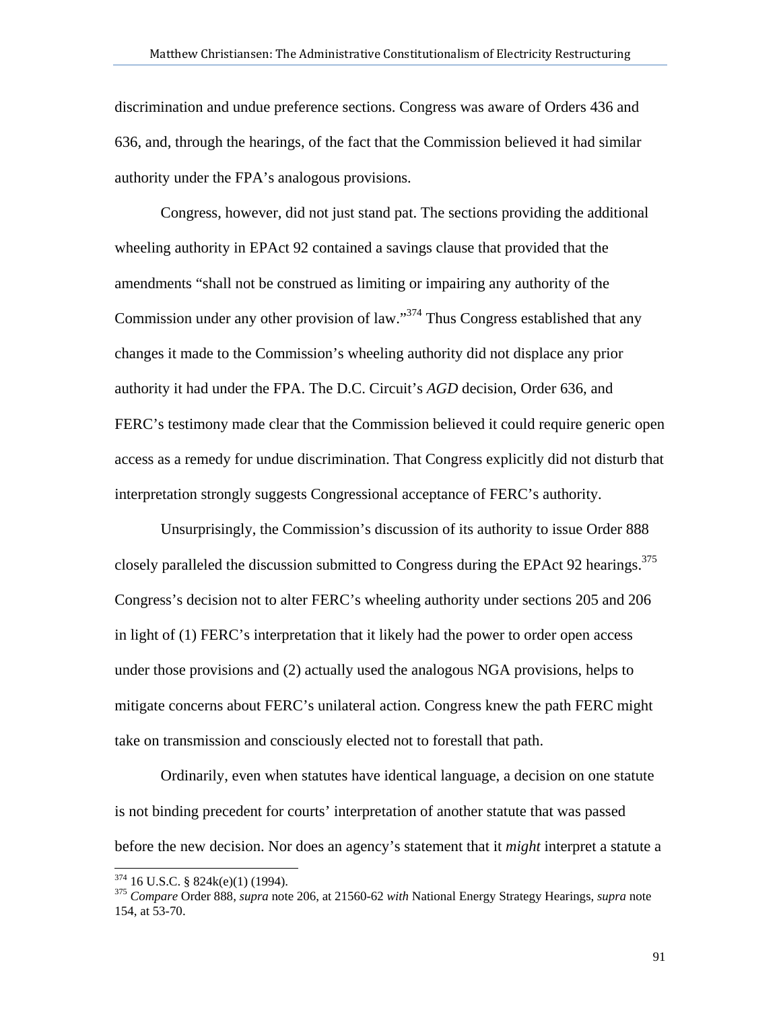discrimination and undue preference sections. Congress was aware of Orders 436 and 636, and, through the hearings, of the fact that the Commission believed it had similar authority under the FPA's analogous provisions.

 Congress, however, did not just stand pat. The sections providing the additional wheeling authority in EPAct 92 contained a savings clause that provided that the amendments "shall not be construed as limiting or impairing any authority of the Commission under any other provision of law."<sup>374</sup> Thus Congress established that any changes it made to the Commission's wheeling authority did not displace any prior authority it had under the FPA. The D.C. Circuit's *AGD* decision, Order 636, and FERC's testimony made clear that the Commission believed it could require generic open access as a remedy for undue discrimination. That Congress explicitly did not disturb that interpretation strongly suggests Congressional acceptance of FERC's authority.

 Unsurprisingly, the Commission's discussion of its authority to issue Order 888 closely paralleled the discussion submitted to Congress during the EPAct 92 hearings.<sup>375</sup> Congress's decision not to alter FERC's wheeling authority under sections 205 and 206 in light of (1) FERC's interpretation that it likely had the power to order open access under those provisions and (2) actually used the analogous NGA provisions, helps to mitigate concerns about FERC's unilateral action. Congress knew the path FERC might take on transmission and consciously elected not to forestall that path.

 Ordinarily, even when statutes have identical language, a decision on one statute is not binding precedent for courts' interpretation of another statute that was passed before the new decision. Nor does an agency's statement that it *might* interpret a statute a

 $374$  16 U.S.C. § 824k(e)(1) (1994).

<sup>&</sup>lt;sup>375</sup> Compare Order 888, *supra* note 206, at 21560-62 *with* National Energy Strategy Hearings, *supra* note 154, at 53-70.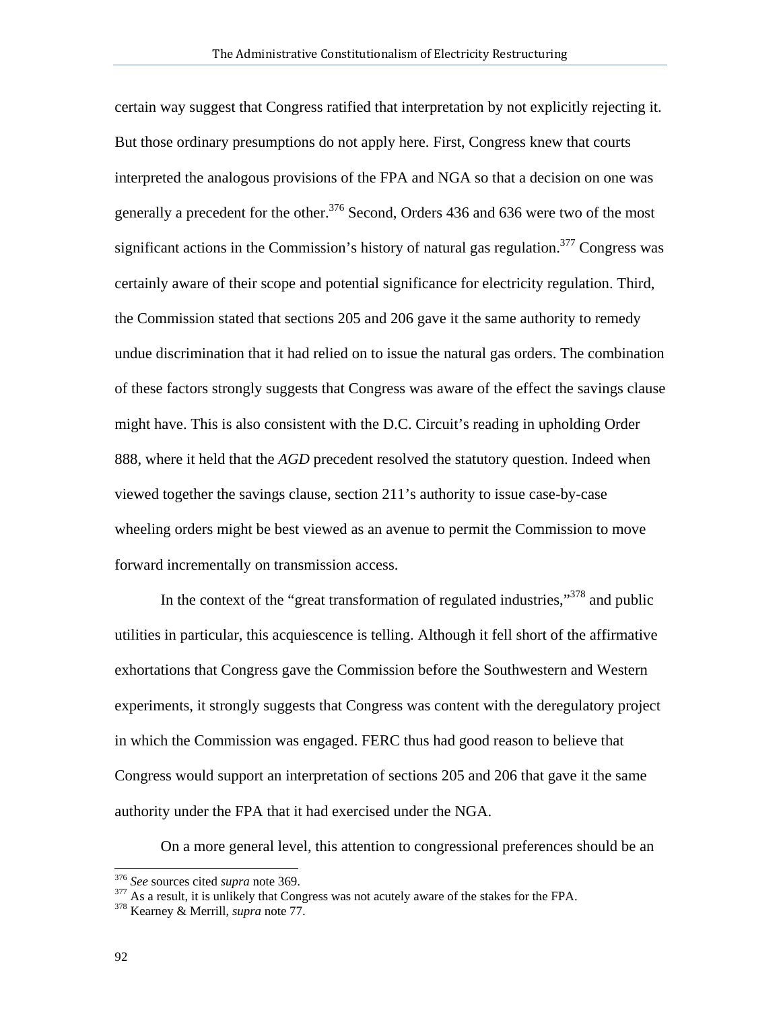certain way suggest that Congress ratified that interpretation by not explicitly rejecting it. But those ordinary presumptions do not apply here. First, Congress knew that courts interpreted the analogous provisions of the FPA and NGA so that a decision on one was generally a precedent for the other.<sup>376</sup> Second, Orders 436 and 636 were two of the most significant actions in the Commission's history of natural gas regulation.<sup>377</sup> Congress was certainly aware of their scope and potential significance for electricity regulation. Third, the Commission stated that sections 205 and 206 gave it the same authority to remedy undue discrimination that it had relied on to issue the natural gas orders. The combination of these factors strongly suggests that Congress was aware of the effect the savings clause might have. This is also consistent with the D.C. Circuit's reading in upholding Order 888, where it held that the *AGD* precedent resolved the statutory question. Indeed when viewed together the savings clause, section 211's authority to issue case-by-case wheeling orders might be best viewed as an avenue to permit the Commission to move forward incrementally on transmission access.

In the context of the "great transformation of regulated industries,"<sup>378</sup> and public utilities in particular, this acquiescence is telling. Although it fell short of the affirmative exhortations that Congress gave the Commission before the Southwestern and Western experiments, it strongly suggests that Congress was content with the deregulatory project in which the Commission was engaged. FERC thus had good reason to believe that Congress would support an interpretation of sections 205 and 206 that gave it the same authority under the FPA that it had exercised under the NGA.

On a more general level, this attention to congressional preferences should be an

<sup>&</sup>lt;sup>376</sup> See sources cited supra note 369.

<sup>&</sup>lt;sup>377</sup> As a result, it is unlikely that Congress was not acutely aware of the stakes for the FPA. <sup>378</sup> Kearney & Merrill, *supra* note 77.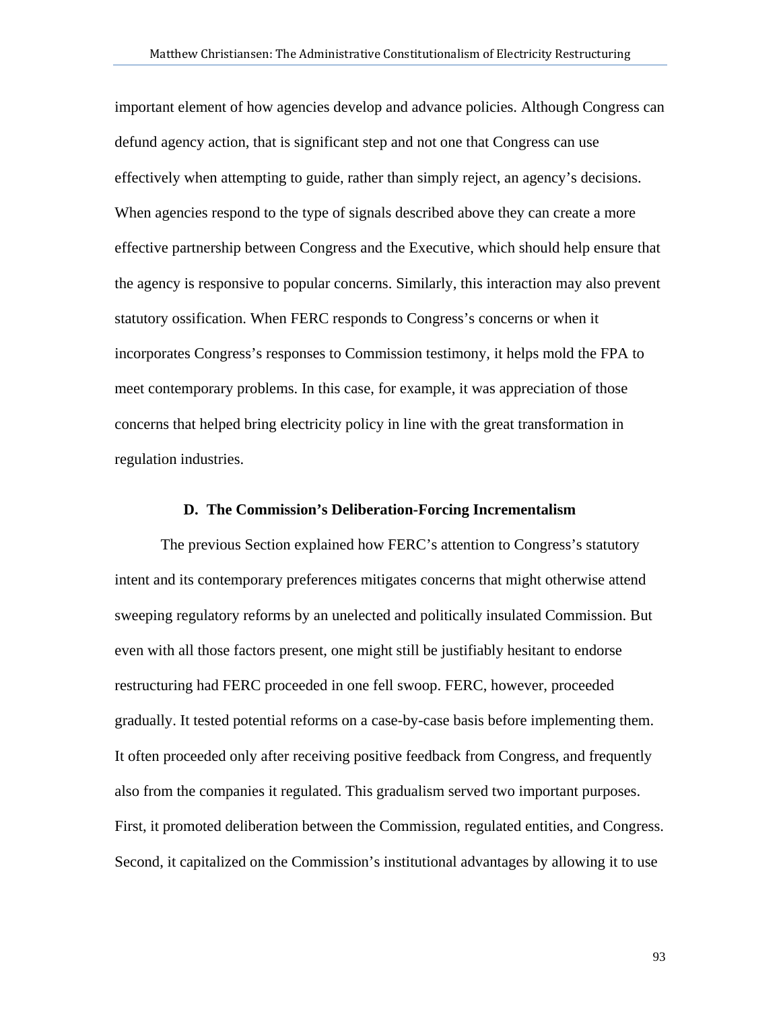important element of how agencies develop and advance policies. Although Congress can defund agency action, that is significant step and not one that Congress can use effectively when attempting to guide, rather than simply reject, an agency's decisions. When agencies respond to the type of signals described above they can create a more effective partnership between Congress and the Executive, which should help ensure that the agency is responsive to popular concerns. Similarly, this interaction may also prevent statutory ossification. When FERC responds to Congress's concerns or when it incorporates Congress's responses to Commission testimony, it helps mold the FPA to meet contemporary problems. In this case, for example, it was appreciation of those concerns that helped bring electricity policy in line with the great transformation in regulation industries.

#### **D. The Commission's Deliberation-Forcing Incrementalism**

The previous Section explained how FERC's attention to Congress's statutory intent and its contemporary preferences mitigates concerns that might otherwise attend sweeping regulatory reforms by an unelected and politically insulated Commission. But even with all those factors present, one might still be justifiably hesitant to endorse restructuring had FERC proceeded in one fell swoop. FERC, however, proceeded gradually. It tested potential reforms on a case-by-case basis before implementing them. It often proceeded only after receiving positive feedback from Congress, and frequently also from the companies it regulated. This gradualism served two important purposes. First, it promoted deliberation between the Commission, regulated entities, and Congress. Second, it capitalized on the Commission's institutional advantages by allowing it to use

93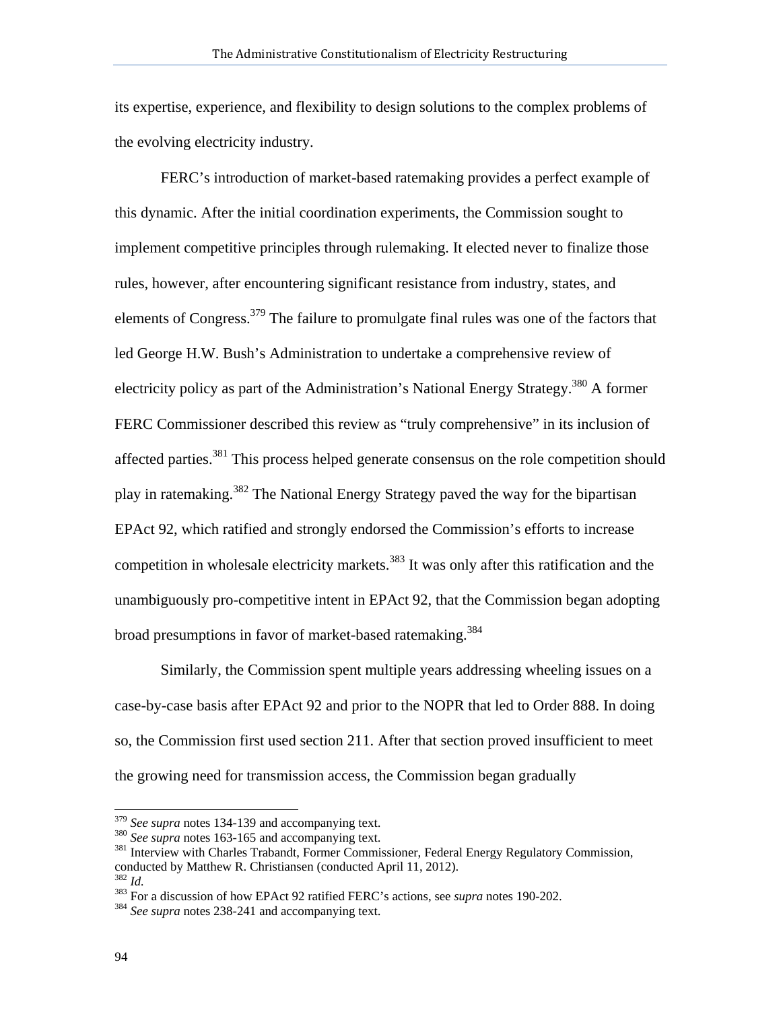its expertise, experience, and flexibility to design solutions to the complex problems of the evolving electricity industry.

FERC's introduction of market-based ratemaking provides a perfect example of this dynamic. After the initial coordination experiments, the Commission sought to implement competitive principles through rulemaking. It elected never to finalize those rules, however, after encountering significant resistance from industry, states, and elements of Congress.<sup>379</sup> The failure to promulgate final rules was one of the factors that led George H.W. Bush's Administration to undertake a comprehensive review of electricity policy as part of the Administration's National Energy Strategy.<sup>380</sup> A former FERC Commissioner described this review as "truly comprehensive" in its inclusion of affected parties.<sup>381</sup> This process helped generate consensus on the role competition should play in ratemaking.382 The National Energy Strategy paved the way for the bipartisan EPAct 92, which ratified and strongly endorsed the Commission's efforts to increase competition in wholesale electricity markets.<sup>383</sup> It was only after this ratification and the unambiguously pro-competitive intent in EPAct 92, that the Commission began adopting broad presumptions in favor of market-based ratemaking.<sup>384</sup>

Similarly, the Commission spent multiple years addressing wheeling issues on a case-by-case basis after EPAct 92 and prior to the NOPR that led to Order 888. In doing so, the Commission first used section 211. After that section proved insufficient to meet the growing need for transmission access, the Commission began gradually

<sup>&</sup>lt;sup>379</sup> See supra notes 134-139 and accompanying text.

<sup>&</sup>lt;sup>380</sup> *See supra* notes 163-165 and accompanying text.<br><sup>381</sup> Interview with Charles Trabandt, Former Commissioner, Federal Energy Regulatory Commission, conducted by Matthew R. Christiansen (conducted April 11, 2012).<br> $\frac{382}{1}$ 

<sup>382</sup> *Id.* 383 For a discussion of how EPAct 92 ratified FERC's actions, see *supra* notes 190-202. 384 *See supra* notes 238-241 and accompanying text.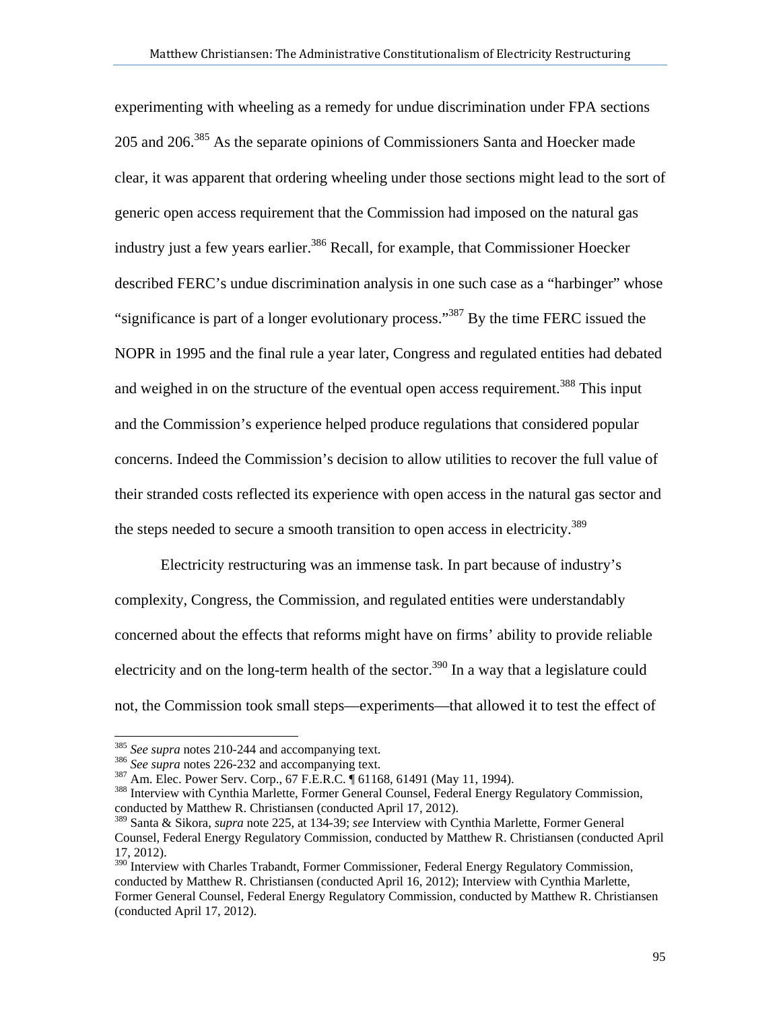experimenting with wheeling as a remedy for undue discrimination under FPA sections 205 and 206.385 As the separate opinions of Commissioners Santa and Hoecker made clear, it was apparent that ordering wheeling under those sections might lead to the sort of generic open access requirement that the Commission had imposed on the natural gas industry just a few years earlier.<sup>386</sup> Recall, for example, that Commissioner Hoecker described FERC's undue discrimination analysis in one such case as a "harbinger" whose "significance is part of a longer evolutionary process."<sup>387</sup> By the time FERC issued the NOPR in 1995 and the final rule a year later, Congress and regulated entities had debated and weighed in on the structure of the eventual open access requirement.<sup>388</sup> This input and the Commission's experience helped produce regulations that considered popular concerns. Indeed the Commission's decision to allow utilities to recover the full value of their stranded costs reflected its experience with open access in the natural gas sector and the steps needed to secure a smooth transition to open access in electricity.<sup>389</sup>

 Electricity restructuring was an immense task. In part because of industry's complexity, Congress, the Commission, and regulated entities were understandably concerned about the effects that reforms might have on firms' ability to provide reliable electricity and on the long-term health of the sector.<sup>390</sup> In a way that a legislature could not, the Commission took small steps—experiments—that allowed it to test the effect of

<sup>&</sup>lt;sup>385</sup> See supra notes 210-244 and accompanying text.

<sup>&</sup>lt;sup>386</sup> See supra notes 226-232 and accompanying text.<br><sup>387</sup> Am. Elec. Power Serv. Corp., 67 F.E.R.C.  $\parallel$  61168, 61491 (May 11, 1994).<br><sup>388</sup> Interview with Cynthia Marlette, Former General Counsel, Federal Energy Regulator conducted by Matthew R. Christiansen (conducted April 17, 2012).

<sup>389</sup> Santa & Sikora, *supra* note 225, at 134-39; *see* Interview with Cynthia Marlette, Former General Counsel, Federal Energy Regulatory Commission, conducted by Matthew R. Christiansen (conducted April 17, 2012).

<sup>&</sup>lt;sup>390</sup> Interview with Charles Trabandt, Former Commissioner, Federal Energy Regulatory Commission, conducted by Matthew R. Christiansen (conducted April 16, 2012); Interview with Cynthia Marlette, Former General Counsel, Federal Energy Regulatory Commission, conducted by Matthew R. Christiansen (conducted April 17, 2012).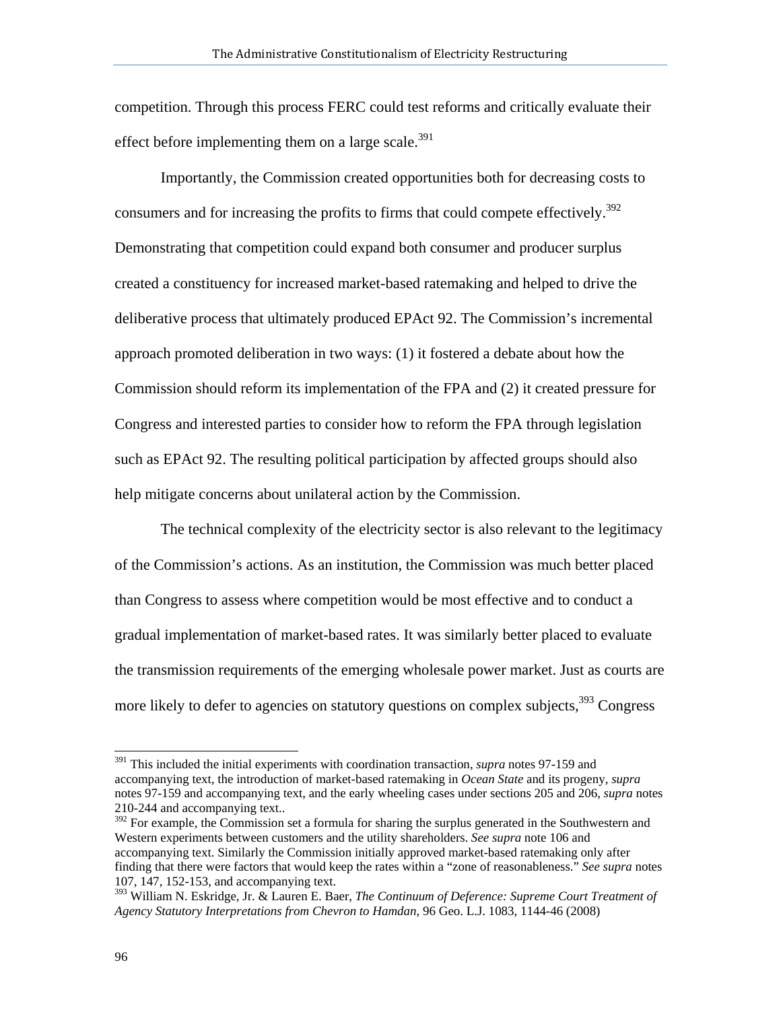competition. Through this process FERC could test reforms and critically evaluate their effect before implementing them on a large scale.<sup>391</sup>

Importantly, the Commission created opportunities both for decreasing costs to consumers and for increasing the profits to firms that could compete effectively.<sup>392</sup> Demonstrating that competition could expand both consumer and producer surplus created a constituency for increased market-based ratemaking and helped to drive the deliberative process that ultimately produced EPAct 92. The Commission's incremental approach promoted deliberation in two ways: (1) it fostered a debate about how the Commission should reform its implementation of the FPA and (2) it created pressure for Congress and interested parties to consider how to reform the FPA through legislation such as EPAct 92. The resulting political participation by affected groups should also help mitigate concerns about unilateral action by the Commission.

 The technical complexity of the electricity sector is also relevant to the legitimacy of the Commission's actions. As an institution, the Commission was much better placed than Congress to assess where competition would be most effective and to conduct a gradual implementation of market-based rates. It was similarly better placed to evaluate the transmission requirements of the emerging wholesale power market. Just as courts are more likely to defer to agencies on statutory questions on complex subjects, <sup>393</sup> Congress

<sup>391</sup> This included the initial experiments with coordination transaction, *supra* notes 97-159 and accompanying text, the introduction of market-based ratemaking in *Ocean State* and its progeny, *supra*  notes 97-159 and accompanying text, and the early wheeling cases under sections 205 and 206, *supra* notes 210-244 and accompanying text..

<sup>&</sup>lt;sup>392</sup> For example, the Commission set a formula for sharing the surplus generated in the Southwestern and Western experiments between customers and the utility shareholders. *See supra* note 106 and accompanying text. Similarly the Commission initially approved market-based ratemaking only after finding that there were factors that would keep the rates within a "zone of reasonableness." *See supra* notes 107, 147, 152-153, and accompanying text.

<sup>393</sup> William N. Eskridge, Jr. & Lauren E. Baer, *The Continuum of Deference: Supreme Court Treatment of Agency Statutory Interpretations from Chevron to Hamdan*, 96 Geo. L.J. 1083, 1144-46 (2008)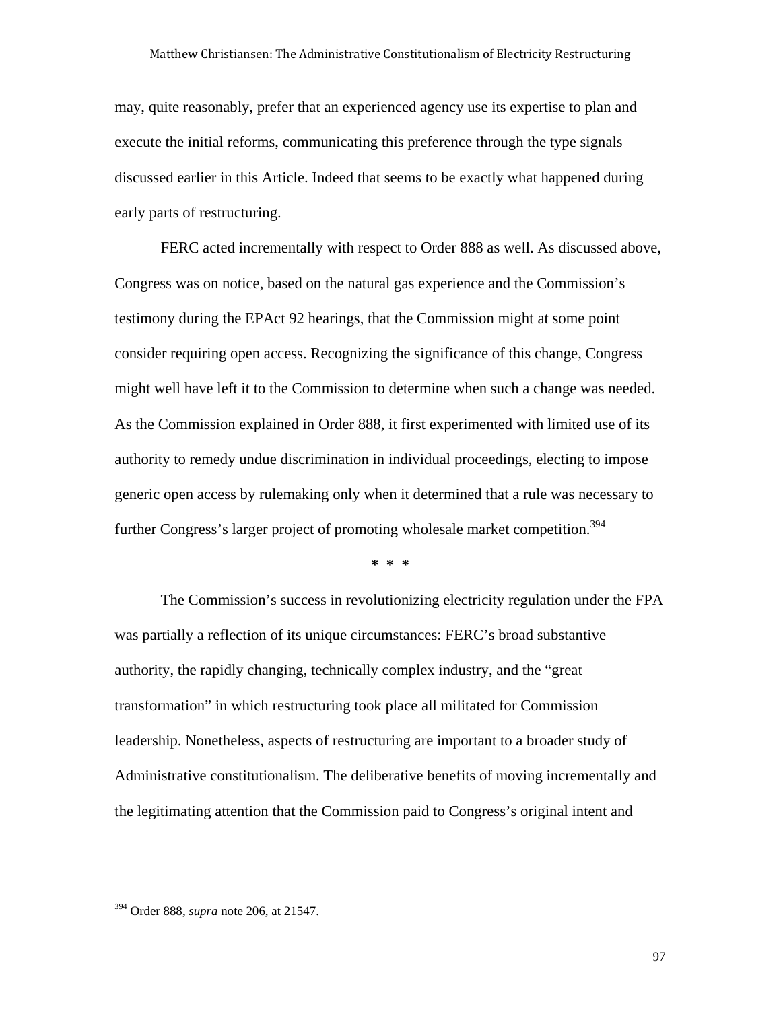may, quite reasonably, prefer that an experienced agency use its expertise to plan and execute the initial reforms, communicating this preference through the type signals discussed earlier in this Article. Indeed that seems to be exactly what happened during early parts of restructuring.

FERC acted incrementally with respect to Order 888 as well. As discussed above, Congress was on notice, based on the natural gas experience and the Commission's testimony during the EPAct 92 hearings, that the Commission might at some point consider requiring open access. Recognizing the significance of this change, Congress might well have left it to the Commission to determine when such a change was needed. As the Commission explained in Order 888, it first experimented with limited use of its authority to remedy undue discrimination in individual proceedings, electing to impose generic open access by rulemaking only when it determined that a rule was necessary to further Congress's larger project of promoting wholesale market competition.<sup>394</sup>

**\* \* \*** 

The Commission's success in revolutionizing electricity regulation under the FPA was partially a reflection of its unique circumstances: FERC's broad substantive authority, the rapidly changing, technically complex industry, and the "great transformation" in which restructuring took place all militated for Commission leadership. Nonetheless, aspects of restructuring are important to a broader study of Administrative constitutionalism. The deliberative benefits of moving incrementally and the legitimating attention that the Commission paid to Congress's original intent and

<sup>394</sup> Order 888, *supra* note 206, at 21547.